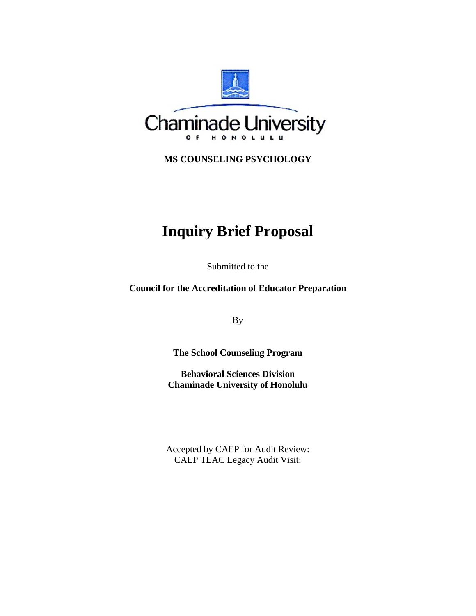

**MS COUNSELING PSYCHOLOGY** 

# **Inquiry Brief Proposal**

Submitted to the

**Council for the Accreditation of Educator Preparation** 

By

**The School Counseling Program** 

**Behavioral Sciences Division Chaminade University of Honolulu** 

Accepted by CAEP for Audit Review: CAEP TEAC Legacy Audit Visit: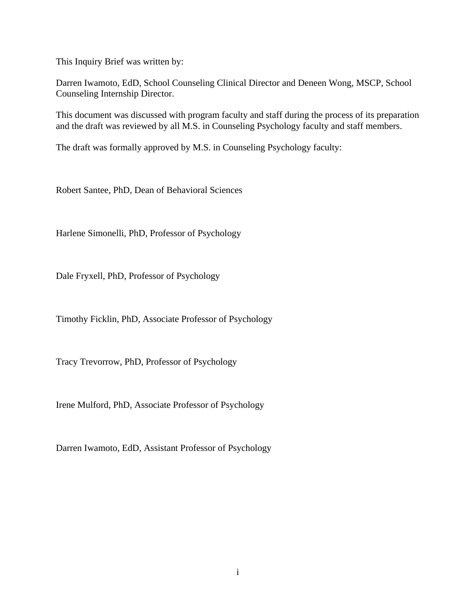This Inquiry Brief was written by:

Darren Iwamoto, EdD, School Counseling Clinical Director and Deneen Wong, MSCP, School Counseling Internship Director.

This document was discussed with program faculty and staff during the process of its preparation and the draft was reviewed by all M.S. in Counseling Psychology faculty and staff members.

The draft was formally approved by M.S. in Counseling Psychology faculty:

Robert Santee, PhD, Dean of Behavioral Sciences

Harlene Simonelli, PhD, Professor of Psychology

Dale Fryxell, PhD, Professor of Psychology

Timothy Ficklin, PhD, Associate Professor of Psychology

Tracy Trevorrow, PhD, Professor of Psychology

Irene Mulford, PhD, Associate Professor of Psychology

Darren Iwamoto, EdD, Assistant Professor of Psychology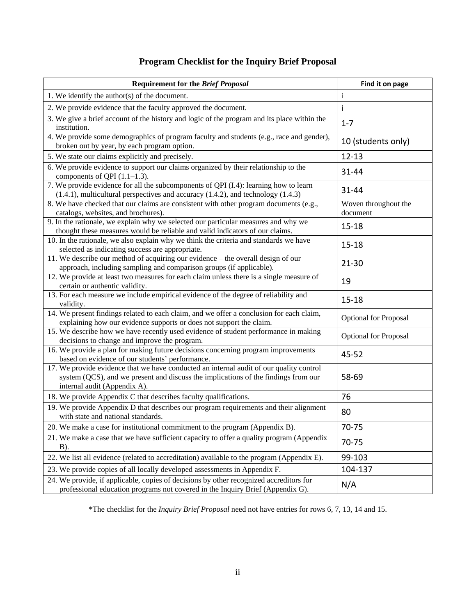# **Program Checklist for the Inquiry Brief Proposal**

| <b>Requirement for the Brief Proposal</b>                                                                                                                                                                     | Find it on page                  |
|---------------------------------------------------------------------------------------------------------------------------------------------------------------------------------------------------------------|----------------------------------|
| 1. We identify the author( $s$ ) of the document.                                                                                                                                                             | Ť                                |
| 2. We provide evidence that the faculty approved the document.                                                                                                                                                | İ                                |
| 3. We give a brief account of the history and logic of the program and its place within the<br>institution.                                                                                                   | $1 - 7$                          |
| 4. We provide some demographics of program faculty and students (e.g., race and gender),<br>broken out by year, by each program option.                                                                       | 10 (students only)               |
| 5. We state our claims explicitly and precisely.                                                                                                                                                              | $12 - 13$                        |
| 6. We provide evidence to support our claims organized by their relationship to the<br>components of QPI $(1.1-1.3)$ .                                                                                        | 31-44                            |
| 7. We provide evidence for all the subcomponents of QPI (I.4): learning how to learn<br>$(1.4.1)$ , multicultural perspectives and accuracy $(1.4.2)$ , and technology $(1.4.3)$                              | 31-44                            |
| 8. We have checked that our claims are consistent with other program documents (e.g.,<br>catalogs, websites, and brochures).                                                                                  | Woven throughout the<br>document |
| 9. In the rationale, we explain why we selected our particular measures and why we<br>thought these measures would be reliable and valid indicators of our claims.                                            | $15 - 18$                        |
| 10. In the rationale, we also explain why we think the criteria and standards we have<br>selected as indicating success are appropriate.                                                                      | $15 - 18$                        |
| 11. We describe our method of acquiring our evidence – the overall design of our<br>approach, including sampling and comparison groups (if applicable).                                                       | $21 - 30$                        |
| 12. We provide at least two measures for each claim unless there is a single measure of<br>certain or authentic validity.                                                                                     | 19                               |
| 13. For each measure we include empirical evidence of the degree of reliability and<br>validity.                                                                                                              | $15 - 18$                        |
| 14. We present findings related to each claim, and we offer a conclusion for each claim,<br>explaining how our evidence supports or does not support the claim.                                               | <b>Optional for Proposal</b>     |
| 15. We describe how we have recently used evidence of student performance in making<br>decisions to change and improve the program.                                                                           | <b>Optional for Proposal</b>     |
| 16. We provide a plan for making future decisions concerning program improvements<br>based on evidence of our students' performance.                                                                          | 45-52                            |
| 17. We provide evidence that we have conducted an internal audit of our quality control<br>system (QCS), and we present and discuss the implications of the findings from our<br>internal audit (Appendix A). | 58-69                            |
| 18. We provide Appendix C that describes faculty qualifications.                                                                                                                                              | 76                               |
| 19. We provide Appendix D that describes our program requirements and their alignment<br>with state and national standards.                                                                                   | 80                               |
| 20. We make a case for institutional commitment to the program (Appendix B).                                                                                                                                  | 70-75                            |
| 21. We make a case that we have sufficient capacity to offer a quality program (Appendix<br>$B)$ .                                                                                                            | 70-75                            |
| 22. We list all evidence (related to accreditation) available to the program (Appendix E).                                                                                                                    | 99-103                           |
| 23. We provide copies of all locally developed assessments in Appendix F.                                                                                                                                     | 104-137                          |
| 24. We provide, if applicable, copies of decisions by other recognized accreditors for<br>professional education programs not covered in the Inquiry Brief (Appendix G).                                      | N/A                              |

\*The checklist for the *Inquiry Brief Proposal* need not have entries for rows 6, 7, 13, 14 and 15.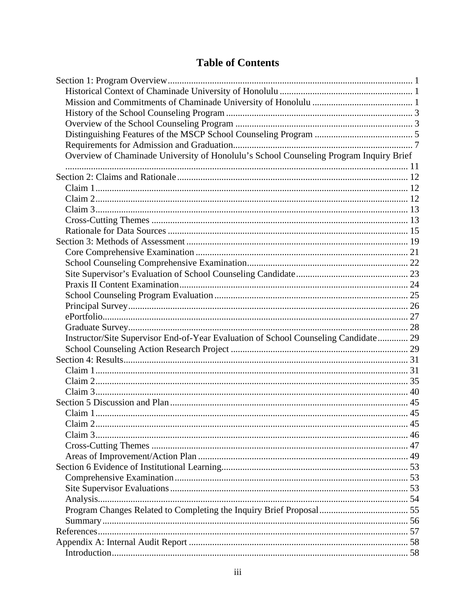# **Table of Contents**

| Overview of Chaminade University of Honolulu's School Counseling Program Inquiry Brief |  |
|----------------------------------------------------------------------------------------|--|
|                                                                                        |  |
|                                                                                        |  |
|                                                                                        |  |
|                                                                                        |  |
|                                                                                        |  |
|                                                                                        |  |
|                                                                                        |  |
|                                                                                        |  |
|                                                                                        |  |
|                                                                                        |  |
|                                                                                        |  |
|                                                                                        |  |
|                                                                                        |  |
|                                                                                        |  |
|                                                                                        |  |
|                                                                                        |  |
| Instructor/Site Supervisor End-of-Year Evaluation of School Counseling Candidate 29    |  |
|                                                                                        |  |
|                                                                                        |  |
|                                                                                        |  |
|                                                                                        |  |
|                                                                                        |  |
|                                                                                        |  |
|                                                                                        |  |
|                                                                                        |  |
|                                                                                        |  |
|                                                                                        |  |
|                                                                                        |  |
|                                                                                        |  |
|                                                                                        |  |
|                                                                                        |  |
|                                                                                        |  |
|                                                                                        |  |
|                                                                                        |  |
|                                                                                        |  |
|                                                                                        |  |
|                                                                                        |  |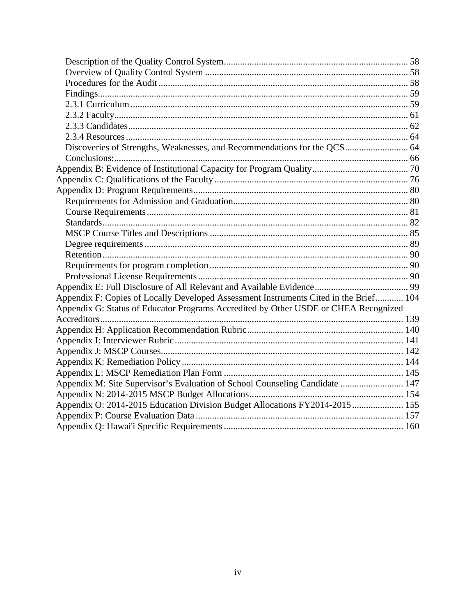| Appendix F: Copies of Locally Developed Assessment Instruments Cited in the Brief 104 |  |
|---------------------------------------------------------------------------------------|--|
| Appendix G: Status of Educator Programs Accredited by Other USDE or CHEA Recognized   |  |
|                                                                                       |  |
|                                                                                       |  |
|                                                                                       |  |
|                                                                                       |  |
|                                                                                       |  |
|                                                                                       |  |
| Appendix M: Site Supervisor's Evaluation of School Counseling Candidate  147          |  |
|                                                                                       |  |
| Appendix O: 2014-2015 Education Division Budget Allocations FY2014-2015  155          |  |
|                                                                                       |  |
|                                                                                       |  |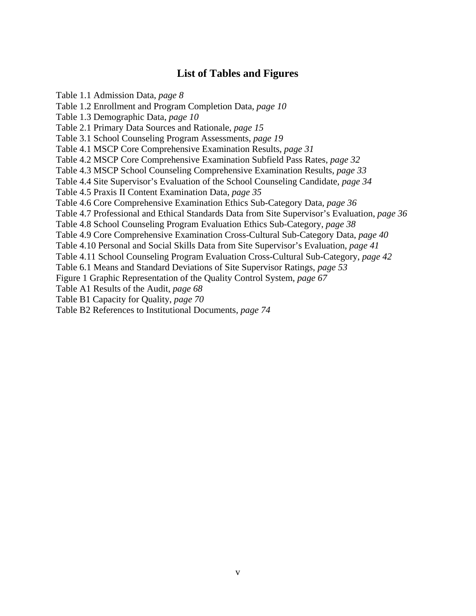# **List of Tables and Figures**

Table 1.1 Admission Data, *page 8*  Table 1.2 Enrollment and Program Completion Data, *page 10*  Table 1.3 Demographic Data, *page 10*  Table 2.1 Primary Data Sources and Rationale, *page 15*  Table 3.1 School Counseling Program Assessments, *page 19*  Table 4.1 MSCP Core Comprehensive Examination Results, *page 31* Table 4.2 MSCP Core Comprehensive Examination Subfield Pass Rates, *page 32*  Table 4.3 MSCP School Counseling Comprehensive Examination Results, *page 33*  Table 4.4 Site Supervisor's Evaluation of the School Counseling Candidate, *page 34* Table 4.5 Praxis II Content Examination Data, *page 35* Table 4.6 Core Comprehensive Examination Ethics Sub-Category Data, *page 36*  Table 4.7 Professional and Ethical Standards Data from Site Supervisor's Evaluation, *page 36*  Table 4.8 School Counseling Program Evaluation Ethics Sub-Category, *page 38*  Table 4.9 Core Comprehensive Examination Cross-Cultural Sub-Category Data, *page 40*  Table 4.10 Personal and Social Skills Data from Site Supervisor's Evaluation, *page 41*  Table 4.11 School Counseling Program Evaluation Cross-Cultural Sub-Category, *page 42*  Table 6.1 Means and Standard Deviations of Site Supervisor Ratings, *page 53*  Figure 1 Graphic Representation of the Quality Control System, *page 67*  Table A1 Results of the Audit, *page 68*  Table B1 Capacity for Quality, *page 70*  Table B2 References to Institutional Documents, *page 74*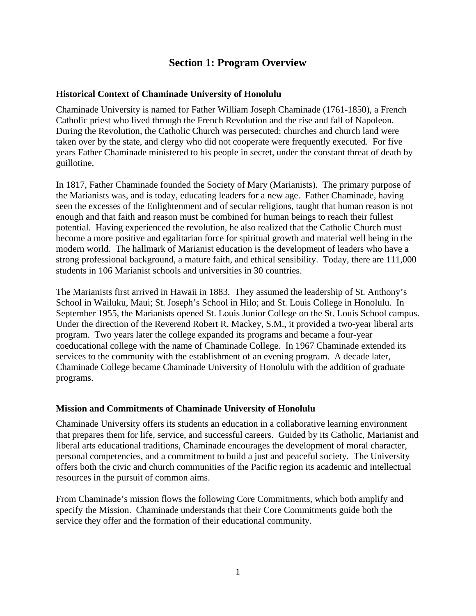# **Section 1: Program Overview**

#### **Historical Context of Chaminade University of Honolulu**

Chaminade University is named for Father William Joseph Chaminade (1761-1850), a French Catholic priest who lived through the French Revolution and the rise and fall of Napoleon. During the Revolution, the Catholic Church was persecuted: churches and church land were taken over by the state, and clergy who did not cooperate were frequently executed. For five years Father Chaminade ministered to his people in secret, under the constant threat of death by guillotine.

In 1817, Father Chaminade founded the Society of Mary (Marianists). The primary purpose of the Marianists was, and is today, educating leaders for a new age. Father Chaminade, having seen the excesses of the Enlightenment and of secular religions, taught that human reason is not enough and that faith and reason must be combined for human beings to reach their fullest potential. Having experienced the revolution, he also realized that the Catholic Church must become a more positive and egalitarian force for spiritual growth and material well being in the modern world. The hallmark of Marianist education is the development of leaders who have a strong professional background, a mature faith, and ethical sensibility. Today, there are 111,000 students in 106 Marianist schools and universities in 30 countries.

The Marianists first arrived in Hawaii in 1883. They assumed the leadership of St. Anthony's School in Wailuku, Maui; St. Joseph's School in Hilo; and St. Louis College in Honolulu. In September 1955, the Marianists opened St. Louis Junior College on the St. Louis School campus. Under the direction of the Reverend Robert R. Mackey, S.M., it provided a two-year liberal arts program. Two years later the college expanded its programs and became a four-year coeducational college with the name of Chaminade College. In 1967 Chaminade extended its services to the community with the establishment of an evening program. A decade later, Chaminade College became Chaminade University of Honolulu with the addition of graduate programs.

#### **Mission and Commitments of Chaminade University of Honolulu**

Chaminade University offers its students an education in a collaborative learning environment that prepares them for life, service, and successful careers. Guided by its Catholic, Marianist and liberal arts educational traditions, Chaminade encourages the development of moral character, personal competencies, and a commitment to build a just and peaceful society. The University offers both the civic and church communities of the Pacific region its academic and intellectual resources in the pursuit of common aims.

From Chaminade's mission flows the following Core Commitments, which both amplify and specify the Mission. Chaminade understands that their Core Commitments guide both the service they offer and the formation of their educational community.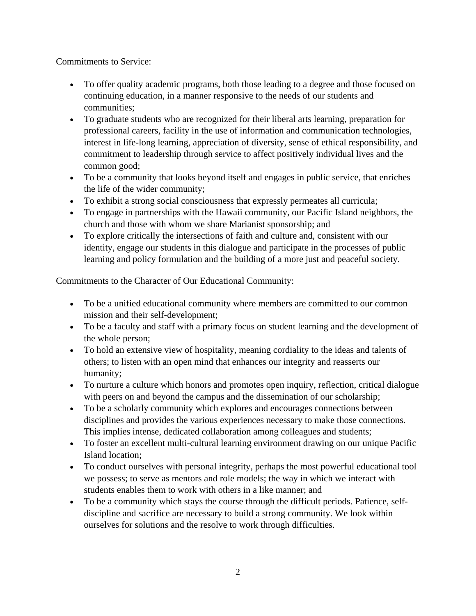Commitments to Service:

- To offer quality academic programs, both those leading to a degree and those focused on continuing education, in a manner responsive to the needs of our students and communities;
- To graduate students who are recognized for their liberal arts learning, preparation for professional careers, facility in the use of information and communication technologies, interest in life-long learning, appreciation of diversity, sense of ethical responsibility, and commitment to leadership through service to affect positively individual lives and the common good;
- To be a community that looks beyond itself and engages in public service, that enriches the life of the wider community;
- To exhibit a strong social consciousness that expressly permeates all curricula;
- To engage in partnerships with the Hawaii community, our Pacific Island neighbors, the church and those with whom we share Marianist sponsorship; and
- To explore critically the intersections of faith and culture and, consistent with our identity, engage our students in this dialogue and participate in the processes of public learning and policy formulation and the building of a more just and peaceful society.

Commitments to the Character of Our Educational Community:

- To be a unified educational community where members are committed to our common mission and their self-development;
- To be a faculty and staff with a primary focus on student learning and the development of the whole person;
- To hold an extensive view of hospitality, meaning cordiality to the ideas and talents of others; to listen with an open mind that enhances our integrity and reasserts our humanity;
- To nurture a culture which honors and promotes open inquiry, reflection, critical dialogue with peers on and beyond the campus and the dissemination of our scholarship;
- To be a scholarly community which explores and encourages connections between disciplines and provides the various experiences necessary to make those connections. This implies intense, dedicated collaboration among colleagues and students;
- To foster an excellent multi-cultural learning environment drawing on our unique Pacific Island location;
- To conduct ourselves with personal integrity, perhaps the most powerful educational tool we possess; to serve as mentors and role models; the way in which we interact with students enables them to work with others in a like manner; and
- To be a community which stays the course through the difficult periods. Patience, selfdiscipline and sacrifice are necessary to build a strong community. We look within ourselves for solutions and the resolve to work through difficulties.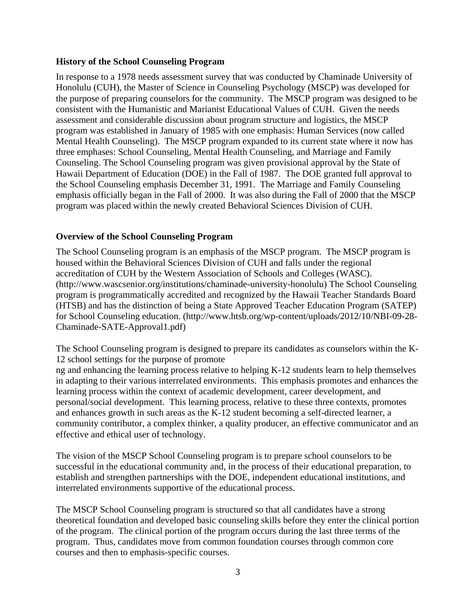#### **History of the School Counseling Program**

In response to a 1978 needs assessment survey that was conducted by Chaminade University of Honolulu (CUH), the Master of Science in Counseling Psychology (MSCP) was developed for the purpose of preparing counselors for the community. The MSCP program was designed to be consistent with the Humanistic and Marianist Educational Values of CUH. Given the needs assessment and considerable discussion about program structure and logistics, the MSCP program was established in January of 1985 with one emphasis: Human Services (now called Mental Health Counseling). The MSCP program expanded to its current state where it now has three emphases: School Counseling, Mental Health Counseling, and Marriage and Family Counseling. The School Counseling program was given provisional approval by the State of Hawaii Department of Education (DOE) in the Fall of 1987. The DOE granted full approval to the School Counseling emphasis December 31, 1991. The Marriage and Family Counseling emphasis officially began in the Fall of 2000. It was also during the Fall of 2000 that the MSCP program was placed within the newly created Behavioral Sciences Division of CUH.

#### **Overview of the School Counseling Program**

The School Counseling program is an emphasis of the MSCP program. The MSCP program is housed within the Behavioral Sciences Division of CUH and falls under the regional accreditation of CUH by the Western Association of Schools and Colleges (WASC). (http://www.wascsenior.org/institutions/chaminade-university-honolulu) The School Counseling program is programmatically accredited and recognized by the Hawaii Teacher Standards Board (HTSB) and has the distinction of being a State Approved Teacher Education Program (SATEP) for School Counseling education. (http://www.htsb.org/wp-content/uploads/2012/10/NBI-09-28- Chaminade-SATE-Approval1.pdf)

The School Counseling program is designed to prepare its candidates as counselors within the K-12 school settings for the purpose of promote

ng and enhancing the learning process relative to helping K-12 students learn to help themselves in adapting to their various interrelated environments. This emphasis promotes and enhances the learning process within the context of academic development, career development, and personal/social development. This learning process, relative to these three contexts, promotes and enhances growth in such areas as the K-12 student becoming a self-directed learner, a community contributor, a complex thinker, a quality producer, an effective communicator and an effective and ethical user of technology.

The vision of the MSCP School Counseling program is to prepare school counselors to be successful in the educational community and, in the process of their educational preparation, to establish and strengthen partnerships with the DOE, independent educational institutions, and interrelated environments supportive of the educational process.

The MSCP School Counseling program is structured so that all candidates have a strong theoretical foundation and developed basic counseling skills before they enter the clinical portion of the program. The clinical portion of the program occurs during the last three terms of the program. Thus, candidates move from common foundation courses through common core courses and then to emphasis-specific courses.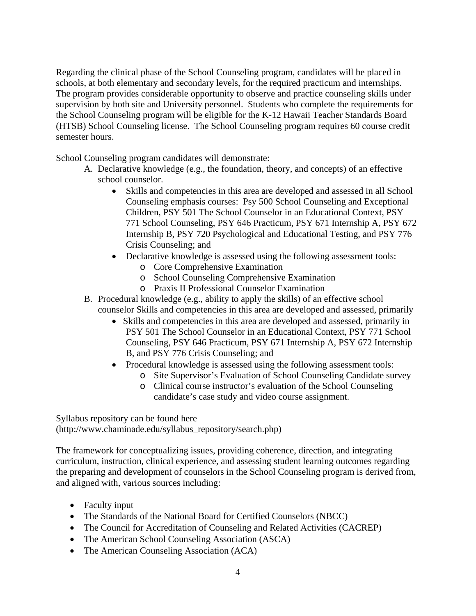Regarding the clinical phase of the School Counseling program, candidates will be placed in schools, at both elementary and secondary levels, for the required practicum and internships. The program provides considerable opportunity to observe and practice counseling skills under supervision by both site and University personnel. Students who complete the requirements for the School Counseling program will be eligible for the K-12 Hawaii Teacher Standards Board (HTSB) School Counseling license. The School Counseling program requires 60 course credit semester hours.

School Counseling program candidates will demonstrate:

- A. Declarative knowledge (e.g., the foundation, theory, and concepts) of an effective school counselor.
	- Skills and competencies in this area are developed and assessed in all School Counseling emphasis courses: Psy 500 School Counseling and Exceptional Children, PSY 501 The School Counselor in an Educational Context, PSY 771 School Counseling, PSY 646 Practicum, PSY 671 Internship A, PSY 672 Internship B, PSY 720 Psychological and Educational Testing, and PSY 776 Crisis Counseling; and
	- Declarative knowledge is assessed using the following assessment tools:
		- o Core Comprehensive Examination
		- o School Counseling Comprehensive Examination
		- o Praxis II Professional Counselor Examination
- B. Procedural knowledge (e.g., ability to apply the skills) of an effective school counselor Skills and competencies in this area are developed and assessed, primarily
	- Skills and competencies in this area are developed and assessed, primarily in PSY 501 The School Counselor in an Educational Context, PSY 771 School Counseling, PSY 646 Practicum, PSY 671 Internship A, PSY 672 Internship B, and PSY 776 Crisis Counseling; and
	- Procedural knowledge is assessed using the following assessment tools:
		- o Site Supervisor's Evaluation of School Counseling Candidate survey
		- o Clinical course instructor's evaluation of the School Counseling candidate's case study and video course assignment.

Syllabus repository can be found here (http://www.chaminade.edu/syllabus\_repository/search.php)

The framework for conceptualizing issues, providing coherence, direction, and integrating curriculum, instruction, clinical experience, and assessing student learning outcomes regarding the preparing and development of counselors in the School Counseling program is derived from, and aligned with, various sources including:

- Faculty input
- The Standards of the National Board for Certified Counselors (NBCC)
- The Council for Accreditation of Counseling and Related Activities (CACREP)
- The American School Counseling Association (ASCA)
- The American Counseling Association (ACA)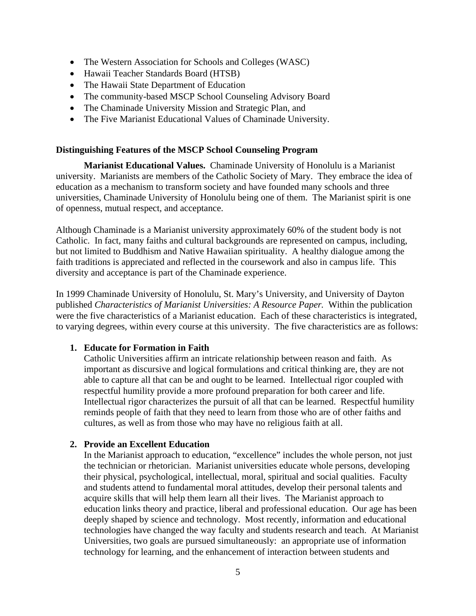- The Western Association for Schools and Colleges (WASC)
- Hawaii Teacher Standards Board (HTSB)
- The Hawaii State Department of Education
- The community-based MSCP School Counseling Advisory Board
- The Chaminade University Mission and Strategic Plan, and
- The Five Marianist Educational Values of Chaminade University.

#### **Distinguishing Features of the MSCP School Counseling Program**

**Marianist Educational Values.** Chaminade University of Honolulu is a Marianist university. Marianists are members of the Catholic Society of Mary. They embrace the idea of education as a mechanism to transform society and have founded many schools and three universities, Chaminade University of Honolulu being one of them. The Marianist spirit is one of openness, mutual respect, and acceptance.

Although Chaminade is a Marianist university approximately 60% of the student body is not Catholic. In fact, many faiths and cultural backgrounds are represented on campus, including, but not limited to Buddhism and Native Hawaiian spirituality. A healthy dialogue among the faith traditions is appreciated and reflected in the coursework and also in campus life. This diversity and acceptance is part of the Chaminade experience.

In 1999 Chaminade University of Honolulu, St. Mary's University, and University of Dayton published *Characteristics of Marianist Universities: A Resource Paper.* Within the publication were the five characteristics of a Marianist education. Each of these characteristics is integrated, to varying degrees, within every course at this university. The five characteristics are as follows:

#### **1. Educate for Formation in Faith**

Catholic Universities affirm an intricate relationship between reason and faith. As important as discursive and logical formulations and critical thinking are, they are not able to capture all that can be and ought to be learned. Intellectual rigor coupled with respectful humility provide a more profound preparation for both career and life. Intellectual rigor characterizes the pursuit of all that can be learned. Respectful humility reminds people of faith that they need to learn from those who are of other faiths and cultures, as well as from those who may have no religious faith at all.

#### **2. Provide an Excellent Education**

In the Marianist approach to education, "excellence" includes the whole person, not just the technician or rhetorician. Marianist universities educate whole persons, developing their physical, psychological, intellectual, moral, spiritual and social qualities. Faculty and students attend to fundamental moral attitudes, develop their personal talents and acquire skills that will help them learn all their lives. The Marianist approach to education links theory and practice, liberal and professional education. Our age has been deeply shaped by science and technology. Most recently, information and educational technologies have changed the way faculty and students research and teach. At Marianist Universities, two goals are pursued simultaneously: an appropriate use of information technology for learning, and the enhancement of interaction between students and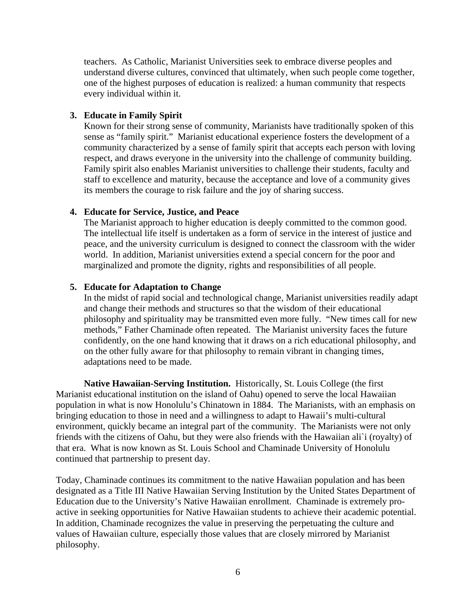teachers. As Catholic, Marianist Universities seek to embrace diverse peoples and understand diverse cultures, convinced that ultimately, when such people come together, one of the highest purposes of education is realized: a human community that respects every individual within it.

#### **3. Educate in Family Spirit**

Known for their strong sense of community, Marianists have traditionally spoken of this sense as "family spirit." Marianist educational experience fosters the development of a community characterized by a sense of family spirit that accepts each person with loving respect, and draws everyone in the university into the challenge of community building. Family spirit also enables Marianist universities to challenge their students, faculty and staff to excellence and maturity, because the acceptance and love of a community gives its members the courage to risk failure and the joy of sharing success.

#### **4. Educate for Service, Justice, and Peace**

The Marianist approach to higher education is deeply committed to the common good. The intellectual life itself is undertaken as a form of service in the interest of justice and peace, and the university curriculum is designed to connect the classroom with the wider world. In addition, Marianist universities extend a special concern for the poor and marginalized and promote the dignity, rights and responsibilities of all people.

#### **5. Educate for Adaptation to Change**

In the midst of rapid social and technological change, Marianist universities readily adapt and change their methods and structures so that the wisdom of their educational philosophy and spirituality may be transmitted even more fully. "New times call for new methods," Father Chaminade often repeated. The Marianist university faces the future confidently, on the one hand knowing that it draws on a rich educational philosophy, and on the other fully aware for that philosophy to remain vibrant in changing times, adaptations need to be made.

**Native Hawaiian-Serving Institution.** Historically, St. Louis College (the first Marianist educational institution on the island of Oahu) opened to serve the local Hawaiian population in what is now Honolulu's Chinatown in 1884. The Marianists, with an emphasis on bringing education to those in need and a willingness to adapt to Hawaii's multi-cultural environment, quickly became an integral part of the community. The Marianists were not only friends with the citizens of Oahu, but they were also friends with the Hawaiian ali`i (royalty) of that era. What is now known as St. Louis School and Chaminade University of Honolulu continued that partnership to present day.

Today, Chaminade continues its commitment to the native Hawaiian population and has been designated as a Title III Native Hawaiian Serving Institution by the United States Department of Education due to the University's Native Hawaiian enrollment. Chaminade is extremely proactive in seeking opportunities for Native Hawaiian students to achieve their academic potential. In addition, Chaminade recognizes the value in preserving the perpetuating the culture and values of Hawaiian culture, especially those values that are closely mirrored by Marianist philosophy.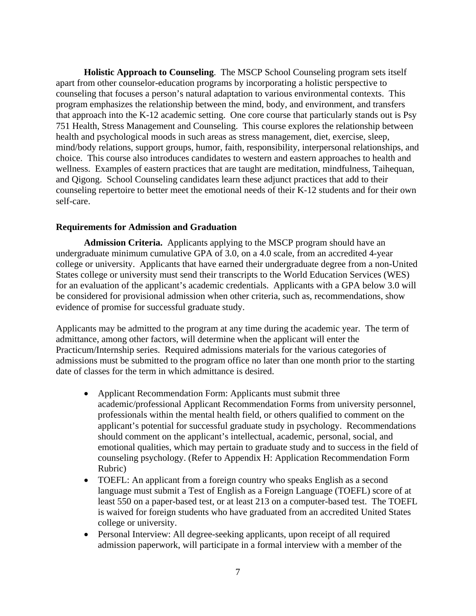**Holistic Approach to Counseling**. The MSCP School Counseling program sets itself apart from other counselor-education programs by incorporating a holistic perspective to counseling that focuses a person's natural adaptation to various environmental contexts. This program emphasizes the relationship between the mind, body, and environment, and transfers that approach into the K-12 academic setting. One core course that particularly stands out is Psy 751 Health, Stress Management and Counseling. This course explores the relationship between health and psychological moods in such areas as stress management, diet, exercise, sleep, mind/body relations, support groups, humor, faith, responsibility, interpersonal relationships, and choice. This course also introduces candidates to western and eastern approaches to health and wellness. Examples of eastern practices that are taught are meditation, mindfulness, Taihequan, and Qigong. School Counseling candidates learn these adjunct practices that add to their counseling repertoire to better meet the emotional needs of their K-12 students and for their own self-care.

#### **Requirements for Admission and Graduation**

**Admission Criteria.** Applicants applying to the MSCP program should have an undergraduate minimum cumulative GPA of 3.0, on a 4.0 scale, from an accredited 4-year college or university. Applicants that have earned their undergraduate degree from a non-United States college or university must send their transcripts to the World Education Services (WES) for an evaluation of the applicant's academic credentials. Applicants with a GPA below 3.0 will be considered for provisional admission when other criteria, such as, recommendations, show evidence of promise for successful graduate study.

Applicants may be admitted to the program at any time during the academic year. The term of admittance, among other factors, will determine when the applicant will enter the Practicum/Internship series. Required admissions materials for the various categories of admissions must be submitted to the program office no later than one month prior to the starting date of classes for the term in which admittance is desired.

- Applicant Recommendation Form: Applicants must submit three academic/professional Applicant Recommendation Forms from university personnel, professionals within the mental health field, or others qualified to comment on the applicant's potential for successful graduate study in psychology. Recommendations should comment on the applicant's intellectual, academic, personal, social, and emotional qualities, which may pertain to graduate study and to success in the field of counseling psychology. (Refer to Appendix H: Application Recommendation Form Rubric)
- TOEFL: An applicant from a foreign country who speaks English as a second language must submit a Test of English as a Foreign Language (TOEFL) score of at least 550 on a paper-based test, or at least 213 on a computer-based test. The TOEFL is waived for foreign students who have graduated from an accredited United States college or university.
- Personal Interview: All degree-seeking applicants, upon receipt of all required admission paperwork, will participate in a formal interview with a member of the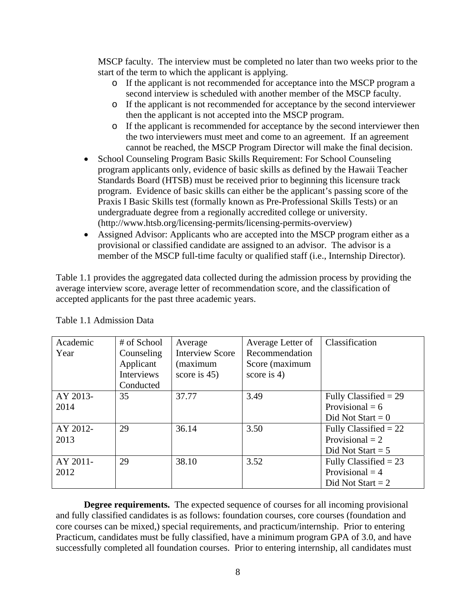MSCP faculty. The interview must be completed no later than two weeks prior to the start of the term to which the applicant is applying.

- o If the applicant is not recommended for acceptance into the MSCP program a second interview is scheduled with another member of the MSCP faculty.
- o If the applicant is not recommended for acceptance by the second interviewer then the applicant is not accepted into the MSCP program.
- o If the applicant is recommended for acceptance by the second interviewer then the two interviewers must meet and come to an agreement. If an agreement cannot be reached, the MSCP Program Director will make the final decision.
- School Counseling Program Basic Skills Requirement: For School Counseling program applicants only, evidence of basic skills as defined by the Hawaii Teacher Standards Board (HTSB) must be received prior to beginning this licensure track program. Evidence of basic skills can either be the applicant's passing score of the Praxis I Basic Skills test (formally known as Pre-Professional Skills Tests) or an undergraduate degree from a regionally accredited college or university. (http://www.htsb.org/licensing-permits/licensing-permits-overview)
- Assigned Advisor: Applicants who are accepted into the MSCP program either as a provisional or classified candidate are assigned to an advisor. The advisor is a member of the MSCP full-time faculty or qualified staff (i.e., Internship Director).

Table 1.1 provides the aggregated data collected during the admission process by providing the average interview score, average letter of recommendation score, and the classification of accepted applicants for the past three academic years.

| Academic<br>Year | # of School<br>Counseling<br>Applicant | Average<br><b>Interview Score</b><br>(maximum | Average Letter of<br>Recommendation<br>Score (maximum | Classification                                                      |
|------------------|----------------------------------------|-----------------------------------------------|-------------------------------------------------------|---------------------------------------------------------------------|
|                  | Interviews<br>Conducted                | score is $45$ )                               | score is $4$ )                                        |                                                                     |
| AY 2013-<br>2014 | 35                                     | 37.77                                         | 3.49                                                  | Fully Classified $= 29$<br>Provisional = $6$<br>Did Not Start = $0$ |
| AY 2012-<br>2013 | 29                                     | 36.14                                         | 3.50                                                  | Fully Classified $= 22$<br>Provisional $= 2$<br>Did Not Start = $5$ |
| AY 2011-<br>2012 | 29                                     | 38.10                                         | 3.52                                                  | Fully Classified $= 23$<br>Provisional $=$ 4<br>Did Not Start $= 2$ |

Table 1.1 Admission Data

**Degree requirements.** The expected sequence of courses for all incoming provisional and fully classified candidates is as follows: foundation courses, core courses (foundation and core courses can be mixed,) special requirements, and practicum/internship. Prior to entering Practicum, candidates must be fully classified, have a minimum program GPA of 3.0, and have successfully completed all foundation courses. Prior to entering internship, all candidates must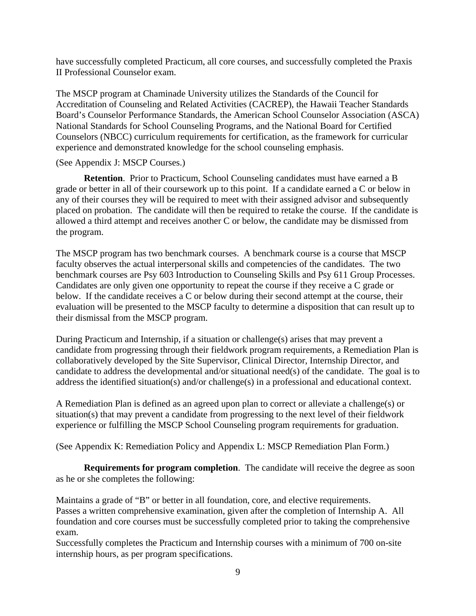have successfully completed Practicum, all core courses, and successfully completed the Praxis II Professional Counselor exam.

The MSCP program at Chaminade University utilizes the Standards of the Council for Accreditation of Counseling and Related Activities (CACREP), the Hawaii Teacher Standards Board's Counselor Performance Standards, the American School Counselor Association (ASCA) National Standards for School Counseling Programs, and the National Board for Certified Counselors (NBCC) curriculum requirements for certification, as the framework for curricular experience and demonstrated knowledge for the school counseling emphasis.

#### (See Appendix J: MSCP Courses.)

**Retention**. Prior to Practicum, School Counseling candidates must have earned a B grade or better in all of their coursework up to this point. If a candidate earned a C or below in any of their courses they will be required to meet with their assigned advisor and subsequently placed on probation. The candidate will then be required to retake the course. If the candidate is allowed a third attempt and receives another C or below, the candidate may be dismissed from the program.

The MSCP program has two benchmark courses. A benchmark course is a course that MSCP faculty observes the actual interpersonal skills and competencies of the candidates. The two benchmark courses are Psy 603 Introduction to Counseling Skills and Psy 611 Group Processes. Candidates are only given one opportunity to repeat the course if they receive a C grade or below. If the candidate receives a C or below during their second attempt at the course, their evaluation will be presented to the MSCP faculty to determine a disposition that can result up to their dismissal from the MSCP program.

During Practicum and Internship, if a situation or challenge(s) arises that may prevent a candidate from progressing through their fieldwork program requirements, a Remediation Plan is collaboratively developed by the Site Supervisor, Clinical Director, Internship Director, and candidate to address the developmental and/or situational need(s) of the candidate. The goal is to address the identified situation(s) and/or challenge(s) in a professional and educational context.

A Remediation Plan is defined as an agreed upon plan to correct or alleviate a challenge(s) or situation(s) that may prevent a candidate from progressing to the next level of their fieldwork experience or fulfilling the MSCP School Counseling program requirements for graduation.

(See Appendix K: Remediation Policy and Appendix L: MSCP Remediation Plan Form.)

**Requirements for program completion**. The candidate will receive the degree as soon as he or she completes the following:

Maintains a grade of "B" or better in all foundation, core, and elective requirements. Passes a written comprehensive examination, given after the completion of Internship A. All foundation and core courses must be successfully completed prior to taking the comprehensive exam.

Successfully completes the Practicum and Internship courses with a minimum of 700 on-site internship hours, as per program specifications.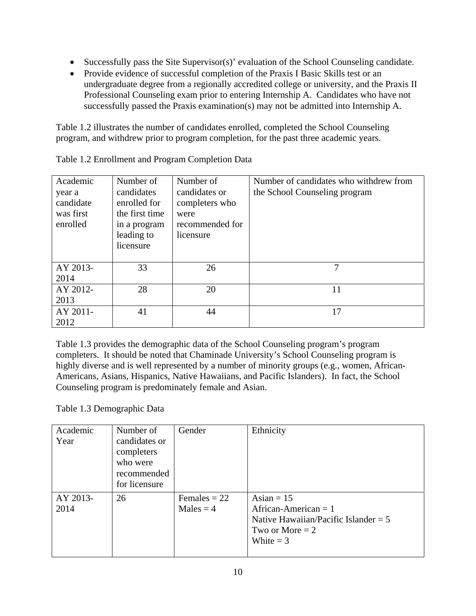- Successfully pass the Site Supervisor(s)' evaluation of the School Counseling candidate.
- Provide evidence of successful completion of the Praxis I Basic Skills test or an undergraduate degree from a regionally accredited college or university, and the Praxis II Professional Counseling exam prior to entering Internship A. Candidates who have not successfully passed the Praxis examination(s) may not be admitted into Internship A.

Table 1.2 illustrates the number of candidates enrolled, completed the School Counseling program, and withdrew prior to program completion, for the past three academic years.

| Academic<br>year a<br>candidate<br>was first<br>enrolled | Number of<br>candidates<br>enrolled for<br>the first time<br>in a program<br>leading to<br>licensure | Number of<br>candidates or<br>completers who<br>were<br>recommended for<br>licensure | Number of candidates who withdrew from<br>the School Counseling program |
|----------------------------------------------------------|------------------------------------------------------------------------------------------------------|--------------------------------------------------------------------------------------|-------------------------------------------------------------------------|
| AY 2013-<br>2014                                         | 33                                                                                                   | 26                                                                                   | 7                                                                       |
| AY 2012-<br>2013                                         | 28                                                                                                   | 20                                                                                   | 11                                                                      |
| AY 2011-<br>2012                                         | 41                                                                                                   | 44                                                                                   | 17                                                                      |

Table 1.2 Enrollment and Program Completion Data

Table 1.3 provides the demographic data of the School Counseling program's program completers. It should be noted that Chaminade University's School Counseling program is highly diverse and is well represented by a number of minority groups (e.g., women, African-Americans, Asians, Hispanics, Native Hawaiians, and Pacific Islanders). In fact, the School Counseling program is predominately female and Asian.

Table 1.3 Demographic Data

| Academic | Number of                   | Gender         | Ethnicity                              |
|----------|-----------------------------|----------------|----------------------------------------|
| Year     | candidates or<br>completers |                |                                        |
|          | who were                    |                |                                        |
|          | recommended                 |                |                                        |
|          | for licensure               |                |                                        |
| AY 2013- | 26                          | Females $= 22$ | Asian = $15$                           |
| 2014     |                             | Males $=$ 4    | African-American $= 1$                 |
|          |                             |                | Native Hawaiian/Pacific Islander = $5$ |
|          |                             |                | Two or More $= 2$                      |
|          |                             |                | White $=$ 3                            |
|          |                             |                |                                        |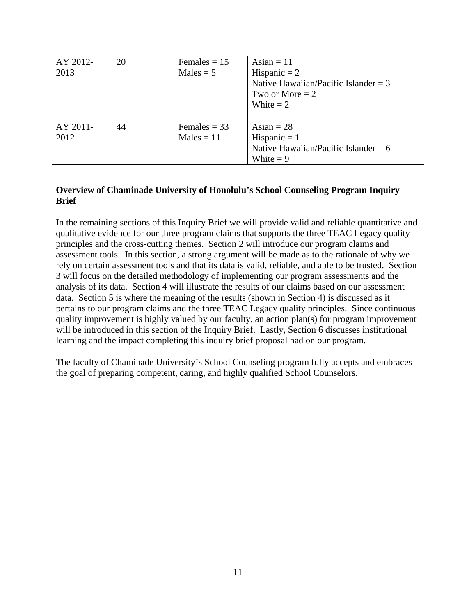| AY 2012-<br>2013 | 20 | Females $= 15$<br>$Males = 5$  | Asian = $11$<br>Hispanic $= 2$<br>Native Hawaiian/Pacific Islander = $3$<br>Two or More $= 2$<br>White $= 2$ |
|------------------|----|--------------------------------|--------------------------------------------------------------------------------------------------------------|
| AY 2011-<br>2012 | 44 | Females $=$ 33<br>$Males = 11$ | Asian $= 28$<br>Hispanic $= 1$<br>Native Hawaiian/Pacific Islander = $6$<br>White $= 9$                      |

# **Overview of Chaminade University of Honolulu's School Counseling Program Inquiry Brief**

In the remaining sections of this Inquiry Brief we will provide valid and reliable quantitative and qualitative evidence for our three program claims that supports the three TEAC Legacy quality principles and the cross-cutting themes. Section 2 will introduce our program claims and assessment tools. In this section, a strong argument will be made as to the rationale of why we rely on certain assessment tools and that its data is valid, reliable, and able to be trusted. Section 3 will focus on the detailed methodology of implementing our program assessments and the analysis of its data. Section 4 will illustrate the results of our claims based on our assessment data. Section 5 is where the meaning of the results (shown in Section 4) is discussed as it pertains to our program claims and the three TEAC Legacy quality principles. Since continuous quality improvement is highly valued by our faculty, an action plan(s) for program improvement will be introduced in this section of the Inquiry Brief. Lastly, Section 6 discusses institutional learning and the impact completing this inquiry brief proposal had on our program.

The faculty of Chaminade University's School Counseling program fully accepts and embraces the goal of preparing competent, caring, and highly qualified School Counselors.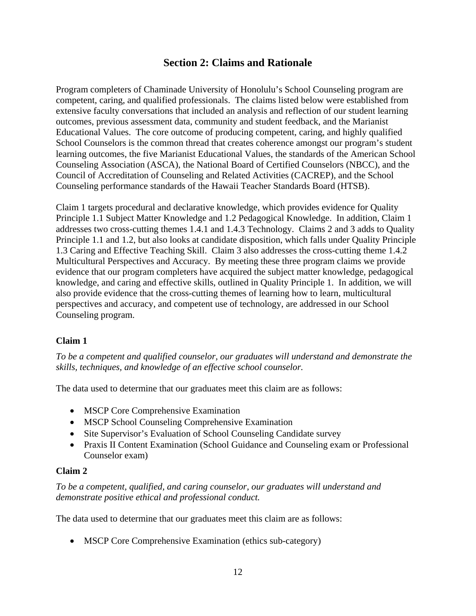# **Section 2: Claims and Rationale**

Program completers of Chaminade University of Honolulu's School Counseling program are competent, caring, and qualified professionals. The claims listed below were established from extensive faculty conversations that included an analysis and reflection of our student learning outcomes, previous assessment data, community and student feedback, and the Marianist Educational Values. The core outcome of producing competent, caring, and highly qualified School Counselors is the common thread that creates coherence amongst our program's student learning outcomes, the five Marianist Educational Values, the standards of the American School Counseling Association (ASCA), the National Board of Certified Counselors (NBCC), and the Council of Accreditation of Counseling and Related Activities (CACREP), and the School Counseling performance standards of the Hawaii Teacher Standards Board (HTSB).

Claim 1 targets procedural and declarative knowledge, which provides evidence for Quality Principle 1.1 Subject Matter Knowledge and 1.2 Pedagogical Knowledge. In addition, Claim 1 addresses two cross-cutting themes 1.4.1 and 1.4.3 Technology. Claims 2 and 3 adds to Quality Principle 1.1 and 1.2, but also looks at candidate disposition, which falls under Quality Principle 1.3 Caring and Effective Teaching Skill. Claim 3 also addresses the cross-cutting theme 1.4.2 Multicultural Perspectives and Accuracy. By meeting these three program claims we provide evidence that our program completers have acquired the subject matter knowledge, pedagogical knowledge, and caring and effective skills, outlined in Quality Principle 1. In addition, we will also provide evidence that the cross-cutting themes of learning how to learn, multicultural perspectives and accuracy, and competent use of technology, are addressed in our School Counseling program.

# **Claim 1**

*To be a competent and qualified counselor, our graduates will understand and demonstrate the skills, techniques, and knowledge of an effective school counselor.* 

The data used to determine that our graduates meet this claim are as follows:

- MSCP Core Comprehensive Examination
- MSCP School Counseling Comprehensive Examination
- Site Supervisor's Evaluation of School Counseling Candidate survey
- Praxis II Content Examination (School Guidance and Counseling exam or Professional Counselor exam)

#### **Claim 2**

*To be a competent, qualified, and caring counselor, our graduates will understand and demonstrate positive ethical and professional conduct.* 

The data used to determine that our graduates meet this claim are as follows:

• MSCP Core Comprehensive Examination (ethics sub-category)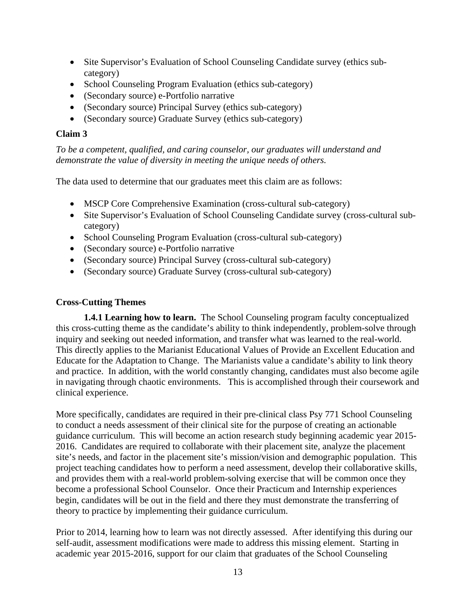- Site Supervisor's Evaluation of School Counseling Candidate survey (ethics subcategory)
- School Counseling Program Evaluation (ethics sub-category)
- (Secondary source) e-Portfolio narrative
- (Secondary source) Principal Survey (ethics sub-category)
- (Secondary source) Graduate Survey (ethics sub-category)

### **Claim 3**

*To be a competent, qualified, and caring counselor, our graduates will understand and demonstrate the value of diversity in meeting the unique needs of others.* 

The data used to determine that our graduates meet this claim are as follows:

- MSCP Core Comprehensive Examination (cross-cultural sub-category)
- Site Supervisor's Evaluation of School Counseling Candidate survey (cross-cultural subcategory)
- School Counseling Program Evaluation (cross-cultural sub-category)
- (Secondary source) e-Portfolio narrative
- (Secondary source) Principal Survey (cross-cultural sub-category)
- (Secondary source) Graduate Survey (cross-cultural sub-category)

#### **Cross-Cutting Themes**

**1.4.1 Learning how to learn.** The School Counseling program faculty conceptualized this cross-cutting theme as the candidate's ability to think independently, problem-solve through inquiry and seeking out needed information, and transfer what was learned to the real-world. This directly applies to the Marianist Educational Values of Provide an Excellent Education and Educate for the Adaptation to Change. The Marianists value a candidate's ability to link theory and practice. In addition, with the world constantly changing, candidates must also become agile in navigating through chaotic environments. This is accomplished through their coursework and clinical experience.

More specifically, candidates are required in their pre-clinical class Psy 771 School Counseling to conduct a needs assessment of their clinical site for the purpose of creating an actionable guidance curriculum. This will become an action research study beginning academic year 2015- 2016. Candidates are required to collaborate with their placement site, analyze the placement site's needs, and factor in the placement site's mission/vision and demographic population. This project teaching candidates how to perform a need assessment, develop their collaborative skills, and provides them with a real-world problem-solving exercise that will be common once they become a professional School Counselor. Once their Practicum and Internship experiences begin, candidates will be out in the field and there they must demonstrate the transferring of theory to practice by implementing their guidance curriculum.

Prior to 2014, learning how to learn was not directly assessed. After identifying this during our self-audit, assessment modifications were made to address this missing element. Starting in academic year 2015-2016, support for our claim that graduates of the School Counseling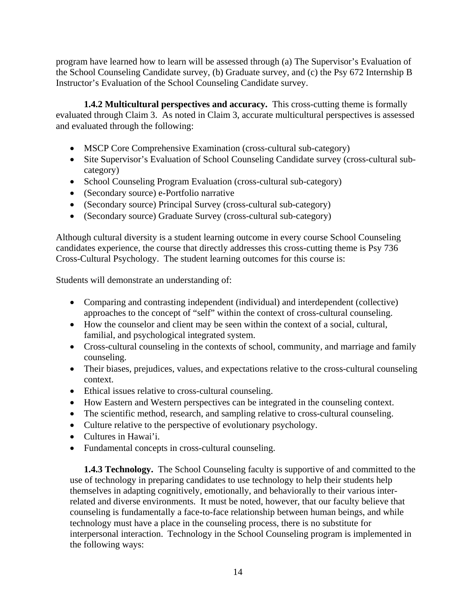program have learned how to learn will be assessed through (a) The Supervisor's Evaluation of the School Counseling Candidate survey, (b) Graduate survey, and (c) the Psy 672 Internship B Instructor's Evaluation of the School Counseling Candidate survey.

**1.4.2 Multicultural perspectives and accuracy.** This cross-cutting theme is formally evaluated through Claim 3. As noted in Claim 3, accurate multicultural perspectives is assessed and evaluated through the following:

- MSCP Core Comprehensive Examination (cross-cultural sub-category)
- Site Supervisor's Evaluation of School Counseling Candidate survey (cross-cultural subcategory)
- School Counseling Program Evaluation (cross-cultural sub-category)
- (Secondary source) e-Portfolio narrative
- (Secondary source) Principal Survey (cross-cultural sub-category)
- (Secondary source) Graduate Survey (cross-cultural sub-category)

Although cultural diversity is a student learning outcome in every course School Counseling candidates experience, the course that directly addresses this cross-cutting theme is Psy 736 Cross-Cultural Psychology. The student learning outcomes for this course is:

Students will demonstrate an understanding of:

- Comparing and contrasting independent (individual) and interdependent (collective) approaches to the concept of "self" within the context of cross-cultural counseling.
- How the counselor and client may be seen within the context of a social, cultural, familial, and psychological integrated system.
- Cross-cultural counseling in the contexts of school, community, and marriage and family counseling.
- Their biases, prejudices, values, and expectations relative to the cross-cultural counseling context.
- Ethical issues relative to cross-cultural counseling.
- How Eastern and Western perspectives can be integrated in the counseling context.
- The scientific method, research, and sampling relative to cross-cultural counseling.
- Culture relative to the perspective of evolutionary psychology.
- Cultures in Hawai'i.
- Fundamental concepts in cross-cultural counseling.

**1.4.3 Technology.** The School Counseling faculty is supportive of and committed to the use of technology in preparing candidates to use technology to help their students help themselves in adapting cognitively, emotionally, and behaviorally to their various interrelated and diverse environments. It must be noted, however, that our faculty believe that counseling is fundamentally a face-to-face relationship between human beings, and while technology must have a place in the counseling process, there is no substitute for interpersonal interaction. Technology in the School Counseling program is implemented in the following ways: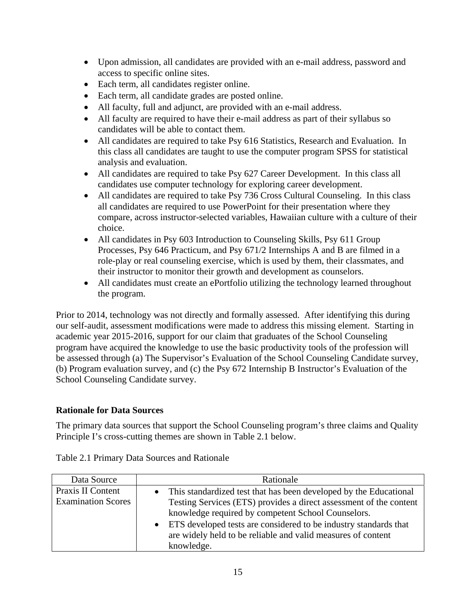- Upon admission, all candidates are provided with an e-mail address, password and access to specific online sites.
- Each term, all candidates register online.
- Each term, all candidate grades are posted online.
- All faculty, full and adjunct, are provided with an e-mail address.
- All faculty are required to have their e-mail address as part of their syllabus so candidates will be able to contact them.
- All candidates are required to take Psy 616 Statistics, Research and Evaluation. In this class all candidates are taught to use the computer program SPSS for statistical analysis and evaluation.
- All candidates are required to take Psy 627 Career Development. In this class all candidates use computer technology for exploring career development.
- All candidates are required to take Psy 736 Cross Cultural Counseling. In this class all candidates are required to use PowerPoint for their presentation where they compare, across instructor-selected variables, Hawaiian culture with a culture of their choice.
- All candidates in Psy 603 Introduction to Counseling Skills, Psy 611 Group Processes, Psy 646 Practicum, and Psy 671/2 Internships A and B are filmed in a role-play or real counseling exercise, which is used by them, their classmates, and their instructor to monitor their growth and development as counselors.
- All candidates must create an ePortfolio utilizing the technology learned throughout the program.

Prior to 2014, technology was not directly and formally assessed. After identifying this during our self-audit, assessment modifications were made to address this missing element. Starting in academic year 2015-2016, support for our claim that graduates of the School Counseling program have acquired the knowledge to use the basic productivity tools of the profession will be assessed through (a) The Supervisor's Evaluation of the School Counseling Candidate survey, (b) Program evaluation survey, and (c) the Psy 672 Internship B Instructor's Evaluation of the School Counseling Candidate survey.

# **Rationale for Data Sources**

The primary data sources that support the School Counseling program's three claims and Quality Principle I's cross-cutting themes are shown in Table 2.1 below.

| Data Source               | Rationale                                                           |
|---------------------------|---------------------------------------------------------------------|
| Praxis II Content         | • This standardized test that has been developed by the Educational |
| <b>Examination Scores</b> | Testing Services (ETS) provides a direct assessment of the content  |
|                           | knowledge required by competent School Counselors.                  |
|                           | • ETS developed tests are considered to be industry standards that  |
|                           | are widely held to be reliable and valid measures of content        |
|                           | knowledge.                                                          |

Table 2.1 Primary Data Sources and Rationale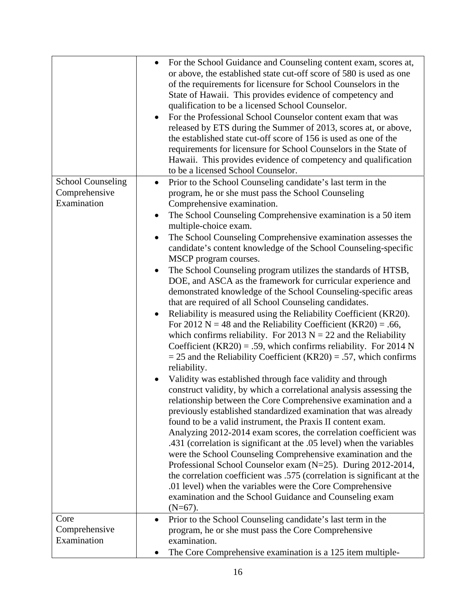|                                      | For the School Guidance and Counseling content exam, scores at,<br>or above, the established state cut-off score of 580 is used as one<br>of the requirements for licensure for School Counselors in the<br>State of Hawaii. This provides evidence of competency and<br>qualification to be a licensed School Counselor.<br>For the Professional School Counselor content exam that was<br>released by ETS during the Summer of 2013, scores at, or above,<br>the established state cut-off score of 156 is used as one of the<br>requirements for licensure for School Counselors in the State of<br>Hawaii. This provides evidence of competency and qualification<br>to be a licensed School Counselor.                                                                                                                         |
|--------------------------------------|-------------------------------------------------------------------------------------------------------------------------------------------------------------------------------------------------------------------------------------------------------------------------------------------------------------------------------------------------------------------------------------------------------------------------------------------------------------------------------------------------------------------------------------------------------------------------------------------------------------------------------------------------------------------------------------------------------------------------------------------------------------------------------------------------------------------------------------|
| <b>School Counseling</b>             | Prior to the School Counseling candidate's last term in the<br>$\bullet$                                                                                                                                                                                                                                                                                                                                                                                                                                                                                                                                                                                                                                                                                                                                                            |
| Comprehensive<br>Examination         | program, he or she must pass the School Counseling<br>Comprehensive examination.                                                                                                                                                                                                                                                                                                                                                                                                                                                                                                                                                                                                                                                                                                                                                    |
|                                      | The School Counseling Comprehensive examination is a 50 item<br>multiple-choice exam.                                                                                                                                                                                                                                                                                                                                                                                                                                                                                                                                                                                                                                                                                                                                               |
|                                      | The School Counseling Comprehensive examination assesses the<br>candidate's content knowledge of the School Counseling-specific<br>MSCP program courses.                                                                                                                                                                                                                                                                                                                                                                                                                                                                                                                                                                                                                                                                            |
|                                      | The School Counseling program utilizes the standards of HTSB,<br>$\bullet$<br>DOE, and ASCA as the framework for curricular experience and<br>demonstrated knowledge of the School Counseling-specific areas                                                                                                                                                                                                                                                                                                                                                                                                                                                                                                                                                                                                                        |
|                                      | that are required of all School Counseling candidates.<br>Reliability is measured using the Reliability Coefficient (KR20).<br>For 2012 N = 48 and the Reliability Coefficient (KR20) = .66,<br>which confirms reliability. For 2013 $N = 22$ and the Reliability<br>Coefficient (KR20) = .59, which confirms reliability. For 2014 N<br>$=$ 25 and the Reliability Coefficient (KR20) = .57, which confirms<br>reliability.                                                                                                                                                                                                                                                                                                                                                                                                        |
|                                      | Validity was established through face validity and through<br>construct validity, by which a correlational analysis assessing the<br>relationship between the Core Comprehensive examination and a<br>previously established standardized examination that was already<br>found to be a valid instrument, the Praxis II content exam.<br>Analyzing 2012-2014 exam scores, the correlation coefficient was<br>.431 (correlation is significant at the .05 level) when the variables<br>were the School Counseling Comprehensive examination and the<br>Professional School Counselor exam (N=25). During 2012-2014,<br>the correlation coefficient was .575 (correlation is significant at the<br>.01 level) when the variables were the Core Comprehensive<br>examination and the School Guidance and Counseling exam<br>$(N=67)$ . |
| Core<br>Comprehensive<br>Examination | Prior to the School Counseling candidate's last term in the<br>$\bullet$<br>program, he or she must pass the Core Comprehensive<br>examination.                                                                                                                                                                                                                                                                                                                                                                                                                                                                                                                                                                                                                                                                                     |
|                                      | The Core Comprehensive examination is a 125 item multiple-                                                                                                                                                                                                                                                                                                                                                                                                                                                                                                                                                                                                                                                                                                                                                                          |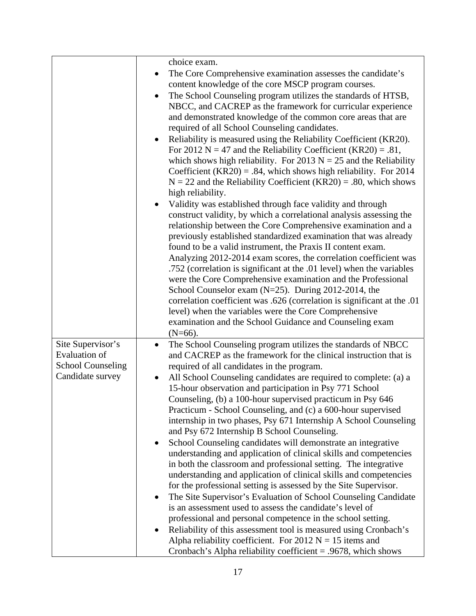|                                                                       | choice exam.<br>The Core Comprehensive examination assesses the candidate's<br>content knowledge of the core MSCP program courses.<br>The School Counseling program utilizes the standards of HTSB,<br>$\bullet$<br>NBCC, and CACREP as the framework for curricular experience<br>and demonstrated knowledge of the common core areas that are<br>required of all School Counseling candidates.<br>Reliability is measured using the Reliability Coefficient (KR20).<br>For 2012 N = 47 and the Reliability Coefficient (KR20) = .81,<br>which shows high reliability. For 2013 $N = 25$ and the Reliability<br>Coefficient (KR20) = .84, which shows high reliability. For 2014<br>$N = 22$ and the Reliability Coefficient (KR20) = .80, which shows<br>high reliability.<br>Validity was established through face validity and through<br>construct validity, by which a correlational analysis assessing the<br>relationship between the Core Comprehensive examination and a<br>previously established standardized examination that was already<br>found to be a valid instrument, the Praxis II content exam.<br>Analyzing 2012-2014 exam scores, the correlation coefficient was<br>.752 (correlation is significant at the .01 level) when the variables<br>were the Core Comprehensive examination and the Professional<br>School Counselor exam (N=25). During 2012-2014, the<br>correlation coefficient was .626 (correlation is significant at the .01 |
|-----------------------------------------------------------------------|----------------------------------------------------------------------------------------------------------------------------------------------------------------------------------------------------------------------------------------------------------------------------------------------------------------------------------------------------------------------------------------------------------------------------------------------------------------------------------------------------------------------------------------------------------------------------------------------------------------------------------------------------------------------------------------------------------------------------------------------------------------------------------------------------------------------------------------------------------------------------------------------------------------------------------------------------------------------------------------------------------------------------------------------------------------------------------------------------------------------------------------------------------------------------------------------------------------------------------------------------------------------------------------------------------------------------------------------------------------------------------------------------------------------------------------------------------------------|
|                                                                       | level) when the variables were the Core Comprehensive<br>examination and the School Guidance and Counseling exam<br>$(N=66)$ .                                                                                                                                                                                                                                                                                                                                                                                                                                                                                                                                                                                                                                                                                                                                                                                                                                                                                                                                                                                                                                                                                                                                                                                                                                                                                                                                       |
| Site Supervisor's<br><b>Evaluation of</b><br><b>School Counseling</b> | The School Counseling program utilizes the standards of NBCC<br>$\bullet$<br>and CACREP as the framework for the clinical instruction that is<br>required of all candidates in the program.                                                                                                                                                                                                                                                                                                                                                                                                                                                                                                                                                                                                                                                                                                                                                                                                                                                                                                                                                                                                                                                                                                                                                                                                                                                                          |
| Candidate survey                                                      | All School Counseling candidates are required to complete: (a) a<br>15-hour observation and participation in Psy 771 School<br>Counseling, (b) a 100-hour supervised practicum in Psy 646<br>Practicum - School Counseling, and (c) a 600-hour supervised<br>internship in two phases, Psy 671 Internship A School Counseling<br>and Psy 672 Internship B School Counseling.<br>School Counseling candidates will demonstrate an integrative<br>$\bullet$<br>understanding and application of clinical skills and competencies<br>in both the classroom and professional setting. The integrative<br>understanding and application of clinical skills and competencies<br>for the professional setting is assessed by the Site Supervisor.<br>The Site Supervisor's Evaluation of School Counseling Candidate<br>$\bullet$<br>is an assessment used to assess the candidate's level of<br>professional and personal competence in the school setting.<br>Reliability of this assessment tool is measured using Cronbach's<br>٠<br>Alpha reliability coefficient. For 2012 $N = 15$ items and<br>Cronbach's Alpha reliability coefficient $= .9678$ , which shows                                                                                                                                                                                                                                                                                                     |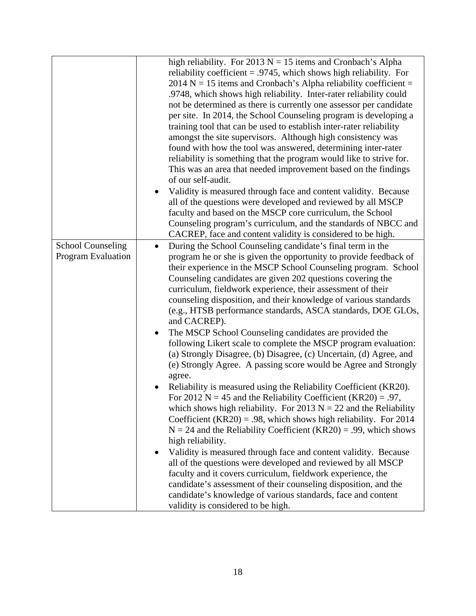|                                                | high reliability. For 2013 $N = 15$ items and Cronbach's Alpha<br>reliability coefficient = .9745, which shows high reliability. For<br>$2014$ N = 15 items and Cronbach's Alpha reliability coefficient =<br>.9748, which shows high reliability. Inter-rater reliability could<br>not be determined as there is currently one assessor per candidate<br>per site. In 2014, the School Counseling program is developing a<br>training tool that can be used to establish inter-rater reliability<br>amongst the site supervisors. Although high consistency was<br>found with how the tool was answered, determining inter-rater<br>reliability is something that the program would like to strive for.<br>This was an area that needed improvement based on the findings<br>of our self-audit.<br>Validity is measured through face and content validity. Because<br>all of the questions were developed and reviewed by all MSCP<br>faculty and based on the MSCP core curriculum, the School<br>Counseling program's curriculum, and the standards of NBCC and<br>CACREP, face and content validity is considered to be high.                                                                                                                                                                                                                                                                                                                                                                                                                     |
|------------------------------------------------|-------------------------------------------------------------------------------------------------------------------------------------------------------------------------------------------------------------------------------------------------------------------------------------------------------------------------------------------------------------------------------------------------------------------------------------------------------------------------------------------------------------------------------------------------------------------------------------------------------------------------------------------------------------------------------------------------------------------------------------------------------------------------------------------------------------------------------------------------------------------------------------------------------------------------------------------------------------------------------------------------------------------------------------------------------------------------------------------------------------------------------------------------------------------------------------------------------------------------------------------------------------------------------------------------------------------------------------------------------------------------------------------------------------------------------------------------------------------------------------------------------------------------------------------------------|
| <b>School Counseling</b><br>Program Evaluation | During the School Counseling candidate's final term in the<br>$\bullet$<br>program he or she is given the opportunity to provide feedback of<br>their experience in the MSCP School Counseling program. School<br>Counseling candidates are given 202 questions covering the<br>curriculum, fieldwork experience, their assessment of their<br>counseling disposition, and their knowledge of various standards<br>(e.g., HTSB performance standards, ASCA standards, DOE GLOs,<br>and CACREP).<br>The MSCP School Counseling candidates are provided the<br>$\bullet$<br>following Likert scale to complete the MSCP program evaluation:<br>(a) Strongly Disagree, (b) Disagree, (c) Uncertain, (d) Agree, and<br>(e) Strongly Agree. A passing score would be Agree and Strongly<br>agree.<br>Reliability is measured using the Reliability Coefficient (KR20).<br>For 2012 N = 45 and the Reliability Coefficient (KR20) = .97,<br>which shows high reliability. For 2013 $N = 22$ and the Reliability<br>Coefficient (KR20) = .98, which shows high reliability. For $2014$<br>$N = 24$ and the Reliability Coefficient (KR20) = .99, which shows<br>high reliability.<br>Validity is measured through face and content validity. Because<br>all of the questions were developed and reviewed by all MSCP<br>faculty and it covers curriculum, fieldwork experience, the<br>candidate's assessment of their counseling disposition, and the<br>candidate's knowledge of various standards, face and content<br>validity is considered to be high. |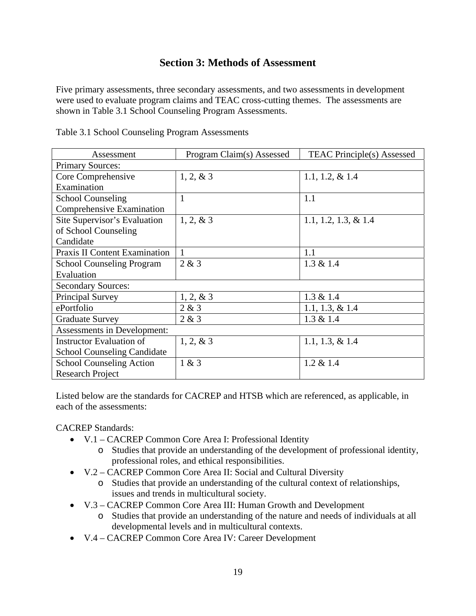# **Section 3: Methods of Assessment**

Five primary assessments, three secondary assessments, and two assessments in development were used to evaluate program claims and TEAC cross-cutting themes. The assessments are shown in Table 3.1 School Counseling Program Assessments.

| Assessment                           | Program Claim(s) Assessed | <b>TEAC Principle(s)</b> Assessed |  |
|--------------------------------------|---------------------------|-----------------------------------|--|
| <b>Primary Sources:</b>              |                           |                                   |  |
| Core Comprehensive                   | $1, 2, \& 3$              | 1.1, 1.2, $& 1.4$                 |  |
| Examination                          |                           |                                   |  |
| <b>School Counseling</b>             | 1                         | 1.1                               |  |
| Comprehensive Examination            |                           |                                   |  |
| Site Supervisor's Evaluation         | $1, 2, \& 3$              | 1.1, 1.2, 1.3, $& 1.4$            |  |
| of School Counseling                 |                           |                                   |  |
| Candidate                            |                           |                                   |  |
| <b>Praxis II Content Examination</b> | 1                         | 1.1                               |  |
| <b>School Counseling Program</b>     | 2 & 3                     | $1.3 \& 1.4$                      |  |
| Evaluation                           |                           |                                   |  |
| <b>Secondary Sources:</b>            |                           |                                   |  |
| Principal Survey                     | $1, 2, \& 3$              | $1.3 \& 1.4$                      |  |
| ePortfolio                           | 2 & 3                     | 1.1, 1.3, $& 1.4$                 |  |
| <b>Graduate Survey</b>               | 2 & 3                     | 1.3 & 1.4                         |  |
| Assessments in Development:          |                           |                                   |  |
| <b>Instructor Evaluation of</b>      | $1, 2, \& 3$              | 1.1, 1.3, $& 1.4$                 |  |
| <b>School Counseling Candidate</b>   |                           |                                   |  |
| <b>School Counseling Action</b>      | 1 & 3                     | $1.2 \& 1.4$                      |  |
| <b>Research Project</b>              |                           |                                   |  |

Table 3.1 School Counseling Program Assessments

Listed below are the standards for CACREP and HTSB which are referenced, as applicable, in each of the assessments:

CACREP Standards:

- V.1 CACREP Common Core Area I: Professional Identity
	- o Studies that provide an understanding of the development of professional identity, professional roles, and ethical responsibilities.
- V.2 CACREP Common Core Area II: Social and Cultural Diversity
	- o Studies that provide an understanding of the cultural context of relationships, issues and trends in multicultural society.
- V.3 CACREP Common Core Area III: Human Growth and Development
	- o Studies that provide an understanding of the nature and needs of individuals at all developmental levels and in multicultural contexts.
- V.4 CACREP Common Core Area IV: Career Development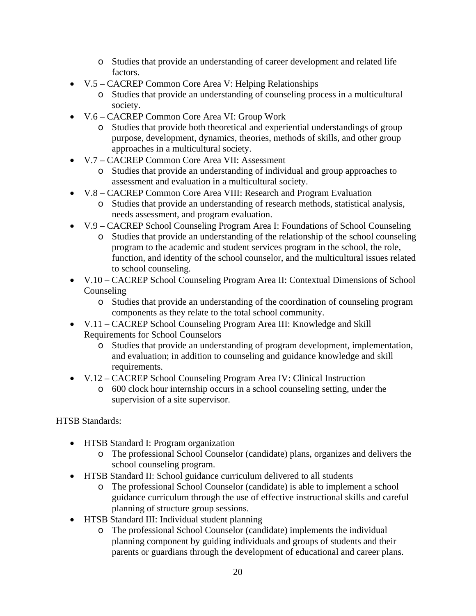- o Studies that provide an understanding of career development and related life factors.
- V.5 CACREP Common Core Area V: Helping Relationships
	- o Studies that provide an understanding of counseling process in a multicultural society.
- V.6 CACREP Common Core Area VI: Group Work
	- o Studies that provide both theoretical and experiential understandings of group purpose, development, dynamics, theories, methods of skills, and other group approaches in a multicultural society.
- V.7 CACREP Common Core Area VII: Assessment
	- o Studies that provide an understanding of individual and group approaches to assessment and evaluation in a multicultural society.
- V.8 CACREP Common Core Area VIII: Research and Program Evaluation
	- o Studies that provide an understanding of research methods, statistical analysis, needs assessment, and program evaluation.
- V.9 CACREP School Counseling Program Area I: Foundations of School Counseling
	- o Studies that provide an understanding of the relationship of the school counseling program to the academic and student services program in the school, the role, function, and identity of the school counselor, and the multicultural issues related to school counseling.
- V.10 CACREP School Counseling Program Area II: Contextual Dimensions of School Counseling
	- o Studies that provide an understanding of the coordination of counseling program components as they relate to the total school community.
- V.11 CACREP School Counseling Program Area III: Knowledge and Skill Requirements for School Counselors
	- o Studies that provide an understanding of program development, implementation, and evaluation; in addition to counseling and guidance knowledge and skill requirements.
- V.12 CACREP School Counseling Program Area IV: Clinical Instruction
	- o 600 clock hour internship occurs in a school counseling setting, under the supervision of a site supervisor.

HTSB Standards:

- HTSB Standard I: Program organization
	- o The professional School Counselor (candidate) plans, organizes and delivers the school counseling program.
- HTSB Standard II: School guidance curriculum delivered to all students
	- o The professional School Counselor (candidate) is able to implement a school guidance curriculum through the use of effective instructional skills and careful planning of structure group sessions.
- HTSB Standard III: Individual student planning
	- o The professional School Counselor (candidate) implements the individual planning component by guiding individuals and groups of students and their parents or guardians through the development of educational and career plans.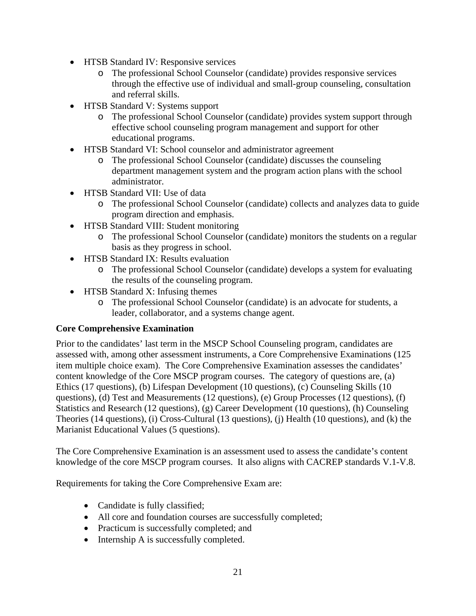- HTSB Standard IV: Responsive services
	- o The professional School Counselor (candidate) provides responsive services through the effective use of individual and small-group counseling, consultation and referral skills.
- HTSB Standard V: Systems support
	- o The professional School Counselor (candidate) provides system support through effective school counseling program management and support for other educational programs.
- HTSB Standard VI: School counselor and administrator agreement
	- o The professional School Counselor (candidate) discusses the counseling department management system and the program action plans with the school administrator.
- HTSB Standard VII: Use of data
	- o The professional School Counselor (candidate) collects and analyzes data to guide program direction and emphasis.
- HTSB Standard VIII: Student monitoring
	- o The professional School Counselor (candidate) monitors the students on a regular basis as they progress in school.
- HTSB Standard IX: Results evaluation
	- o The professional School Counselor (candidate) develops a system for evaluating the results of the counseling program.
- HTSB Standard X: Infusing themes
	- o The professional School Counselor (candidate) is an advocate for students, a leader, collaborator, and a systems change agent.

# **Core Comprehensive Examination**

Prior to the candidates' last term in the MSCP School Counseling program, candidates are assessed with, among other assessment instruments, a Core Comprehensive Examinations (125 item multiple choice exam). The Core Comprehensive Examination assesses the candidates' content knowledge of the Core MSCP program courses. The category of questions are, (a) Ethics (17 questions), (b) Lifespan Development (10 questions), (c) Counseling Skills (10 questions), (d) Test and Measurements (12 questions), (e) Group Processes (12 questions), (f) Statistics and Research (12 questions), (g) Career Development (10 questions), (h) Counseling Theories (14 questions), (i) Cross-Cultural (13 questions), (j) Health (10 questions), and (k) the Marianist Educational Values (5 questions).

The Core Comprehensive Examination is an assessment used to assess the candidate's content knowledge of the core MSCP program courses. It also aligns with CACREP standards V.1-V.8.

Requirements for taking the Core Comprehensive Exam are:

- Candidate is fully classified;
- All core and foundation courses are successfully completed;
- Practicum is successfully completed; and
- Internship A is successfully completed.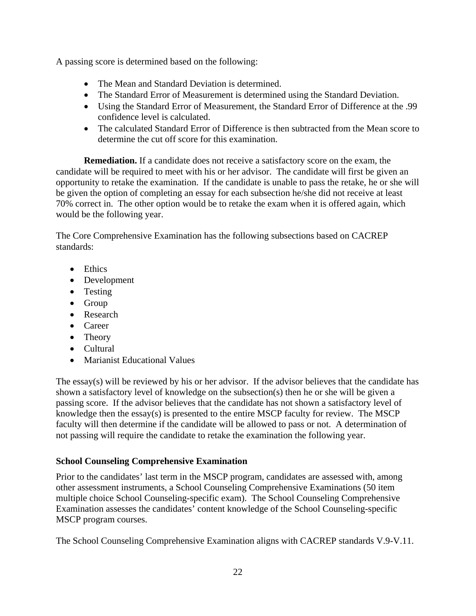A passing score is determined based on the following:

- The Mean and Standard Deviation is determined.
- The Standard Error of Measurement is determined using the Standard Deviation.
- Using the Standard Error of Measurement, the Standard Error of Difference at the .99 confidence level is calculated.
- The calculated Standard Error of Difference is then subtracted from the Mean score to determine the cut off score for this examination.

**Remediation.** If a candidate does not receive a satisfactory score on the exam, the candidate will be required to meet with his or her advisor. The candidate will first be given an opportunity to retake the examination. If the candidate is unable to pass the retake, he or she will be given the option of completing an essay for each subsection he/she did not receive at least 70% correct in. The other option would be to retake the exam when it is offered again, which would be the following year.

The Core Comprehensive Examination has the following subsections based on CACREP standards:

- Ethics
- Development
- Testing
- Group
- Research
- Career
- Theory
- Cultural
- Marianist Educational Values

The essay(s) will be reviewed by his or her advisor. If the advisor believes that the candidate has shown a satisfactory level of knowledge on the subsection(s) then he or she will be given a passing score. If the advisor believes that the candidate has not shown a satisfactory level of knowledge then the essay(s) is presented to the entire MSCP faculty for review. The MSCP faculty will then determine if the candidate will be allowed to pass or not. A determination of not passing will require the candidate to retake the examination the following year.

# **School Counseling Comprehensive Examination**

Prior to the candidates' last term in the MSCP program, candidates are assessed with, among other assessment instruments, a School Counseling Comprehensive Examinations (50 item multiple choice School Counseling-specific exam). The School Counseling Comprehensive Examination assesses the candidates' content knowledge of the School Counseling-specific MSCP program courses.

The School Counseling Comprehensive Examination aligns with CACREP standards V.9-V.11.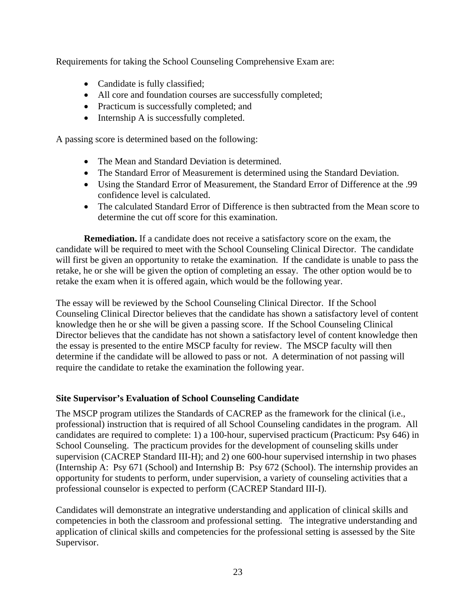Requirements for taking the School Counseling Comprehensive Exam are:

- Candidate is fully classified;
- All core and foundation courses are successfully completed;
- Practicum is successfully completed; and
- Internship A is successfully completed.

A passing score is determined based on the following:

- The Mean and Standard Deviation is determined.
- The Standard Error of Measurement is determined using the Standard Deviation.
- Using the Standard Error of Measurement, the Standard Error of Difference at the .99 confidence level is calculated.
- The calculated Standard Error of Difference is then subtracted from the Mean score to determine the cut off score for this examination.

**Remediation.** If a candidate does not receive a satisfactory score on the exam, the candidate will be required to meet with the School Counseling Clinical Director. The candidate will first be given an opportunity to retake the examination. If the candidate is unable to pass the retake, he or she will be given the option of completing an essay. The other option would be to retake the exam when it is offered again, which would be the following year.

The essay will be reviewed by the School Counseling Clinical Director. If the School Counseling Clinical Director believes that the candidate has shown a satisfactory level of content knowledge then he or she will be given a passing score. If the School Counseling Clinical Director believes that the candidate has not shown a satisfactory level of content knowledge then the essay is presented to the entire MSCP faculty for review. The MSCP faculty will then determine if the candidate will be allowed to pass or not. A determination of not passing will require the candidate to retake the examination the following year.

# **Site Supervisor's Evaluation of School Counseling Candidate**

The MSCP program utilizes the Standards of CACREP as the framework for the clinical (i.e., professional) instruction that is required of all School Counseling candidates in the program. All candidates are required to complete: 1) a 100-hour, supervised practicum (Practicum: Psy 646) in School Counseling. The practicum provides for the development of counseling skills under supervision (CACREP Standard III-H); and 2) one 600-hour supervised internship in two phases (Internship A: Psy 671 (School) and Internship B: Psy 672 (School). The internship provides an opportunity for students to perform, under supervision, a variety of counseling activities that a professional counselor is expected to perform (CACREP Standard III-I).

Candidates will demonstrate an integrative understanding and application of clinical skills and competencies in both the classroom and professional setting. The integrative understanding and application of clinical skills and competencies for the professional setting is assessed by the Site Supervisor.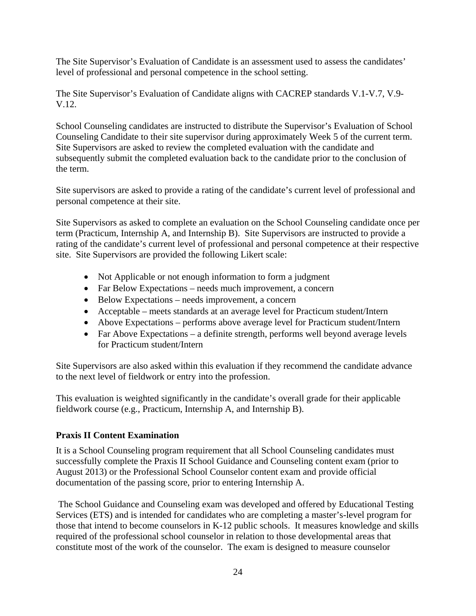The Site Supervisor's Evaluation of Candidate is an assessment used to assess the candidates' level of professional and personal competence in the school setting.

The Site Supervisor's Evaluation of Candidate aligns with CACREP standards V.1-V.7, V.9- V.12.

School Counseling candidates are instructed to distribute the Supervisor's Evaluation of School Counseling Candidate to their site supervisor during approximately Week 5 of the current term. Site Supervisors are asked to review the completed evaluation with the candidate and subsequently submit the completed evaluation back to the candidate prior to the conclusion of the term.

Site supervisors are asked to provide a rating of the candidate's current level of professional and personal competence at their site.

Site Supervisors as asked to complete an evaluation on the School Counseling candidate once per term (Practicum, Internship A, and Internship B). Site Supervisors are instructed to provide a rating of the candidate's current level of professional and personal competence at their respective site. Site Supervisors are provided the following Likert scale:

- Not Applicable or not enough information to form a judgment
- Far Below Expectations needs much improvement, a concern
- Below Expectations needs improvement, a concern
- Acceptable meets standards at an average level for Practicum student/Intern
- Above Expectations performs above average level for Practicum student/Intern
- Far Above Expectations a definite strength, performs well beyond average levels for Practicum student/Intern

Site Supervisors are also asked within this evaluation if they recommend the candidate advance to the next level of fieldwork or entry into the profession.

This evaluation is weighted significantly in the candidate's overall grade for their applicable fieldwork course (e.g., Practicum, Internship A, and Internship B).

# **Praxis II Content Examination**

It is a School Counseling program requirement that all School Counseling candidates must successfully complete the Praxis II School Guidance and Counseling content exam (prior to August 2013) or the Professional School Counselor content exam and provide official documentation of the passing score, prior to entering Internship A.

 The School Guidance and Counseling exam was developed and offered by Educational Testing Services (ETS) and is intended for candidates who are completing a master's-level program for those that intend to become counselors in K-12 public schools. It measures knowledge and skills required of the professional school counselor in relation to those developmental areas that constitute most of the work of the counselor. The exam is designed to measure counselor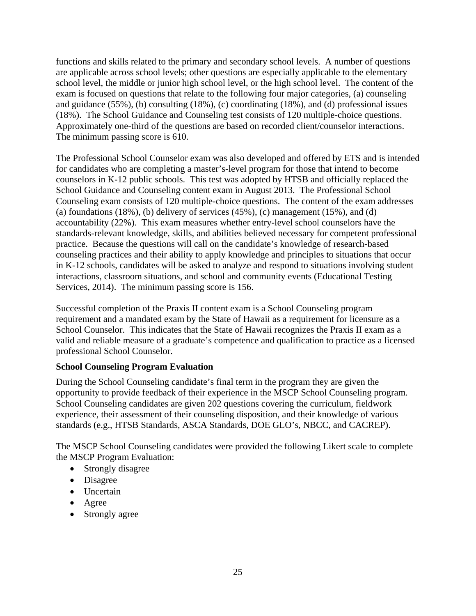functions and skills related to the primary and secondary school levels. A number of questions are applicable across school levels; other questions are especially applicable to the elementary school level, the middle or junior high school level, or the high school level. The content of the exam is focused on questions that relate to the following four major categories, (a) counseling and guidance (55%), (b) consulting (18%), (c) coordinating (18%), and (d) professional issues (18%). The School Guidance and Counseling test consists of 120 multiple-choice questions. Approximately one-third of the questions are based on recorded client/counselor interactions. The minimum passing score is 610.

The Professional School Counselor exam was also developed and offered by ETS and is intended for candidates who are completing a master's-level program for those that intend to become counselors in K-12 public schools. This test was adopted by HTSB and officially replaced the School Guidance and Counseling content exam in August 2013. The Professional School Counseling exam consists of 120 multiple-choice questions. The content of the exam addresses (a) foundations  $(18\%)$ , (b) delivery of services  $(45\%)$ , (c) management  $(15\%)$ , and  $(d)$ accountability (22%). This exam measures whether entry-level school counselors have the standards-relevant knowledge, skills, and abilities believed necessary for competent professional practice. Because the questions will call on the candidate's knowledge of research-based counseling practices and their ability to apply knowledge and principles to situations that occur in K-12 schools, candidates will be asked to analyze and respond to situations involving student interactions, classroom situations, and school and community events (Educational Testing Services, 2014). The minimum passing score is 156.

Successful completion of the Praxis II content exam is a School Counseling program requirement and a mandated exam by the State of Hawaii as a requirement for licensure as a School Counselor. This indicates that the State of Hawaii recognizes the Praxis II exam as a valid and reliable measure of a graduate's competence and qualification to practice as a licensed professional School Counselor.

# **School Counseling Program Evaluation**

During the School Counseling candidate's final term in the program they are given the opportunity to provide feedback of their experience in the MSCP School Counseling program. School Counseling candidates are given 202 questions covering the curriculum, fieldwork experience, their assessment of their counseling disposition, and their knowledge of various standards (e.g., HTSB Standards, ASCA Standards, DOE GLO's, NBCC, and CACREP).

The MSCP School Counseling candidates were provided the following Likert scale to complete the MSCP Program Evaluation:

- Strongly disagree
- Disagree
- Uncertain
- Agree
- Strongly agree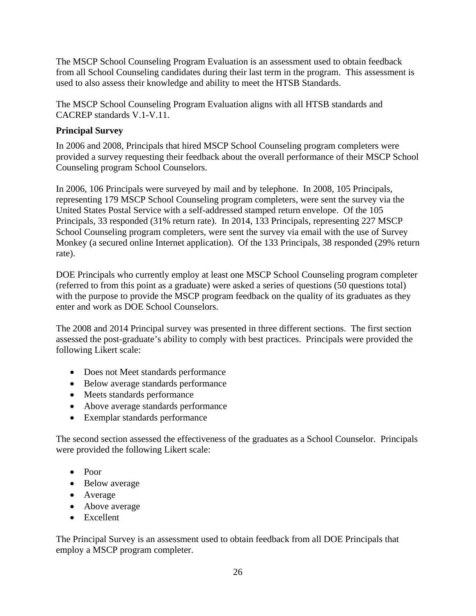The MSCP School Counseling Program Evaluation is an assessment used to obtain feedback from all School Counseling candidates during their last term in the program. This assessment is used to also assess their knowledge and ability to meet the HTSB Standards.

The MSCP School Counseling Program Evaluation aligns with all HTSB standards and CACREP standards V.1-V.11.

# **Principal Survey**

In 2006 and 2008, Principals that hired MSCP School Counseling program completers were provided a survey requesting their feedback about the overall performance of their MSCP School Counseling program School Counselors.

In 2006, 106 Principals were surveyed by mail and by telephone. In 2008, 105 Principals, representing 179 MSCP School Counseling program completers, were sent the survey via the United States Postal Service with a self-addressed stamped return envelope. Of the 105 Principals, 33 responded (31% return rate). In 2014, 133 Principals, representing 227 MSCP School Counseling program completers, were sent the survey via email with the use of Survey Monkey (a secured online Internet application). Of the 133 Principals, 38 responded (29% return rate).

DOE Principals who currently employ at least one MSCP School Counseling program completer (referred to from this point as a graduate) were asked a series of questions (50 questions total) with the purpose to provide the MSCP program feedback on the quality of its graduates as they enter and work as DOE School Counselors.

The 2008 and 2014 Principal survey was presented in three different sections. The first section assessed the post-graduate's ability to comply with best practices. Principals were provided the following Likert scale:

- Does not Meet standards performance
- Below average standards performance
- Meets standards performance
- Above average standards performance
- Exemplar standards performance

The second section assessed the effectiveness of the graduates as a School Counselor. Principals were provided the following Likert scale:

- Poor
- Below average
- Average
- Above average
- Excellent

The Principal Survey is an assessment used to obtain feedback from all DOE Principals that employ a MSCP program completer.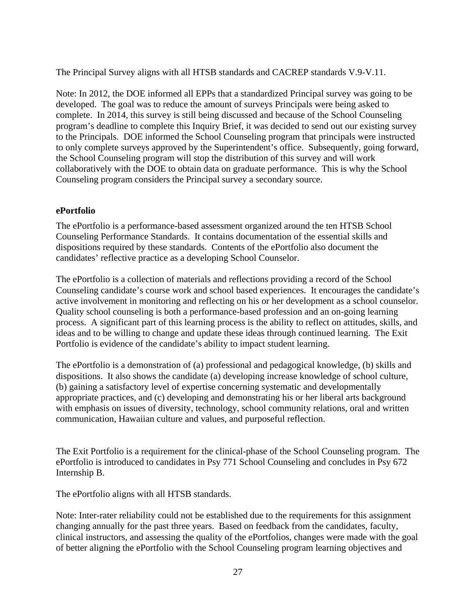The Principal Survey aligns with all HTSB standards and CACREP standards V.9-V.11.

Note: In 2012, the DOE informed all EPPs that a standardized Principal survey was going to be developed. The goal was to reduce the amount of surveys Principals were being asked to complete. In 2014, this survey is still being discussed and because of the School Counseling program's deadline to complete this Inquiry Brief, it was decided to send out our existing survey to the Principals. DOE informed the School Counseling program that principals were instructed to only complete surveys approved by the Superintendent's office. Subsequently, going forward, the School Counseling program will stop the distribution of this survey and will work collaboratively with the DOE to obtain data on graduate performance. This is why the School Counseling program considers the Principal survey a secondary source.

#### **ePortfolio**

The ePortfolio is a performance-based assessment organized around the ten HTSB School Counseling Performance Standards. It contains documentation of the essential skills and dispositions required by these standards. Contents of the ePortfolio also document the candidates' reflective practice as a developing School Counselor.

The ePortfolio is a collection of materials and reflections providing a record of the School Counseling candidate's course work and school based experiences. It encourages the candidate's active involvement in monitoring and reflecting on his or her development as a school counselor. Quality school counseling is both a performance-based profession and an on-going learning process. A significant part of this learning process is the ability to reflect on attitudes, skills, and ideas and to be willing to change and update these ideas through continued learning. The Exit Portfolio is evidence of the candidate's ability to impact student learning.

The ePortfolio is a demonstration of (a) professional and pedagogical knowledge, (b) skills and dispositions. It also shows the candidate (a) developing increase knowledge of school culture, (b) gaining a satisfactory level of expertise concerning systematic and developmentally appropriate practices, and (c) developing and demonstrating his or her liberal arts background with emphasis on issues of diversity, technology, school community relations, oral and written communication, Hawaiian culture and values, and purposeful reflection.

The Exit Portfolio is a requirement for the clinical-phase of the School Counseling program. The ePortfolio is introduced to candidates in Psy 771 School Counseling and concludes in Psy 672 Internship B.

The ePortfolio aligns with all HTSB standards.

Note: Inter-rater reliability could not be established due to the requirements for this assignment changing annually for the past three years. Based on feedback from the candidates, faculty, clinical instructors, and assessing the quality of the ePortfolios, changes were made with the goal of better aligning the ePortfolio with the School Counseling program learning objectives and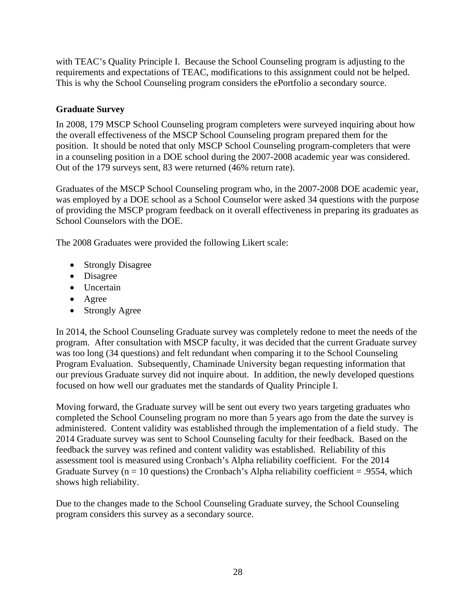with TEAC's Quality Principle I. Because the School Counseling program is adjusting to the requirements and expectations of TEAC, modifications to this assignment could not be helped. This is why the School Counseling program considers the ePortfolio a secondary source.

# **Graduate Survey**

In 2008, 179 MSCP School Counseling program completers were surveyed inquiring about how the overall effectiveness of the MSCP School Counseling program prepared them for the position. It should be noted that only MSCP School Counseling program-completers that were in a counseling position in a DOE school during the 2007-2008 academic year was considered. Out of the 179 surveys sent, 83 were returned (46% return rate).

Graduates of the MSCP School Counseling program who, in the 2007-2008 DOE academic year, was employed by a DOE school as a School Counselor were asked 34 questions with the purpose of providing the MSCP program feedback on it overall effectiveness in preparing its graduates as School Counselors with the DOE.

The 2008 Graduates were provided the following Likert scale:

- Strongly Disagree
- Disagree
- Uncertain
- Agree
- Strongly Agree

In 2014, the School Counseling Graduate survey was completely redone to meet the needs of the program. After consultation with MSCP faculty, it was decided that the current Graduate survey was too long (34 questions) and felt redundant when comparing it to the School Counseling Program Evaluation. Subsequently, Chaminade University began requesting information that our previous Graduate survey did not inquire about. In addition, the newly developed questions focused on how well our graduates met the standards of Quality Principle I.

Moving forward, the Graduate survey will be sent out every two years targeting graduates who completed the School Counseling program no more than 5 years ago from the date the survey is administered. Content validity was established through the implementation of a field study. The 2014 Graduate survey was sent to School Counseling faculty for their feedback. Based on the feedback the survey was refined and content validity was established. Reliability of this assessment tool is measured using Cronbach's Alpha reliability coefficient. For the 2014 Graduate Survey ( $n = 10$  questions) the Cronbach's Alpha reliability coefficient = .9554, which shows high reliability.

Due to the changes made to the School Counseling Graduate survey, the School Counseling program considers this survey as a secondary source.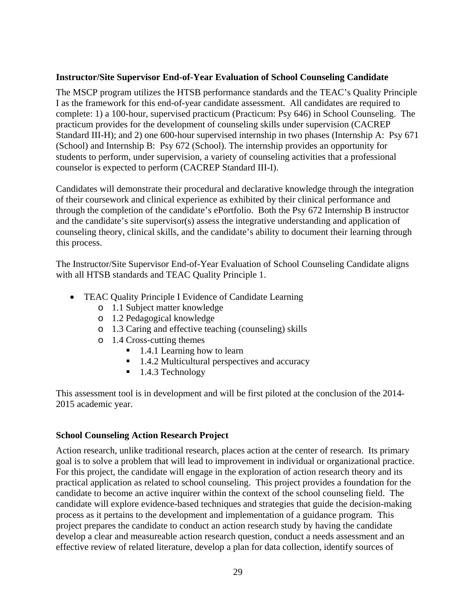#### **Instructor/Site Supervisor End-of-Year Evaluation of School Counseling Candidate**

The MSCP program utilizes the HTSB performance standards and the TEAC's Quality Principle I as the framework for this end-of-year candidate assessment. All candidates are required to complete: 1) a 100-hour, supervised practicum (Practicum: Psy 646) in School Counseling. The practicum provides for the development of counseling skills under supervision (CACREP Standard III-H); and 2) one 600-hour supervised internship in two phases (Internship A: Psy 671 (School) and Internship B: Psy 672 (School). The internship provides an opportunity for students to perform, under supervision, a variety of counseling activities that a professional counselor is expected to perform (CACREP Standard III-I).

Candidates will demonstrate their procedural and declarative knowledge through the integration of their coursework and clinical experience as exhibited by their clinical performance and through the completion of the candidate's ePortfolio. Both the Psy 672 Internship B instructor and the candidate's site supervisor(s) assess the integrative understanding and application of counseling theory, clinical skills, and the candidate's ability to document their learning through this process.

The Instructor/Site Supervisor End-of-Year Evaluation of School Counseling Candidate aligns with all HTSB standards and TEAC Quality Principle 1.

- TEAC Quality Principle I Evidence of Candidate Learning
	- o 1.1 Subject matter knowledge
	- o 1.2 Pedagogical knowledge
	- o 1.3 Caring and effective teaching (counseling) skills
	- o 1.4 Cross-cutting themes
		- 1.4.1 Learning how to learn
		- 1.4.2 Multicultural perspectives and accuracy
		- $\blacksquare$  1.4.3 Technology

This assessment tool is in development and will be first piloted at the conclusion of the 2014- 2015 academic year.

# **School Counseling Action Research Project**

Action research, unlike traditional research, places action at the center of research. Its primary goal is to solve a problem that will lead to improvement in individual or organizational practice. For this project, the candidate will engage in the exploration of action research theory and its practical application as related to school counseling. This project provides a foundation for the candidate to become an active inquirer within the context of the school counseling field. The candidate will explore evidence-based techniques and strategies that guide the decision-making process as it pertains to the development and implementation of a guidance program. This project prepares the candidate to conduct an action research study by having the candidate develop a clear and measureable action research question, conduct a needs assessment and an effective review of related literature, develop a plan for data collection, identify sources of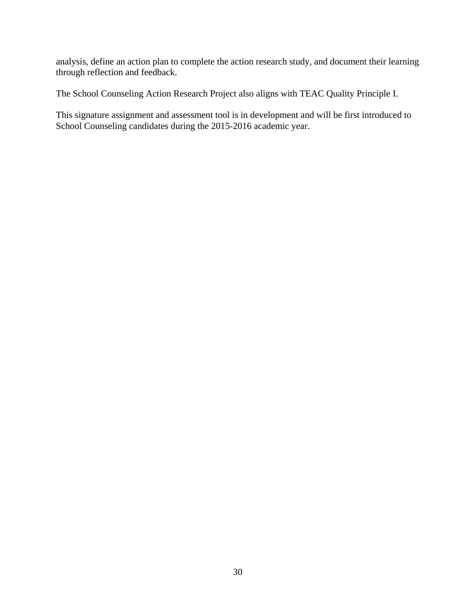analysis, define an action plan to complete the action research study, and document their learning through reflection and feedback.

The School Counseling Action Research Project also aligns with TEAC Quality Principle I.

This signature assignment and assessment tool is in development and will be first introduced to School Counseling candidates during the 2015-2016 academic year.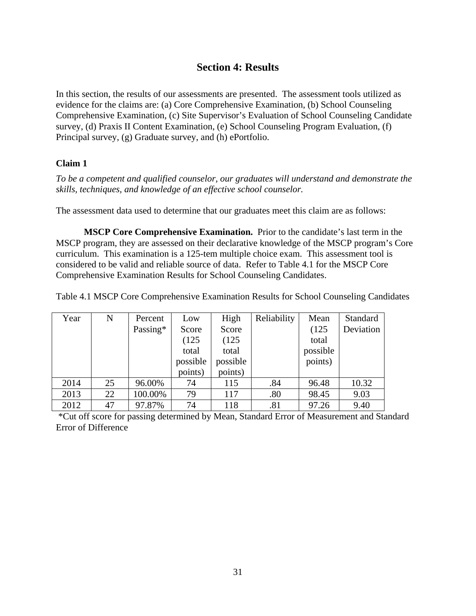# **Section 4: Results**

In this section, the results of our assessments are presented. The assessment tools utilized as evidence for the claims are: (a) Core Comprehensive Examination, (b) School Counseling Comprehensive Examination, (c) Site Supervisor's Evaluation of School Counseling Candidate survey, (d) Praxis II Content Examination, (e) School Counseling Program Evaluation, (f) Principal survey, (g) Graduate survey, and (h) ePortfolio.

# **Claim 1**

*To be a competent and qualified counselor, our graduates will understand and demonstrate the skills, techniques, and knowledge of an effective school counselor.* 

The assessment data used to determine that our graduates meet this claim are as follows:

**MSCP Core Comprehensive Examination.** Prior to the candidate's last term in the MSCP program, they are assessed on their declarative knowledge of the MSCP program's Core curriculum. This examination is a 125-tem multiple choice exam. This assessment tool is considered to be valid and reliable source of data. Refer to Table 4.1 for the MSCP Core Comprehensive Examination Results for School Counseling Candidates.

Table 4.1 MSCP Core Comprehensive Examination Results for School Counseling Candidates

| Year | N  | Percent  | Low      | High     | Reliability | Mean     | Standard  |
|------|----|----------|----------|----------|-------------|----------|-----------|
|      |    | Passing* | Score    | Score    |             | (125)    | Deviation |
|      |    |          | (125)    | (125)    |             | total    |           |
|      |    |          | total    | total    |             | possible |           |
|      |    |          | possible | possible |             | points)  |           |
|      |    |          | points)  | points)  |             |          |           |
| 2014 | 25 | 96.00%   | 74       | 115      | .84         | 96.48    | 10.32     |
| 2013 | 22 | 100.00%  | 79       | 117      | .80         | 98.45    | 9.03      |
| 2012 | 47 | 97.87%   | 74       | 118      | .81         | 97.26    | 9.40      |

 \*Cut off score for passing determined by Mean, Standard Error of Measurement and Standard Error of Difference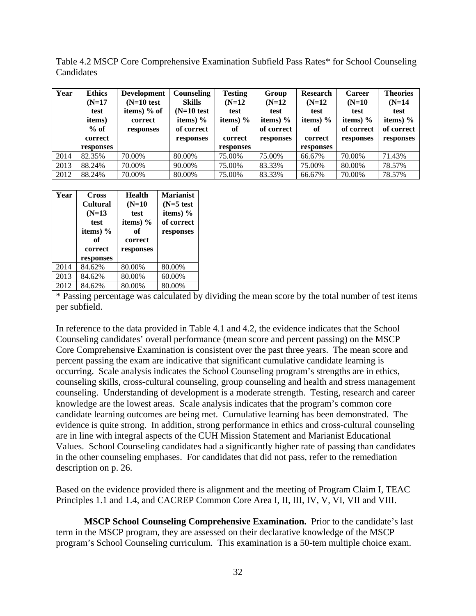Table 4.2 MSCP Core Comprehensive Examination Subfield Pass Rates\* for School Counseling **Candidates** 

| Year | <b>Ethics</b> | <b>Development</b> | Counseling    | <b>Testing</b> | Group      | <b>Research</b> | <b>Career</b> | <b>Theories</b> |
|------|---------------|--------------------|---------------|----------------|------------|-----------------|---------------|-----------------|
|      | $(N=17)$      | $(N=10$ test       | <b>Skills</b> | $(N=12)$       | $(N=12)$   | $(N=12)$        | $(N=10)$      | $(N=14)$        |
|      | test          | items) $%$ of      | $(N=10$ test  | test           | test       | test            | test          | test            |
|      | items)        | correct            | items) $%$    | items) $%$     | items) $%$ | items) $%$      | items) $%$    | items) $%$      |
|      | $%$ of        | responses          | of correct    | оf             | of correct | оf              | of correct    | of correct      |
|      | correct       |                    | responses     | correct        | responses  | correct         | responses     | responses       |
|      | responses     |                    |               | responses      |            | responses       |               |                 |
| 2014 | 82.35%        | 70.00%             | 80.00%        | 75.00%         | 75.00%     | 66.67%          | 70.00%        | 71.43%          |
| 2013 | 88.24%        | 70.00%             | 90.00%        | 75.00%         | 83.33%     | 75.00%          | 80.00%        | 78.57%          |
| 2012 | 88.24%        | 70.00%             | 80.00%        | 75.00%         | 83.33%     | 66.67%          | 70.00%        | 78.57%          |

| Year | <b>Cross</b><br><b>Cultural</b><br>$(N=13)$<br>test<br>items) %<br>of<br>correct<br>responses | <b>Health</b><br>$(N=10)$<br>test<br>items) $%$<br>of<br>correct<br>responses | <b>Marianist</b><br>$(N=5$ test<br>items) $%$<br>of correct<br>responses |
|------|-----------------------------------------------------------------------------------------------|-------------------------------------------------------------------------------|--------------------------------------------------------------------------|
| 2014 | 84.62%                                                                                        | 80.00%                                                                        | 80.00%                                                                   |
| 2013 | 84.62%                                                                                        | 80.00%                                                                        | 60.00%                                                                   |
| 2012 | 84.62%                                                                                        | 80.00%                                                                        | 80.00%                                                                   |

\* Passing percentage was calculated by dividing the mean score by the total number of test items per subfield.

In reference to the data provided in Table 4.1 and 4.2, the evidence indicates that the School Counseling candidates' overall performance (mean score and percent passing) on the MSCP Core Comprehensive Examination is consistent over the past three years. The mean score and percent passing the exam are indicative that significant cumulative candidate learning is occurring. Scale analysis indicates the School Counseling program's strengths are in ethics, counseling skills, cross-cultural counseling, group counseling and health and stress management counseling. Understanding of development is a moderate strength. Testing, research and career knowledge are the lowest areas. Scale analysis indicates that the program's common core candidate learning outcomes are being met. Cumulative learning has been demonstrated. The evidence is quite strong. In addition, strong performance in ethics and cross-cultural counseling are in line with integral aspects of the CUH Mission Statement and Marianist Educational Values. School Counseling candidates had a significantly higher rate of passing than candidates in the other counseling emphases. For candidates that did not pass, refer to the remediation description on p. 26.

Based on the evidence provided there is alignment and the meeting of Program Claim I, TEAC Principles 1.1 and 1.4, and CACREP Common Core Area I, II, III, IV, V, VI, VII and VIII.

**MSCP School Counseling Comprehensive Examination.** Prior to the candidate's last term in the MSCP program, they are assessed on their declarative knowledge of the MSCP program's School Counseling curriculum. This examination is a 50-tem multiple choice exam.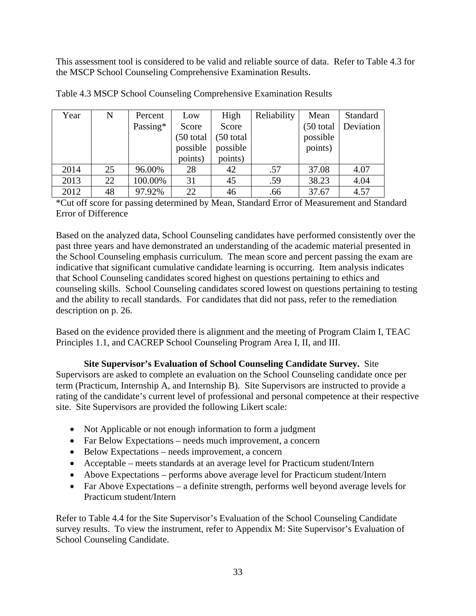This assessment tool is considered to be valid and reliable source of data. Refer to Table 4.3 for the MSCP School Counseling Comprehensive Examination Results.

| Year | N  | Percent  | Low       | High      | Reliability | Mean        | Standard  |
|------|----|----------|-----------|-----------|-------------|-------------|-----------|
|      |    | Passing* | Score     | Score     |             | $(50$ total | Deviation |
|      |    |          | (50 total | (50 total |             | possible    |           |
|      |    |          | possible  | possible  |             | points)     |           |
|      |    |          | points)   | points)   |             |             |           |
| 2014 | 25 | 96.00%   | 28        | 42        | .57         | 37.08       | 4.07      |
| 2013 | 22 | 100.00%  | 31        | 45        | .59         | 38.23       | 4.04      |
| 2012 | 48 | 97.92%   | 22        | 46        | .66         | 37.67       | 4.57      |

| Table 4.3 MSCP School Counseling Comprehensive Examination Results |  |  |  |
|--------------------------------------------------------------------|--|--|--|
|                                                                    |  |  |  |

\*Cut off score for passing determined by Mean, Standard Error of Measurement and Standard Error of Difference

Based on the analyzed data, School Counseling candidates have performed consistently over the past three years and have demonstrated an understanding of the academic material presented in the School Counseling emphasis curriculum. The mean score and percent passing the exam are indicative that significant cumulative candidate learning is occurring. Item analysis indicates that School Counseling candidates scored highest on questions pertaining to ethics and counseling skills. School Counseling candidates scored lowest on questions pertaining to testing and the ability to recall standards. For candidates that did not pass, refer to the remediation description on p. 26.

Based on the evidence provided there is alignment and the meeting of Program Claim I, TEAC Principles 1.1, and CACREP School Counseling Program Area I, II, and III.

**Site Supervisor's Evaluation of School Counseling Candidate Survey.** Site Supervisors are asked to complete an evaluation on the School Counseling candidate once per term (Practicum, Internship A, and Internship B). Site Supervisors are instructed to provide a rating of the candidate's current level of professional and personal competence at their respective site. Site Supervisors are provided the following Likert scale:

- Not Applicable or not enough information to form a judgment
- Far Below Expectations needs much improvement, a concern
- Below Expectations needs improvement, a concern
- Acceptable meets standards at an average level for Practicum student/Intern
- Above Expectations performs above average level for Practicum student/Intern
- Far Above Expectations a definite strength, performs well beyond average levels for Practicum student/Intern

Refer to Table 4.4 for the Site Supervisor's Evaluation of the School Counseling Candidate survey results. To view the instrument, refer to Appendix M: Site Supervisor's Evaluation of School Counseling Candidate.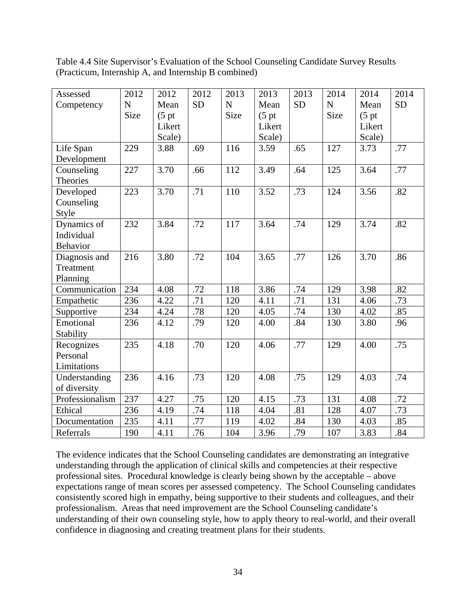Table 4.4 Site Supervisor's Evaluation of the School Counseling Candidate Survey Results (Practicum, Internship A, and Internship B combined)

| Assessed        | 2012        | 2012               | 2012             | 2013        | 2013               | 2013      | 2014      | 2014               | 2014      |
|-----------------|-------------|--------------------|------------------|-------------|--------------------|-----------|-----------|--------------------|-----------|
| Competency      | $\mathbf N$ | Mean               | <b>SD</b>        | $\mathbf N$ | Mean               | <b>SD</b> | ${\bf N}$ | Mean               | <b>SD</b> |
|                 | Size        | (5 <sub>pt</sub> ) |                  | Size        | (5 <sub>pt</sub> ) |           | Size      | (5 <sub>pt</sub> ) |           |
|                 |             | Likert             |                  |             | Likert             |           |           | Likert             |           |
|                 |             | Scale)             |                  |             | Scale)             |           |           | Scale)             |           |
| Life Span       | 229         | 3.88               | .69              | 116         | 3.59               | .65       | 127       | 3.73               | .77       |
| Development     |             |                    |                  |             |                    |           |           |                    |           |
| Counseling      | 227         | 3.70               | .66              | 112         | 3.49               | .64       | 125       | 3.64               | .77       |
| <b>Theories</b> |             |                    |                  |             |                    |           |           |                    |           |
| Developed       | 223         | 3.70               | .71              | 110         | 3.52               | .73       | 124       | 3.56               | .82       |
| Counseling      |             |                    |                  |             |                    |           |           |                    |           |
| Style           |             |                    |                  |             |                    |           |           |                    |           |
| Dynamics of     | 232         | 3.84               | .72              | 117         | 3.64               | .74       | 129       | 3.74               | .82       |
| Individual      |             |                    |                  |             |                    |           |           |                    |           |
| Behavior        |             |                    |                  |             |                    |           |           |                    |           |
| Diagnosis and   | 216         | 3.80               | .72              | 104         | 3.65               | .77       | 126       | 3.70               | .86       |
| Treatment       |             |                    |                  |             |                    |           |           |                    |           |
| Planning        |             |                    |                  |             |                    |           |           |                    |           |
| Communication   | 234         | 4.08               | .72              | 118         | 3.86               | .74       | 129       | 3.98               | .82       |
| Empathetic      | 236         | 4.22               | $\overline{.71}$ | 120         | 4.11               | .71       | 131       | 4.06               | .73       |
| Supportive      | 234         | 4.24               | .78              | 120         | 4.05               | .74       | 130       | 4.02               | .85       |
| Emotional       | 236         | 4.12               | .79              | 120         | 4.00               | .84       | 130       | 3.80               | .96       |
| Stability       |             |                    |                  |             |                    |           |           |                    |           |
| Recognizes      | 235         | 4.18               | .70              | 120         | 4.06               | .77       | 129       | 4.00               | .75       |
| Personal        |             |                    |                  |             |                    |           |           |                    |           |
| Limitations     |             |                    |                  |             |                    |           |           |                    |           |
| Understanding   | 236         | 4.16               | .73              | 120         | 4.08               | .75       | 129       | 4.03               | .74       |
| of diversity    |             |                    |                  |             |                    |           |           |                    |           |
| Professionalism | 237         | 4.27               | .75              | 120         | 4.15               | .73       | 131       | 4.08               | .72       |
| Ethical         | 236         | 4.19               | .74              | 118         | 4.04               | .81       | 128       | 4.07               | .73       |
| Documentation   | 235         | 4.11               | .77              | 119         | 4.02               | .84       | 130       | 4.03               | .85       |
| Referrals       | 190         | 4.11               | .76              | 104         | 3.96               | .79       | 107       | 3.83               | .84       |

The evidence indicates that the School Counseling candidates are demonstrating an integrative understanding through the application of clinical skills and competencies at their respective professional sites. Procedural knowledge is clearly being shown by the acceptable – above expectations range of mean scores per assessed competency. The School Counseling candidates consistently scored high in empathy, being supportive to their students and colleagues, and their professionalism. Areas that need improvement are the School Counseling candidate's understanding of their own counseling style, how to apply theory to real-world, and their overall confidence in diagnosing and creating treatment plans for their students.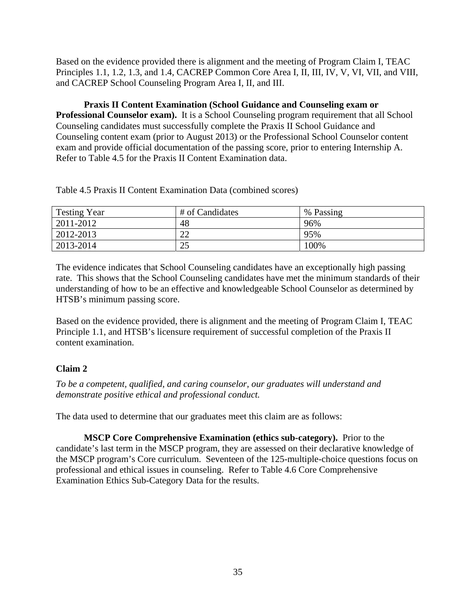Based on the evidence provided there is alignment and the meeting of Program Claim I, TEAC Principles 1.1, 1.2, 1.3, and 1.4, CACREP Common Core Area I, II, III, IV, V, VI, VII, and VIII, and CACREP School Counseling Program Area I, II, and III.

**Praxis II Content Examination (School Guidance and Counseling exam or Professional Counselor exam).** It is a School Counseling program requirement that all School Counseling candidates must successfully complete the Praxis II School Guidance and Counseling content exam (prior to August 2013) or the Professional School Counselor content exam and provide official documentation of the passing score, prior to entering Internship A. Refer to Table 4.5 for the Praxis II Content Examination data.

Table 4.5 Praxis II Content Examination Data (combined scores)

| <b>Testing Year</b> | # of Candidates | % Passing |
|---------------------|-----------------|-----------|
| 2011-2012           | 48              | 96%       |
| 2012-2013           | າາ<br>∠∠        | 95%       |
| 2013-2014           | 25              | 100%      |

The evidence indicates that School Counseling candidates have an exceptionally high passing rate. This shows that the School Counseling candidates have met the minimum standards of their understanding of how to be an effective and knowledgeable School Counselor as determined by HTSB's minimum passing score.

Based on the evidence provided, there is alignment and the meeting of Program Claim I, TEAC Principle 1.1, and HTSB's licensure requirement of successful completion of the Praxis II content examination.

# **Claim 2**

*To be a competent, qualified, and caring counselor, our graduates will understand and demonstrate positive ethical and professional conduct.* 

The data used to determine that our graduates meet this claim are as follows:

**MSCP Core Comprehensive Examination (ethics sub-category).** Prior to the candidate's last term in the MSCP program, they are assessed on their declarative knowledge of the MSCP program's Core curriculum. Seventeen of the 125-multiple-choice questions focus on professional and ethical issues in counseling. Refer to Table 4.6 Core Comprehensive Examination Ethics Sub-Category Data for the results.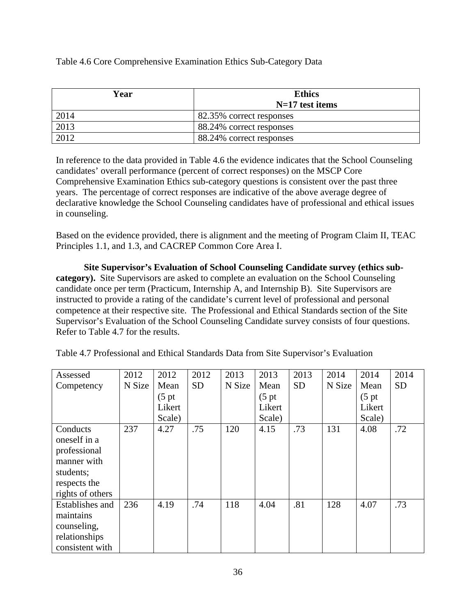## Table 4.6 Core Comprehensive Examination Ethics Sub-Category Data

| Year | <b>Ethics</b>            |
|------|--------------------------|
|      | $N=17$ test items        |
| 2014 | 82.35% correct responses |
| 2013 | 88.24% correct responses |
| 2012 | 88.24% correct responses |

In reference to the data provided in Table 4.6 the evidence indicates that the School Counseling candidates' overall performance (percent of correct responses) on the MSCP Core Comprehensive Examination Ethics sub-category questions is consistent over the past three years. The percentage of correct responses are indicative of the above average degree of declarative knowledge the School Counseling candidates have of professional and ethical issues in counseling.

Based on the evidence provided, there is alignment and the meeting of Program Claim II, TEAC Principles 1.1, and 1.3, and CACREP Common Core Area I.

**Site Supervisor's Evaluation of School Counseling Candidate survey (ethics subcategory).** Site Supervisors are asked to complete an evaluation on the School Counseling candidate once per term (Practicum, Internship A, and Internship B). Site Supervisors are instructed to provide a rating of the candidate's current level of professional and personal competence at their respective site. The Professional and Ethical Standards section of the Site Supervisor's Evaluation of the School Counseling Candidate survey consists of four questions. Refer to Table 4.7 for the results.

| Assessed         | 2012   | 2012               | 2012      | 2013   | 2013             | 2013      | 2014   | 2014               | 2014      |
|------------------|--------|--------------------|-----------|--------|------------------|-----------|--------|--------------------|-----------|
| Competency       | N Size | Mean               | <b>SD</b> | N Size | Mean             | <b>SD</b> | N Size | Mean               | <b>SD</b> |
|                  |        | (5 <sub>pt</sub> ) |           |        | $(5 \text{ pt})$ |           |        | (5 <sub>pt</sub> ) |           |
|                  |        | Likert             |           |        | Likert           |           |        | Likert             |           |
|                  |        | Scale)             |           |        | Scale)           |           |        | Scale)             |           |
| Conducts         | 237    | 4.27               | .75       | 120    | 4.15             | .73       | 131    | 4.08               | .72       |
| oneself in a     |        |                    |           |        |                  |           |        |                    |           |
| professional     |        |                    |           |        |                  |           |        |                    |           |
| manner with      |        |                    |           |        |                  |           |        |                    |           |
| students;        |        |                    |           |        |                  |           |        |                    |           |
| respects the     |        |                    |           |        |                  |           |        |                    |           |
| rights of others |        |                    |           |        |                  |           |        |                    |           |
| Establishes and  | 236    | 4.19               | .74       | 118    | 4.04             | .81       | 128    | 4.07               | .73       |
| maintains        |        |                    |           |        |                  |           |        |                    |           |
| counseling,      |        |                    |           |        |                  |           |        |                    |           |
| relationships    |        |                    |           |        |                  |           |        |                    |           |
| consistent with  |        |                    |           |        |                  |           |        |                    |           |

Table 4.7 Professional and Ethical Standards Data from Site Supervisor's Evaluation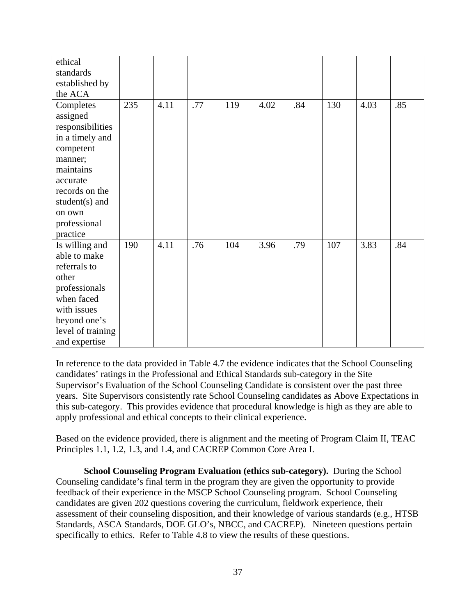| ethical<br>standards |     |      |     |     |      |     |     |      |     |
|----------------------|-----|------|-----|-----|------|-----|-----|------|-----|
| established by       |     |      |     |     |      |     |     |      |     |
| the ACA              |     |      |     |     |      |     |     |      |     |
| Completes            | 235 | 4.11 | .77 | 119 | 4.02 | .84 | 130 | 4.03 | .85 |
| assigned             |     |      |     |     |      |     |     |      |     |
| responsibilities     |     |      |     |     |      |     |     |      |     |
| in a timely and      |     |      |     |     |      |     |     |      |     |
| competent            |     |      |     |     |      |     |     |      |     |
| manner;              |     |      |     |     |      |     |     |      |     |
| maintains            |     |      |     |     |      |     |     |      |     |
| accurate             |     |      |     |     |      |     |     |      |     |
| records on the       |     |      |     |     |      |     |     |      |     |
| student $(s)$ and    |     |      |     |     |      |     |     |      |     |
| on own               |     |      |     |     |      |     |     |      |     |
| professional         |     |      |     |     |      |     |     |      |     |
| practice             |     |      |     |     |      |     |     |      |     |
| Is willing and       | 190 | 4.11 | .76 | 104 | 3.96 | .79 | 107 | 3.83 | .84 |
| able to make         |     |      |     |     |      |     |     |      |     |
| referrals to         |     |      |     |     |      |     |     |      |     |
| other                |     |      |     |     |      |     |     |      |     |
| professionals        |     |      |     |     |      |     |     |      |     |
| when faced           |     |      |     |     |      |     |     |      |     |
| with issues          |     |      |     |     |      |     |     |      |     |
| beyond one's         |     |      |     |     |      |     |     |      |     |
| level of training    |     |      |     |     |      |     |     |      |     |
| and expertise        |     |      |     |     |      |     |     |      |     |

In reference to the data provided in Table 4.7 the evidence indicates that the School Counseling candidates' ratings in the Professional and Ethical Standards sub-category in the Site Supervisor's Evaluation of the School Counseling Candidate is consistent over the past three years. Site Supervisors consistently rate School Counseling candidates as Above Expectations in this sub-category. This provides evidence that procedural knowledge is high as they are able to apply professional and ethical concepts to their clinical experience.

Based on the evidence provided, there is alignment and the meeting of Program Claim II, TEAC Principles 1.1, 1.2, 1.3, and 1.4, and CACREP Common Core Area I.

**School Counseling Program Evaluation (ethics sub-category).** During the School Counseling candidate's final term in the program they are given the opportunity to provide feedback of their experience in the MSCP School Counseling program. School Counseling candidates are given 202 questions covering the curriculum, fieldwork experience, their assessment of their counseling disposition, and their knowledge of various standards (e.g., HTSB Standards, ASCA Standards, DOE GLO's, NBCC, and CACREP). Nineteen questions pertain specifically to ethics. Refer to Table 4.8 to view the results of these questions.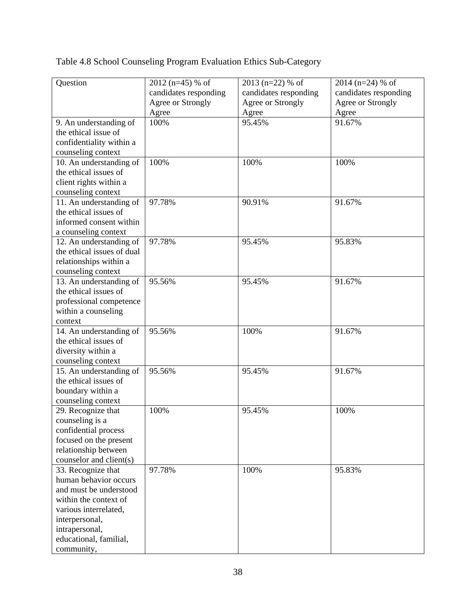Table 4.8 School Counseling Program Evaluation Ethics Sub-Category

| Question                   | $2012$ (n=45) % of    | 2013 (n=22) % of      | 2014 ( $n=24$ ) % of  |
|----------------------------|-----------------------|-----------------------|-----------------------|
|                            | candidates responding | candidates responding | candidates responding |
|                            | Agree or Strongly     | Agree or Strongly     | Agree or Strongly     |
|                            | Agree                 | Agree                 | Agree                 |
| 9. An understanding of     | 100%                  | 95.45%                | 91.67%                |
| the ethical issue of       |                       |                       |                       |
| confidentiality within a   |                       |                       |                       |
| counseling context         |                       |                       |                       |
| 10. An understanding of    | 100%                  | 100%                  | 100%                  |
| the ethical issues of      |                       |                       |                       |
| client rights within a     |                       |                       |                       |
| counseling context         |                       |                       |                       |
| 11. An understanding of    | 97.78%                | 90.91%                | 91.67%                |
| the ethical issues of      |                       |                       |                       |
| informed consent within    |                       |                       |                       |
| a counseling context       |                       |                       |                       |
| 12. An understanding of    | 97.78%                | 95.45%                | 95.83%                |
| the ethical issues of dual |                       |                       |                       |
| relationships within a     |                       |                       |                       |
| counseling context         |                       |                       |                       |
| 13. An understanding of    | 95.56%                | 95.45%                | 91.67%                |
| the ethical issues of      |                       |                       |                       |
| professional competence    |                       |                       |                       |
| within a counseling        |                       |                       |                       |
| context                    |                       |                       |                       |
| 14. An understanding of    | 95.56%                | 100%                  | 91.67%                |
| the ethical issues of      |                       |                       |                       |
| diversity within a         |                       |                       |                       |
| counseling context         |                       |                       |                       |
| 15. An understanding of    | 95.56%                | 95.45%                | 91.67%                |
| the ethical issues of      |                       |                       |                       |
| boundary within a          |                       |                       |                       |
| counseling context         |                       |                       |                       |
| 29. Recognize that         | 100%                  | 95.45%                | 100%                  |
| counseling is a            |                       |                       |                       |
| confidential process       |                       |                       |                       |
| focused on the present     |                       |                       |                       |
| relationship between       |                       |                       |                       |
| counselor and client(s)    |                       |                       |                       |
| 33. Recognize that         | 97.78%                | 100%                  | 95.83%                |
| human behavior occurs      |                       |                       |                       |
| and must be understood     |                       |                       |                       |
| within the context of      |                       |                       |                       |
| various interrelated,      |                       |                       |                       |
| interpersonal,             |                       |                       |                       |
| intrapersonal,             |                       |                       |                       |
| educational, familial,     |                       |                       |                       |
| community,                 |                       |                       |                       |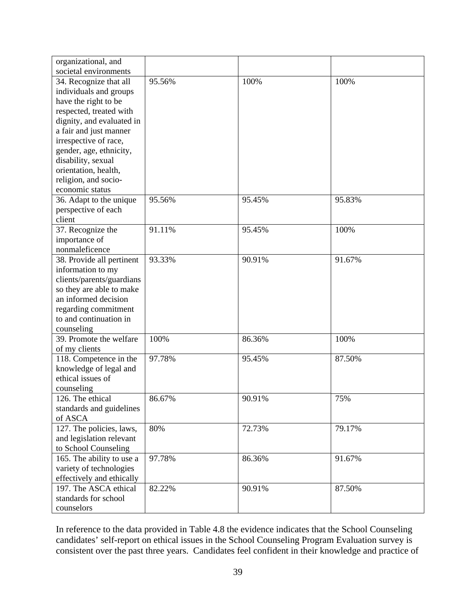| organizational, and       |        |        |        |
|---------------------------|--------|--------|--------|
| societal environments     |        |        |        |
| 34. Recognize that all    | 95.56% | 100%   | 100%   |
| individuals and groups    |        |        |        |
| have the right to be      |        |        |        |
| respected, treated with   |        |        |        |
| dignity, and evaluated in |        |        |        |
| a fair and just manner    |        |        |        |
| irrespective of race,     |        |        |        |
| gender, age, ethnicity,   |        |        |        |
| disability, sexual        |        |        |        |
| orientation, health,      |        |        |        |
| religion, and socio-      |        |        |        |
| economic status           |        |        |        |
| 36. Adapt to the unique   | 95.56% | 95.45% | 95.83% |
| perspective of each       |        |        |        |
| client                    |        |        |        |
| 37. Recognize the         | 91.11% | 95.45% | 100%   |
| importance of             |        |        |        |
| nonmaleficence            |        |        |        |
| 38. Provide all pertinent | 93.33% | 90.91% | 91.67% |
| information to my         |        |        |        |
| clients/parents/guardians |        |        |        |
| so they are able to make  |        |        |        |
| an informed decision      |        |        |        |
| regarding commitment      |        |        |        |
| to and continuation in    |        |        |        |
| counseling                |        |        |        |
| 39. Promote the welfare   | 100%   | 86.36% | 100%   |
| of my clients             |        |        |        |
| 118. Competence in the    | 97.78% | 95.45% | 87.50% |
| knowledge of legal and    |        |        |        |
| ethical issues of         |        |        |        |
| counseling                |        |        |        |
| 126. The ethical          | 86.67% | 90.91% | 75%    |
| standards and guidelines  |        |        |        |
| of ASCA                   |        |        |        |
| 127. The policies, laws,  | 80%    | 72.73% | 79.17% |
| and legislation relevant  |        |        |        |
| to School Counseling      |        |        |        |
| 165. The ability to use a | 97.78% | 86.36% | 91.67% |
| variety of technologies   |        |        |        |
| effectively and ethically |        |        |        |
| 197. The ASCA ethical     | 82.22% | 90.91% | 87.50% |
| standards for school      |        |        |        |
| counselors                |        |        |        |

In reference to the data provided in Table 4.8 the evidence indicates that the School Counseling candidates' self-report on ethical issues in the School Counseling Program Evaluation survey is consistent over the past three years. Candidates feel confident in their knowledge and practice of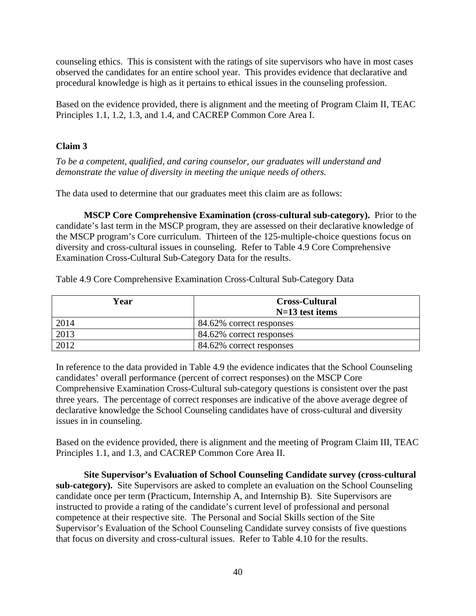counseling ethics. This is consistent with the ratings of site supervisors who have in most cases observed the candidates for an entire school year. This provides evidence that declarative and procedural knowledge is high as it pertains to ethical issues in the counseling profession.

Based on the evidence provided, there is alignment and the meeting of Program Claim II, TEAC Principles 1.1, 1.2, 1.3, and 1.4, and CACREP Common Core Area I.

# **Claim 3**

*To be a competent, qualified, and caring counselor, our graduates will understand and demonstrate the value of diversity in meeting the unique needs of others.* 

The data used to determine that our graduates meet this claim are as follows:

**MSCP Core Comprehensive Examination (cross-cultural sub-category).** Prior to the candidate's last term in the MSCP program, they are assessed on their declarative knowledge of the MSCP program's Core curriculum. Thirteen of the 125-multiple-choice questions focus on diversity and cross-cultural issues in counseling. Refer to Table 4.9 Core Comprehensive Examination Cross-Cultural Sub-Category Data for the results.

Table 4.9 Core Comprehensive Examination Cross-Cultural Sub-Category Data

| Year | <b>Cross-Cultural</b><br>$N=13$ test items |
|------|--------------------------------------------|
| 2014 | 84.62% correct responses                   |
| 2013 | 84.62% correct responses                   |
| 2012 | 84.62% correct responses                   |

In reference to the data provided in Table 4.9 the evidence indicates that the School Counseling candidates' overall performance (percent of correct responses) on the MSCP Core Comprehensive Examination Cross-Cultural sub-category questions is consistent over the past three years. The percentage of correct responses are indicative of the above average degree of declarative knowledge the School Counseling candidates have of cross-cultural and diversity issues in in counseling.

Based on the evidence provided, there is alignment and the meeting of Program Claim III, TEAC Principles 1.1, and 1.3, and CACREP Common Core Area II.

**Site Supervisor's Evaluation of School Counseling Candidate survey (cross-cultural sub-category).** Site Supervisors are asked to complete an evaluation on the School Counseling candidate once per term (Practicum, Internship A, and Internship B). Site Supervisors are instructed to provide a rating of the candidate's current level of professional and personal competence at their respective site. The Personal and Social Skills section of the Site Supervisor's Evaluation of the School Counseling Candidate survey consists of five questions that focus on diversity and cross-cultural issues. Refer to Table 4.10 for the results.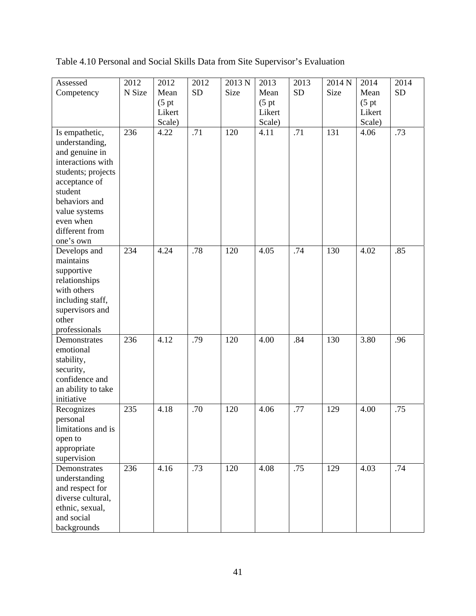| Assessed                            | 2012   | 2012               | 2012      | 2013 N | 2013               | 2013      | 2014 N | 2014             | 2014      |
|-------------------------------------|--------|--------------------|-----------|--------|--------------------|-----------|--------|------------------|-----------|
| Competency                          | N Size | Mean               | <b>SD</b> | Size   | Mean               | <b>SD</b> | Size   | Mean             | <b>SD</b> |
|                                     |        | (5 <sub>p</sub> t) |           |        | (5 <sub>p</sub> t) |           |        | $(5 \text{ pt})$ |           |
|                                     |        | Likert             |           |        | Likert             |           |        | Likert           |           |
|                                     |        | Scale)             |           |        | Scale)             |           |        | Scale)           |           |
| Is empathetic,                      | 236    | 4.22               | .71       | 120    | 4.11               | .71       | 131    | 4.06             | .73       |
| understanding,                      |        |                    |           |        |                    |           |        |                  |           |
| and genuine in                      |        |                    |           |        |                    |           |        |                  |           |
| interactions with                   |        |                    |           |        |                    |           |        |                  |           |
|                                     |        |                    |           |        |                    |           |        |                  |           |
| students; projects<br>acceptance of |        |                    |           |        |                    |           |        |                  |           |
| student                             |        |                    |           |        |                    |           |        |                  |           |
| behaviors and                       |        |                    |           |        |                    |           |        |                  |           |
|                                     |        |                    |           |        |                    |           |        |                  |           |
| value systems                       |        |                    |           |        |                    |           |        |                  |           |
| even when                           |        |                    |           |        |                    |           |        |                  |           |
| different from                      |        |                    |           |        |                    |           |        |                  |           |
| one's own                           |        |                    |           |        |                    |           |        |                  |           |
| Develops and                        | 234    | 4.24               | .78       | 120    | 4.05               | .74       | 130    | 4.02             | .85       |
| maintains                           |        |                    |           |        |                    |           |        |                  |           |
| supportive                          |        |                    |           |        |                    |           |        |                  |           |
| relationships                       |        |                    |           |        |                    |           |        |                  |           |
| with others                         |        |                    |           |        |                    |           |        |                  |           |
| including staff,                    |        |                    |           |        |                    |           |        |                  |           |
| supervisors and                     |        |                    |           |        |                    |           |        |                  |           |
| other                               |        |                    |           |        |                    |           |        |                  |           |
| professionals                       |        |                    |           |        |                    |           |        |                  |           |
| Demonstrates                        | 236    | 4.12               | .79       | 120    | 4.00               | .84       | 130    | 3.80             | .96       |
| emotional                           |        |                    |           |        |                    |           |        |                  |           |
| stability,                          |        |                    |           |        |                    |           |        |                  |           |
| security,                           |        |                    |           |        |                    |           |        |                  |           |
| confidence and                      |        |                    |           |        |                    |           |        |                  |           |
| an ability to take                  |        |                    |           |        |                    |           |        |                  |           |
| initiative                          |        |                    |           |        |                    |           |        |                  |           |
| Recognizes                          | 235    | 4.18               | .70       | 120    | 4.06               | .77       | 129    | 4.00             | .75       |
| personal                            |        |                    |           |        |                    |           |        |                  |           |
| limitations and is                  |        |                    |           |        |                    |           |        |                  |           |
| open to                             |        |                    |           |        |                    |           |        |                  |           |
| appropriate                         |        |                    |           |        |                    |           |        |                  |           |
| supervision                         |        |                    |           |        |                    |           |        |                  |           |
| Demonstrates                        | 236    | 4.16               | .73       | 120    | 4.08               | .75       | 129    | 4.03             | .74       |
| understanding                       |        |                    |           |        |                    |           |        |                  |           |
| and respect for                     |        |                    |           |        |                    |           |        |                  |           |
| diverse cultural,                   |        |                    |           |        |                    |           |        |                  |           |
| ethnic, sexual,                     |        |                    |           |        |                    |           |        |                  |           |
| and social                          |        |                    |           |        |                    |           |        |                  |           |
| backgrounds                         |        |                    |           |        |                    |           |        |                  |           |

Table 4.10 Personal and Social Skills Data from Site Supervisor's Evaluation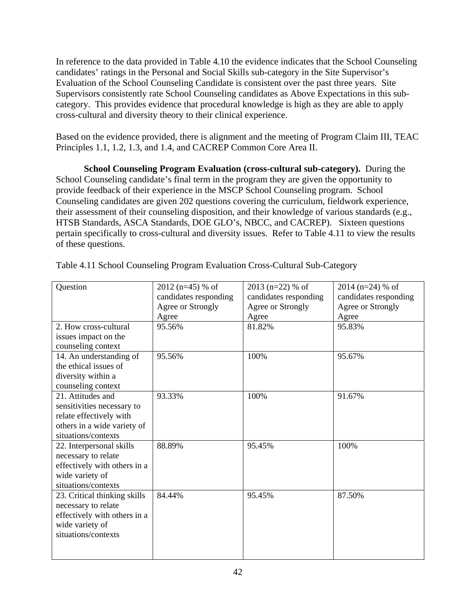In reference to the data provided in Table 4.10 the evidence indicates that the School Counseling candidates' ratings in the Personal and Social Skills sub-category in the Site Supervisor's Evaluation of the School Counseling Candidate is consistent over the past three years. Site Supervisors consistently rate School Counseling candidates as Above Expectations in this subcategory. This provides evidence that procedural knowledge is high as they are able to apply cross-cultural and diversity theory to their clinical experience.

Based on the evidence provided, there is alignment and the meeting of Program Claim III, TEAC Principles 1.1, 1.2, 1.3, and 1.4, and CACREP Common Core Area II.

**School Counseling Program Evaluation (cross-cultural sub-category).** During the School Counseling candidate's final term in the program they are given the opportunity to provide feedback of their experience in the MSCP School Counseling program. School Counseling candidates are given 202 questions covering the curriculum, fieldwork experience, their assessment of their counseling disposition, and their knowledge of various standards (e.g., HTSB Standards, ASCA Standards, DOE GLO's, NBCC, and CACREP). Sixteen questions pertain specifically to cross-cultural and diversity issues. Refer to Table 4.11 to view the results of these questions.

| Question                     | $2012$ (n=45) % of    | $2013$ (n=22) % of    | $2014$ (n=24) % of    |  |
|------------------------------|-----------------------|-----------------------|-----------------------|--|
|                              | candidates responding | candidates responding | candidates responding |  |
|                              | Agree or Strongly     | Agree or Strongly     | Agree or Strongly     |  |
|                              | Agree                 | Agree                 | Agree                 |  |
| 2. How cross-cultural        | 95.56%                | 81.82%                | 95.83%                |  |
| issues impact on the         |                       |                       |                       |  |
| counseling context           |                       |                       |                       |  |
| 14. An understanding of      | 95.56%                | 100%                  | 95.67%                |  |
| the ethical issues of        |                       |                       |                       |  |
| diversity within a           |                       |                       |                       |  |
| counseling context           |                       |                       |                       |  |
| 21. Attitudes and            | 93.33%                | 100%                  | 91.67%                |  |
| sensitivities necessary to   |                       |                       |                       |  |
| relate effectively with      |                       |                       |                       |  |
| others in a wide variety of  |                       |                       |                       |  |
| situations/contexts          |                       |                       |                       |  |
| 22. Interpersonal skills     | 88.89%                | 95.45%                | 100%                  |  |
| necessary to relate          |                       |                       |                       |  |
| effectively with others in a |                       |                       |                       |  |
| wide variety of              |                       |                       |                       |  |
| situations/contexts          |                       |                       |                       |  |
| 23. Critical thinking skills | 84.44%                | 95.45%                | 87.50%                |  |
| necessary to relate          |                       |                       |                       |  |
| effectively with others in a |                       |                       |                       |  |
| wide variety of              |                       |                       |                       |  |
| situations/contexts          |                       |                       |                       |  |
|                              |                       |                       |                       |  |
|                              |                       |                       |                       |  |

Table 4.11 School Counseling Program Evaluation Cross-Cultural Sub-Category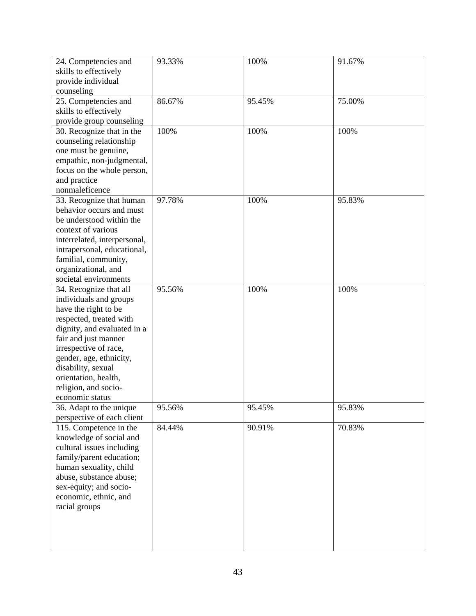| 24. Competencies and         | 93.33% | 100%   | 91.67% |
|------------------------------|--------|--------|--------|
| skills to effectively        |        |        |        |
| provide individual           |        |        |        |
| counseling                   |        |        |        |
| 25. Competencies and         | 86.67% | 95.45% | 75.00% |
| skills to effectively        |        |        |        |
| provide group counseling     |        |        |        |
| 30. Recognize that in the    | 100%   | 100%   | 100%   |
| counseling relationship      |        |        |        |
| one must be genuine,         |        |        |        |
| empathic, non-judgmental,    |        |        |        |
| focus on the whole person,   |        |        |        |
| and practice                 |        |        |        |
| nonmaleficence               |        |        |        |
| 33. Recognize that human     | 97.78% | 100%   | 95.83% |
| behavior occurs and must     |        |        |        |
| be understood within the     |        |        |        |
| context of various           |        |        |        |
| interrelated, interpersonal, |        |        |        |
| intrapersonal, educational,  |        |        |        |
| familial, community,         |        |        |        |
| organizational, and          |        |        |        |
| societal environments        |        |        |        |
| 34. Recognize that all       | 95.56% | 100%   | 100%   |
| individuals and groups       |        |        |        |
| have the right to be         |        |        |        |
| respected, treated with      |        |        |        |
| dignity, and evaluated in a  |        |        |        |
| fair and just manner         |        |        |        |
| irrespective of race,        |        |        |        |
| gender, age, ethnicity,      |        |        |        |
| disability, sexual           |        |        |        |
| orientation, health,         |        |        |        |
| religion, and socio-         |        |        |        |
| economic status              |        |        |        |
| 36. Adapt to the unique      | 95.56% | 95.45% | 95.83% |
| perspective of each client   |        |        |        |
| 115. Competence in the       | 84.44% | 90.91% | 70.83% |
| knowledge of social and      |        |        |        |
| cultural issues including    |        |        |        |
| family/parent education;     |        |        |        |
| human sexuality, child       |        |        |        |
| abuse, substance abuse;      |        |        |        |
| sex-equity; and socio-       |        |        |        |
| economic, ethnic, and        |        |        |        |
| racial groups                |        |        |        |
|                              |        |        |        |
|                              |        |        |        |
|                              |        |        |        |
|                              |        |        |        |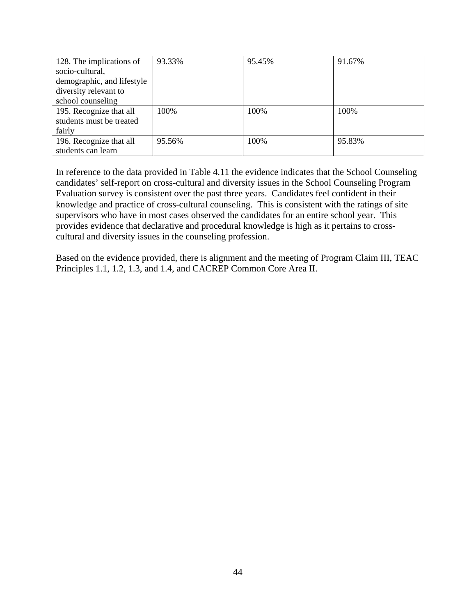| 128. The implications of   | 93.33% | 95.45% | 91.67% |
|----------------------------|--------|--------|--------|
| socio-cultural,            |        |        |        |
| demographic, and lifestyle |        |        |        |
| diversity relevant to      |        |        |        |
| school counseling          |        |        |        |
| 195. Recognize that all    | 100%   | 100%   | 100%   |
| students must be treated   |        |        |        |
| fairly                     |        |        |        |
| 196. Recognize that all    | 95.56% | 100%   | 95.83% |
| students can learn         |        |        |        |

In reference to the data provided in Table 4.11 the evidence indicates that the School Counseling candidates' self-report on cross-cultural and diversity issues in the School Counseling Program Evaluation survey is consistent over the past three years. Candidates feel confident in their knowledge and practice of cross-cultural counseling. This is consistent with the ratings of site supervisors who have in most cases observed the candidates for an entire school year. This provides evidence that declarative and procedural knowledge is high as it pertains to crosscultural and diversity issues in the counseling profession.

Based on the evidence provided, there is alignment and the meeting of Program Claim III, TEAC Principles 1.1, 1.2, 1.3, and 1.4, and CACREP Common Core Area II.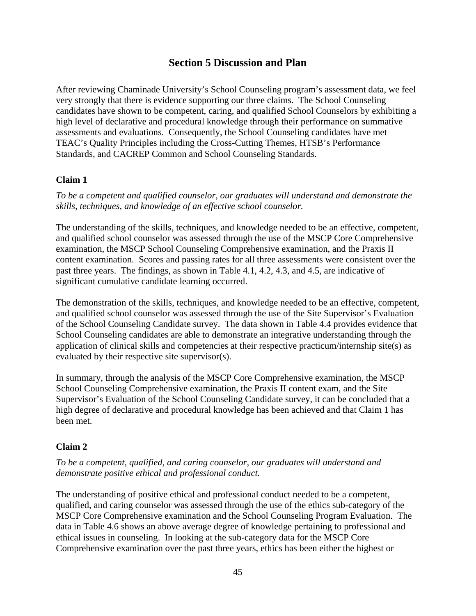# **Section 5 Discussion and Plan**

After reviewing Chaminade University's School Counseling program's assessment data, we feel very strongly that there is evidence supporting our three claims. The School Counseling candidates have shown to be competent, caring, and qualified School Counselors by exhibiting a high level of declarative and procedural knowledge through their performance on summative assessments and evaluations. Consequently, the School Counseling candidates have met TEAC's Quality Principles including the Cross-Cutting Themes, HTSB's Performance Standards, and CACREP Common and School Counseling Standards.

### **Claim 1**

*To be a competent and qualified counselor, our graduates will understand and demonstrate the skills, techniques, and knowledge of an effective school counselor.* 

The understanding of the skills, techniques, and knowledge needed to be an effective, competent, and qualified school counselor was assessed through the use of the MSCP Core Comprehensive examination, the MSCP School Counseling Comprehensive examination, and the Praxis II content examination. Scores and passing rates for all three assessments were consistent over the past three years. The findings, as shown in Table 4.1, 4.2, 4.3, and 4.5, are indicative of significant cumulative candidate learning occurred.

The demonstration of the skills, techniques, and knowledge needed to be an effective, competent, and qualified school counselor was assessed through the use of the Site Supervisor's Evaluation of the School Counseling Candidate survey. The data shown in Table 4.4 provides evidence that School Counseling candidates are able to demonstrate an integrative understanding through the application of clinical skills and competencies at their respective practicum/internship site(s) as evaluated by their respective site supervisor(s).

In summary, through the analysis of the MSCP Core Comprehensive examination, the MSCP School Counseling Comprehensive examination, the Praxis II content exam, and the Site Supervisor's Evaluation of the School Counseling Candidate survey, it can be concluded that a high degree of declarative and procedural knowledge has been achieved and that Claim 1 has been met.

#### **Claim 2**

*To be a competent, qualified, and caring counselor, our graduates will understand and demonstrate positive ethical and professional conduct.* 

The understanding of positive ethical and professional conduct needed to be a competent, qualified, and caring counselor was assessed through the use of the ethics sub-category of the MSCP Core Comprehensive examination and the School Counseling Program Evaluation. The data in Table 4.6 shows an above average degree of knowledge pertaining to professional and ethical issues in counseling. In looking at the sub-category data for the MSCP Core Comprehensive examination over the past three years, ethics has been either the highest or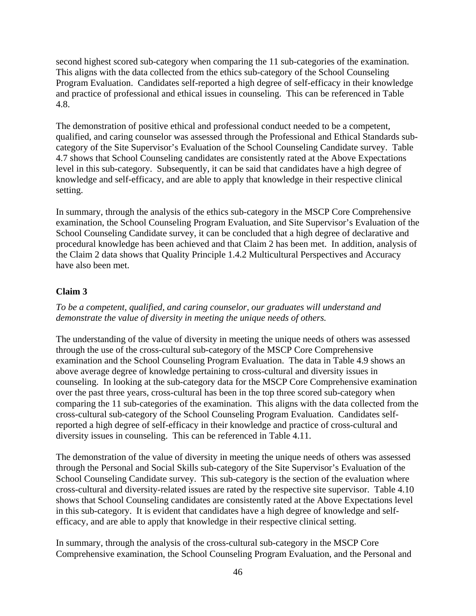second highest scored sub-category when comparing the 11 sub-categories of the examination. This aligns with the data collected from the ethics sub-category of the School Counseling Program Evaluation. Candidates self-reported a high degree of self-efficacy in their knowledge and practice of professional and ethical issues in counseling. This can be referenced in Table 4.8.

The demonstration of positive ethical and professional conduct needed to be a competent, qualified, and caring counselor was assessed through the Professional and Ethical Standards subcategory of the Site Supervisor's Evaluation of the School Counseling Candidate survey. Table 4.7 shows that School Counseling candidates are consistently rated at the Above Expectations level in this sub-category. Subsequently, it can be said that candidates have a high degree of knowledge and self-efficacy, and are able to apply that knowledge in their respective clinical setting.

In summary, through the analysis of the ethics sub-category in the MSCP Core Comprehensive examination, the School Counseling Program Evaluation, and Site Supervisor's Evaluation of the School Counseling Candidate survey, it can be concluded that a high degree of declarative and procedural knowledge has been achieved and that Claim 2 has been met. In addition, analysis of the Claim 2 data shows that Quality Principle 1.4.2 Multicultural Perspectives and Accuracy have also been met.

### **Claim 3**

*To be a competent, qualified, and caring counselor, our graduates will understand and demonstrate the value of diversity in meeting the unique needs of others.*

The understanding of the value of diversity in meeting the unique needs of others was assessed through the use of the cross-cultural sub-category of the MSCP Core Comprehensive examination and the School Counseling Program Evaluation. The data in Table 4.9 shows an above average degree of knowledge pertaining to cross-cultural and diversity issues in counseling. In looking at the sub-category data for the MSCP Core Comprehensive examination over the past three years, cross-cultural has been in the top three scored sub-category when comparing the 11 sub-categories of the examination. This aligns with the data collected from the cross-cultural sub-category of the School Counseling Program Evaluation. Candidates selfreported a high degree of self-efficacy in their knowledge and practice of cross-cultural and diversity issues in counseling. This can be referenced in Table 4.11.

The demonstration of the value of diversity in meeting the unique needs of others was assessed through the Personal and Social Skills sub-category of the Site Supervisor's Evaluation of the School Counseling Candidate survey. This sub-category is the section of the evaluation where cross-cultural and diversity-related issues are rated by the respective site supervisor. Table 4.10 shows that School Counseling candidates are consistently rated at the Above Expectations level in this sub-category. It is evident that candidates have a high degree of knowledge and selfefficacy, and are able to apply that knowledge in their respective clinical setting.

In summary, through the analysis of the cross-cultural sub-category in the MSCP Core Comprehensive examination, the School Counseling Program Evaluation, and the Personal and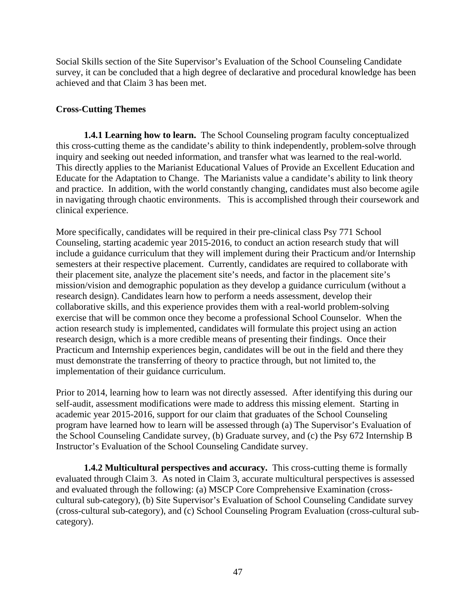Social Skills section of the Site Supervisor's Evaluation of the School Counseling Candidate survey, it can be concluded that a high degree of declarative and procedural knowledge has been achieved and that Claim 3 has been met.

# **Cross-Cutting Themes**

**1.4.1 Learning how to learn.** The School Counseling program faculty conceptualized this cross-cutting theme as the candidate's ability to think independently, problem-solve through inquiry and seeking out needed information, and transfer what was learned to the real-world. This directly applies to the Marianist Educational Values of Provide an Excellent Education and Educate for the Adaptation to Change. The Marianists value a candidate's ability to link theory and practice. In addition, with the world constantly changing, candidates must also become agile in navigating through chaotic environments. This is accomplished through their coursework and clinical experience.

More specifically, candidates will be required in their pre-clinical class Psy 771 School Counseling, starting academic year 2015-2016, to conduct an action research study that will include a guidance curriculum that they will implement during their Practicum and/or Internship semesters at their respective placement. Currently, candidates are required to collaborate with their placement site, analyze the placement site's needs, and factor in the placement site's mission/vision and demographic population as they develop a guidance curriculum (without a research design). Candidates learn how to perform a needs assessment, develop their collaborative skills, and this experience provides them with a real-world problem-solving exercise that will be common once they become a professional School Counselor. When the action research study is implemented, candidates will formulate this project using an action research design, which is a more credible means of presenting their findings. Once their Practicum and Internship experiences begin, candidates will be out in the field and there they must demonstrate the transferring of theory to practice through, but not limited to, the implementation of their guidance curriculum.

Prior to 2014, learning how to learn was not directly assessed. After identifying this during our self-audit, assessment modifications were made to address this missing element. Starting in academic year 2015-2016, support for our claim that graduates of the School Counseling program have learned how to learn will be assessed through (a) The Supervisor's Evaluation of the School Counseling Candidate survey, (b) Graduate survey, and (c) the Psy 672 Internship B Instructor's Evaluation of the School Counseling Candidate survey.

**1.4.2 Multicultural perspectives and accuracy.** This cross-cutting theme is formally evaluated through Claim 3. As noted in Claim 3, accurate multicultural perspectives is assessed and evaluated through the following: (a) MSCP Core Comprehensive Examination (crosscultural sub-category), (b) Site Supervisor's Evaluation of School Counseling Candidate survey (cross-cultural sub-category), and (c) School Counseling Program Evaluation (cross-cultural subcategory).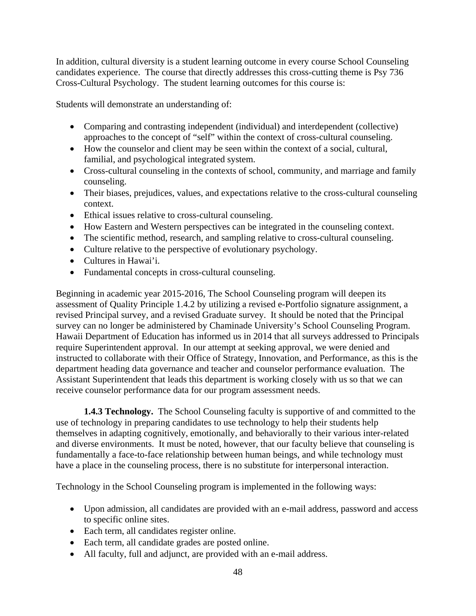In addition, cultural diversity is a student learning outcome in every course School Counseling candidates experience. The course that directly addresses this cross-cutting theme is Psy 736 Cross-Cultural Psychology. The student learning outcomes for this course is:

Students will demonstrate an understanding of:

- Comparing and contrasting independent (individual) and interdependent (collective) approaches to the concept of "self" within the context of cross-cultural counseling.
- How the counselor and client may be seen within the context of a social, cultural, familial, and psychological integrated system.
- Cross-cultural counseling in the contexts of school, community, and marriage and family counseling.
- Their biases, prejudices, values, and expectations relative to the cross-cultural counseling context.
- Ethical issues relative to cross-cultural counseling.
- How Eastern and Western perspectives can be integrated in the counseling context.
- The scientific method, research, and sampling relative to cross-cultural counseling.
- Culture relative to the perspective of evolutionary psychology.
- Cultures in Hawai'i.
- Fundamental concepts in cross-cultural counseling.

Beginning in academic year 2015-2016, The School Counseling program will deepen its assessment of Quality Principle 1.4.2 by utilizing a revised e-Portfolio signature assignment, a revised Principal survey, and a revised Graduate survey. It should be noted that the Principal survey can no longer be administered by Chaminade University's School Counseling Program. Hawaii Department of Education has informed us in 2014 that all surveys addressed to Principals require Superintendent approval. In our attempt at seeking approval, we were denied and instructed to collaborate with their Office of Strategy, Innovation, and Performance, as this is the department heading data governance and teacher and counselor performance evaluation. The Assistant Superintendent that leads this department is working closely with us so that we can receive counselor performance data for our program assessment needs.

**1.4.3 Technology.** The School Counseling faculty is supportive of and committed to the use of technology in preparing candidates to use technology to help their students help themselves in adapting cognitively, emotionally, and behaviorally to their various inter-related and diverse environments. It must be noted, however, that our faculty believe that counseling is fundamentally a face-to-face relationship between human beings, and while technology must have a place in the counseling process, there is no substitute for interpersonal interaction.

Technology in the School Counseling program is implemented in the following ways:

- Upon admission, all candidates are provided with an e-mail address, password and access to specific online sites.
- Each term, all candidates register online.
- Each term, all candidate grades are posted online.
- All faculty, full and adjunct, are provided with an e-mail address.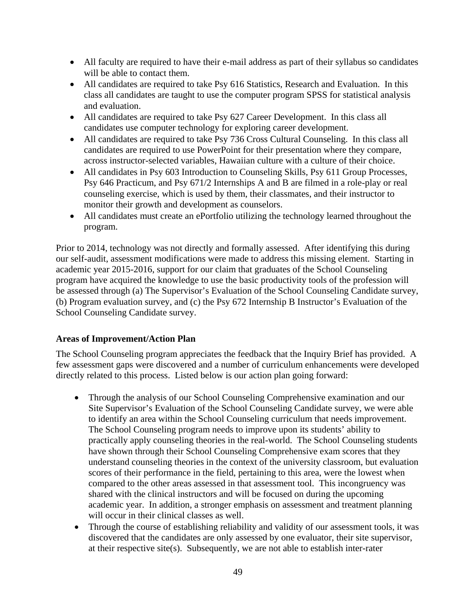- All faculty are required to have their e-mail address as part of their syllabus so candidates will be able to contact them.
- All candidates are required to take Psy 616 Statistics, Research and Evaluation. In this class all candidates are taught to use the computer program SPSS for statistical analysis and evaluation.
- All candidates are required to take Psy 627 Career Development. In this class all candidates use computer technology for exploring career development.
- All candidates are required to take Psy 736 Cross Cultural Counseling. In this class all candidates are required to use PowerPoint for their presentation where they compare, across instructor-selected variables, Hawaiian culture with a culture of their choice.
- All candidates in Psy 603 Introduction to Counseling Skills, Psy 611 Group Processes, Psy 646 Practicum, and Psy 671/2 Internships A and B are filmed in a role-play or real counseling exercise, which is used by them, their classmates, and their instructor to monitor their growth and development as counselors.
- All candidates must create an ePortfolio utilizing the technology learned throughout the program.

Prior to 2014, technology was not directly and formally assessed. After identifying this during our self-audit, assessment modifications were made to address this missing element. Starting in academic year 2015-2016, support for our claim that graduates of the School Counseling program have acquired the knowledge to use the basic productivity tools of the profession will be assessed through (a) The Supervisor's Evaluation of the School Counseling Candidate survey, (b) Program evaluation survey, and (c) the Psy 672 Internship B Instructor's Evaluation of the School Counseling Candidate survey.

#### **Areas of Improvement/Action Plan**

The School Counseling program appreciates the feedback that the Inquiry Brief has provided. A few assessment gaps were discovered and a number of curriculum enhancements were developed directly related to this process. Listed below is our action plan going forward:

- Through the analysis of our School Counseling Comprehensive examination and our Site Supervisor's Evaluation of the School Counseling Candidate survey, we were able to identify an area within the School Counseling curriculum that needs improvement. The School Counseling program needs to improve upon its students' ability to practically apply counseling theories in the real-world. The School Counseling students have shown through their School Counseling Comprehensive exam scores that they understand counseling theories in the context of the university classroom, but evaluation scores of their performance in the field, pertaining to this area, were the lowest when compared to the other areas assessed in that assessment tool. This incongruency was shared with the clinical instructors and will be focused on during the upcoming academic year. In addition, a stronger emphasis on assessment and treatment planning will occur in their clinical classes as well.
- Through the course of establishing reliability and validity of our assessment tools, it was discovered that the candidates are only assessed by one evaluator, their site supervisor, at their respective site(s). Subsequently, we are not able to establish inter-rater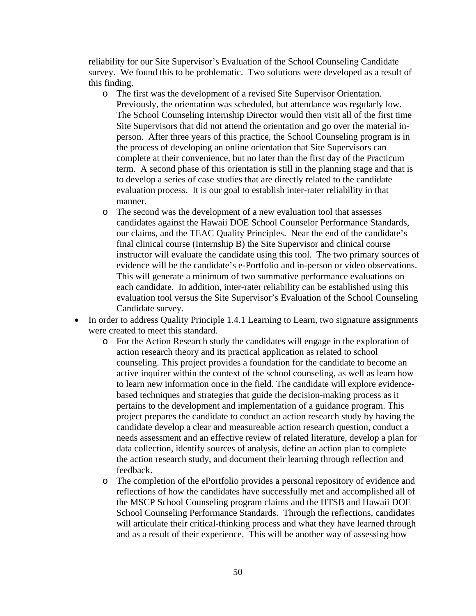reliability for our Site Supervisor's Evaluation of the School Counseling Candidate survey. We found this to be problematic. Two solutions were developed as a result of this finding.

- o The first was the development of a revised Site Supervisor Orientation. Previously, the orientation was scheduled, but attendance was regularly low. The School Counseling Internship Director would then visit all of the first time Site Supervisors that did not attend the orientation and go over the material inperson. After three years of this practice, the School Counseling program is in the process of developing an online orientation that Site Supervisors can complete at their convenience, but no later than the first day of the Practicum term. A second phase of this orientation is still in the planning stage and that is to develop a series of case studies that are directly related to the candidate evaluation process. It is our goal to establish inter-rater reliability in that manner.
- o The second was the development of a new evaluation tool that assesses candidates against the Hawaii DOE School Counselor Performance Standards, our claims, and the TEAC Quality Principles. Near the end of the candidate's final clinical course (Internship B) the Site Supervisor and clinical course instructor will evaluate the candidate using this tool. The two primary sources of evidence will be the candidate's e-Portfolio and in-person or video observations. This will generate a minimum of two summative performance evaluations on each candidate. In addition, inter-rater reliability can be established using this evaluation tool versus the Site Supervisor's Evaluation of the School Counseling Candidate survey.
- In order to address Quality Principle 1.4.1 Learning to Learn, two signature assignments were created to meet this standard.
	- o For the Action Research study the candidates will engage in the exploration of action research theory and its practical application as related to school counseling. This project provides a foundation for the candidate to become an active inquirer within the context of the school counseling, as well as learn how to learn new information once in the field. The candidate will explore evidencebased techniques and strategies that guide the decision-making process as it pertains to the development and implementation of a guidance program. This project prepares the candidate to conduct an action research study by having the candidate develop a clear and measureable action research question, conduct a needs assessment and an effective review of related literature, develop a plan for data collection, identify sources of analysis, define an action plan to complete the action research study, and document their learning through reflection and feedback.
	- o The completion of the ePortfolio provides a personal repository of evidence and reflections of how the candidates have successfully met and accomplished all of the MSCP School Counseling program claims and the HTSB and Hawaii DOE School Counseling Performance Standards. Through the reflections, candidates will articulate their critical-thinking process and what they have learned through and as a result of their experience. This will be another way of assessing how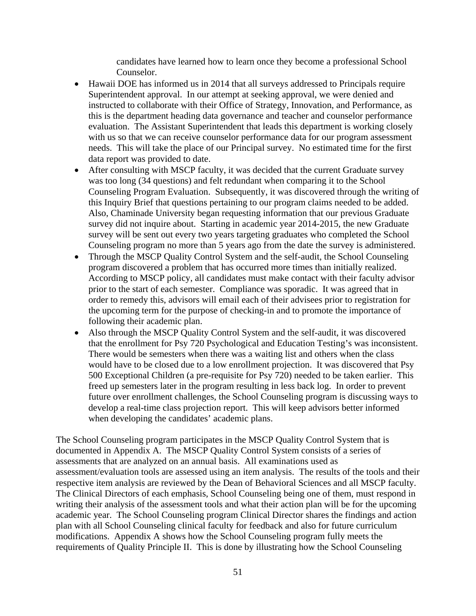candidates have learned how to learn once they become a professional School Counselor.

- Hawaii DOE has informed us in 2014 that all surveys addressed to Principals require Superintendent approval. In our attempt at seeking approval, we were denied and instructed to collaborate with their Office of Strategy, Innovation, and Performance, as this is the department heading data governance and teacher and counselor performance evaluation. The Assistant Superintendent that leads this department is working closely with us so that we can receive counselor performance data for our program assessment needs. This will take the place of our Principal survey. No estimated time for the first data report was provided to date.
- After consulting with MSCP faculty, it was decided that the current Graduate survey was too long (34 questions) and felt redundant when comparing it to the School Counseling Program Evaluation. Subsequently, it was discovered through the writing of this Inquiry Brief that questions pertaining to our program claims needed to be added. Also, Chaminade University began requesting information that our previous Graduate survey did not inquire about. Starting in academic year 2014-2015, the new Graduate survey will be sent out every two years targeting graduates who completed the School Counseling program no more than 5 years ago from the date the survey is administered.
- Through the MSCP Quality Control System and the self-audit, the School Counseling program discovered a problem that has occurred more times than initially realized. According to MSCP policy, all candidates must make contact with their faculty advisor prior to the start of each semester. Compliance was sporadic. It was agreed that in order to remedy this, advisors will email each of their advisees prior to registration for the upcoming term for the purpose of checking-in and to promote the importance of following their academic plan.
- Also through the MSCP Quality Control System and the self-audit, it was discovered that the enrollment for Psy 720 Psychological and Education Testing's was inconsistent. There would be semesters when there was a waiting list and others when the class would have to be closed due to a low enrollment projection. It was discovered that Psy 500 Exceptional Children (a pre-requisite for Psy 720) needed to be taken earlier. This freed up semesters later in the program resulting in less back log. In order to prevent future over enrollment challenges, the School Counseling program is discussing ways to develop a real-time class projection report. This will keep advisors better informed when developing the candidates' academic plans.

The School Counseling program participates in the MSCP Quality Control System that is documented in Appendix A. The MSCP Quality Control System consists of a series of assessments that are analyzed on an annual basis. All examinations used as assessment/evaluation tools are assessed using an item analysis. The results of the tools and their respective item analysis are reviewed by the Dean of Behavioral Sciences and all MSCP faculty. The Clinical Directors of each emphasis, School Counseling being one of them, must respond in writing their analysis of the assessment tools and what their action plan will be for the upcoming academic year. The School Counseling program Clinical Director shares the findings and action plan with all School Counseling clinical faculty for feedback and also for future curriculum modifications. Appendix A shows how the School Counseling program fully meets the requirements of Quality Principle II. This is done by illustrating how the School Counseling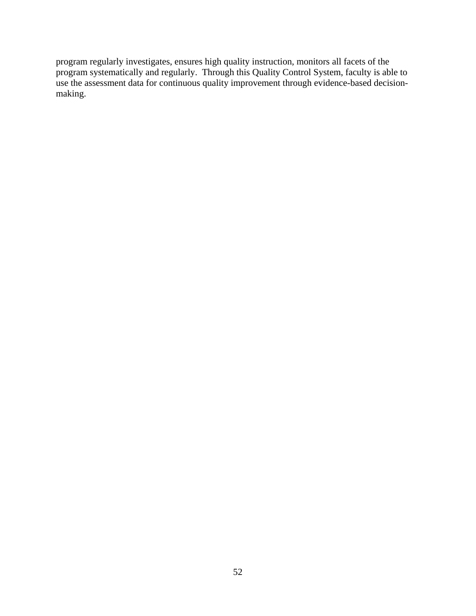program regularly investigates, ensures high quality instruction, monitors all facets of the program systematically and regularly. Through this Quality Control System, faculty is able to use the assessment data for continuous quality improvement through evidence-based decisionmaking.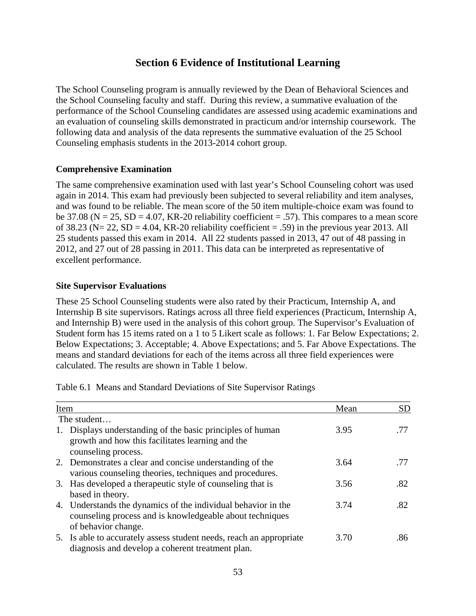# **Section 6 Evidence of Institutional Learning**

The School Counseling program is annually reviewed by the Dean of Behavioral Sciences and the School Counseling faculty and staff. During this review, a summative evaluation of the performance of the School Counseling candidates are assessed using academic examinations and an evaluation of counseling skills demonstrated in practicum and/or internship coursework. The following data and analysis of the data represents the summative evaluation of the 25 School Counseling emphasis students in the 2013-2014 cohort group.

### **Comprehensive Examination**

The same comprehensive examination used with last year's School Counseling cohort was used again in 2014. This exam had previously been subjected to several reliability and item analyses, and was found to be reliable. The mean score of the 50 item multiple-choice exam was found to be 37.08 ( $N = 25$ ,  $SD = 4.07$ ,  $KR-20$  reliability coefficient = .57). This compares to a mean score of 38.23 ( $N = 22$ ,  $SD = 4.04$ ,  $KR = 20$  reliability coefficient = .59) in the previous year 2013. All 25 students passed this exam in 2014. All 22 students passed in 2013, 47 out of 48 passing in 2012, and 27 out of 28 passing in 2011. This data can be interpreted as representative of excellent performance.

### **Site Supervisor Evaluations**

These 25 School Counseling students were also rated by their Practicum, Internship A, and Internship B site supervisors. Ratings across all three field experiences (Practicum, Internship A, and Internship B) were used in the analysis of this cohort group. The Supervisor's Evaluation of Student form has 15 items rated on a 1 to 5 Likert scale as follows: 1. Far Below Expectations; 2. Below Expectations; 3. Acceptable; 4. Above Expectations; and 5. Far Above Expectations. The means and standard deviations for each of the items across all three field experiences were calculated. The results are shown in Table 1 below.

| Item                                                                                                                                             | Mean | <b>SD</b> |
|--------------------------------------------------------------------------------------------------------------------------------------------------|------|-----------|
| The student                                                                                                                                      |      |           |
| Displays understanding of the basic principles of human<br>1.<br>growth and how this facilitates learning and the<br>counseling process.         | 3.95 | .77       |
| 2. Demonstrates a clear and concise understanding of the<br>various counseling theories, techniques and procedures.                              | 3.64 | .77       |
| 3. Has developed a therapeutic style of counseling that is<br>based in theory.                                                                   | 3.56 | .82       |
| 4. Understands the dynamics of the individual behavior in the<br>counseling process and is knowledgeable about techniques<br>of behavior change. | 3.74 | .82       |
| 5. Is able to accurately assess student needs, reach an appropriate<br>diagnosis and develop a coherent treatment plan.                          | 3.70 | .86       |

Table 6.1 Means and Standard Deviations of Site Supervisor Ratings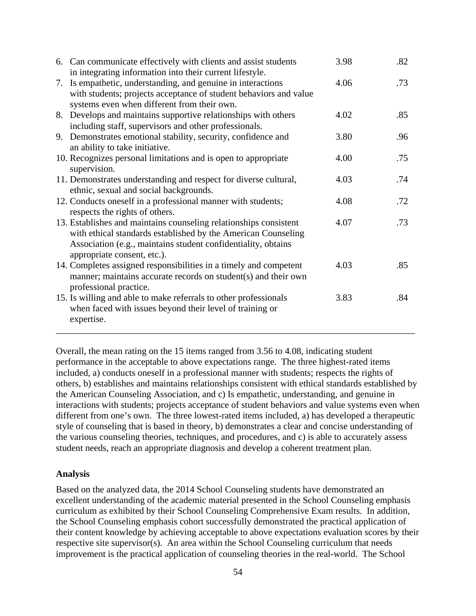|    | 6. Can communicate effectively with clients and assist students<br>in integrating information into their current lifestyle.                                                                                                        | 3.98 | .82 |
|----|------------------------------------------------------------------------------------------------------------------------------------------------------------------------------------------------------------------------------------|------|-----|
| 7. | Is empathetic, understanding, and genuine in interactions<br>with students; projects acceptance of student behaviors and value<br>systems even when different from their own.                                                      | 4.06 | .73 |
|    | 8. Develops and maintains supportive relationships with others<br>including staff, supervisors and other professionals.                                                                                                            | 4.02 | .85 |
|    | 9. Demonstrates emotional stability, security, confidence and<br>an ability to take initiative.                                                                                                                                    | 3.80 | .96 |
|    | 10. Recognizes personal limitations and is open to appropriate<br>supervision.                                                                                                                                                     | 4.00 | .75 |
|    | 11. Demonstrates understanding and respect for diverse cultural,<br>ethnic, sexual and social backgrounds.                                                                                                                         | 4.03 | .74 |
|    | 12. Conducts oneself in a professional manner with students;<br>respects the rights of others.                                                                                                                                     | 4.08 | .72 |
|    | 13. Establishes and maintains counseling relationships consistent<br>with ethical standards established by the American Counseling<br>Association (e.g., maintains student confidentiality, obtains<br>appropriate consent, etc.). | 4.07 | .73 |
|    | 14. Completes assigned responsibilities in a timely and competent<br>manner; maintains accurate records on student(s) and their own<br>professional practice.                                                                      | 4.03 | .85 |
|    | 15. Is willing and able to make referrals to other professionals<br>when faced with issues beyond their level of training or<br>expertise.                                                                                         | 3.83 | .84 |

Overall, the mean rating on the 15 items ranged from 3.56 to 4.08, indicating student performance in the acceptable to above expectations range. The three highest-rated items included, a) conducts oneself in a professional manner with students; respects the rights of others, b) establishes and maintains relationships consistent with ethical standards established by the American Counseling Association, and c) Is empathetic, understanding, and genuine in interactions with students; projects acceptance of student behaviors and value systems even when different from one's own. The three lowest-rated items included, a) has developed a therapeutic style of counseling that is based in theory, b) demonstrates a clear and concise understanding of the various counseling theories, techniques, and procedures, and c) is able to accurately assess student needs, reach an appropriate diagnosis and develop a coherent treatment plan.

#### **Analysis**

Based on the analyzed data, the 2014 School Counseling students have demonstrated an excellent understanding of the academic material presented in the School Counseling emphasis curriculum as exhibited by their School Counseling Comprehensive Exam results. In addition, the School Counseling emphasis cohort successfully demonstrated the practical application of their content knowledge by achieving acceptable to above expectations evaluation scores by their respective site supervisor(s). An area within the School Counseling curriculum that needs improvement is the practical application of counseling theories in the real-world. The School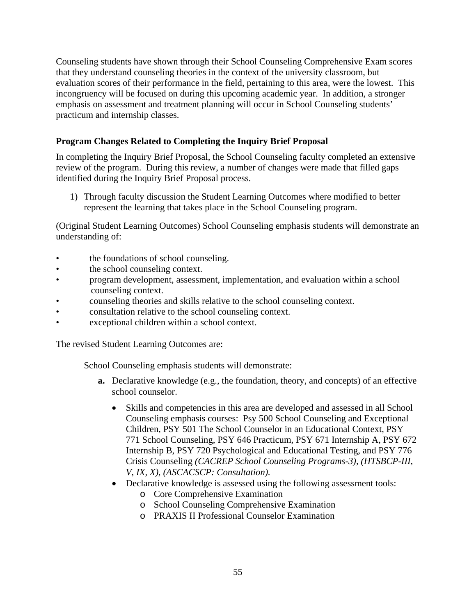Counseling students have shown through their School Counseling Comprehensive Exam scores that they understand counseling theories in the context of the university classroom, but evaluation scores of their performance in the field, pertaining to this area, were the lowest. This incongruency will be focused on during this upcoming academic year. In addition, a stronger emphasis on assessment and treatment planning will occur in School Counseling students' practicum and internship classes.

# **Program Changes Related to Completing the Inquiry Brief Proposal**

In completing the Inquiry Brief Proposal, the School Counseling faculty completed an extensive review of the program. During this review, a number of changes were made that filled gaps identified during the Inquiry Brief Proposal process.

1) Through faculty discussion the Student Learning Outcomes where modified to better represent the learning that takes place in the School Counseling program.

(Original Student Learning Outcomes) School Counseling emphasis students will demonstrate an understanding of:

- the foundations of school counseling.
- the school counseling context.
- program development, assessment, implementation, and evaluation within a school counseling context.
- counseling theories and skills relative to the school counseling context.
- consultation relative to the school counseling context.
- exceptional children within a school context.

The revised Student Learning Outcomes are:

School Counseling emphasis students will demonstrate:

- **a.** Declarative knowledge (e.g., the foundation, theory, and concepts) of an effective school counselor.
	- Skills and competencies in this area are developed and assessed in all School Counseling emphasis courses: Psy 500 School Counseling and Exceptional Children, PSY 501 The School Counselor in an Educational Context, PSY 771 School Counseling, PSY 646 Practicum, PSY 671 Internship A, PSY 672 Internship B, PSY 720 Psychological and Educational Testing, and PSY 776 Crisis Counseling *(CACREP School Counseling Programs-3), (HTSBCP-III, V, IX, X), (ASCACSCP: Consultation).*
	- Declarative knowledge is assessed using the following assessment tools:
		- o Core Comprehensive Examination
		- o School Counseling Comprehensive Examination
		- o PRAXIS II Professional Counselor Examination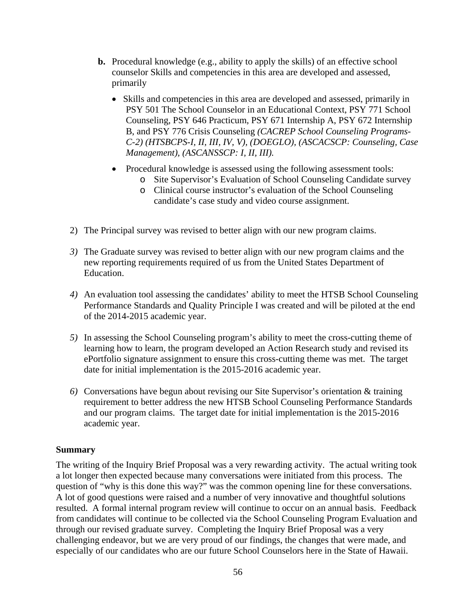- **b.** Procedural knowledge (e.g., ability to apply the skills) of an effective school counselor Skills and competencies in this area are developed and assessed, primarily
	- Skills and competencies in this area are developed and assessed, primarily in PSY 501 The School Counselor in an Educational Context, PSY 771 School Counseling, PSY 646 Practicum, PSY 671 Internship A, PSY 672 Internship B, and PSY 776 Crisis Counseling *(CACREP School Counseling Programs-C-2) (HTSBCPS-I, II, III, IV, V), (DOEGLO), (ASCACSCP: Counseling, Case Management), (ASCANSSCP: I, II, III).*
	- Procedural knowledge is assessed using the following assessment tools:
		- o Site Supervisor's Evaluation of School Counseling Candidate survey
		- o Clinical course instructor's evaluation of the School Counseling candidate's case study and video course assignment.
- 2) The Principal survey was revised to better align with our new program claims.
- *3)* The Graduate survey was revised to better align with our new program claims and the new reporting requirements required of us from the United States Department of Education.
- *4)* An evaluation tool assessing the candidates' ability to meet the HTSB School Counseling Performance Standards and Quality Principle I was created and will be piloted at the end of the 2014-2015 academic year.
- *5)* In assessing the School Counseling program's ability to meet the cross-cutting theme of learning how to learn, the program developed an Action Research study and revised its ePortfolio signature assignment to ensure this cross-cutting theme was met. The target date for initial implementation is the 2015-2016 academic year.
- *6)* Conversations have begun about revising our Site Supervisor's orientation & training requirement to better address the new HTSB School Counseling Performance Standards and our program claims. The target date for initial implementation is the 2015-2016 academic year.

#### **Summary**

The writing of the Inquiry Brief Proposal was a very rewarding activity. The actual writing took a lot longer then expected because many conversations were initiated from this process. The question of "why is this done this way?" was the common opening line for these conversations. A lot of good questions were raised and a number of very innovative and thoughtful solutions resulted. A formal internal program review will continue to occur on an annual basis. Feedback from candidates will continue to be collected via the School Counseling Program Evaluation and through our revised graduate survey. Completing the Inquiry Brief Proposal was a very challenging endeavor, but we are very proud of our findings, the changes that were made, and especially of our candidates who are our future School Counselors here in the State of Hawaii.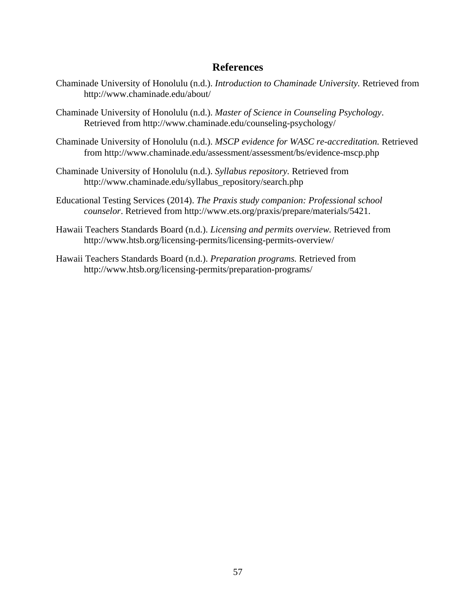# **References**

- Chaminade University of Honolulu (n.d.). *Introduction to Chaminade University.* Retrieved from http://www.chaminade.edu/about/
- Chaminade University of Honolulu (n.d.). *Master of Science in Counseling Psychology*. Retrieved from http://www.chaminade.edu/counseling-psychology/
- Chaminade University of Honolulu (n.d.). *MSCP evidence for WASC re-accreditation.* Retrieved from http://www.chaminade.edu/assessment/assessment/bs/evidence-mscp.php
- Chaminade University of Honolulu (n.d.). *Syllabus repository.* Retrieved from http://www.chaminade.edu/syllabus\_repository/search.php
- Educational Testing Services (2014). *The Praxis study companion: Professional school counselor*. Retrieved from http://www.ets.org/praxis/prepare/materials/5421.
- Hawaii Teachers Standards Board (n.d.). *Licensing and permits overview.* Retrieved from http://www.htsb.org/licensing-permits/licensing-permits-overview/
- Hawaii Teachers Standards Board (n.d.). *Preparation programs.* Retrieved from http://www.htsb.org/licensing-permits/preparation-programs/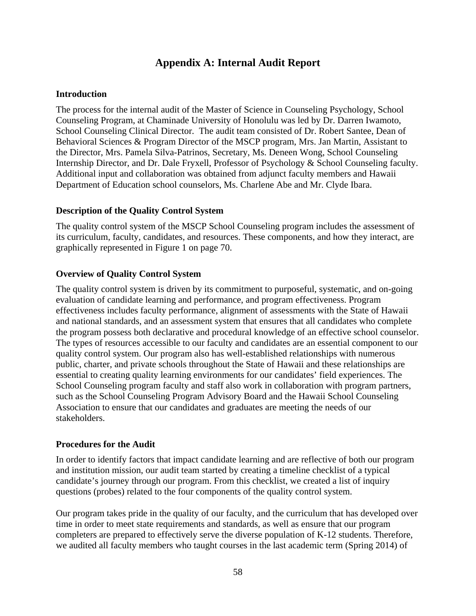# **Appendix A: Internal Audit Report**

#### **Introduction**

The process for the internal audit of the Master of Science in Counseling Psychology, School Counseling Program, at Chaminade University of Honolulu was led by Dr. Darren Iwamoto, School Counseling Clinical Director. The audit team consisted of Dr. Robert Santee, Dean of Behavioral Sciences & Program Director of the MSCP program, Mrs. Jan Martin, Assistant to the Director, Mrs. Pamela Silva-Patrinos, Secretary, Ms. Deneen Wong, School Counseling Internship Director, and Dr. Dale Fryxell, Professor of Psychology & School Counseling faculty. Additional input and collaboration was obtained from adjunct faculty members and Hawaii Department of Education school counselors, Ms. Charlene Abe and Mr. Clyde Ibara.

#### **Description of the Quality Control System**

The quality control system of the MSCP School Counseling program includes the assessment of its curriculum, faculty, candidates, and resources. These components, and how they interact, are graphically represented in Figure 1 on page 70.

### **Overview of Quality Control System**

The quality control system is driven by its commitment to purposeful, systematic, and on-going evaluation of candidate learning and performance, and program effectiveness. Program effectiveness includes faculty performance, alignment of assessments with the State of Hawaii and national standards, and an assessment system that ensures that all candidates who complete the program possess both declarative and procedural knowledge of an effective school counselor. The types of resources accessible to our faculty and candidates are an essential component to our quality control system. Our program also has well-established relationships with numerous public, charter, and private schools throughout the State of Hawaii and these relationships are essential to creating quality learning environments for our candidates' field experiences. The School Counseling program faculty and staff also work in collaboration with program partners, such as the School Counseling Program Advisory Board and the Hawaii School Counseling Association to ensure that our candidates and graduates are meeting the needs of our stakeholders.

#### **Procedures for the Audit**

In order to identify factors that impact candidate learning and are reflective of both our program and institution mission, our audit team started by creating a timeline checklist of a typical candidate's journey through our program. From this checklist, we created a list of inquiry questions (probes) related to the four components of the quality control system.

Our program takes pride in the quality of our faculty, and the curriculum that has developed over time in order to meet state requirements and standards, as well as ensure that our program completers are prepared to effectively serve the diverse population of K-12 students. Therefore, we audited all faculty members who taught courses in the last academic term (Spring 2014) of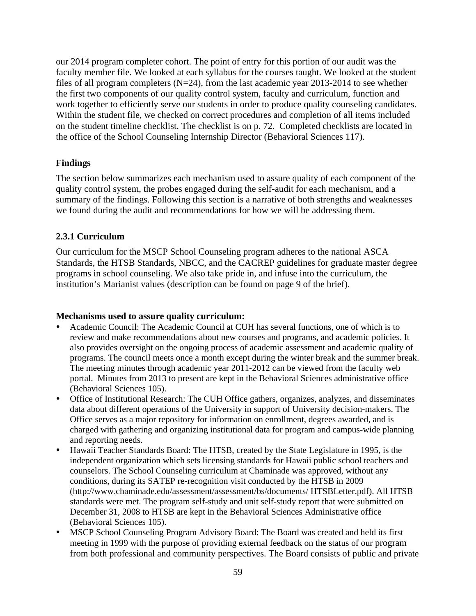our 2014 program completer cohort. The point of entry for this portion of our audit was the faculty member file. We looked at each syllabus for the courses taught. We looked at the student files of all program completers  $(N=24)$ , from the last academic year 2013-2014 to see whether the first two components of our quality control system, faculty and curriculum, function and work together to efficiently serve our students in order to produce quality counseling candidates. Within the student file, we checked on correct procedures and completion of all items included on the student timeline checklist. The checklist is on p. 72. Completed checklists are located in the office of the School Counseling Internship Director (Behavioral Sciences 117).

#### **Findings**

The section below summarizes each mechanism used to assure quality of each component of the quality control system, the probes engaged during the self-audit for each mechanism, and a summary of the findings. Following this section is a narrative of both strengths and weaknesses we found during the audit and recommendations for how we will be addressing them.

#### **2.3.1 Curriculum**

Our curriculum for the MSCP School Counseling program adheres to the national ASCA Standards, the HTSB Standards, NBCC, and the CACREP guidelines for graduate master degree programs in school counseling. We also take pride in, and infuse into the curriculum, the institution's Marianist values (description can be found on page 9 of the brief).

#### **Mechanisms used to assure quality curriculum:**

- Academic Council: The Academic Council at CUH has several functions, one of which is to review and make recommendations about new courses and programs, and academic policies. It also provides oversight on the ongoing process of academic assessment and academic quality of programs. The council meets once a month except during the winter break and the summer break. The meeting minutes through academic year 2011-2012 can be viewed from the faculty web portal. Minutes from 2013 to present are kept in the Behavioral Sciences administrative office (Behavioral Sciences 105).
- Office of Institutional Research: The CUH Office gathers, organizes, analyzes, and disseminates data about different operations of the University in support of University decision-makers. The Office serves as a major repository for information on enrollment, degrees awarded, and is charged with gathering and organizing institutional data for program and campus-wide planning and reporting needs.
- Hawaii Teacher Standards Board: The HTSB, created by the State Legislature in 1995, is the independent organization which sets licensing standards for Hawaii public school teachers and counselors. The School Counseling curriculum at Chaminade was approved, without any conditions, during its SATEP re-recognition visit conducted by the HTSB in 2009 (http://www.chaminade.edu/assessment/assessment/bs/documents/ HTSBLetter.pdf). All HTSB standards were met. The program self-study and unit self-study report that were submitted on December 31, 2008 to HTSB are kept in the Behavioral Sciences Administrative office (Behavioral Sciences 105).
- MSCP School Counseling Program Advisory Board: The Board was created and held its first meeting in 1999 with the purpose of providing external feedback on the status of our program from both professional and community perspectives. The Board consists of public and private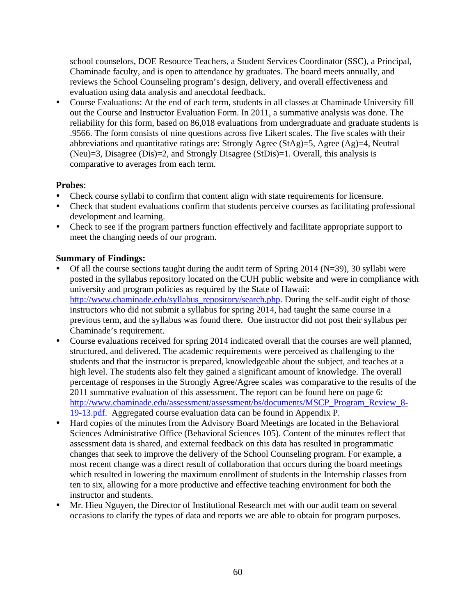school counselors, DOE Resource Teachers, a Student Services Coordinator (SSC), a Principal, Chaminade faculty, and is open to attendance by graduates. The board meets annually, and reviews the School Counseling program's design, delivery, and overall effectiveness and evaluation using data analysis and anecdotal feedback.

 Course Evaluations: At the end of each term, students in all classes at Chaminade University fill out the Course and Instructor Evaluation Form. In 2011, a summative analysis was done. The reliability for this form, based on 86,018 evaluations from undergraduate and graduate students is .9566. The form consists of nine questions across five Likert scales. The five scales with their abbreviations and quantitative ratings are: Strongly Agree ( $StAg$ )=5, Agree (Ag)=4, Neutral (Neu)=3, Disagree (Dis)=2, and Strongly Disagree (StDis)=1. Overall, this analysis is comparative to averages from each term.

#### **Probes**:

- Check course syllabi to confirm that content align with state requirements for licensure.
- Check that student evaluations confirm that students perceive courses as facilitating professional development and learning.
- Check to see if the program partners function effectively and facilitate appropriate support to meet the changing needs of our program.

#### **Summary of Findings:**

- Of all the course sections taught during the audit term of Spring 2014 (N=39), 30 syllabi were posted in the syllabus repository located on the CUH public website and were in compliance with university and program policies as required by the State of Hawaii: http://www.chaminade.edu/syllabus\_repository/search.php. During the self-audit eight of those instructors who did not submit a syllabus for spring 2014, had taught the same course in a previous term, and the syllabus was found there. One instructor did not post their syllabus per Chaminade's requirement.
- Course evaluations received for spring 2014 indicated overall that the courses are well planned, structured, and delivered. The academic requirements were perceived as challenging to the students and that the instructor is prepared, knowledgeable about the subject, and teaches at a high level. The students also felt they gained a significant amount of knowledge. The overall percentage of responses in the Strongly Agree/Agree scales was comparative to the results of the 2011 summative evaluation of this assessment. The report can be found here on page 6: http://www.chaminade.edu/assessment/assessment/bs/documents/MSCP\_Program\_Review\_8-19-13.pdf. Aggregated course evaluation data can be found in Appendix P.
- Hard copies of the minutes from the Advisory Board Meetings are located in the Behavioral Sciences Administrative Office (Behavioral Sciences 105). Content of the minutes reflect that assessment data is shared, and external feedback on this data has resulted in programmatic changes that seek to improve the delivery of the School Counseling program. For example, a most recent change was a direct result of collaboration that occurs during the board meetings which resulted in lowering the maximum enrollment of students in the Internship classes from ten to six, allowing for a more productive and effective teaching environment for both the instructor and students.
- Mr. Hieu Nguyen, the Director of Institutional Research met with our audit team on several occasions to clarify the types of data and reports we are able to obtain for program purposes.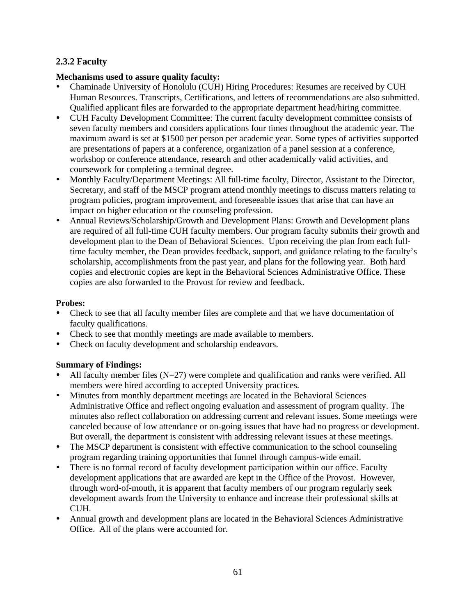# **2.3.2 Faculty**

## **Mechanisms used to assure quality faculty:**

- Chaminade University of Honolulu (CUH) Hiring Procedures: Resumes are received by CUH Human Resources. Transcripts, Certifications, and letters of recommendations are also submitted. Qualified applicant files are forwarded to the appropriate department head/hiring committee.
- CUH Faculty Development Committee: The current faculty development committee consists of seven faculty members and considers applications four times throughout the academic year. The maximum award is set at \$1500 per person per academic year. Some types of activities supported are presentations of papers at a conference, organization of a panel session at a conference, workshop or conference attendance, research and other academically valid activities, and coursework for completing a terminal degree.
- Monthly Faculty/Department Meetings: All full-time faculty, Director, Assistant to the Director, Secretary, and staff of the MSCP program attend monthly meetings to discuss matters relating to program policies, program improvement, and foreseeable issues that arise that can have an impact on higher education or the counseling profession.
- Annual Reviews/Scholarship/Growth and Development Plans: Growth and Development plans are required of all full-time CUH faculty members. Our program faculty submits their growth and development plan to the Dean of Behavioral Sciences. Upon receiving the plan from each fulltime faculty member, the Dean provides feedback, support, and guidance relating to the faculty's scholarship, accomplishments from the past year, and plans for the following year. Both hard copies and electronic copies are kept in the Behavioral Sciences Administrative Office. These copies are also forwarded to the Provost for review and feedback.

## **Probes:**

- Check to see that all faculty member files are complete and that we have documentation of faculty qualifications.
- Check to see that monthly meetings are made available to members.
- Check on faculty development and scholarship endeavors.

# **Summary of Findings:**

- All faculty member files  $(N=27)$  were complete and qualification and ranks were verified. All members were hired according to accepted University practices.
- Minutes from monthly department meetings are located in the Behavioral Sciences Administrative Office and reflect ongoing evaluation and assessment of program quality. The minutes also reflect collaboration on addressing current and relevant issues. Some meetings were canceled because of low attendance or on-going issues that have had no progress or development. But overall, the department is consistent with addressing relevant issues at these meetings.
- The MSCP department is consistent with effective communication to the school counseling program regarding training opportunities that funnel through campus-wide email.
- There is no formal record of faculty development participation within our office. Faculty development applications that are awarded are kept in the Office of the Provost. However, through word-of-mouth, it is apparent that faculty members of our program regularly seek development awards from the University to enhance and increase their professional skills at CUH.
- Annual growth and development plans are located in the Behavioral Sciences Administrative Office. All of the plans were accounted for.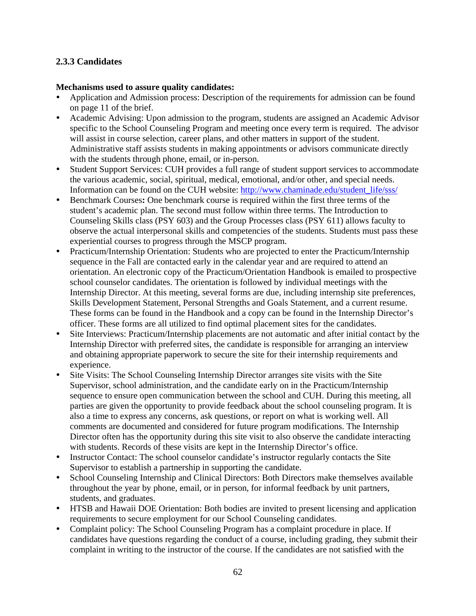# **2.3.3 Candidates**

#### **Mechanisms used to assure quality candidates:**

- Application and Admission process: Description of the requirements for admission can be found on page 11 of the brief.
- Academic Advising: Upon admission to the program, students are assigned an Academic Advisor specific to the School Counseling Program and meeting once every term is required. The advisor will assist in course selection, career plans, and other matters in support of the student. Administrative staff assists students in making appointments or advisors communicate directly with the students through phone, email, or in-person.
- Student Support Services: CUH provides a full range of student support services to accommodate the various academic, social, spiritual, medical, emotional, and/or other, and special needs. Information can be found on the CUH website: http://www.chaminade.edu/student\_life/sss/
- Benchmark Courses**:** One benchmark course is required within the first three terms of the student's academic plan. The second must follow within three terms. The Introduction to Counseling Skills class (PSY 603) and the Group Processes class (PSY 611) allows faculty to observe the actual interpersonal skills and competencies of the students. Students must pass these experiential courses to progress through the MSCP program.
- Practicum/Internship Orientation: Students who are projected to enter the Practicum/Internship sequence in the Fall are contacted early in the calendar year and are required to attend an orientation. An electronic copy of the Practicum/Orientation Handbook is emailed to prospective school counselor candidates. The orientation is followed by individual meetings with the Internship Director. At this meeting, several forms are due, including internship site preferences, Skills Development Statement, Personal Strengths and Goals Statement, and a current resume. These forms can be found in the Handbook and a copy can be found in the Internship Director's officer. These forms are all utilized to find optimal placement sites for the candidates.
- Site Interviews: Practicum/Internship placements are not automatic and after initial contact by the Internship Director with preferred sites, the candidate is responsible for arranging an interview and obtaining appropriate paperwork to secure the site for their internship requirements and experience.
- Site Visits: The School Counseling Internship Director arranges site visits with the Site Supervisor, school administration, and the candidate early on in the Practicum/Internship sequence to ensure open communication between the school and CUH. During this meeting, all parties are given the opportunity to provide feedback about the school counseling program. It is also a time to express any concerns, ask questions, or report on what is working well. All comments are documented and considered for future program modifications. The Internship Director often has the opportunity during this site visit to also observe the candidate interacting with students. Records of these visits are kept in the Internship Director's office.
- Instructor Contact: The school counselor candidate's instructor regularly contacts the Site Supervisor to establish a partnership in supporting the candidate.
- School Counseling Internship and Clinical Directors: Both Directors make themselves available throughout the year by phone, email, or in person, for informal feedback by unit partners, students, and graduates.
- HTSB and Hawaii DOE Orientation: Both bodies are invited to present licensing and application requirements to secure employment for our School Counseling candidates.
- Complaint policy: The School Counseling Program has a complaint procedure in place. If candidates have questions regarding the conduct of a course, including grading, they submit their complaint in writing to the instructor of the course. If the candidates are not satisfied with the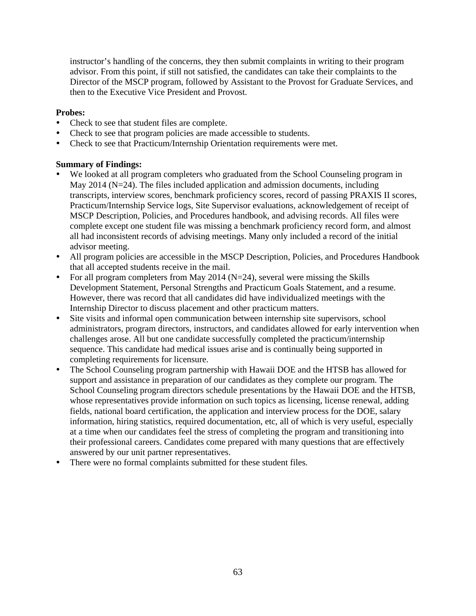instructor's handling of the concerns, they then submit complaints in writing to their program advisor. From this point, if still not satisfied, the candidates can take their complaints to the Director of the MSCP program, followed by Assistant to the Provost for Graduate Services, and then to the Executive Vice President and Provost.

#### **Probes:**

- Check to see that student files are complete.
- Check to see that program policies are made accessible to students.
- Check to see that Practicum/Internship Orientation requirements were met.

#### **Summary of Findings:**

- We looked at all program completers who graduated from the School Counseling program in May 2014 (N=24). The files included application and admission documents, including transcripts, interview scores, benchmark proficiency scores, record of passing PRAXIS II scores, Practicum/Internship Service logs, Site Supervisor evaluations, acknowledgement of receipt of MSCP Description, Policies, and Procedures handbook, and advising records. All files were complete except one student file was missing a benchmark proficiency record form, and almost all had inconsistent records of advising meetings. Many only included a record of the initial advisor meeting.
- All program policies are accessible in the MSCP Description, Policies, and Procedures Handbook that all accepted students receive in the mail.
- For all program completers from May 2014 ( $N=24$ ), several were missing the Skills Development Statement, Personal Strengths and Practicum Goals Statement, and a resume. However, there was record that all candidates did have individualized meetings with the Internship Director to discuss placement and other practicum matters.
- Site visits and informal open communication between internship site supervisors, school administrators, program directors, instructors, and candidates allowed for early intervention when challenges arose. All but one candidate successfully completed the practicum/internship sequence. This candidate had medical issues arise and is continually being supported in completing requirements for licensure.
- The School Counseling program partnership with Hawaii DOE and the HTSB has allowed for support and assistance in preparation of our candidates as they complete our program. The School Counseling program directors schedule presentations by the Hawaii DOE and the HTSB, whose representatives provide information on such topics as licensing, license renewal, adding fields, national board certification, the application and interview process for the DOE, salary information, hiring statistics, required documentation, etc, all of which is very useful, especially at a time when our candidates feel the stress of completing the program and transitioning into their professional careers. Candidates come prepared with many questions that are effectively answered by our unit partner representatives.
- There were no formal complaints submitted for these student files.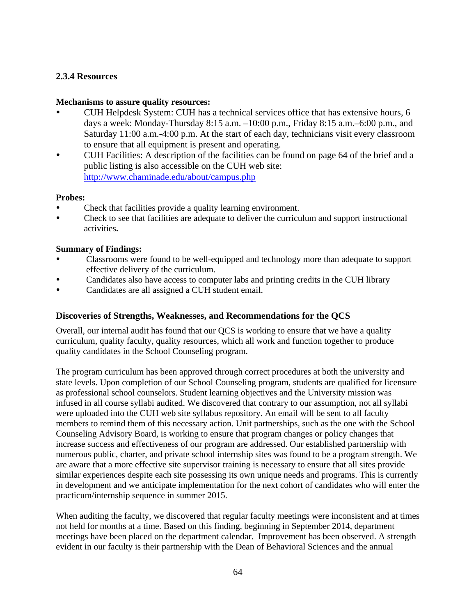### **2.3.4 Resources**

#### **Mechanisms to assure quality resources:**

- CUH Helpdesk System: CUH has a technical services office that has extensive hours, 6 days a week: Monday-Thursday 8:15 a.m. –10:00 p.m., Friday 8:15 a.m.–6:00 p.m., and Saturday 11:00 a.m.-4:00 p.m. At the start of each day, technicians visit every classroom to ensure that all equipment is present and operating.
- CUH Facilities: A description of the facilities can be found on page 64 of the brief and a public listing is also accessible on the CUH web site: http://www.chaminade.edu/about/campus.php

#### **Probes:**

- Check that facilities provide a quality learning environment.
- Check to see that facilities are adequate to deliver the curriculum and support instructional activities**.**

#### **Summary of Findings:**

- Classrooms were found to be well-equipped and technology more than adequate to support effective delivery of the curriculum.
- Candidates also have access to computer labs and printing credits in the CUH library
- Candidates are all assigned a CUH student email.

#### **Discoveries of Strengths, Weaknesses, and Recommendations for the QCS**

Overall, our internal audit has found that our QCS is working to ensure that we have a quality curriculum, quality faculty, quality resources, which all work and function together to produce quality candidates in the School Counseling program.

The program curriculum has been approved through correct procedures at both the university and state levels. Upon completion of our School Counseling program, students are qualified for licensure as professional school counselors. Student learning objectives and the University mission was infused in all course syllabi audited. We discovered that contrary to our assumption, not all syllabi were uploaded into the CUH web site syllabus repository. An email will be sent to all faculty members to remind them of this necessary action. Unit partnerships, such as the one with the School Counseling Advisory Board, is working to ensure that program changes or policy changes that increase success and effectiveness of our program are addressed. Our established partnership with numerous public, charter, and private school internship sites was found to be a program strength. We are aware that a more effective site supervisor training is necessary to ensure that all sites provide similar experiences despite each site possessing its own unique needs and programs. This is currently in development and we anticipate implementation for the next cohort of candidates who will enter the practicum/internship sequence in summer 2015.

When auditing the faculty, we discovered that regular faculty meetings were inconsistent and at times not held for months at a time. Based on this finding, beginning in September 2014, department meetings have been placed on the department calendar. Improvement has been observed. A strength evident in our faculty is their partnership with the Dean of Behavioral Sciences and the annual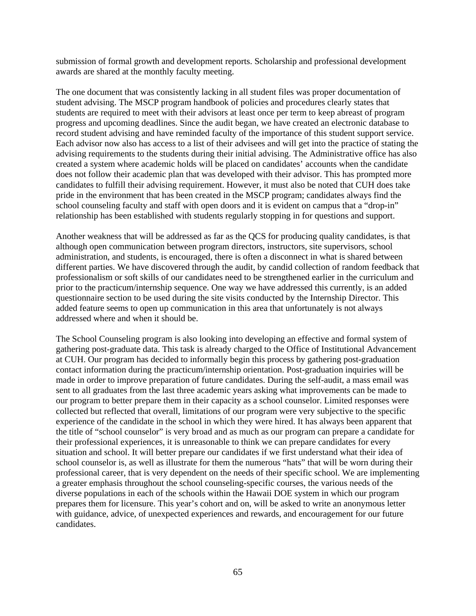submission of formal growth and development reports. Scholarship and professional development awards are shared at the monthly faculty meeting.

The one document that was consistently lacking in all student files was proper documentation of student advising. The MSCP program handbook of policies and procedures clearly states that students are required to meet with their advisors at least once per term to keep abreast of program progress and upcoming deadlines. Since the audit began, we have created an electronic database to record student advising and have reminded faculty of the importance of this student support service. Each advisor now also has access to a list of their advisees and will get into the practice of stating the advising requirements to the students during their initial advising. The Administrative office has also created a system where academic holds will be placed on candidates' accounts when the candidate does not follow their academic plan that was developed with their advisor. This has prompted more candidates to fulfill their advising requirement. However, it must also be noted that CUH does take pride in the environment that has been created in the MSCP program; candidates always find the school counseling faculty and staff with open doors and it is evident on campus that a "drop-in" relationship has been established with students regularly stopping in for questions and support.

Another weakness that will be addressed as far as the QCS for producing quality candidates, is that although open communication between program directors, instructors, site supervisors, school administration, and students, is encouraged, there is often a disconnect in what is shared between different parties. We have discovered through the audit, by candid collection of random feedback that professionalism or soft skills of our candidates need to be strengthened earlier in the curriculum and prior to the practicum/internship sequence. One way we have addressed this currently, is an added questionnaire section to be used during the site visits conducted by the Internship Director. This added feature seems to open up communication in this area that unfortunately is not always addressed where and when it should be.

The School Counseling program is also looking into developing an effective and formal system of gathering post-graduate data. This task is already charged to the Office of Institutional Advancement at CUH. Our program has decided to informally begin this process by gathering post-graduation contact information during the practicum/internship orientation. Post-graduation inquiries will be made in order to improve preparation of future candidates. During the self-audit, a mass email was sent to all graduates from the last three academic years asking what improvements can be made to our program to better prepare them in their capacity as a school counselor. Limited responses were collected but reflected that overall, limitations of our program were very subjective to the specific experience of the candidate in the school in which they were hired. It has always been apparent that the title of "school counselor" is very broad and as much as our program can prepare a candidate for their professional experiences, it is unreasonable to think we can prepare candidates for every situation and school. It will better prepare our candidates if we first understand what their idea of school counselor is, as well as illustrate for them the numerous "hats" that will be worn during their professional career, that is very dependent on the needs of their specific school. We are implementing a greater emphasis throughout the school counseling-specific courses, the various needs of the diverse populations in each of the schools within the Hawaii DOE system in which our program prepares them for licensure. This year's cohort and on, will be asked to write an anonymous letter with guidance, advice, of unexpected experiences and rewards, and encouragement for our future candidates.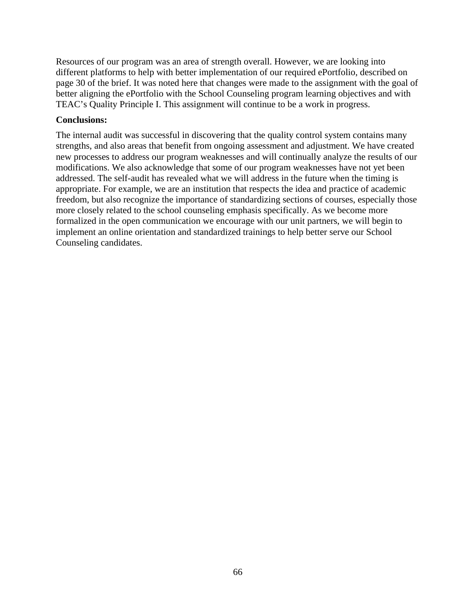Resources of our program was an area of strength overall. However, we are looking into different platforms to help with better implementation of our required ePortfolio, described on page 30 of the brief. It was noted here that changes were made to the assignment with the goal of better aligning the ePortfolio with the School Counseling program learning objectives and with TEAC's Quality Principle I. This assignment will continue to be a work in progress.

#### **Conclusions:**

The internal audit was successful in discovering that the quality control system contains many strengths, and also areas that benefit from ongoing assessment and adjustment. We have created new processes to address our program weaknesses and will continually analyze the results of our modifications. We also acknowledge that some of our program weaknesses have not yet been addressed. The self-audit has revealed what we will address in the future when the timing is appropriate. For example, we are an institution that respects the idea and practice of academic freedom, but also recognize the importance of standardizing sections of courses, especially those more closely related to the school counseling emphasis specifically. As we become more formalized in the open communication we encourage with our unit partners, we will begin to implement an online orientation and standardized trainings to help better serve our School Counseling candidates.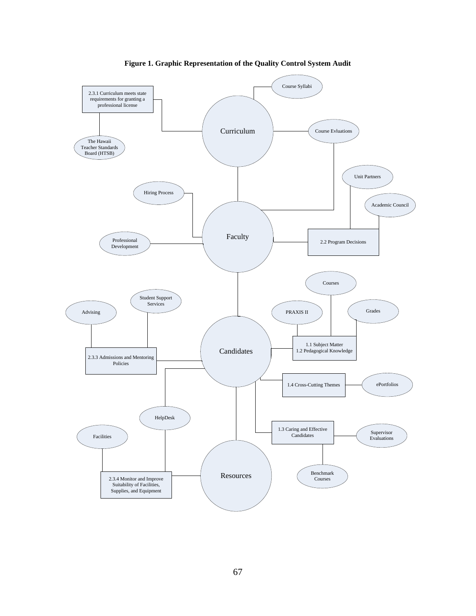

**Figure 1. Graphic Representation of the Quality Control System Audit**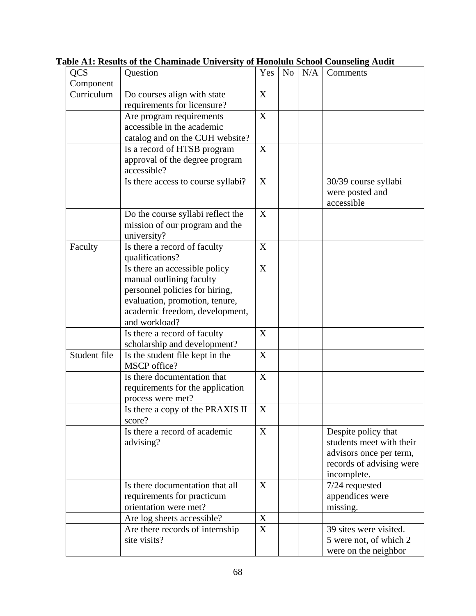| <b>QCS</b>   | Question                                                                                                                                                                         | Yes | N <sub>o</sub> | N/A | Comments                                                                                                              |
|--------------|----------------------------------------------------------------------------------------------------------------------------------------------------------------------------------|-----|----------------|-----|-----------------------------------------------------------------------------------------------------------------------|
| Component    |                                                                                                                                                                                  |     |                |     |                                                                                                                       |
| Curriculum   | Do courses align with state<br>requirements for licensure?                                                                                                                       | X   |                |     |                                                                                                                       |
|              | Are program requirements<br>accessible in the academic<br>catalog and on the CUH website?                                                                                        | X   |                |     |                                                                                                                       |
|              | Is a record of HTSB program<br>approval of the degree program<br>accessible?                                                                                                     | X   |                |     |                                                                                                                       |
|              | Is there access to course syllabi?                                                                                                                                               | X   |                |     | 30/39 course syllabi<br>were posted and<br>accessible                                                                 |
|              | Do the course syllabi reflect the<br>mission of our program and the<br>university?                                                                                               | X   |                |     |                                                                                                                       |
| Faculty      | Is there a record of faculty<br>qualifications?                                                                                                                                  | X   |                |     |                                                                                                                       |
|              | Is there an accessible policy<br>manual outlining faculty<br>personnel policies for hiring,<br>evaluation, promotion, tenure,<br>academic freedom, development,<br>and workload? | X   |                |     |                                                                                                                       |
|              | Is there a record of faculty<br>scholarship and development?                                                                                                                     | X   |                |     |                                                                                                                       |
| Student file | Is the student file kept in the<br>MSCP office?                                                                                                                                  | X   |                |     |                                                                                                                       |
|              | Is there documentation that<br>requirements for the application<br>process were met?                                                                                             | X   |                |     |                                                                                                                       |
|              | Is there a copy of the PRAXIS II<br>score?                                                                                                                                       | X   |                |     |                                                                                                                       |
|              | Is there a record of academic<br>advising?                                                                                                                                       | X   |                |     | Despite policy that<br>students meet with their<br>advisors once per term,<br>records of advising were<br>incomplete. |
|              | Is there documentation that all<br>requirements for practicum<br>orientation were met?                                                                                           | X   |                |     | $7/24$ requested<br>appendices were<br>missing.                                                                       |
|              | Are log sheets accessible?                                                                                                                                                       | X   |                |     |                                                                                                                       |
|              | Are there records of internship<br>site visits?                                                                                                                                  | X   |                |     | 39 sites were visited.<br>5 were not, of which 2<br>were on the neighbor                                              |

**Table A1: Results of the Chaminade University of Honolulu School Counseling Audit**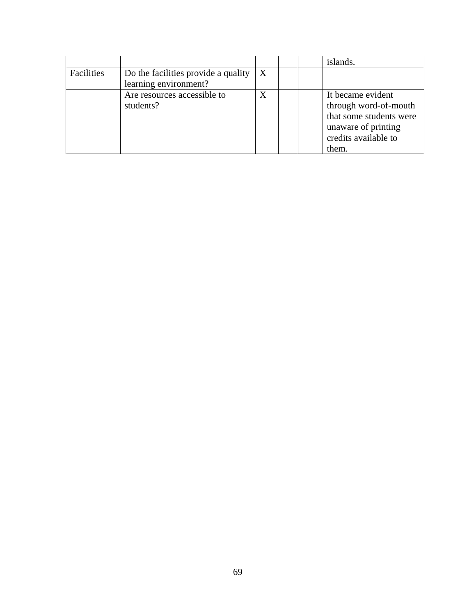|            |                                                              |   |  | islands.                                                                                                                      |
|------------|--------------------------------------------------------------|---|--|-------------------------------------------------------------------------------------------------------------------------------|
| Facilities | Do the facilities provide a quality<br>learning environment? | X |  |                                                                                                                               |
|            | Are resources accessible to<br>students?                     | X |  | It became evident<br>through word-of-mouth<br>that some students were<br>unaware of printing<br>credits available to<br>them. |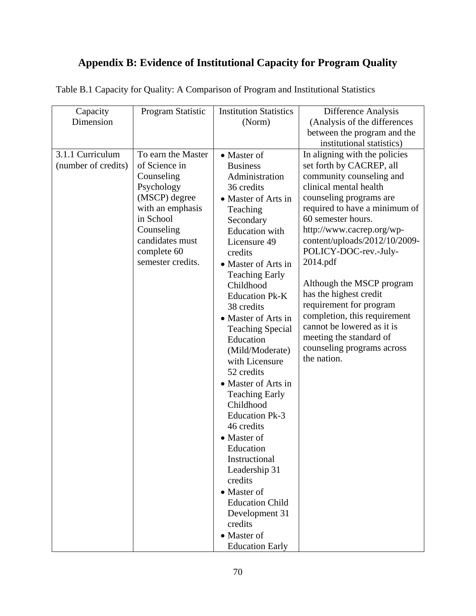# **Appendix B: Evidence of Institutional Capacity for Program Quality**

| Capacity            | Program Statistic  | <b>Institution Statistics</b> | Difference Analysis           |
|---------------------|--------------------|-------------------------------|-------------------------------|
| Dimension           |                    | (Norm)                        | (Analysis of the differences  |
|                     |                    |                               | between the program and the   |
|                     |                    |                               | institutional statistics)     |
| 3.1.1 Curriculum    | To earn the Master | • Master of                   | In aligning with the policies |
| (number of credits) | of Science in      | <b>Business</b>               | set forth by CACREP, all      |
|                     | Counseling         | Administration                | community counseling and      |
|                     | Psychology         | 36 credits                    | clinical mental health        |
|                     | (MSCP) degree      | • Master of Arts in           | counseling programs are       |
|                     | with an emphasis   | Teaching                      | required to have a minimum of |
|                     | in School          | Secondary                     | 60 semester hours.            |
|                     | Counseling         | <b>Education</b> with         | http://www.cacrep.org/wp-     |
|                     | candidates must    | Licensure 49                  | content/uploads/2012/10/2009- |
|                     | complete 60        | credits                       | POLICY-DOC-rev.-July-         |
|                     | semester credits.  | • Master of Arts in           | 2014.pdf                      |
|                     |                    | <b>Teaching Early</b>         |                               |
|                     |                    | Childhood                     | Although the MSCP program     |
|                     |                    | <b>Education Pk-K</b>         | has the highest credit        |
|                     |                    | 38 credits                    | requirement for program       |
|                     |                    |                               | completion, this requirement  |
|                     |                    | • Master of Arts in           | cannot be lowered as it is    |
|                     |                    | <b>Teaching Special</b>       | meeting the standard of       |
|                     |                    | Education                     | counseling programs across    |
|                     |                    | (Mild/Moderate)               | the nation.                   |
|                     |                    | with Licensure                |                               |
|                     |                    | 52 credits                    |                               |
|                     |                    | • Master of Arts in           |                               |
|                     |                    | <b>Teaching Early</b>         |                               |
|                     |                    | Childhood                     |                               |
|                     |                    | <b>Education Pk-3</b>         |                               |
|                     |                    | 46 credits                    |                               |
|                     |                    | • Master of                   |                               |
|                     |                    | Education                     |                               |
|                     |                    | Instructional                 |                               |
|                     |                    | Leadership 31                 |                               |
|                     |                    | credits                       |                               |
|                     |                    | • Master of                   |                               |
|                     |                    | <b>Education Child</b>        |                               |
|                     |                    | Development 31                |                               |
|                     |                    | credits                       |                               |
|                     |                    | • Master of                   |                               |
|                     |                    | <b>Education Early</b>        |                               |

Table B.1 Capacity for Quality: A Comparison of Program and Institutional Statistics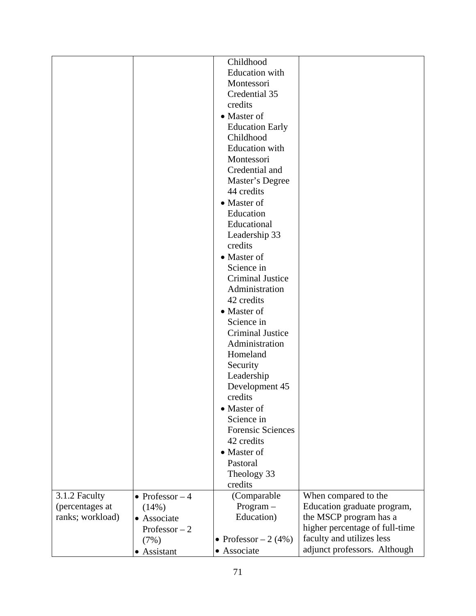|                  |                  | Childhood                |                                |
|------------------|------------------|--------------------------|--------------------------------|
|                  |                  | <b>Education</b> with    |                                |
|                  |                  | Montessori               |                                |
|                  |                  | Credential 35            |                                |
|                  |                  | credits                  |                                |
|                  |                  | • Master of              |                                |
|                  |                  | <b>Education Early</b>   |                                |
|                  |                  | Childhood                |                                |
|                  |                  | <b>Education</b> with    |                                |
|                  |                  | Montessori               |                                |
|                  |                  | Credential and           |                                |
|                  |                  | Master's Degree          |                                |
|                  |                  | 44 credits               |                                |
|                  |                  | • Master of              |                                |
|                  |                  | Education                |                                |
|                  |                  | Educational              |                                |
|                  |                  |                          |                                |
|                  |                  | Leadership 33            |                                |
|                  |                  | credits                  |                                |
|                  |                  | • Master of              |                                |
|                  |                  | Science in               |                                |
|                  |                  | <b>Criminal Justice</b>  |                                |
|                  |                  | Administration           |                                |
|                  |                  | 42 credits               |                                |
|                  |                  | • Master of              |                                |
|                  |                  | Science in               |                                |
|                  |                  | <b>Criminal Justice</b>  |                                |
|                  |                  | Administration           |                                |
|                  |                  | Homeland                 |                                |
|                  |                  | Security                 |                                |
|                  |                  | Leadership               |                                |
|                  |                  | Development 45           |                                |
|                  |                  | credits                  |                                |
|                  |                  | • Master of              |                                |
|                  |                  | Science in               |                                |
|                  |                  | <b>Forensic Sciences</b> |                                |
|                  |                  | 42 credits               |                                |
|                  |                  | • Master of              |                                |
|                  |                  | Pastoral                 |                                |
|                  |                  | Theology 33              |                                |
|                  |                  | credits                  |                                |
|                  | • Professor $-4$ | (Comparable              |                                |
| 3.1.2 Faculty    |                  |                          | When compared to the           |
| (percentages at  | (14%)            | $Program -$              | Education graduate program,    |
| ranks; workload) | • Associate      | Education)               | the MSCP program has a         |
|                  | Professor $-2$   |                          | higher percentage of full-time |
|                  | (7%)             | • Professor $-2(4%)$     | faculty and utilizes less      |
|                  | • Assistant      | • Associate              | adjunct professors. Although   |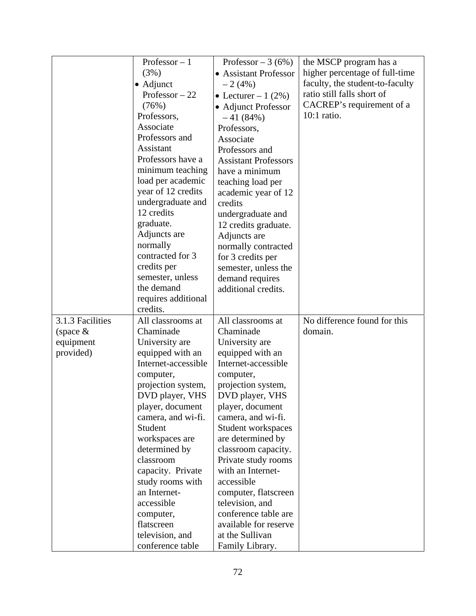|                  | Professor $-1$                        | Professor $-3(6%)$                  | the MSCP program has a          |
|------------------|---------------------------------------|-------------------------------------|---------------------------------|
|                  | (3%)                                  | • Assistant Professor               | higher percentage of full-time  |
|                  | $\bullet$ Adjunct                     | $-2(4%)$                            | faculty, the student-to-faculty |
|                  | Professor $-22$                       | • Lecturer – 1 $(2\%)$              | ratio still falls short of      |
|                  | (76%)                                 | • Adjunct Professor                 | CACREP's requirement of a       |
|                  | Professors,                           | $-41(84%)$                          | 10:1 ratio.                     |
|                  | Associate                             | Professors,                         |                                 |
|                  | Professors and                        | Associate                           |                                 |
|                  | Assistant                             | Professors and                      |                                 |
|                  | Professors have a                     | <b>Assistant Professors</b>         |                                 |
|                  | minimum teaching                      | have a minimum                      |                                 |
|                  | load per academic                     | teaching load per                   |                                 |
|                  | year of 12 credits                    | academic year of 12                 |                                 |
|                  | undergraduate and                     | credits                             |                                 |
|                  | 12 credits                            | undergraduate and                   |                                 |
|                  | graduate.                             | 12 credits graduate.                |                                 |
|                  | Adjuncts are                          | Adjuncts are                        |                                 |
|                  | normally                              | normally contracted                 |                                 |
|                  | contracted for 3                      | for 3 credits per                   |                                 |
|                  | credits per                           | semester, unless the                |                                 |
|                  | semester, unless                      | demand requires                     |                                 |
|                  | the demand                            | additional credits.                 |                                 |
|                  | requires additional                   |                                     |                                 |
|                  | credits.                              |                                     |                                 |
| 3.1.3 Facilities | All classrooms at                     | All classrooms at                   | No difference found for this    |
| (space $&$       | Chaminade                             | Chaminade                           | domain.                         |
| equipment        | University are                        | University are                      |                                 |
| provided)        | equipped with an                      | equipped with an                    |                                 |
|                  | Internet-accessible                   | Internet-accessible                 |                                 |
|                  | computer,                             | computer,                           |                                 |
|                  | projection system,<br>DVD player, VHS | projection system,                  |                                 |
|                  | player, document                      | DVD player, VHS<br>player, document |                                 |
|                  | camera, and wi-fi.                    | camera, and wi-fi.                  |                                 |
|                  | Student                               | Student workspaces                  |                                 |
|                  | workspaces are                        | are determined by                   |                                 |
|                  | determined by                         | classroom capacity.                 |                                 |
|                  | classroom                             | Private study rooms                 |                                 |
|                  | capacity. Private                     | with an Internet-                   |                                 |
|                  | study rooms with                      | accessible                          |                                 |
|                  | an Internet-                          | computer, flatscreen                |                                 |
|                  | accessible                            | television, and                     |                                 |
|                  | computer,                             | conference table are                |                                 |
|                  | flatscreen                            | available for reserve               |                                 |
|                  | television, and                       | at the Sullivan                     |                                 |
|                  | conference table                      | Family Library.                     |                                 |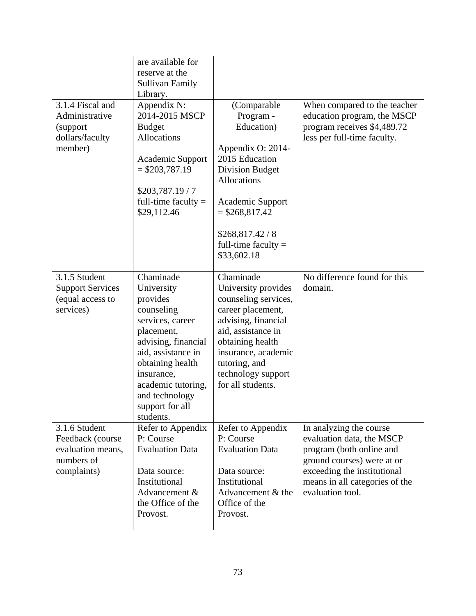| 3.1.4 Fiscal and<br>Administrative<br>(support)<br>dollars/faculty<br>member)       | are available for<br>reserve at the<br><b>Sullivan Family</b><br>Library.<br>Appendix N:<br>2014-2015 MSCP<br><b>Budget</b><br><b>Allocations</b><br>Academic Support<br>$=$ \$203,787.19<br>\$203,787.19/7<br>full-time faculty $=$<br>\$29,112.46 | (Comparable<br>Program -<br>Education)<br>Appendix O: 2014-<br>2015 Education<br><b>Division Budget</b><br>Allocations<br>Academic Support<br>$=$ \$268,817.42<br>\$268,817.42/8<br>full-time faculty $=$<br>\$33,602.18          | When compared to the teacher<br>education program, the MSCP<br>program receives \$4,489.72<br>less per full-time faculty.                                                                           |
|-------------------------------------------------------------------------------------|-----------------------------------------------------------------------------------------------------------------------------------------------------------------------------------------------------------------------------------------------------|-----------------------------------------------------------------------------------------------------------------------------------------------------------------------------------------------------------------------------------|-----------------------------------------------------------------------------------------------------------------------------------------------------------------------------------------------------|
| 3.1.5 Student<br><b>Support Services</b><br>(equal access to<br>services)           | Chaminade<br>University<br>provides<br>counseling<br>services, career<br>placement,<br>advising, financial<br>aid, assistance in<br>obtaining health<br>insurance,<br>academic tutoring,<br>and technology<br>support for all<br>students.          | Chaminade<br>University provides<br>counseling services,<br>career placement,<br>advising, financial<br>aid, assistance in<br>obtaining health<br>insurance, academic<br>tutoring, and<br>technology support<br>for all students. | No difference found for this<br>domain.                                                                                                                                                             |
| 3.1.6 Student<br>Feedback (course<br>evaluation means,<br>numbers of<br>complaints) | Refer to Appendix<br>P: Course<br><b>Evaluation Data</b><br>Data source:<br>Institutional<br>Advancement &<br>the Office of the<br>Provost.                                                                                                         | Refer to Appendix<br>P: Course<br><b>Evaluation Data</b><br>Data source:<br>Institutional<br>Advancement & the<br>Office of the<br>Provost.                                                                                       | In analyzing the course<br>evaluation data, the MSCP<br>program (both online and<br>ground courses) were at or<br>exceeding the institutional<br>means in all categories of the<br>evaluation tool. |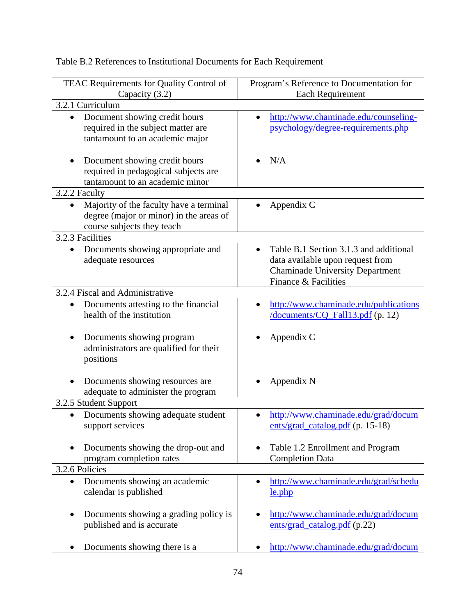TEAC Requirements for Quality Control of Capacity (3.2) Program's Reference to Documentation for Each Requirement 3.2.1 Curriculum • Document showing credit hours required in the subject matter are tantamount to an academic major • Document showing credit hours required in pedagogical subjects are tantamount to an academic minor http://www.chaminade.edu/counselingpsychology/degree-requirements.php N/A 3.2.2 Faculty • Majority of the faculty have a terminal degree (major or minor) in the areas of course subjects they teach • Appendix C 3.2.3 Facilities • Documents showing appropriate and adequate resources • Table B.1 Section 3.1.3 and additional data available upon request from Chaminade University Department Finance & Facilities 3.2.4 Fiscal and Administrative • Documents attesting to the financial health of the institution • Documents showing program administrators are qualified for their positions • Documents showing resources are adequate to administer the program • http://www.chaminade.edu/publications /documents/CQ\_Fall13.pdf (p. 12) Appendix C Appendix N 3.2.5 Student Support • Documents showing adequate student support services • Documents showing the drop-out and program completion rates • http://www.chaminade.edu/grad/docum ents/grad\_catalog.pdf (p. 15-18) Table 1.2 Enrollment and Program Completion Data 3.2.6 Policies • Documents showing an academic calendar is published • Documents showing a grading policy is published and is accurate • Documents showing there is a http://www.chaminade.edu/grad/schedu le.php http://www.chaminade.edu/grad/docum ents/grad\_catalog.pdf (p.22) http://www.chaminade.edu/grad/docum

# Table B.2 References to Institutional Documents for Each Requirement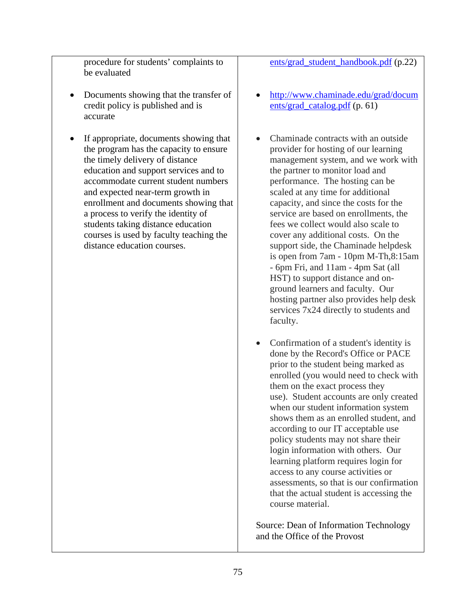procedure for students' complaints to be evaluated

- Documents showing that the transfer of credit policy is published and is accurate
- If appropriate, documents showing that the program has the capacity to ensure the timely delivery of distance education and support services and to accommodate current student numbers and expected near-term growth in enrollment and documents showing that a process to verify the identity of students taking distance education courses is used by faculty teaching the distance education courses.

ents/grad\_student\_handbook.pdf (p.22)

- http://www.chaminade.edu/grad/docum ents/grad\_catalog.pdf (p. 61)
- Chaminade contracts with an outside provider for hosting of our learning management system, and we work with the partner to monitor load and performance. The hosting can be scaled at any time for additional capacity, and since the costs for the service are based on enrollments, the fees we collect would also scale to cover any additional costs. On the support side, the Chaminade helpdesk is open from 7am - 10pm M-Th,8:15am - 6pm Fri, and 11am - 4pm Sat (all HST) to support distance and onground learners and faculty. Our hosting partner also provides help desk services 7x24 directly to students and faculty.
- Confirmation of a student's identity is done by the Record's Office or PACE prior to the student being marked as enrolled (you would need to check with them on the exact process they use). Student accounts are only created when our student information system shows them as an enrolled student, and according to our IT acceptable use policy students may not share their login information with others. Our learning platform requires login for access to any course activities or assessments, so that is our confirmation that the actual student is accessing the course material.

Source: Dean of Information Technology and the Office of the Provost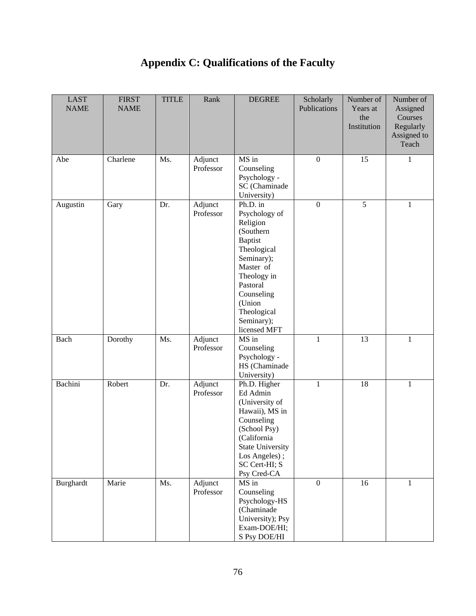# **Appendix C: Qualifications of the Faculty**

| <b>LAST</b><br><b>NAME</b> | <b>FIRST</b><br><b>NAME</b> | <b>TITLE</b> | Rank                 | <b>DEGREE</b>                                                                                                                                                                                                  | Scholarly<br>Publications | Number of<br>Years at<br>the<br>Institution | Number of<br>Assigned<br>Courses<br>Regularly<br>Assigned to<br>Teach |
|----------------------------|-----------------------------|--------------|----------------------|----------------------------------------------------------------------------------------------------------------------------------------------------------------------------------------------------------------|---------------------------|---------------------------------------------|-----------------------------------------------------------------------|
| Abe                        | Charlene                    | Ms.          | Adjunct<br>Professor | MS in<br>Counseling<br>Psychology -<br>SC (Chaminade<br>University)                                                                                                                                            | $\boldsymbol{0}$          | 15                                          | 1                                                                     |
| Augustin                   | Gary                        | Dr.          | Adjunct<br>Professor | Ph.D. in<br>Psychology of<br>Religion<br>(Southern<br><b>Baptist</b><br>Theological<br>Seminary);<br>Master of<br>Theology in<br>Pastoral<br>Counseling<br>(Union<br>Theological<br>Seminary);<br>licensed MFT | $\boldsymbol{0}$          | $\overline{5}$                              | $\mathbf{1}$                                                          |
| Bach                       | Dorothy                     | Ms.          | Adjunct<br>Professor | MS in<br>Counseling<br>Psychology -<br>HS (Chaminade<br>University)                                                                                                                                            | $\mathbf{1}$              | 13                                          | $\mathbf{1}$                                                          |
| Bachini                    | Robert                      | Dr.          | Adjunct<br>Professor | Ph.D. Higher<br>Ed Admin<br>(University of<br>Hawaii), MS in<br>Counseling<br>(School Psy)<br>(California<br><b>State University</b><br>Los Angeles);<br>SC Cert-HI; S<br>Psy Cred-CA                          | $\mathbf{1}$              | 18                                          | $\mathbf{1}$                                                          |
| <b>Burghardt</b>           | Marie                       | Ms.          | Adjunct<br>Professor | MS in<br>Counseling<br>Psychology-HS<br>(Chaminade<br>University); Psy<br>Exam-DOE/HI;<br>S Psy DOE/HI                                                                                                         | $\boldsymbol{0}$          | 16                                          | 1                                                                     |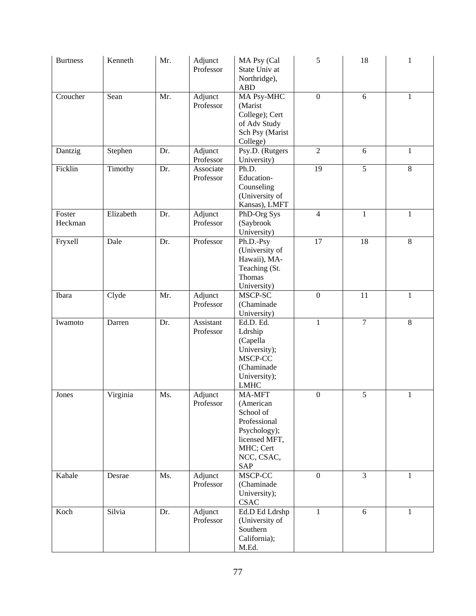| <b>Burtness</b>   | Kenneth   | Mr. | Adjunct<br>Professor   | MA Psy (Cal<br>State Univ at<br>Northridge),<br><b>ABD</b>                                                                 | $\sqrt{5}$       | 18             | 1            |
|-------------------|-----------|-----|------------------------|----------------------------------------------------------------------------------------------------------------------------|------------------|----------------|--------------|
| Croucher          | Sean      | Mr. | Adjunct<br>Professor   | MA Psy-MHC<br>(Marist<br>College); Cert<br>of Adv Study<br>Sch Psy (Marist<br>College)                                     | $\boldsymbol{0}$ | 6              | $\mathbf{1}$ |
| Dantzig           | Stephen   | Dr. | Adjunct<br>Professor   | Psy.D. (Rutgers<br>University)                                                                                             | $\overline{2}$   | 6              | 1            |
| Ficklin           | Timothy   | Dr. | Associate<br>Professor | Ph.D.<br>Education-<br>Counseling<br>(University of<br>Kansas), LMFT                                                       | 19               | 5              | $8\,$        |
| Foster<br>Heckman | Elizabeth | Dr. | Adjunct<br>Professor   | PhD-Org Sys<br>(Saybrook<br>University)                                                                                    | $\overline{4}$   | $\mathbf{1}$   | $\mathbf{1}$ |
| Fryxell           | Dale      | Dr. | Professor              | Ph.D.-Psy<br>(University of<br>Hawaii), MA-<br>Teaching (St.<br>Thomas<br>University)                                      | 17               | 18             | $\,8\,$      |
| Ibara             | Clyde     | Mr. | Adjunct<br>Professor   | MSCP-SC<br>(Chaminade<br>University)                                                                                       | $\boldsymbol{0}$ | 11             | $\mathbf{1}$ |
| Iwamoto           | Darren    | Dr. | Assistant<br>Professor | Ed.D. Ed.<br>Ldrship<br>(Capella<br>University);<br>MSCP-CC<br>(Chaminade<br>University);<br><b>LMHC</b>                   | $\mathbf{1}$     | $\overline{7}$ | $8\,$        |
| Jones             | Virginia  | Ms. | Adjunct<br>Professor   | MA-MFT<br>(American<br>School of<br>Professional<br>Psychology);<br>licensed MFT,<br>MHC; Cert<br>NCC, CSAC,<br><b>SAP</b> | $\boldsymbol{0}$ | 5              | $\mathbf{1}$ |
| Kahale            | Desrae    | Ms. | Adjunct<br>Professor   | MSCP-CC<br>(Chaminade<br>University);<br><b>CSAC</b>                                                                       | $\mathbf{0}$     | $\overline{3}$ | $\mathbf{1}$ |
| Koch              | Silvia    | Dr. | Adjunct<br>Professor   | Ed.D Ed Ldrshp<br>(University of<br>Southern<br>California);<br>M.Ed.                                                      | $\mathbf{1}$     | 6              | $\mathbf{1}$ |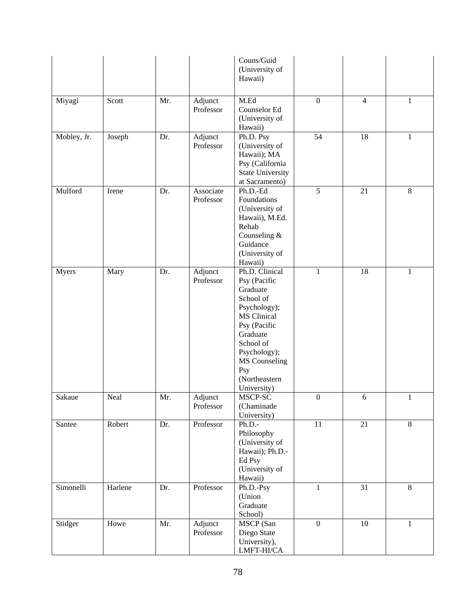|             |         |     |                        | Couns/Guid<br>(University of<br>Hawaii)                                                                                                                                                                 |                  |                 |              |
|-------------|---------|-----|------------------------|---------------------------------------------------------------------------------------------------------------------------------------------------------------------------------------------------------|------------------|-----------------|--------------|
| Miyagi      | Scott   | Mr. | Adjunct<br>Professor   | M.Ed<br>Counselor Ed<br>(University of<br>Hawaii)                                                                                                                                                       | $\boldsymbol{0}$ | $\overline{4}$  | $\mathbf{1}$ |
| Mobley, Jr. | Joseph  | Dr. | Adjunct<br>Professor   | Ph.D. Psy<br>(University of<br>Hawaii); MA<br>Psy (California<br><b>State University</b><br>at Sacramento)                                                                                              | 54               | 18              | $\mathbf{1}$ |
| Mulford     | Irene   | Dr. | Associate<br>Professor | Ph.D.-Ed<br>Foundations<br>(University of<br>Hawaii), M.Ed.<br>Rehab<br>Counseling &<br>Guidance<br>(University of<br>Hawaii)                                                                           | $\overline{5}$   | 21              | $\,8\,$      |
| Myers       | Mary    | Dr. | Adjunct<br>Professor   | Ph.D. Clinical<br>Psy (Pacific<br>Graduate<br>School of<br>Psychology);<br>MS Clinical<br>Psy (Pacific<br>Graduate<br>School of<br>Psychology);<br>MS Counseling<br>Psy<br>(Northeastern<br>University) | $\mathbf{1}$     | 18              | $\mathbf{1}$ |
| Sakaue      | Neal    | Mr. | Adjunct<br>Professor   | MSCP-SC<br>(Chaminade<br>University)                                                                                                                                                                    | $\boldsymbol{0}$ | $\sqrt{6}$      | $\mathbf{1}$ |
| Santee      | Robert  | Dr. | Professor              | Ph.D.<br>Philosophy<br>(University of<br>Hawaii); Ph.D.-<br>Ed Psy<br>(University of<br>Hawaii)                                                                                                         | 11               | 21              | $8\,$        |
| Simonelli   | Harlene | Dr. | Professor              | Ph.D.-Psy<br>(Union<br>Graduate<br>School)                                                                                                                                                              | $\mathbf{1}$     | $\overline{31}$ | 8            |
| Stidger     | Howe    | Mr. | Adjunct<br>Professor   | MSCP (San<br>Diego State<br>University),<br>LMFT-HI/CA                                                                                                                                                  | $\boldsymbol{0}$ | 10              | $\mathbf{1}$ |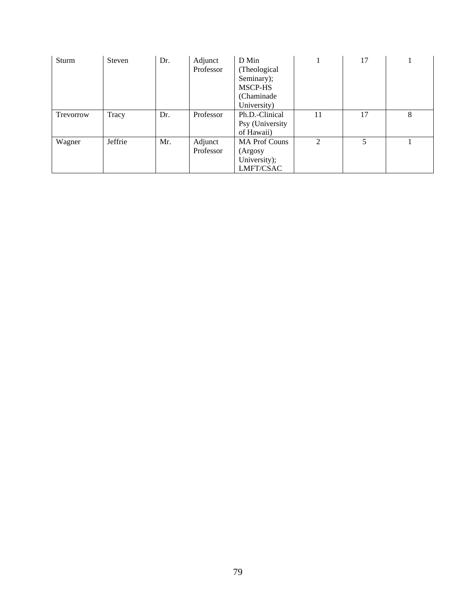| Sturm     | <b>Steven</b> | Dr. | Adjunct<br>Professor | D Min<br>(Theological<br>Seminary);<br>MSCP-HS<br>(Chaminade)<br>University) |                | 17 |   |
|-----------|---------------|-----|----------------------|------------------------------------------------------------------------------|----------------|----|---|
| Trevorrow | Tracy         | Dr. | Professor            | Ph.D.-Clinical<br>Psy (University<br>of Hawaii)                              | 11             | 17 | 8 |
| Wagner    | Jeffrie       | Mr. | Adjunct<br>Professor | <b>MA Prof Couns</b><br>(Argosy<br>University);<br>LMFT/CSAC                 | $\mathfrak{D}$ |    |   |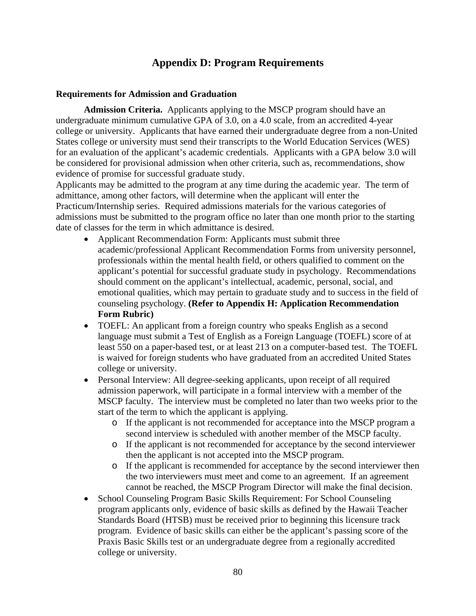# **Appendix D: Program Requirements**

#### **Requirements for Admission and Graduation**

**Admission Criteria.** Applicants applying to the MSCP program should have an undergraduate minimum cumulative GPA of 3.0, on a 4.0 scale, from an accredited 4-year college or university. Applicants that have earned their undergraduate degree from a non-United States college or university must send their transcripts to the World Education Services (WES) for an evaluation of the applicant's academic credentials. Applicants with a GPA below 3.0 will be considered for provisional admission when other criteria, such as, recommendations, show evidence of promise for successful graduate study.

Applicants may be admitted to the program at any time during the academic year. The term of admittance, among other factors, will determine when the applicant will enter the Practicum/Internship series. Required admissions materials for the various categories of admissions must be submitted to the program office no later than one month prior to the starting date of classes for the term in which admittance is desired.

- Applicant Recommendation Form: Applicants must submit three academic/professional Applicant Recommendation Forms from university personnel, professionals within the mental health field, or others qualified to comment on the applicant's potential for successful graduate study in psychology. Recommendations should comment on the applicant's intellectual, academic, personal, social, and emotional qualities, which may pertain to graduate study and to success in the field of counseling psychology. **(Refer to Appendix H: Application Recommendation Form Rubric)**
- TOEFL: An applicant from a foreign country who speaks English as a second language must submit a Test of English as a Foreign Language (TOEFL) score of at least 550 on a paper-based test, or at least 213 on a computer-based test. The TOEFL is waived for foreign students who have graduated from an accredited United States college or university.
- Personal Interview: All degree-seeking applicants, upon receipt of all required admission paperwork, will participate in a formal interview with a member of the MSCP faculty. The interview must be completed no later than two weeks prior to the start of the term to which the applicant is applying.
	- o If the applicant is not recommended for acceptance into the MSCP program a second interview is scheduled with another member of the MSCP faculty.
	- o If the applicant is not recommended for acceptance by the second interviewer then the applicant is not accepted into the MSCP program.
	- o If the applicant is recommended for acceptance by the second interviewer then the two interviewers must meet and come to an agreement. If an agreement cannot be reached, the MSCP Program Director will make the final decision.
- School Counseling Program Basic Skills Requirement: For School Counseling program applicants only, evidence of basic skills as defined by the Hawaii Teacher Standards Board (HTSB) must be received prior to beginning this licensure track program. Evidence of basic skills can either be the applicant's passing score of the Praxis Basic Skills test or an undergraduate degree from a regionally accredited college or university.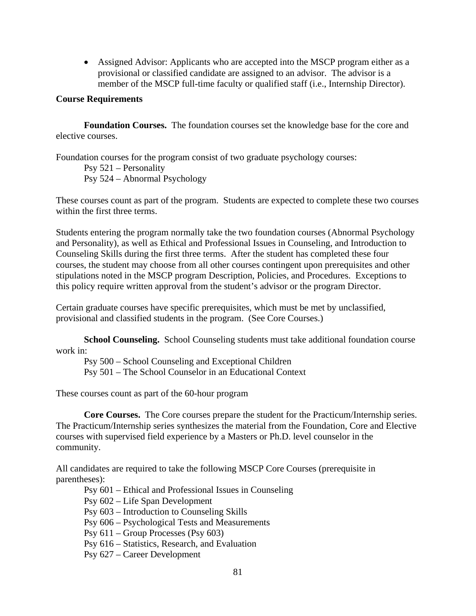Assigned Advisor: Applicants who are accepted into the MSCP program either as a provisional or classified candidate are assigned to an advisor. The advisor is a member of the MSCP full-time faculty or qualified staff (i.e., Internship Director).

#### **Course Requirements**

**Foundation Courses.** The foundation courses set the knowledge base for the core and elective courses.

Foundation courses for the program consist of two graduate psychology courses: Psy 521 – Personality Psy 524 – Abnormal Psychology

These courses count as part of the program. Students are expected to complete these two courses within the first three terms.

Students entering the program normally take the two foundation courses (Abnormal Psychology and Personality), as well as Ethical and Professional Issues in Counseling, and Introduction to Counseling Skills during the first three terms. After the student has completed these four courses, the student may choose from all other courses contingent upon prerequisites and other stipulations noted in the MSCP program Description, Policies, and Procedures. Exceptions to this policy require written approval from the student's advisor or the program Director.

Certain graduate courses have specific prerequisites, which must be met by unclassified, provisional and classified students in the program. (See Core Courses.)

**School Counseling.** School Counseling students must take additional foundation course work in:

 Psy 500 – School Counseling and Exceptional Children Psy 501 – The School Counselor in an Educational Context

These courses count as part of the 60-hour program

**Core Courses.** The Core courses prepare the student for the Practicum/Internship series. The Practicum/Internship series synthesizes the material from the Foundation, Core and Elective courses with supervised field experience by a Masters or Ph.D. level counselor in the community.

All candidates are required to take the following MSCP Core Courses (prerequisite in parentheses):

Psy 601 – Ethical and Professional Issues in Counseling

Psy 602 – Life Span Development

Psy 603 – Introduction to Counseling Skills

Psy 606 – Psychological Tests and Measurements

Psy 611 – Group Processes (Psy 603)

Psy 616 – Statistics, Research, and Evaluation

Psy 627 – Career Development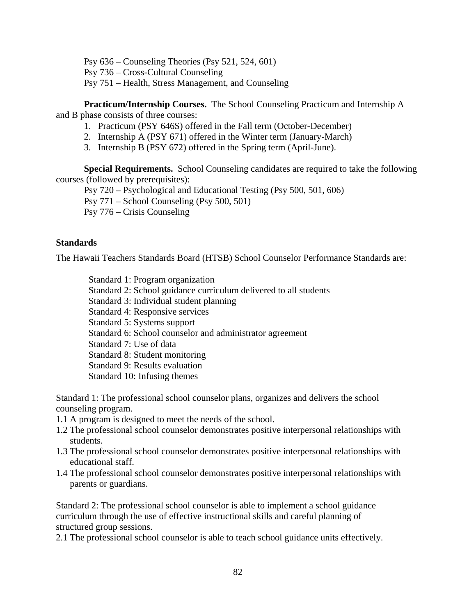Psy 636 – Counseling Theories (Psy 521, 524, 601) Psy 736 – Cross-Cultural Counseling Psy 751 – Health, Stress Management, and Counseling

**Practicum/Internship Courses.** The School Counseling Practicum and Internship A and B phase consists of three courses:

- 1. Practicum (PSY 646S) offered in the Fall term (October-December)
- 2. Internship A (PSY 671) offered in the Winter term (January-March)
- 3. Internship B (PSY 672) offered in the Spring term (April-June).

**Special Requirements.** School Counseling candidates are required to take the following courses (followed by prerequisites):

Psy 720 – Psychological and Educational Testing (Psy 500, 501, 606)

Psy 771 – School Counseling (Psy 500, 501)

Psy 776 – Crisis Counseling

## **Standards**

The Hawaii Teachers Standards Board (HTSB) School Counselor Performance Standards are:

 Standard 1: Program organization Standard 2: School guidance curriculum delivered to all students Standard 3: Individual student planning Standard 4: Responsive services Standard 5: Systems support Standard 6: School counselor and administrator agreement Standard 7: Use of data Standard 8: Student monitoring Standard 9: Results evaluation Standard 10: Infusing themes

Standard 1: The professional school counselor plans, organizes and delivers the school counseling program.

- 1.1 A program is designed to meet the needs of the school.
- 1.2 The professional school counselor demonstrates positive interpersonal relationships with students.
- 1.3 The professional school counselor demonstrates positive interpersonal relationships with educational staff.
- 1.4 The professional school counselor demonstrates positive interpersonal relationships with parents or guardians.

Standard 2: The professional school counselor is able to implement a school guidance curriculum through the use of effective instructional skills and careful planning of structured group sessions.

2.1 The professional school counselor is able to teach school guidance units effectively.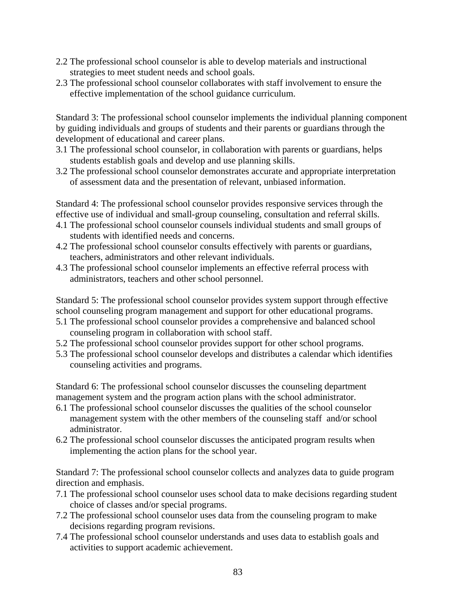- 2.2 The professional school counselor is able to develop materials and instructional strategies to meet student needs and school goals.
- 2.3 The professional school counselor collaborates with staff involvement to ensure the effective implementation of the school guidance curriculum.

Standard 3: The professional school counselor implements the individual planning component by guiding individuals and groups of students and their parents or guardians through the development of educational and career plans.

- 3.1 The professional school counselor, in collaboration with parents or guardians, helps students establish goals and develop and use planning skills.
- 3.2 The professional school counselor demonstrates accurate and appropriate interpretation of assessment data and the presentation of relevant, unbiased information.

Standard 4: The professional school counselor provides responsive services through the effective use of individual and small-group counseling, consultation and referral skills.

- 4.1 The professional school counselor counsels individual students and small groups of students with identified needs and concerns.
- 4.2 The professional school counselor consults effectively with parents or guardians, teachers, administrators and other relevant individuals.
- 4.3 The professional school counselor implements an effective referral process with administrators, teachers and other school personnel.

Standard 5: The professional school counselor provides system support through effective school counseling program management and support for other educational programs.

- 5.1 The professional school counselor provides a comprehensive and balanced school counseling program in collaboration with school staff.
- 5.2 The professional school counselor provides support for other school programs.
- 5.3 The professional school counselor develops and distributes a calendar which identifies counseling activities and programs.

Standard 6: The professional school counselor discusses the counseling department management system and the program action plans with the school administrator.

- 6.1 The professional school counselor discusses the qualities of the school counselor management system with the other members of the counseling staff and/or school administrator.
- 6.2 The professional school counselor discusses the anticipated program results when implementing the action plans for the school year.

Standard 7: The professional school counselor collects and analyzes data to guide program direction and emphasis.

- 7.1 The professional school counselor uses school data to make decisions regarding student choice of classes and/or special programs.
- 7.2 The professional school counselor uses data from the counseling program to make decisions regarding program revisions.
- 7.4 The professional school counselor understands and uses data to establish goals and activities to support academic achievement.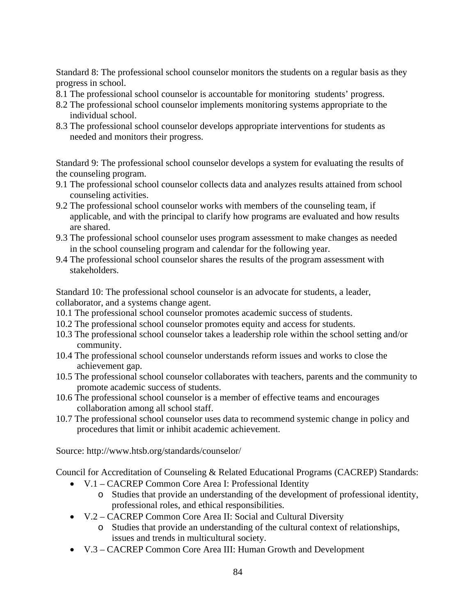Standard 8: The professional school counselor monitors the students on a regular basis as they progress in school.

- 8.1 The professional school counselor is accountable for monitoring students' progress.
- 8.2 The professional school counselor implements monitoring systems appropriate to the individual school.
- 8.3 The professional school counselor develops appropriate interventions for students as needed and monitors their progress.

Standard 9: The professional school counselor develops a system for evaluating the results of the counseling program.

- 9.1 The professional school counselor collects data and analyzes results attained from school counseling activities.
- 9.2 The professional school counselor works with members of the counseling team, if applicable, and with the principal to clarify how programs are evaluated and how results are shared.
- 9.3 The professional school counselor uses program assessment to make changes as needed in the school counseling program and calendar for the following year.
- 9.4 The professional school counselor shares the results of the program assessment with stakeholders.

Standard 10: The professional school counselor is an advocate for students, a leader, collaborator, and a systems change agent.

- 10.1 The professional school counselor promotes academic success of students.
- 10.2 The professional school counselor promotes equity and access for students.
- 10.3 The professional school counselor takes a leadership role within the school setting and/or community.
- 10.4 The professional school counselor understands reform issues and works to close the achievement gap.
- 10.5 The professional school counselor collaborates with teachers, parents and the community to promote academic success of students.
- 10.6 The professional school counselor is a member of effective teams and encourages collaboration among all school staff.
- 10.7 The professional school counselor uses data to recommend systemic change in policy and procedures that limit or inhibit academic achievement.

Source: http://www.htsb.org/standards/counselor/

Council for Accreditation of Counseling & Related Educational Programs (CACREP) Standards:

- V.1 CACREP Common Core Area I: Professional Identity
	- o Studies that provide an understanding of the development of professional identity, professional roles, and ethical responsibilities.
- V.2 CACREP Common Core Area II: Social and Cultural Diversity
	- o Studies that provide an understanding of the cultural context of relationships, issues and trends in multicultural society.
- V.3 CACREP Common Core Area III: Human Growth and Development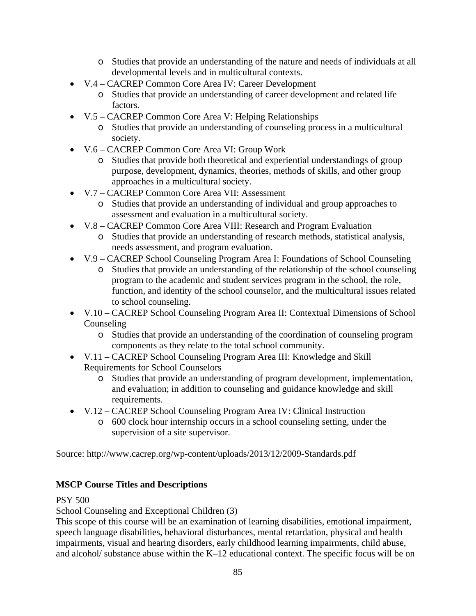- o Studies that provide an understanding of the nature and needs of individuals at all developmental levels and in multicultural contexts.
- V.4 CACREP Common Core Area IV: Career Development
	- o Studies that provide an understanding of career development and related life factors.
- V.5 CACREP Common Core Area V: Helping Relationships
	- o Studies that provide an understanding of counseling process in a multicultural society.
- V.6 CACREP Common Core Area VI: Group Work
	- o Studies that provide both theoretical and experiential understandings of group purpose, development, dynamics, theories, methods of skills, and other group approaches in a multicultural society.
- V.7 CACREP Common Core Area VII: Assessment
	- o Studies that provide an understanding of individual and group approaches to assessment and evaluation in a multicultural society.
- V.8 CACREP Common Core Area VIII: Research and Program Evaluation
	- o Studies that provide an understanding of research methods, statistical analysis, needs assessment, and program evaluation.
- V.9 CACREP School Counseling Program Area I: Foundations of School Counseling
	- o Studies that provide an understanding of the relationship of the school counseling program to the academic and student services program in the school, the role, function, and identity of the school counselor, and the multicultural issues related to school counseling.
- V.10 CACREP School Counseling Program Area II: Contextual Dimensions of School Counseling
	- o Studies that provide an understanding of the coordination of counseling program components as they relate to the total school community.
- V.11 CACREP School Counseling Program Area III: Knowledge and Skill Requirements for School Counselors
	- o Studies that provide an understanding of program development, implementation, and evaluation; in addition to counseling and guidance knowledge and skill requirements.
- V.12 CACREP School Counseling Program Area IV: Clinical Instruction
	- o 600 clock hour internship occurs in a school counseling setting, under the supervision of a site supervisor.

Source: http://www.cacrep.org/wp-content/uploads/2013/12/2009-Standards.pdf

# **MSCP Course Titles and Descriptions**

# PSY 500

School Counseling and Exceptional Children (3)

This scope of this course will be an examination of learning disabilities, emotional impairment, speech language disabilities, behavioral disturbances, mental retardation, physical and health impairments, visual and hearing disorders, early childhood learning impairments, child abuse, and alcohol/ substance abuse within the K–12 educational context. The specific focus will be on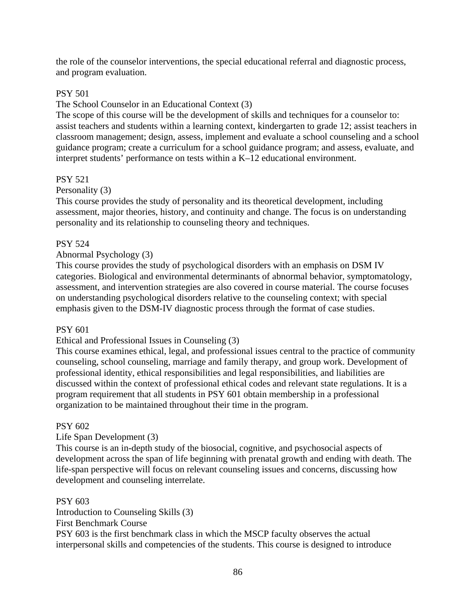the role of the counselor interventions, the special educational referral and diagnostic process, and program evaluation.

# PSY 501

# The School Counselor in an Educational Context (3)

The scope of this course will be the development of skills and techniques for a counselor to: assist teachers and students within a learning context, kindergarten to grade 12; assist teachers in classroom management; design, assess, implement and evaluate a school counseling and a school guidance program; create a curriculum for a school guidance program; and assess, evaluate, and interpret students' performance on tests within a K–12 educational environment.

# PSY 521

## Personality (3)

This course provides the study of personality and its theoretical development, including assessment, major theories, history, and continuity and change. The focus is on understanding personality and its relationship to counseling theory and techniques.

# PSY 524

# Abnormal Psychology (3)

This course provides the study of psychological disorders with an emphasis on DSM IV categories. Biological and environmental determinants of abnormal behavior, symptomatology, assessment, and intervention strategies are also covered in course material. The course focuses on understanding psychological disorders relative to the counseling context; with special emphasis given to the DSM-IV diagnostic process through the format of case studies.

## PSY 601

## Ethical and Professional Issues in Counseling (3)

This course examines ethical, legal, and professional issues central to the practice of community counseling, school counseling, marriage and family therapy, and group work. Development of professional identity, ethical responsibilities and legal responsibilities, and liabilities are discussed within the context of professional ethical codes and relevant state regulations. It is a program requirement that all students in PSY 601 obtain membership in a professional organization to be maintained throughout their time in the program.

## PSY 602

# Life Span Development (3)

This course is an in-depth study of the biosocial, cognitive, and psychosocial aspects of development across the span of life beginning with prenatal growth and ending with death. The life-span perspective will focus on relevant counseling issues and concerns, discussing how development and counseling interrelate.

## PSY 603

Introduction to Counseling Skills (3) First Benchmark Course PSY 603 is the first benchmark class in which the MSCP faculty observes the actual interpersonal skills and competencies of the students. This course is designed to introduce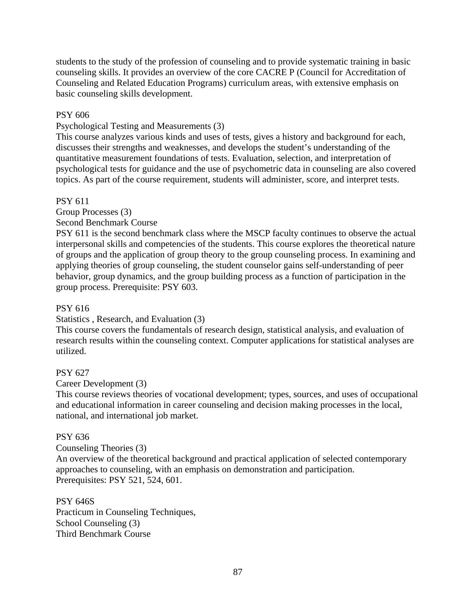students to the study of the profession of counseling and to provide systematic training in basic counseling skills. It provides an overview of the core CACRE P (Council for Accreditation of Counseling and Related Education Programs) curriculum areas, with extensive emphasis on basic counseling skills development.

# PSY 606

Psychological Testing and Measurements (3)

This course analyzes various kinds and uses of tests, gives a history and background for each, discusses their strengths and weaknesses, and develops the student's understanding of the quantitative measurement foundations of tests. Evaluation, selection, and interpretation of psychological tests for guidance and the use of psychometric data in counseling are also covered topics. As part of the course requirement, students will administer, score, and interpret tests.

# PSY 611

Group Processes (3)

Second Benchmark Course

PSY 611 is the second benchmark class where the MSCP faculty continues to observe the actual interpersonal skills and competencies of the students. This course explores the theoretical nature of groups and the application of group theory to the group counseling process. In examining and applying theories of group counseling, the student counselor gains self-understanding of peer behavior, group dynamics, and the group building process as a function of participation in the group process. Prerequisite: PSY 603.

# PSY 616

## Statistics , Research, and Evaluation (3)

This course covers the fundamentals of research design, statistical analysis, and evaluation of research results within the counseling context. Computer applications for statistical analyses are utilized.

# PSY 627

Career Development (3)

This course reviews theories of vocational development; types, sources, and uses of occupational and educational information in career counseling and decision making processes in the local, national, and international job market.

# PSY 636

Counseling Theories (3)

An overview of the theoretical background and practical application of selected contemporary approaches to counseling, with an emphasis on demonstration and participation. Prerequisites: PSY 521, 524, 601.

PSY 646S Practicum in Counseling Techniques, School Counseling (3) Third Benchmark Course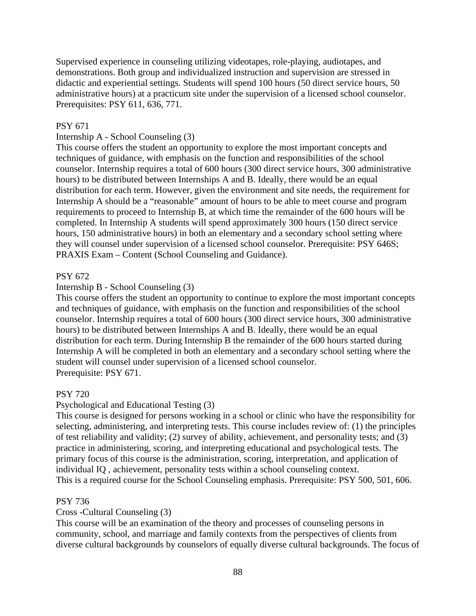Supervised experience in counseling utilizing videotapes, role-playing, audiotapes, and demonstrations. Both group and individualized instruction and supervision are stressed in didactic and experiential settings. Students will spend 100 hours (50 direct service hours, 50 administrative hours) at a practicum site under the supervision of a licensed school counselor. Prerequisites: PSY 611, 636, 771.

#### PSY 671

# Internship A - School Counseling (3)

This course offers the student an opportunity to explore the most important concepts and techniques of guidance, with emphasis on the function and responsibilities of the school counselor. Internship requires a total of 600 hours (300 direct service hours, 300 administrative hours) to be distributed between Internships A and B. Ideally, there would be an equal distribution for each term. However, given the environment and site needs, the requirement for Internship A should be a "reasonable" amount of hours to be able to meet course and program requirements to proceed to Internship B, at which time the remainder of the 600 hours will be completed. In Internship A students will spend approximately 300 hours (150 direct service hours, 150 administrative hours) in both an elementary and a secondary school setting where they will counsel under supervision of a licensed school counselor. Prerequisite: PSY 646S; PRAXIS Exam – Content (School Counseling and Guidance).

#### PSY 672

# Internship B - School Counseling (3)

This course offers the student an opportunity to continue to explore the most important concepts and techniques of guidance, with emphasis on the function and responsibilities of the school counselor. Internship requires a total of 600 hours (300 direct service hours, 300 administrative hours) to be distributed between Internships A and B. Ideally, there would be an equal distribution for each term. During Internship B the remainder of the 600 hours started during Internship A will be completed in both an elementary and a secondary school setting where the student will counsel under supervision of a licensed school counselor. Prerequisite: PSY 671.

#### PSY 720

#### Psychological and Educational Testing (3)

This course is designed for persons working in a school or clinic who have the responsibility for selecting, administering, and interpreting tests. This course includes review of: (1) the principles of test reliability and validity; (2) survey of ability, achievement, and personality tests; and (3) practice in administering, scoring, and interpreting educational and psychological tests. The primary focus of this course is the administration, scoring, interpretation, and application of individual IQ , achievement, personality tests within a school counseling context. This is a required course for the School Counseling emphasis. Prerequisite: PSY 500, 501, 606.

#### PSY 736

#### Cross -Cultural Counseling (3)

This course will be an examination of the theory and processes of counseling persons in community, school, and marriage and family contexts from the perspectives of clients from diverse cultural backgrounds by counselors of equally diverse cultural backgrounds. The focus of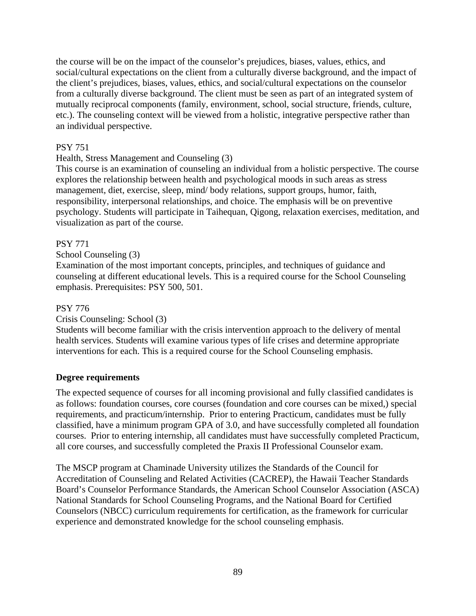the course will be on the impact of the counselor's prejudices, biases, values, ethics, and social/cultural expectations on the client from a culturally diverse background, and the impact of the client's prejudices, biases, values, ethics, and social/cultural expectations on the counselor from a culturally diverse background. The client must be seen as part of an integrated system of mutually reciprocal components (family, environment, school, social structure, friends, culture, etc.). The counseling context will be viewed from a holistic, integrative perspective rather than an individual perspective.

# PSY 751

# Health, Stress Management and Counseling (3)

This course is an examination of counseling an individual from a holistic perspective. The course explores the relationship between health and psychological moods in such areas as stress management, diet, exercise, sleep, mind/ body relations, support groups, humor, faith, responsibility, interpersonal relationships, and choice. The emphasis will be on preventive psychology. Students will participate in Taihequan, Qigong, relaxation exercises, meditation, and visualization as part of the course.

## PSY 771

School Counseling (3)

Examination of the most important concepts, principles, and techniques of guidance and counseling at different educational levels. This is a required course for the School Counseling emphasis. Prerequisites: PSY 500, 501.

# PSY 776

## Crisis Counseling: School (3)

Students will become familiar with the crisis intervention approach to the delivery of mental health services. Students will examine various types of life crises and determine appropriate interventions for each. This is a required course for the School Counseling emphasis.

## **Degree requirements**

The expected sequence of courses for all incoming provisional and fully classified candidates is as follows: foundation courses, core courses (foundation and core courses can be mixed,) special requirements, and practicum/internship. Prior to entering Practicum, candidates must be fully classified, have a minimum program GPA of 3.0, and have successfully completed all foundation courses. Prior to entering internship, all candidates must have successfully completed Practicum, all core courses, and successfully completed the Praxis II Professional Counselor exam.

The MSCP program at Chaminade University utilizes the Standards of the Council for Accreditation of Counseling and Related Activities (CACREP), the Hawaii Teacher Standards Board's Counselor Performance Standards, the American School Counselor Association (ASCA) National Standards for School Counseling Programs, and the National Board for Certified Counselors (NBCC) curriculum requirements for certification, as the framework for curricular experience and demonstrated knowledge for the school counseling emphasis.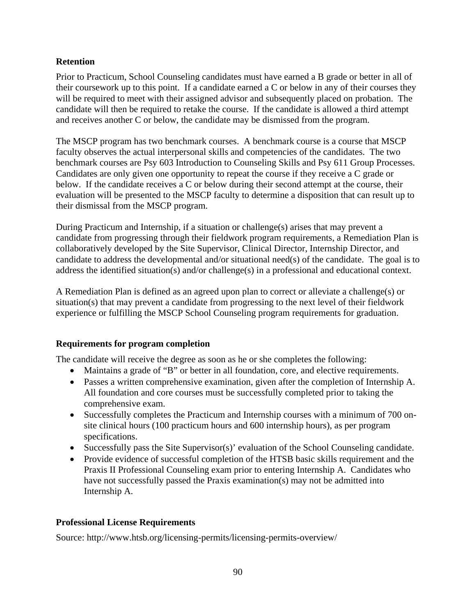# **Retention**

Prior to Practicum, School Counseling candidates must have earned a B grade or better in all of their coursework up to this point. If a candidate earned a C or below in any of their courses they will be required to meet with their assigned advisor and subsequently placed on probation. The candidate will then be required to retake the course. If the candidate is allowed a third attempt and receives another C or below, the candidate may be dismissed from the program.

The MSCP program has two benchmark courses. A benchmark course is a course that MSCP faculty observes the actual interpersonal skills and competencies of the candidates. The two benchmark courses are Psy 603 Introduction to Counseling Skills and Psy 611 Group Processes. Candidates are only given one opportunity to repeat the course if they receive a C grade or below. If the candidate receives a C or below during their second attempt at the course, their evaluation will be presented to the MSCP faculty to determine a disposition that can result up to their dismissal from the MSCP program.

During Practicum and Internship, if a situation or challenge(s) arises that may prevent a candidate from progressing through their fieldwork program requirements, a Remediation Plan is collaboratively developed by the Site Supervisor, Clinical Director, Internship Director, and candidate to address the developmental and/or situational need(s) of the candidate. The goal is to address the identified situation(s) and/or challenge(s) in a professional and educational context.

A Remediation Plan is defined as an agreed upon plan to correct or alleviate a challenge(s) or situation(s) that may prevent a candidate from progressing to the next level of their fieldwork experience or fulfilling the MSCP School Counseling program requirements for graduation.

# **Requirements for program completion**

The candidate will receive the degree as soon as he or she completes the following:

- Maintains a grade of "B" or better in all foundation, core, and elective requirements.
- Passes a written comprehensive examination, given after the completion of Internship A. All foundation and core courses must be successfully completed prior to taking the comprehensive exam.
- Successfully completes the Practicum and Internship courses with a minimum of 700 onsite clinical hours (100 practicum hours and 600 internship hours), as per program specifications.
- Successfully pass the Site Supervisor(s)' evaluation of the School Counseling candidate.
- Provide evidence of successful completion of the HTSB basic skills requirement and the Praxis II Professional Counseling exam prior to entering Internship A. Candidates who have not successfully passed the Praxis examination(s) may not be admitted into Internship A.

# **Professional License Requirements**

Source: http://www.htsb.org/licensing-permits/licensing-permits-overview/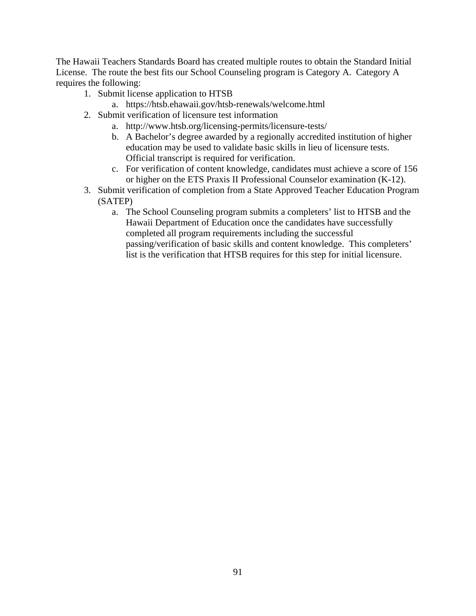The Hawaii Teachers Standards Board has created multiple routes to obtain the Standard Initial License. The route the best fits our School Counseling program is Category A. Category A requires the following:

- 1. Submit license application to HTSB
	- a. https://htsb.ehawaii.gov/htsb-renewals/welcome.html
- 2. Submit verification of licensure test information
	- a. http://www.htsb.org/licensing-permits/licensure-tests/
	- b. A Bachelor's degree awarded by a regionally accredited institution of higher education may be used to validate basic skills in lieu of licensure tests. Official transcript is required for verification.
	- c. For verification of content knowledge, candidates must achieve a score of 156 or higher on the ETS Praxis II Professional Counselor examination (K-12).
- 3. Submit verification of completion from a State Approved Teacher Education Program (SATEP)
	- a. The School Counseling program submits a completers' list to HTSB and the Hawaii Department of Education once the candidates have successfully completed all program requirements including the successful passing/verification of basic skills and content knowledge. This completers' list is the verification that HTSB requires for this step for initial licensure.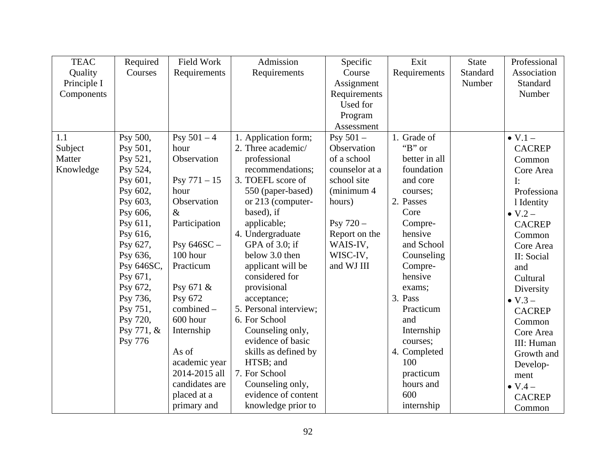| <b>TEAC</b> | Required   | Field Work     | Admission              | Specific       | Exit          | <b>State</b> | Professional      |
|-------------|------------|----------------|------------------------|----------------|---------------|--------------|-------------------|
| Quality     | Courses    | Requirements   | Requirements           | Course         | Requirements  | Standard     | Association       |
| Principle I |            |                |                        | Assignment     |               | Number       | Standard          |
| Components  |            |                |                        | Requirements   |               |              | Number            |
|             |            |                |                        | Used for       |               |              |                   |
|             |            |                |                        | Program        |               |              |                   |
|             |            |                |                        | Assessment     |               |              |                   |
| 1.1         | Psy 500,   | Psy $501 - 4$  | 1. Application form;   | Psy $501 -$    | 1. Grade of   |              | $\bullet$ V.1 $-$ |
| Subject     | Psy 501,   | hour           | 2. Three academic/     | Observation    | " $B$ " or    |              | <b>CACREP</b>     |
| Matter      | Psy 521,   | Observation    | professional           | of a school    | better in all |              | Common            |
| Knowledge   | Psy 524,   |                | recommendations;       | counselor at a | foundation    |              | Core Area         |
|             | Psy 601,   | Psy $771 - 15$ | 3. TOEFL score of      | school site    | and core      |              | I:                |
|             | Psy 602,   | hour           | 550 (paper-based)      | (minimum 4     | courses;      |              | Professiona       |
|             | Psy 603,   | Observation    | or 213 (computer-      | hours)         | 2. Passes     |              | 1 Identity        |
|             | Psy 606,   | $\&$           | based), if             |                | Core          |              | $\bullet$ V.2 $-$ |
|             | Psy 611,   | Participation  | applicable;            | Psy $720 -$    | Compre-       |              | <b>CACREP</b>     |
|             | Psy 616,   |                | 4. Undergraduate       | Report on the  | hensive       |              | Common            |
|             | Psy 627,   | Psy $646SC -$  | GPA of 3.0; if         | WAIS-IV,       | and School    |              | Core Area         |
|             | Psy 636,   | 100 hour       | below 3.0 then         | WISC-IV,       | Counseling    |              | II: Social        |
|             | Psy 646SC, | Practicum      | applicant will be      | and WJ III     | Compre-       |              | and               |
|             | Psy 671,   |                | considered for         |                | hensive       |              | Cultural          |
|             | Psy 672,   | Psy 671 &      | provisional            |                | exams;        |              | Diversity         |
|             | Psy 736,   | Psy 672        | acceptance;            |                | 3. Pass       |              | $\bullet$ V.3 –   |
|             | Psy 751,   | combined -     | 5. Personal interview; |                | Practicum     |              | <b>CACREP</b>     |
|             | Psy 720,   | 600 hour       | 6. For School          |                | and           |              | Common            |
|             | Psy 771, & | Internship     | Counseling only,       |                | Internship    |              | Core Area         |
|             | Psy 776    |                | evidence of basic      |                | courses;      |              | III: Human        |
|             |            | As of          | skills as defined by   |                | 4. Completed  |              | Growth and        |
|             |            | academic year  | HTSB; and              |                | 100           |              | Develop-          |
|             |            | 2014-2015 all  | 7. For School          |                | practicum     |              | ment              |
|             |            | candidates are | Counseling only,       |                | hours and     |              | $\bullet$ V.4 $-$ |
|             |            | placed at a    | evidence of content    |                | 600           |              | <b>CACREP</b>     |
|             |            | primary and    | knowledge prior to     |                | internship    |              | Common            |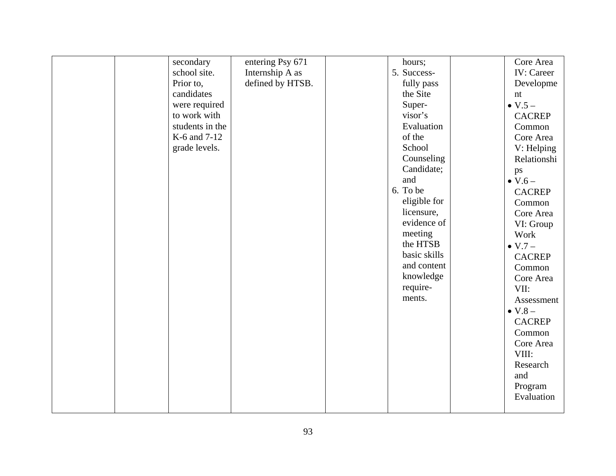| entering Psy 671<br>Core Area<br>secondary<br>hours;<br>Internship A as<br><b>IV:</b> Career<br>5. Success-<br>school site.<br>defined by HTSB.<br>Prior to,<br>fully pass<br>Developme<br>candidates<br>the Site<br>nt<br>were required<br>Super-<br>$\bullet$ V.5 $-$<br>to work with<br>visor's<br><b>CACREP</b><br>students in the<br>Evaluation<br>Common<br>of the<br>K-6 and 7-12<br>Core Area<br>School<br>grade levels.<br>V: Helping<br>Counseling<br>Relationshi<br>Candidate;<br>ps<br>and<br>$\bullet$ V.6 –<br>6. To be<br><b>CACREP</b><br>eligible for<br>Common<br>licensure,<br>Core Area<br>evidence of<br>VI: Group<br>meeting<br>Work<br>the HTSB<br>$\bullet$ V.7 $-$<br>basic skills<br><b>CACREP</b><br>and content<br>Common<br>knowledge<br>Core Area<br>require-<br>VII:<br>ments.<br>Assessment<br>$\bullet$ V.8 $-$<br><b>CACREP</b><br>Common<br>Core Area<br>VIII:<br>Research<br>and<br>Program<br>Evaluation |  |  |  |  |
|-----------------------------------------------------------------------------------------------------------------------------------------------------------------------------------------------------------------------------------------------------------------------------------------------------------------------------------------------------------------------------------------------------------------------------------------------------------------------------------------------------------------------------------------------------------------------------------------------------------------------------------------------------------------------------------------------------------------------------------------------------------------------------------------------------------------------------------------------------------------------------------------------------------------------------------------------|--|--|--|--|
|                                                                                                                                                                                                                                                                                                                                                                                                                                                                                                                                                                                                                                                                                                                                                                                                                                                                                                                                               |  |  |  |  |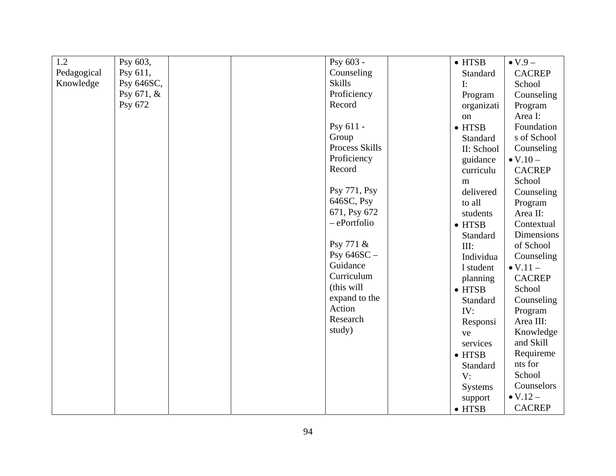| 1.2         | Psy 603,     |  | Psy 603 -      | $\bullet$ HTSB | $\bullet$ V.9 $-$  |
|-------------|--------------|--|----------------|----------------|--------------------|
| Pedagogical | Psy 611,     |  | Counseling     | Standard       | <b>CACREP</b>      |
| Knowledge   | Psy 646SC,   |  | <b>Skills</b>  | $\mathbf{I}$ : | School             |
|             | Psy $671, &$ |  | Proficiency    | Program        | Counseling         |
|             | Psy 672      |  | Record         | organizati     | Program            |
|             |              |  |                | on             | Area I:            |
|             |              |  | Psy 611 -      | $\bullet$ HTSB | Foundation         |
|             |              |  | Group          | Standard       | s of School        |
|             |              |  | Process Skills | II: School     | Counseling         |
|             |              |  | Proficiency    | guidance       | $\bullet$ V.10 $-$ |
|             |              |  | Record         | curriculu      | <b>CACREP</b>      |
|             |              |  |                | m              | School             |
|             |              |  | Psy 771, Psy   | delivered      | Counseling         |
|             |              |  | 646SC, Psy     | to all         | Program            |
|             |              |  | 671, Psy 672   | students       | Area II:           |
|             |              |  | - ePortfolio   | $\bullet$ HTSB | Contextual         |
|             |              |  |                | Standard       | Dimensions         |
|             |              |  | Psy 771 &      | III:           | of School          |
|             |              |  | Psy $646SC -$  | Individua      | Counseling         |
|             |              |  | Guidance       | 1 student      | $\bullet$ V.11 $-$ |
|             |              |  | Curriculum     | planning       | <b>CACREP</b>      |
|             |              |  | (this will     | $\bullet$ HTSB | School             |
|             |              |  | expand to the  | Standard       | Counseling         |
|             |              |  | Action         | IV:            | Program            |
|             |              |  | Research       | Responsi       | Area III:          |
|             |              |  | study)         | ve             | Knowledge          |
|             |              |  |                | services       | and Skill          |
|             |              |  |                | $\bullet$ HTSB | Requireme          |
|             |              |  |                | Standard       | nts for            |
|             |              |  |                | V:             | School             |
|             |              |  |                | <b>Systems</b> | Counselors         |
|             |              |  |                | support        | $\bullet$ V.12 $-$ |
|             |              |  |                | $\bullet$ HTSB | <b>CACREP</b>      |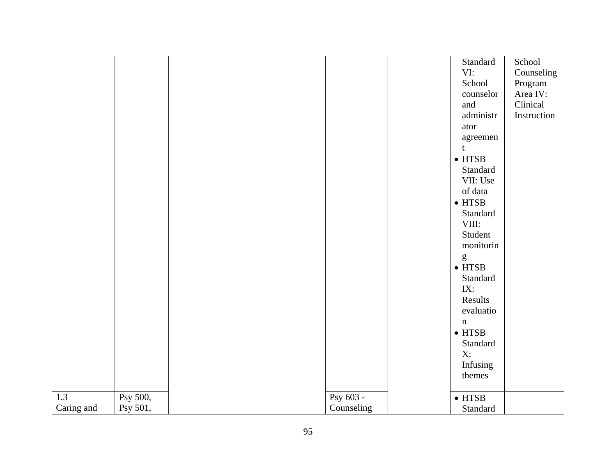|            |          |  |             | Standard                                                                                                                                                                                                                                                                                                                                                                                                                       | School      |
|------------|----------|--|-------------|--------------------------------------------------------------------------------------------------------------------------------------------------------------------------------------------------------------------------------------------------------------------------------------------------------------------------------------------------------------------------------------------------------------------------------|-------------|
|            |          |  |             | VI:                                                                                                                                                                                                                                                                                                                                                                                                                            | Counseling  |
|            |          |  |             | School                                                                                                                                                                                                                                                                                                                                                                                                                         | Program     |
|            |          |  |             | counselor                                                                                                                                                                                                                                                                                                                                                                                                                      | Area IV:    |
|            |          |  |             | and                                                                                                                                                                                                                                                                                                                                                                                                                            | Clinical    |
|            |          |  |             | administr                                                                                                                                                                                                                                                                                                                                                                                                                      | Instruction |
|            |          |  |             | ator                                                                                                                                                                                                                                                                                                                                                                                                                           |             |
|            |          |  |             | agreemen                                                                                                                                                                                                                                                                                                                                                                                                                       |             |
|            |          |  |             | $\mathbf t$                                                                                                                                                                                                                                                                                                                                                                                                                    |             |
|            |          |  |             | $\bullet$ HTSB                                                                                                                                                                                                                                                                                                                                                                                                                 |             |
|            |          |  |             | Standard                                                                                                                                                                                                                                                                                                                                                                                                                       |             |
|            |          |  |             | VII: Use                                                                                                                                                                                                                                                                                                                                                                                                                       |             |
|            |          |  |             | of data                                                                                                                                                                                                                                                                                                                                                                                                                        |             |
|            |          |  |             | $\bullet$ HTSB                                                                                                                                                                                                                                                                                                                                                                                                                 |             |
|            |          |  |             | Standard                                                                                                                                                                                                                                                                                                                                                                                                                       |             |
|            |          |  |             | VIII:                                                                                                                                                                                                                                                                                                                                                                                                                          |             |
|            |          |  |             | Student                                                                                                                                                                                                                                                                                                                                                                                                                        |             |
|            |          |  |             | monitorin                                                                                                                                                                                                                                                                                                                                                                                                                      |             |
|            |          |  |             | $\mathbf{g}% _{T}=\mathbf{g}_{T}=\mathbf{g}_{T}=\mathbf{g}_{T}=\mathbf{g}_{T}=\mathbf{g}_{T}=\mathbf{g}_{T}=\mathbf{g}_{T}=\mathbf{g}_{T}=\mathbf{g}_{T}=\mathbf{g}_{T}=\mathbf{g}_{T}=\mathbf{g}_{T}=\mathbf{g}_{T}=\mathbf{g}_{T}=\mathbf{g}_{T}=\mathbf{g}_{T}=\mathbf{g}_{T}=\mathbf{g}_{T}=\mathbf{g}_{T}=\mathbf{g}_{T}=\mathbf{g}_{T}=\mathbf{g}_{T}=\mathbf{g}_{T}=\mathbf{g}_{T}=\mathbf{g}_{T}=\mathbf{g}_{T}=\math$ |             |
|            |          |  |             | $\bullet$ HTSB                                                                                                                                                                                                                                                                                                                                                                                                                 |             |
|            |          |  |             | Standard                                                                                                                                                                                                                                                                                                                                                                                                                       |             |
|            |          |  |             | IX:                                                                                                                                                                                                                                                                                                                                                                                                                            |             |
|            |          |  |             | Results                                                                                                                                                                                                                                                                                                                                                                                                                        |             |
|            |          |  |             | evaluatio                                                                                                                                                                                                                                                                                                                                                                                                                      |             |
|            |          |  |             |                                                                                                                                                                                                                                                                                                                                                                                                                                |             |
|            |          |  |             | $\mathbf n$                                                                                                                                                                                                                                                                                                                                                                                                                    |             |
|            |          |  |             | $\bullet$ HTSB                                                                                                                                                                                                                                                                                                                                                                                                                 |             |
|            |          |  |             | Standard                                                                                                                                                                                                                                                                                                                                                                                                                       |             |
|            |          |  |             | $X$ :                                                                                                                                                                                                                                                                                                                                                                                                                          |             |
|            |          |  |             | Infusing                                                                                                                                                                                                                                                                                                                                                                                                                       |             |
|            |          |  |             | themes                                                                                                                                                                                                                                                                                                                                                                                                                         |             |
| 1.3        | Psy 500, |  | Psy $603 -$ | $\bullet$ HTSB                                                                                                                                                                                                                                                                                                                                                                                                                 |             |
| Caring and | Psy 501, |  | Counseling  | Standard                                                                                                                                                                                                                                                                                                                                                                                                                       |             |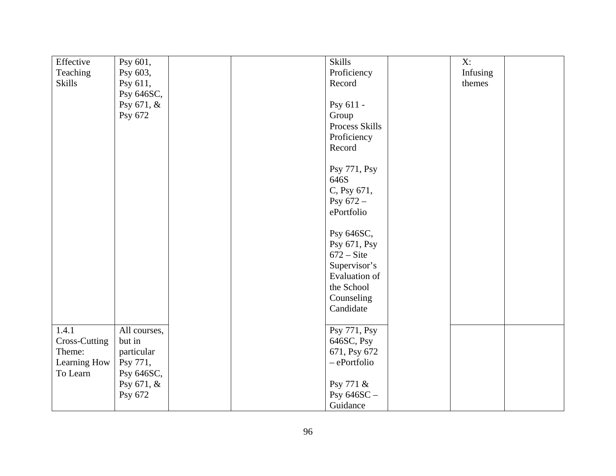| Effective     | Psy 601,     |  | Skills               | $X$ :    |  |
|---------------|--------------|--|----------------------|----------|--|
| Teaching      | Psy 603,     |  | Proficiency          | Infusing |  |
| <b>Skills</b> | Psy 611,     |  | Record               | themes   |  |
|               | Psy 646SC,   |  |                      |          |  |
|               | Psy 671, &   |  | Psy 611 -            |          |  |
|               | Psy 672      |  | Group                |          |  |
|               |              |  | Process Skills       |          |  |
|               |              |  |                      |          |  |
|               |              |  | Proficiency          |          |  |
|               |              |  | Record               |          |  |
|               |              |  | Psy 771, Psy         |          |  |
|               |              |  | 646S                 |          |  |
|               |              |  |                      |          |  |
|               |              |  | C, Psy 671,          |          |  |
|               |              |  | Psy $672 -$          |          |  |
|               |              |  | ePortfolio           |          |  |
|               |              |  | Psy 646SC,           |          |  |
|               |              |  | Psy 671, Psy         |          |  |
|               |              |  | $672 - Site$         |          |  |
|               |              |  |                      |          |  |
|               |              |  | Supervisor's         |          |  |
|               |              |  | <b>Evaluation of</b> |          |  |
|               |              |  | the School           |          |  |
|               |              |  | Counseling           |          |  |
|               |              |  | Candidate            |          |  |
|               |              |  |                      |          |  |
| 1.4.1         | All courses, |  | Psy 771, Psy         |          |  |
| Cross-Cutting | but in       |  | 646SC, Psy           |          |  |
| Theme:        | particular   |  | 671, Psy 672         |          |  |
| Learning How  | Psy 771,     |  | - ePortfolio         |          |  |
| To Learn      | Psy 646SC,   |  |                      |          |  |
|               | Psy 671, &   |  | Psy 771 &            |          |  |
|               | Psy 672      |  | Psy 646SC -          |          |  |
|               |              |  | Guidance             |          |  |
|               |              |  |                      |          |  |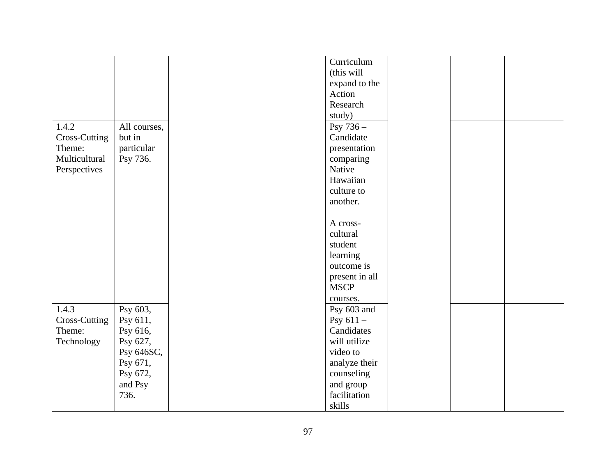|               |              |  | Curriculum     |  |  |
|---------------|--------------|--|----------------|--|--|
|               |              |  | (this will     |  |  |
|               |              |  | expand to the  |  |  |
|               |              |  | Action         |  |  |
|               |              |  | Research       |  |  |
|               |              |  | study)         |  |  |
| 1.4.2         | All courses, |  | Psy 736 -      |  |  |
| Cross-Cutting | but in       |  | Candidate      |  |  |
| Theme:        | particular   |  | presentation   |  |  |
| Multicultural | Psy 736.     |  | comparing      |  |  |
| Perspectives  |              |  | Native         |  |  |
|               |              |  | Hawaiian       |  |  |
|               |              |  | culture to     |  |  |
|               |              |  | another.       |  |  |
|               |              |  |                |  |  |
|               |              |  | A cross-       |  |  |
|               |              |  | cultural       |  |  |
|               |              |  | student        |  |  |
|               |              |  | learning       |  |  |
|               |              |  | outcome is     |  |  |
|               |              |  | present in all |  |  |
|               |              |  | <b>MSCP</b>    |  |  |
|               |              |  | courses.       |  |  |
| 1.4.3         | Psy 603,     |  | Psy 603 and    |  |  |
| Cross-Cutting | Psy 611,     |  | Psy $611 -$    |  |  |
| Theme:        | Psy 616,     |  | Candidates     |  |  |
| Technology    | Psy 627,     |  | will utilize   |  |  |
|               | Psy 646SC,   |  | video to       |  |  |
|               | Psy 671,     |  | analyze their  |  |  |
|               | Psy 672,     |  | counseling     |  |  |
|               | and Psy      |  | and group      |  |  |
|               | 736.         |  | facilitation   |  |  |
|               |              |  | skills         |  |  |
|               |              |  |                |  |  |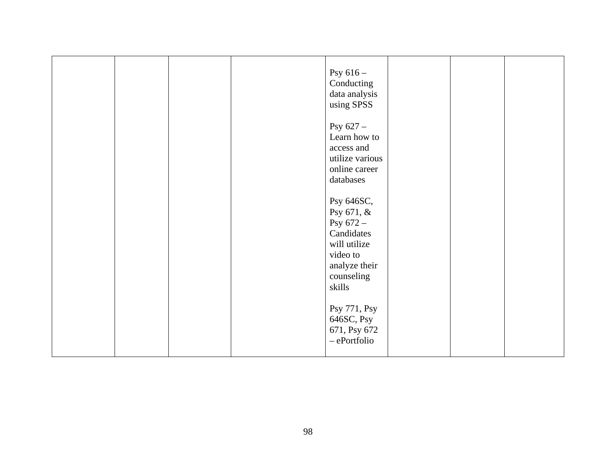|  |  | Psy $616-$<br>Conducting<br>data analysis<br>using SPSS                                                                    |  |  |
|--|--|----------------------------------------------------------------------------------------------------------------------------|--|--|
|  |  | Psy $627 -$<br>Learn how to<br>access and<br>utilize various<br>online career<br>databases                                 |  |  |
|  |  | Psy 646SC,<br>Psy 671, &<br>Psy $672 -$<br>Candidates<br>will utilize<br>video to<br>analyze their<br>counseling<br>skills |  |  |
|  |  | Psy 771, Psy<br>646SC, Psy<br>671, Psy 672<br>- ePortfolio                                                                 |  |  |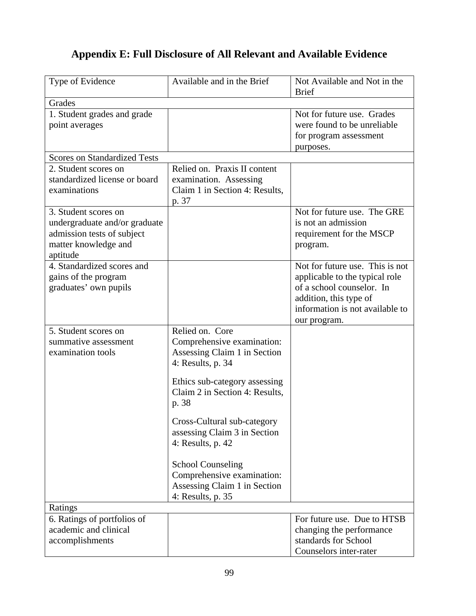# **Appendix E: Full Disclosure of All Relevant and Available Evidence**

| Type of Evidence                                                                                                        | Available and in the Brief                                                                                                                                                     | Not Available and Not in the<br><b>Brief</b>                                                                                                                                |
|-------------------------------------------------------------------------------------------------------------------------|--------------------------------------------------------------------------------------------------------------------------------------------------------------------------------|-----------------------------------------------------------------------------------------------------------------------------------------------------------------------------|
| Grades                                                                                                                  |                                                                                                                                                                                |                                                                                                                                                                             |
| 1. Student grades and grade<br>point averages                                                                           |                                                                                                                                                                                | Not for future use. Grades<br>were found to be unreliable<br>for program assessment<br>purposes.                                                                            |
| <b>Scores on Standardized Tests</b>                                                                                     |                                                                                                                                                                                |                                                                                                                                                                             |
| 2. Student scores on<br>standardized license or board<br>examinations                                                   | Relied on. Praxis II content<br>examination. Assessing<br>Claim 1 in Section 4: Results,<br>p. 37                                                                              |                                                                                                                                                                             |
| 3. Student scores on<br>undergraduate and/or graduate<br>admission tests of subject<br>matter knowledge and<br>aptitude |                                                                                                                                                                                | Not for future use. The GRE<br>is not an admission<br>requirement for the MSCP<br>program.                                                                                  |
| 4. Standardized scores and<br>gains of the program<br>graduates' own pupils                                             |                                                                                                                                                                                | Not for future use. This is not<br>applicable to the typical role<br>of a school counselor. In<br>addition, this type of<br>information is not available to<br>our program. |
| 5. Student scores on<br>summative assessment<br>examination tools                                                       | Relied on. Core<br>Comprehensive examination:<br>Assessing Claim 1 in Section<br>4: Results, p. 34<br>Ethics sub-category assessing<br>Claim 2 in Section 4: Results,<br>p. 38 |                                                                                                                                                                             |
|                                                                                                                         | Cross-Cultural sub-category<br>assessing Claim 3 in Section<br>4: Results, p. $42$<br><b>School Counseling</b>                                                                 |                                                                                                                                                                             |
|                                                                                                                         | Comprehensive examination:<br>Assessing Claim 1 in Section<br>4: Results, p. 35                                                                                                |                                                                                                                                                                             |
| Ratings                                                                                                                 |                                                                                                                                                                                |                                                                                                                                                                             |
| 6. Ratings of portfolios of<br>academic and clinical<br>accomplishments                                                 |                                                                                                                                                                                | For future use. Due to HTSB<br>changing the performance<br>standards for School<br>Counselors inter-rater                                                                   |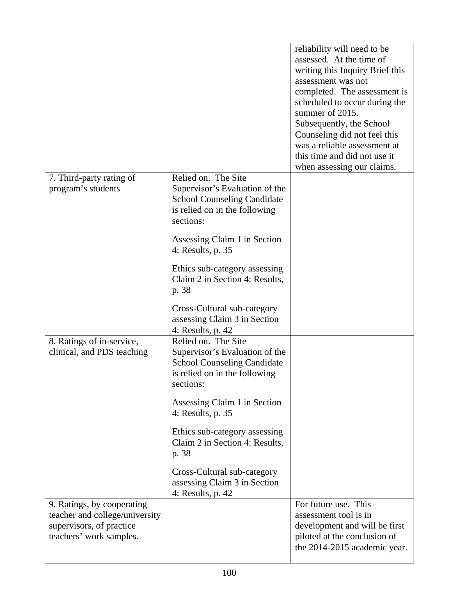|                                                                                                                     |                                                                                                                                           | reliability will need to be<br>assessed. At the time of<br>writing this Inquiry Brief this<br>assessment was not<br>completed. The assessment is<br>scheduled to occur during the<br>summer of 2015. |
|---------------------------------------------------------------------------------------------------------------------|-------------------------------------------------------------------------------------------------------------------------------------------|------------------------------------------------------------------------------------------------------------------------------------------------------------------------------------------------------|
|                                                                                                                     |                                                                                                                                           | Subsequently, the School<br>Counseling did not feel this                                                                                                                                             |
|                                                                                                                     |                                                                                                                                           | was a reliable assessment at<br>this time and did not use it                                                                                                                                         |
| 7. Third-party rating of<br>program's students                                                                      | Relied on. The Site<br>Supervisor's Evaluation of the<br><b>School Counseling Candidate</b><br>is relied on in the following<br>sections: | when assessing our claims.                                                                                                                                                                           |
|                                                                                                                     | Assessing Claim 1 in Section<br>4: Results, p. 35                                                                                         |                                                                                                                                                                                                      |
|                                                                                                                     | Ethics sub-category assessing<br>Claim 2 in Section 4: Results,<br>p. 38                                                                  |                                                                                                                                                                                                      |
|                                                                                                                     | Cross-Cultural sub-category<br>assessing Claim 3 in Section<br>4: Results, p. 42                                                          |                                                                                                                                                                                                      |
| 8. Ratings of in-service,<br>clinical, and PDS teaching                                                             | Relied on. The Site<br>Supervisor's Evaluation of the<br><b>School Counseling Candidate</b><br>is relied on in the following<br>sections: |                                                                                                                                                                                                      |
|                                                                                                                     | Assessing Claim 1 in Section<br>4: Results, p. 35                                                                                         |                                                                                                                                                                                                      |
|                                                                                                                     | Ethics sub-category assessing<br>Claim 2 in Section 4: Results,<br>p. 38                                                                  |                                                                                                                                                                                                      |
|                                                                                                                     | Cross-Cultural sub-category<br>assessing Claim 3 in Section<br>4: Results, p. 42                                                          |                                                                                                                                                                                                      |
| 9. Ratings, by cooperating<br>teacher and college/university<br>supervisors, of practice<br>teachers' work samples. |                                                                                                                                           | For future use. This<br>assessment tool is in<br>development and will be first<br>piloted at the conclusion of<br>the 2014-2015 academic year.                                                       |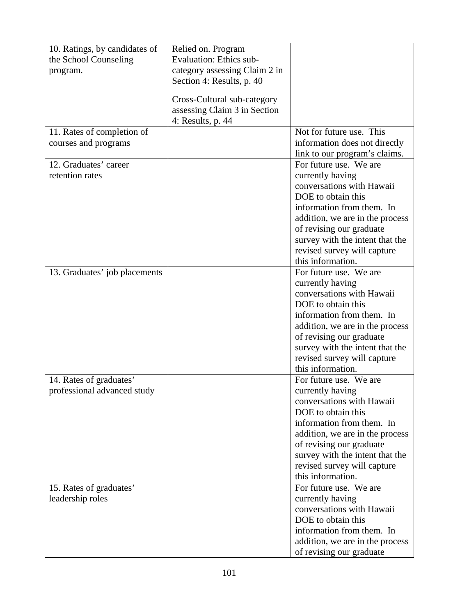| 10. Ratings, by candidates of | Relied on. Program             |                                                         |
|-------------------------------|--------------------------------|---------------------------------------------------------|
| the School Counseling         | <b>Evaluation: Ethics sub-</b> |                                                         |
| program.                      | category assessing Claim 2 in  |                                                         |
|                               | Section 4: Results, p. 40      |                                                         |
|                               | Cross-Cultural sub-category    |                                                         |
|                               | assessing Claim 3 in Section   |                                                         |
|                               | 4: Results, p. 44              |                                                         |
| 11. Rates of completion of    |                                | Not for future use. This                                |
| courses and programs          |                                | information does not directly                           |
| 12. Graduates' career         |                                | link to our program's claims.<br>For future use. We are |
| retention rates               |                                | currently having                                        |
|                               |                                | conversations with Hawaii                               |
|                               |                                | DOE to obtain this                                      |
|                               |                                | information from them. In                               |
|                               |                                | addition, we are in the process                         |
|                               |                                | of revising our graduate                                |
|                               |                                | survey with the intent that the                         |
|                               |                                | revised survey will capture                             |
|                               |                                | this information.                                       |
| 13. Graduates' job placements |                                | For future use. We are                                  |
|                               |                                | currently having<br>conversations with Hawaii           |
|                               |                                | DOE to obtain this                                      |
|                               |                                | information from them. In                               |
|                               |                                | addition, we are in the process                         |
|                               |                                | of revising our graduate                                |
|                               |                                | survey with the intent that the                         |
|                               |                                | revised survey will capture                             |
|                               |                                | this information.                                       |
| 14. Rates of graduates'       |                                | For future use. We are                                  |
| professional advanced study   |                                | currently having<br>conversations with Hawaii           |
|                               |                                | DOE to obtain this                                      |
|                               |                                | information from them. In                               |
|                               |                                | addition, we are in the process                         |
|                               |                                | of revising our graduate                                |
|                               |                                | survey with the intent that the                         |
|                               |                                | revised survey will capture                             |
|                               |                                | this information.                                       |
| 15. Rates of graduates'       |                                | For future use. We are                                  |
| leadership roles              |                                | currently having                                        |
|                               |                                | conversations with Hawaii                               |
|                               |                                | DOE to obtain this<br>information from them. In         |
|                               |                                | addition, we are in the process                         |
|                               |                                | of revising our graduate                                |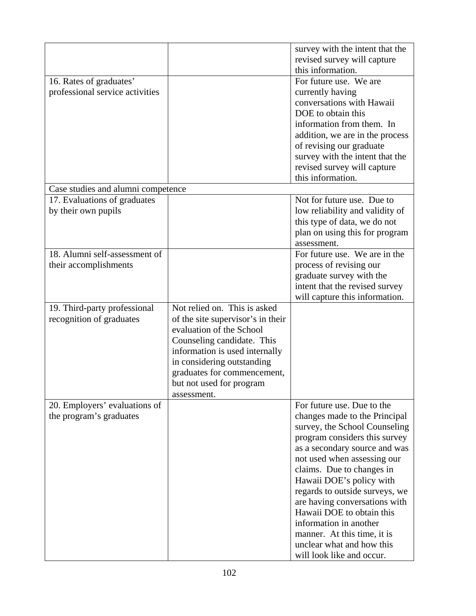|                                    |                                   | survey with the intent that the |
|------------------------------------|-----------------------------------|---------------------------------|
|                                    |                                   | revised survey will capture     |
|                                    |                                   | this information.               |
| 16. Rates of graduates'            |                                   | For future use. We are          |
| professional service activities    |                                   | currently having                |
|                                    |                                   | conversations with Hawaii       |
|                                    |                                   | DOE to obtain this              |
|                                    |                                   | information from them. In       |
|                                    |                                   | addition, we are in the process |
|                                    |                                   | of revising our graduate        |
|                                    |                                   |                                 |
|                                    |                                   | survey with the intent that the |
|                                    |                                   | revised survey will capture     |
|                                    |                                   | this information.               |
| Case studies and alumni competence |                                   |                                 |
| 17. Evaluations of graduates       |                                   | Not for future use. Due to      |
| by their own pupils                |                                   | low reliability and validity of |
|                                    |                                   | this type of data, we do not    |
|                                    |                                   | plan on using this for program  |
|                                    |                                   | assessment.                     |
| 18. Alumni self-assessment of      |                                   | For future use. We are in the   |
| their accomplishments              |                                   | process of revising our         |
|                                    |                                   | graduate survey with the        |
|                                    |                                   | intent that the revised survey  |
|                                    |                                   | will capture this information.  |
| 19. Third-party professional       | Not relied on. This is asked      |                                 |
| recognition of graduates           | of the site supervisor's in their |                                 |
|                                    | evaluation of the School          |                                 |
|                                    | Counseling candidate. This        |                                 |
|                                    | information is used internally    |                                 |
|                                    | in considering outstanding        |                                 |
|                                    | graduates for commencement,       |                                 |
|                                    | but not used for program          |                                 |
|                                    | assessment.                       |                                 |
| 20. Employers' evaluations of      |                                   | For future use. Due to the      |
| the program's graduates            |                                   | changes made to the Principal   |
|                                    |                                   | survey, the School Counseling   |
|                                    |                                   | program considers this survey   |
|                                    |                                   | as a secondary source and was   |
|                                    |                                   | not used when assessing our     |
|                                    |                                   | claims. Due to changes in       |
|                                    |                                   | Hawaii DOE's policy with        |
|                                    |                                   | regards to outside surveys, we  |
|                                    |                                   | are having conversations with   |
|                                    |                                   | Hawaii DOE to obtain this       |
|                                    |                                   | information in another          |
|                                    |                                   |                                 |
|                                    |                                   | manner. At this time, it is     |
|                                    |                                   | unclear what and how this       |
|                                    |                                   | will look like and occur.       |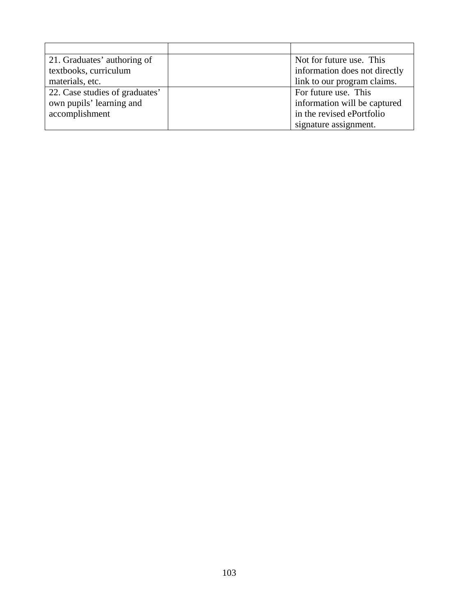| 21. Graduates' authoring of    | Not for future use. This      |
|--------------------------------|-------------------------------|
| textbooks, curriculum          | information does not directly |
| materials, etc.                | link to our program claims.   |
| 22. Case studies of graduates' | For future use. This          |
| own pupils' learning and       | information will be captured  |
| accomplishment                 | in the revised ePortfolio     |
|                                | signature assignment.         |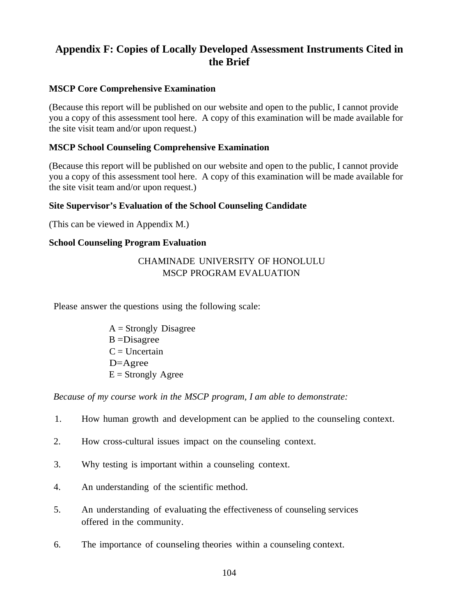# **Appendix F: Copies of Locally Developed Assessment Instruments Cited in the Brief**

## **MSCP Core Comprehensive Examination**

(Because this report will be published on our website and open to the public, I cannot provide you a copy of this assessment tool here. A copy of this examination will be made available for the site visit team and/or upon request.)

## **MSCP School Counseling Comprehensive Examination**

(Because this report will be published on our website and open to the public, I cannot provide you a copy of this assessment tool here. A copy of this examination will be made available for the site visit team and/or upon request.)

#### **Site Supervisor's Evaluation of the School Counseling Candidate**

(This can be viewed in Appendix M.)

#### **School Counseling Program Evaluation**

## CHAMINADE UNIVERSITY OF HONOLULU MSCP PROGRAM EVALUATION

Please answer the questions using the following scale:

 $A =$ Strongly Disagree B =Disagree  $C =$  Uncertain D=Agree  $E =$  Strongly Agree

*Because of my course work in the MSCP program, I am able to demonstrate:*

- 1. How human growth and development can be applied to the counseling context.
- 2. How cross-cultural issues impact on the counseling context.
- 3. Why testing is important within a counseling context.
- 4. An understanding of the scientific method.
- 5. An understanding of evaluating the effectiveness of counseling services offered in the community.
- 6. The importance of counseling theories within a counseling context.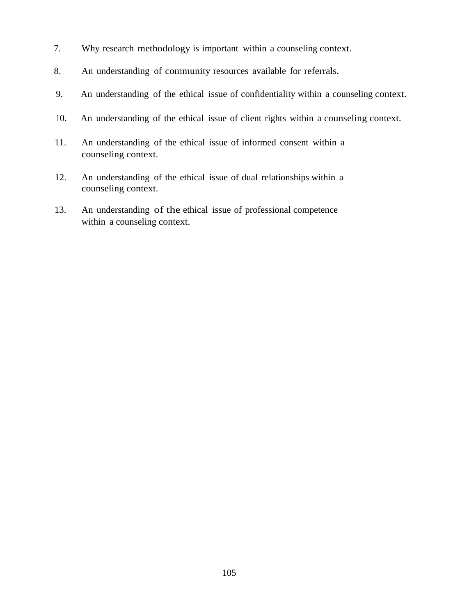- 7. Why research methodology is important within a counseling context.
- 8. An understanding of community resources available for referrals.
- 9. An understanding of the ethical issue of confidentiality within a counseling context.
- 10. An understanding of the ethical issue of client rights within a counseling context.
- 11. An understanding of the ethical issue of informed consent within a counseling context.
- 12. An understanding of the ethical issue of dual relationships within a counseling context.
- 13. An understanding of the ethical issue of professional competence within a counseling context.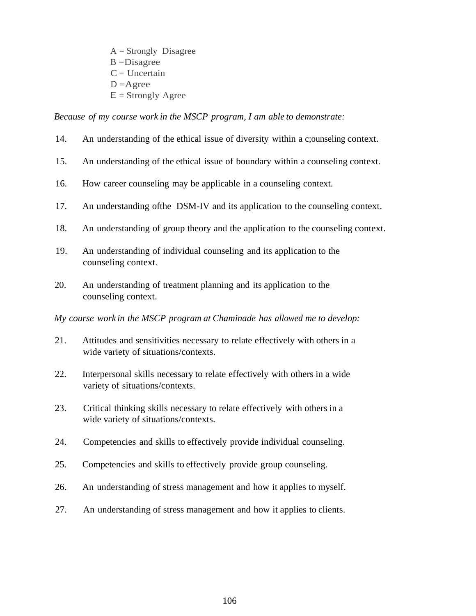$A =$ Strongly Disagree B =Disagree  $C =$  Uncertain  $D =$ Agree  $E =$  Strongly Agree

*Because of my course work in the MSCP program, I am able to demonstrate:*

- 14. An understanding of the ethical issue of diversity within a c;ounseling context.
- 15. An understanding of the ethical issue of boundary within a counseling context.
- 16. How career counseling may be applicable in a counseling context.
- 17. An understanding ofthe DSM-IV and its application to the counseling context.
- 18. An understanding of group theory and the application to the counseling context.
- 19. An understanding of individual counseling and its application to the counseling context.
- 20. An understanding of treatment planning and its application to the counseling context.

*My course work in the MSCP program at Chaminade has allowed me to develop:*

- 21. Attitudes and sensitivities necessary to relate effectively with others in a wide variety of situations/contexts.
- 22. Interpersonal skills necessary to relate effectively with others in a wide variety of situations/contexts.
- 23. Critical thinking skills necessary to relate effectively with others in a wide variety of situations/contexts.
- 24. Competencies and skills to effectively provide individual counseling.
- 25. Competencies and skills to effectively provide group counseling.
- 26. An understanding of stress management and how it applies to myself.
- 27. An understanding of stress management and how it applies to clients.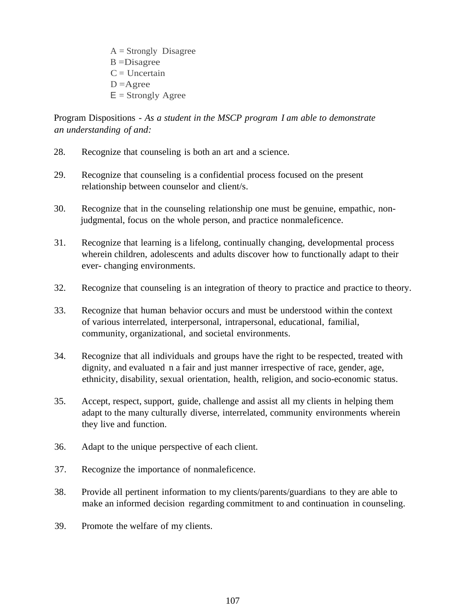$A =$ Strongly Disagree B =Disagree  $C =$  Uncertain  $D =$ Agree  $E =$  Strongly Agree

Program Dispositions - *As a student in the MSCP program I am able to demonstrate an understanding of and:*

- 28. Recognize that counseling is both an art and a science.
- 29. Recognize that counseling is a confidential process focused on the present relationship between counselor and client/s.
- 30. Recognize that in the counseling relationship one must be genuine, empathic, nonjudgmental, focus on the whole person, and practice nonmaleficence.
- 31. Recognize that learning is a lifelong, continually changing, developmental process wherein children, adolescents and adults discover how to functionally adapt to their ever- changing environments.
- 32. Recognize that counseling is an integration of theory to practice and practice to theory.
- 33. Recognize that human behavior occurs and must be understood within the context of various interrelated, interpersonal, intrapersonal, educational, familial, community, organizational, and societal environments.
- 34. Recognize that all individuals and groups have the right to be respected, treated with dignity, and evaluated n a fair and just manner irrespective of race, gender, age, ethnicity, disability, sexual orientation, health, religion, and socio-economic status.
- 35. Accept, respect, support, guide, challenge and assist all my clients in helping them adapt to the many culturally diverse, interrelated, community environments wherein they live and function.
- 36. Adapt to the unique perspective of each client.
- 37. Recognize the importance of nonmaleficence.
- 38. Provide all pertinent information to my clients/parents/guardians to they are able to make an informed decision regarding commitment to and continuation in counseling.
- 39. Promote the welfare of my clients.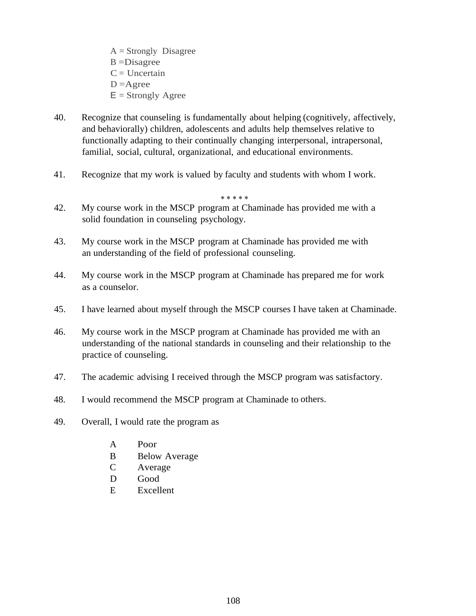- $A =$ Strongly Disagree B =Disagree  $C =$  Uncertain  $D =$ Agree  $E =$  Strongly Agree
- 40. Recognize that counseling is fundamentally about helping (cognitively, affectively, and behaviorally) children, adolescents and adults help themselves relative to functionally adapting to their continually changing interpersonal, intrapersonal, familial, social, cultural, organizational, and educational environments.

\* \* \* \* \*

41. Recognize that my work is valued by faculty and students with whom I work.

42. My course work in the MSCP program at Chaminade has provided me with a solid foundation in counseling psychology.

- 43. My course work in the MSCP program at Chaminade has provided me with an understanding of the field of professional counseling.
- 44. My course work in the MSCP program at Chaminade has prepared me for work as a counselor.
- 45. I have learned about myself through the MSCP courses I have taken at Chaminade.
- 46. My course work in the MSCP program at Chaminade has provided me with an understanding of the national standards in counseling and their relationship to the practice of counseling.
- 47. The academic advising I received through the MSCP program was satisfactory.
- 48. I would recommend the MSCP program at Chaminade to others.
- 49. Overall, I would rate the program as
	- A Poor
	- B Below Average
	- C Average
	- D Good
	- E Excellent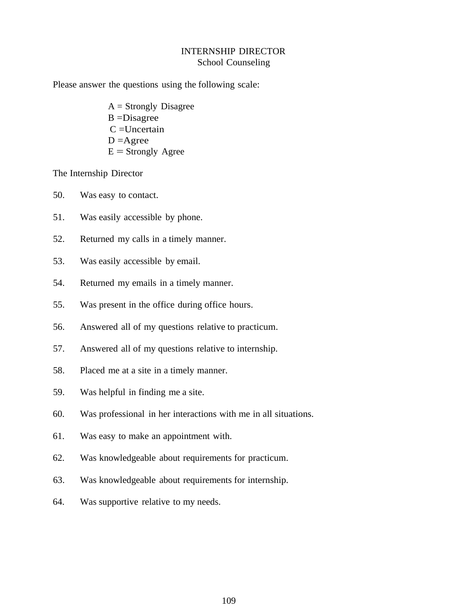## INTERNSHIP DIRECTOR School Counseling

Please answer the questions using the following scale:

 $A =$  Strongly Disagree  $B = Disagree$  $C =$ Uncertain  $D =$ Agree  $E =$ Strongly Agree

The Internship Director

- 50. Was easy to contact.
- 51. Was easily accessible by phone.
- 52. Returned my calls in a timely manner.
- 53. Was easily accessible by email.
- 54. Returned my emails in a timely manner.
- 55. Was present in the office during office hours.
- 56. Answered all of my questions relative to practicum.
- 57. Answered all of my questions relative to internship.
- 58. Placed me at a site in a timely manner.
- 59. Was helpful in finding me a site.
- 60. Was professional in her interactions with me in all situations.
- 61. Was easy to make an appointment with.
- 62. Was knowledgeable about requirements for practicum.
- 63. Was knowledgeable about requirements for internship.
- 64. Was supportive relative to my needs.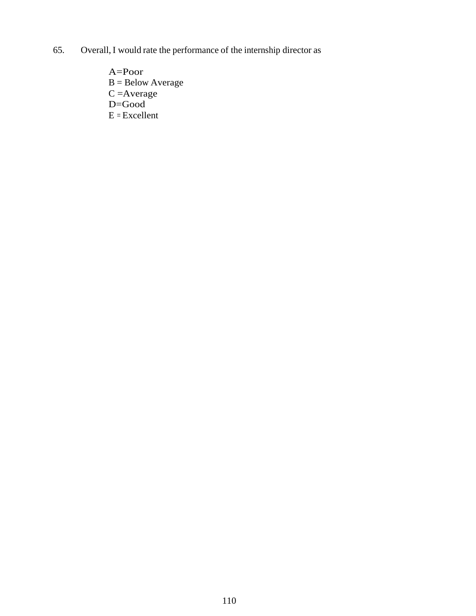- 65. Overall, I would rate the performance of the internship director as
	- A=Poor B = Below Average  $C =$ Average D=Good  $E = Excellent$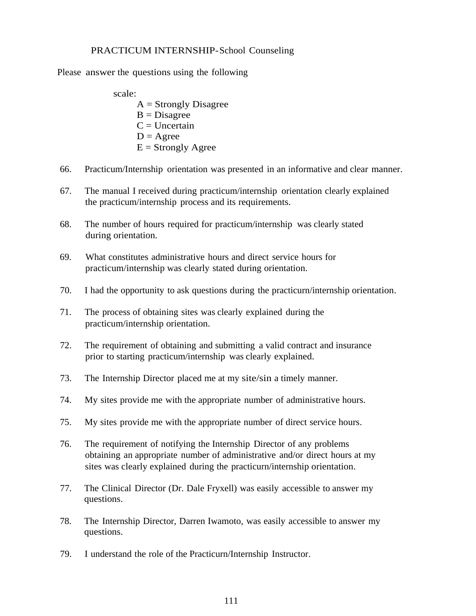#### PRACTICUM INTERNSHIP-School Counseling

Please answer the questions using the following

- scale:  $A =$ Strongly Disagree  $B = Disagree$  $C =$ Uncertain  $D = \text{Agree}$  $E =$  Strongly Agree
- 66. Practicum/Internship orientation was presented in an informative and clear manner.
- 67. The manual I received during practicum/internship orientation clearly explained the practicum/internship process and its requirements.
- 68. The number of hours required for practicum/internship was clearly stated during orientation.
- 69. What constitutes administrative hours and direct service hours for practicum/internship was clearly stated during orientation.
- 70. I had the opportunity to ask questions during the practicurn/internship orientation.
- 71. The process of obtaining sites was clearly explained during the practicum/internship orientation.
- 72. The requirement of obtaining and submitting a valid contract and insurance prior to starting practicum/internship was clearly explained.
- 73. The Internship Director placed me at my site/sin a timely manner.
- 74. My sites provide me with the appropriate number of administrative hours.
- 75. My sites provide me with the appropriate number of direct service hours.
- 76. The requirement of notifying the Internship Director of any problems obtaining an appropriate number of administrative and/or direct hours at my sites was clearly explained during the practicurn/internship orientation.
- 77. The Clinical Director (Dr. Dale Fryxell) was easily accessible to answer my questions.
- 78. The Internship Director, Darren Iwamoto, was easily accessible to answer my questions.
- 79. I understand the role of the Practicurn/Internship Instructor.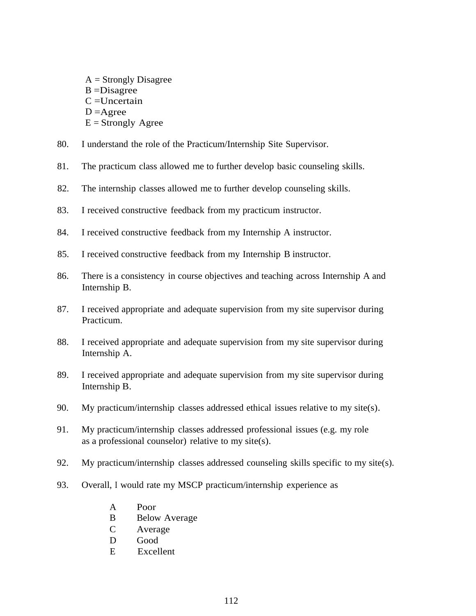- $A =$ Strongly Disagree B =Disagree  $C =$ Uncertain  $D =$ Agree  $E =$ Strongly Agree
- 80. I understand the role of the Practicum/Internship Site Supervisor.
- 81. The practicum class allowed me to further develop basic counseling skills.
- 82. The internship classes allowed me to further develop counseling skills.
- 83. I received constructive feedback from my practicum instructor.
- 84. I received constructive feedback from my Internship A instructor.
- 85. I received constructive feedback from my Internship B instructor.
- 86. There is a consistency in course objectives and teaching across Internship A and Internship B.
- 87. I received appropriate and adequate supervision from my site supervisor during Practicum.
- 88. I received appropriate and adequate supervision from my site supervisor during Internship A.
- 89. I received appropriate and adequate supervision from my site supervisor during Internship B.
- 90. My practicum/internship classes addressed ethical issues relative to my site(s).
- 91. My practicum/internship classes addressed professional issues (e.g. my role as a professional counselor) relative to my site(s).
- 92. My practicum/internship classes addressed counseling skills specific to my site(s).
- 93. Overall, I would rate my MSCP practicum/internship experience as
	- A Poor
	- B Below Average
	- C Average
	- D Good
	- E Excellent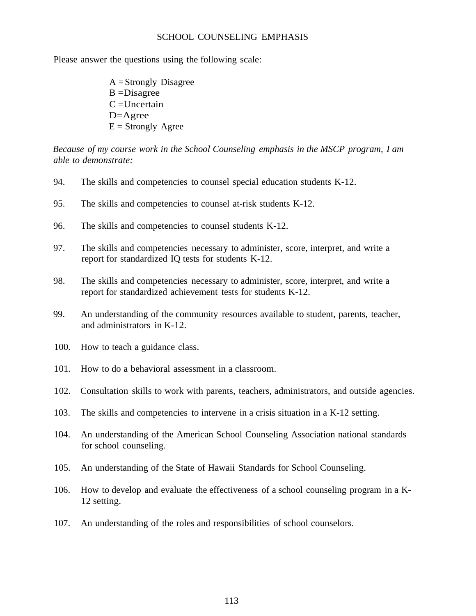#### SCHOOL COUNSELING EMPHASIS

Please answer the questions using the following scale:

A = Strongly Disagree B =Disagree  $C =$ Uncertain D=Agree  $E =$  Strongly Agree

*Because of my course work in the School Counseling emphasis in the MSCP program, I am able to demonstrate:*

- 94. The skills and competencies to counsel special education students K-12.
- 95. The skills and competencies to counsel at-risk students K-12.
- 96. The skills and competencies to counsel students K-12.
- 97. The skills and competencies necessary to administer, score, interpret, and write a report for standardized IQ tests for students K-12.
- 98. The skills and competencies necessary to administer, score, interpret, and write a report for standardized achievement tests for students K-12.
- 99. An understanding of the community resources available to student, parents, teacher, and administrators in K-12.
- 100. How to teach a guidance class.
- 101. How to do a behavioral assessment in a classroom.
- 102. Consultation skills to work with parents, teachers, administrators, and outside agencies.
- 103. The skills and competencies to intervene in a crisis situation in a K-12 setting.
- 104. An understanding of the American School Counseling Association national standards for school counseling.
- 105. An understanding of the State of Hawaii Standards for School Counseling.
- 106. How to develop and evaluate the effectiveness of a school counseling program in a K-12 setting.
- 107. An understanding of the roles and responsibilities of school counselors.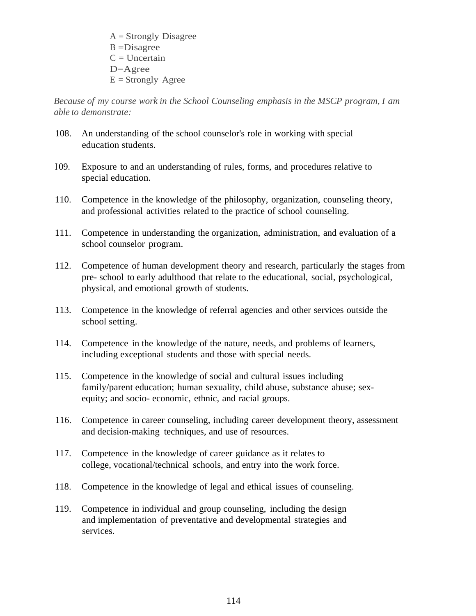$A =$ Strongly Disagree  $B = Disagree$  $C = Uncertain$ D=Agree  $E =$ Strongly Agree

*Because of my course work in the School Counseling emphasis in the MSCP program, I am able to demonstrate:*

- 108. An understanding of the school counselor's role in working with special education students.
- I 09. Exposure to and an understanding of rules, forms, and procedures relative to special education.
- 110. Competence in the knowledge of the philosophy, organization, counseling theory, and professional activities related to the practice of school counseling.
- 111. Competence in understanding the organization, administration, and evaluation of a school counselor program.
- 112. Competence of human development theory and research, particularly the stages from pre- school to early adulthood that relate to the educational, social, psychological, physical, and emotional growth of students.
- 113. Competence in the knowledge of referral agencies and other services outside the school setting.
- 114. Competence in the knowledge of the nature, needs, and problems of learners, including exceptional students and those with special needs.
- 115. Competence in the knowledge of social and cultural issues including family/parent education; human sexuality, child abuse, substance abuse; sexequity; and socio- economic, ethnic, and racial groups.
- 116. Competence in career counseling, including career development theory, assessment and decision-making techniques, and use of resources.
- 117. Competence in the knowledge of career guidance as it relates to college, vocational/technical schools, and entry into the work force.
- 118. Competence in the knowledge of legal and ethical issues of counseling.
- 119. Competence in individual and group counseling, including the design and implementation of preventative and developmental strategies and services.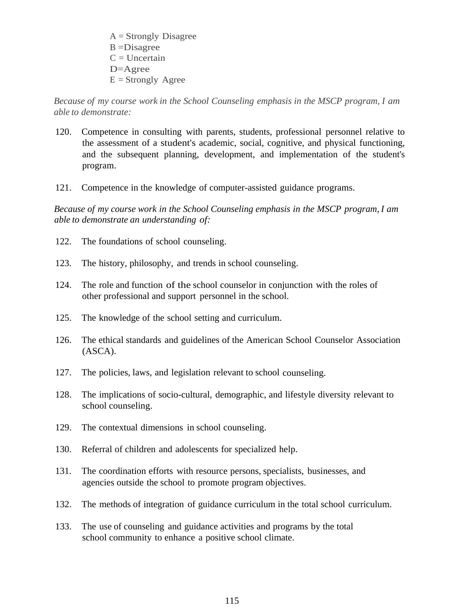$A =$ Strongly Disagree  $B = Disagree$  $C = Uncertain$ D=Agree  $E =$ Strongly Agree

*Because of my course work in the School Counseling emphasis in the MSCP program, I am able to demonstrate:*

- 120. Competence in consulting with parents, students, professional personnel relative to the assessment of a student's academic, social, cognitive, and physical functioning, and the subsequent planning, development, and implementation of the student's program.
- 121. Competence in the knowledge of computer-assisted guidance programs.

*Because of my course work in the School Counseling emphasis in the MSCP program, I am able to demonstrate an understanding of:*

- 122. The foundations of school counseling.
- 123. The history, philosophy, and trends in school counseling.
- 124. The role and function of the school counselor in conjunction with the roles of other professional and support personnel in the school.
- 125. The knowledge of the school setting and curriculum.
- 126. The ethical standards and guidelines of the American School Counselor Association (ASCA).
- 127. The policies, laws, and legislation relevant to school counseling.
- 128. The implications of socio-cultural, demographic, and lifestyle diversity relevant to school counseling.
- 129. The contextual dimensions in school counseling.
- 130. Referral of children and adolescents for specialized help.
- 131. The coordination efforts with resource persons, specialists, businesses, and agencies outside the school to promote program objectives.
- 132. The methods of integration of guidance curriculum in the total school curriculum.
- 133. The use of counseling and guidance activities and programs by the total school community to enhance a positive school climate.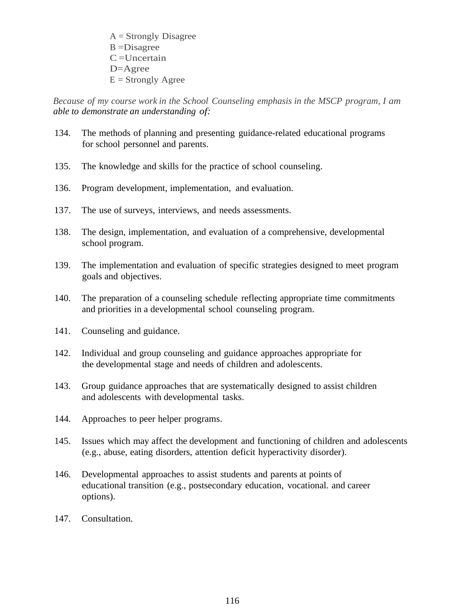$A =$ Strongly Disagree B =Disagree  $C =$ Uncertain D=Agree  $E =$  Strongly Agree

*Because of my course work in the School Counseling emphasis in the MSCP program, I am able to demonstrate an understanding of:*

- 134. The methods of planning and presenting guidance-related educational programs for school personnel and parents.
- 135. The knowledge and skills for the practice of school counseling.
- 136. Program development, implementation, and evaluation.
- 137. The use of surveys, interviews, and needs assessments.
- 138. The design, implementation, and evaluation of a comprehensive, developmental school program.
- 139. The implementation and evaluation of specific strategies designed to meet program goals and objectives.
- 140. The preparation of a counseling schedule reflecting appropriate time commitments and priorities in a developmental school counseling program.
- 141. Counseling and guidance.
- 142. Individual and group counseling and guidance approaches appropriate for the developmental stage and needs of children and adolescents.
- 143. Group guidance approaches that are systematically designed to assist children and adolescents with developmental tasks.
- 144. Approaches to peer helper programs.
- 145. Issues which may affect the development and functioning of children and adolescents (e.g., abuse, eating disorders, attention deficit hyperactivity disorder).
- 146. Developmental approaches to assist students and parents at points of educational transition (e.g., postsecondary education, vocational. and career options).
- 147. Consultation.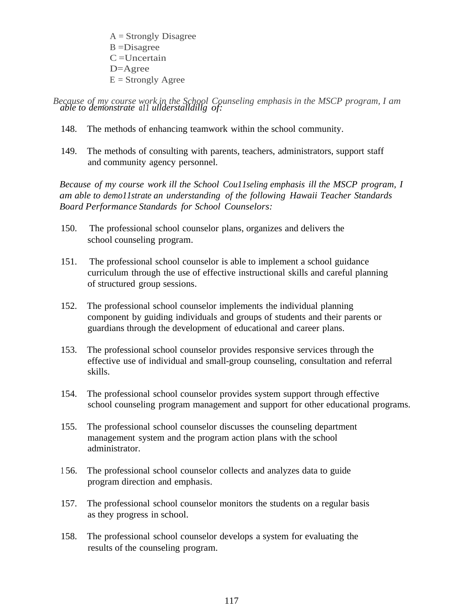A = Strongly Disagree B =Disagree  $C =$ Uncertain D=Agree  $E =$  Strongly Agree

*Because of my course work in the School Counseling emphasis in the MSCP program, I am able to demonstrate a11 ullderstalldillg of:*

- 148. The methods of enhancing teamwork within the school community.
- 149. The methods of consulting with parents, teachers, administrators, support staff and community agency personnel.

*Because of my course work ill the School Cou11seling emphasis ill the MSCP program, I am able to demo11strate an understanding of the following Hawaii Teacher Standards Board Performance Standards for School Counselors:*

- 150. The professional school counselor plans, organizes and delivers the school counseling program.
- 151. The professional school counselor is able to implement a school guidance curriculum through the use of effective instructional skills and careful planning of structured group sessions.
- 152. The professional school counselor implements the individual planning component by guiding individuals and groups of students and their parents or guardians through the development of educational and career plans.
- 153. The professional school counselor provides responsive services through the effective use of individual and small-group counseling, consultation and referral skills.
- 154. The professional school counselor provides system support through effective school counseling program management and support for other educational programs.
- 155. The professional school counselor discusses the counseling department management system and the program action plans with the school administrator.
- 1 56. The professional school counselor collects and analyzes data to guide program direction and emphasis.
- 157. The professional school counselor monitors the students on a regular basis as they progress in school.
- 158. The professional school counselor develops a system for evaluating the results of the counseling program.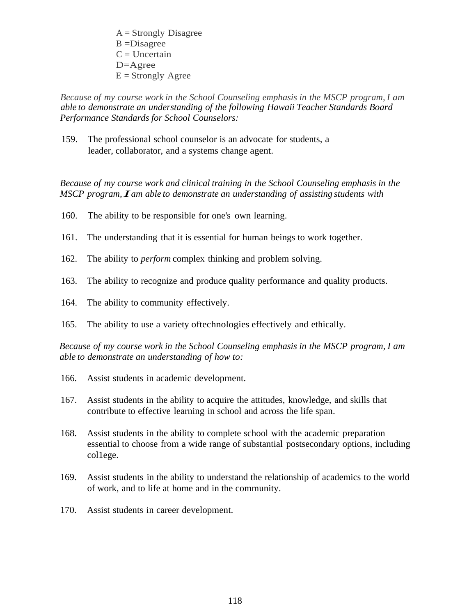$A =$ Strongly Disagree B =Disagree  $C = Uncertain$ D=Agree  $E =$  Strongly Agree

*Because of my course work in the School Counseling emphasis in the MSCP program, I am able to demonstrate an understanding of the following Hawaii Teacher Standards Board Performance Standards for School Counselors:*

159. The professional school counselor is an advocate for students, a leader, collaborator, and a systems change agent.

*Because of my course work and clinical training in the School Counseling emphasis in the MSCP program, I am able to demonstrate an understanding of assisting students with*

- 160. The ability to be responsible for one's own learning.
- 161. The understanding that it is essential for human beings to work together.
- 162. The ability to *perform* complex thinking and problem solving.
- 163. The ability to recognize and produce quality performance and quality products.
- 164. The ability to community effectively.
- 165. The ability to use a variety oftechnologies effectively and ethically.

*Because of my course work in the School Counseling emphasis in the MSCP program, I am able to demonstrate an understanding of how to:*

- 166. Assist students in academic development.
- 167. Assist students in the ability to acquire the attitudes, knowledge, and skills that contribute to effective learning in school and across the life span.
- 168. Assist students in the ability to complete school with the academic preparation essential to choose from a wide range of substantial postsecondary options, including col1ege.
- 169. Assist students in the ability to understand the relationship of academics to the world of work, and to life at home and in the community.
- 170. Assist students in career development.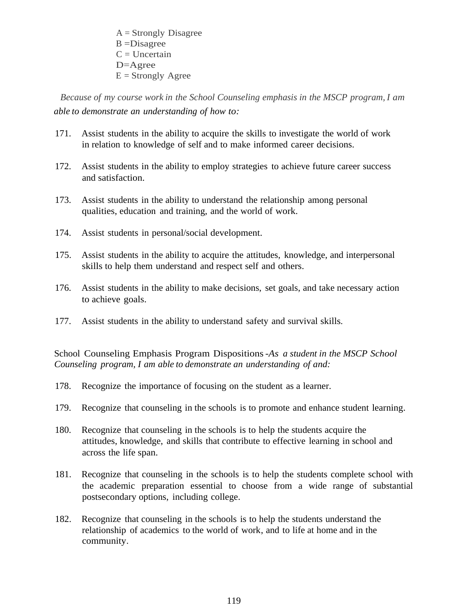$A =$ Strongly Disagree B =Disagree  $C = Uncertain$ D=Agree  $E =$ Strongly Agree

*Because of my course work in the School Counseling emphasis in the MSCP program, I am able to demonstrate an understanding of how to:*

- 171. Assist students in the ability to acquire the skills to investigate the world of work in relation to knowledge of self and to make informed career decisions.
- 172. Assist students in the ability to employ strategies to achieve future career success and satisfaction.
- 173. Assist students in the ability to understand the relationship among personal qualities, education and training, and the world of work.
- 174. Assist students in personal/social development.
- 175. Assist students in the ability to acquire the attitudes, knowledge, and interpersonal skills to help them understand and respect self and others.
- 176. Assist students in the ability to make decisions, set goals, and take necessary action to achieve goals.
- 177. Assist students in the ability to understand safety and survival skills.

School Counseling Emphasis Program Dispositions *-As a student in the MSCP School Counseling program, I am able to demonstrate an understanding of and:*

- 178. Recognize the importance of focusing on the student as a learner.
- 179. Recognize that counseling in the schools is to promote and enhance student learning.
- 180. Recognize that counseling in the schools is to help the students acquire the attitudes, knowledge, and skills that contribute to effective learning in school and across the life span.
- 181. Recognize that counseling in the schools is to help the students complete school with the academic preparation essential to choose from a wide range of substantial postsecondary options, including college.
- 182. Recognize that counseling in the schools is to help the students understand the relationship of academics to the world of work, and to life at home and in the community.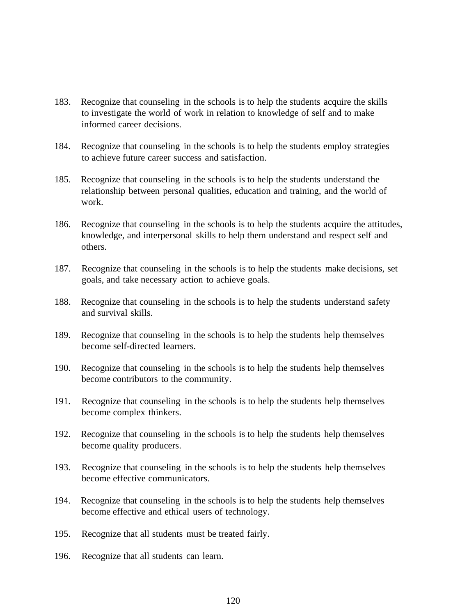- 183. Recognize that counseling in the schools is to help the students acquire the skills to investigate the world of work in relation to knowledge of self and to make informed career decisions.
- 184. Recognize that counseling in the schools is to help the students employ strategies to achieve future career success and satisfaction.
- 185. Recognize that counseling in the schools is to help the students understand the relationship between personal qualities, education and training, and the world of work.
- 186. Recognize that counseling in the schools is to help the students acquire the attitudes, knowledge, and interpersonal skills to help them understand and respect self and others.
- 187. Recognize that counseling in the schools is to help the students make decisions, set goals, and take necessary action to achieve goals.
- 188. Recognize that counseling in the schools is to help the students understand safety and survival skills.
- 189. Recognize that counseling in the schools is to help the students help themselves become self-directed learners.
- 190. Recognize that counseling in the schools is to help the students help themselves become contributors to the community.
- 191. Recognize that counseling in the schools is to help the students help themselves become complex thinkers.
- 192. Recognize that counseling in the schools is to help the students help themselves become quality producers.
- 193. Recognize that counseling in the schools is to help the students help themselves become effective communicators.
- 194. Recognize that counseling in the schools is to help the students help themselves become effective and ethical users of technology.
- 195. Recognize that all students must be treated fairly.
- 196. Recognize that all students can learn.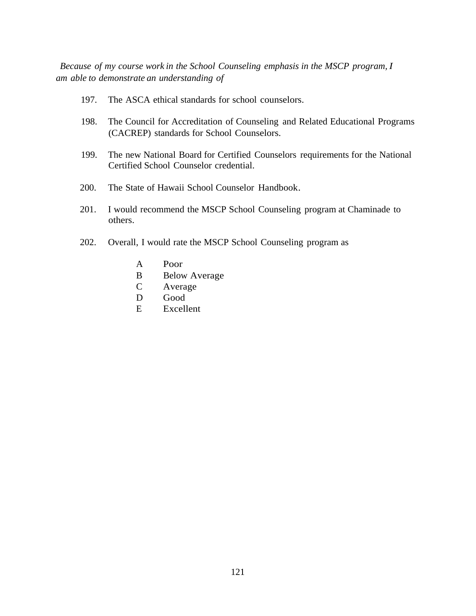*Because of my course work in the School Counseling emphasis in the MSCP program, I am able to demonstrate an understanding of*

- 197. The ASCA ethical standards for school counselors.
- 198. The Council for Accreditation of Counseling and Related Educational Programs (CACREP) standards for School Counselors.
- 199. The new National Board for Certified Counselors requirements for the National Certified School Counselor credential.
- 200. The State of Hawaii School Counselor Handbook.
- 201. I would recommend the MSCP School Counseling program at Chaminade to others.
- 202. Overall, I would rate the MSCP School Counseling program as
	- A Poor
	- B Below Average
	- C Average
	- D Good
	- E Excellent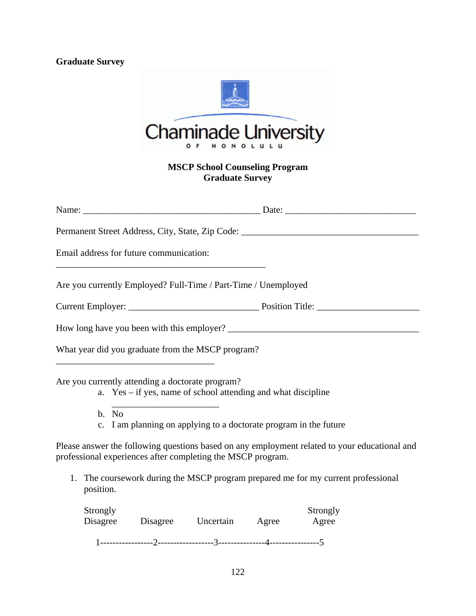## **Graduate Survey**



## **MSCP School Counseling Program Graduate Survey**

|                      | Email address for future communication:<br>and the control of the control of the control of the control of the control of the control of the control of the |  |                                                                                               |  |
|----------------------|-------------------------------------------------------------------------------------------------------------------------------------------------------------|--|-----------------------------------------------------------------------------------------------|--|
|                      | Are you currently Employed? Full-Time / Part-Time / Unemployed                                                                                              |  |                                                                                               |  |
|                      |                                                                                                                                                             |  |                                                                                               |  |
|                      |                                                                                                                                                             |  |                                                                                               |  |
|                      | What year did you graduate from the MSCP program?<br><u> 1980 - Johann John Stone, mars et al. (1980)</u>                                                   |  |                                                                                               |  |
|                      | Are you currently attending a doctorate program?<br>a. Yes – if yes, name of school attending and what discipline                                           |  |                                                                                               |  |
| b. No                | c. I am planning on applying to a doctorate program in the future                                                                                           |  |                                                                                               |  |
|                      | professional experiences after completing the MSCP program.                                                                                                 |  | Please answer the following questions based on any employment related to your educational and |  |
| position.            |                                                                                                                                                             |  | 1. The coursework during the MSCP program prepared me for my current professional             |  |
| Strongly<br>Disagree | Disagree Uncertain Agree                                                                                                                                    |  | Strongly<br>Agree                                                                             |  |

1-----------------2------------------3---------------4----------------5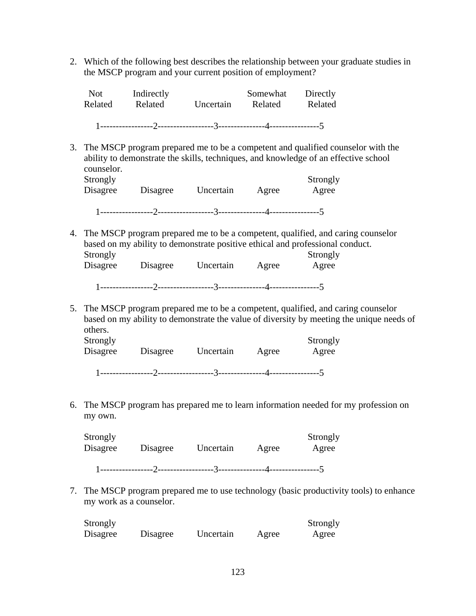2. Which of the following best describes the relationship between your graduate studies in the MSCP program and your current position of employment?

| Not.<br>Related | Indirectly<br>Related | Uncertain | Related | Somewhat Directly<br>Related |
|-----------------|-----------------------|-----------|---------|------------------------------|
|                 |                       |           |         |                              |

3. The MSCP program prepared me to be a competent and qualified counselor with the ability to demonstrate the skills, techniques, and knowledge of an effective school counselor.

| Strongly |          |           |       | Strongly |
|----------|----------|-----------|-------|----------|
| Disagree | Disagree | Uncertain | Agree | Agree    |
|          |          |           |       |          |
|          |          |           |       |          |

4. The MSCP program prepared me to be a competent, qualified, and caring counselor based on my ability to demonstrate positive ethical and professional conduct. Strongly Strongly Strongly Disagree Disagree Uncertain Agree Agree

| ------------------- |  |  |
|---------------------|--|--|
|                     |  |  |
|                     |  |  |

5. The MSCP program prepared me to be a competent, qualified, and caring counselor based on my ability to demonstrate the value of diversity by meeting the unique needs of others.

| Strongly<br>Disagree | Disagree | Uncertain | Agree | Strongly<br>Agree |
|----------------------|----------|-----------|-------|-------------------|
|                      |          |           |       |                   |

6. The MSCP program has prepared me to learn information needed for my profession on my own.

| Strongly<br>Disagree | Disagree | Uncertain | Agree | Strongly<br>Agree |
|----------------------|----------|-----------|-------|-------------------|
|                      |          |           |       |                   |

7. The MSCP program prepared me to use technology (basic productivity tools) to enhance my work as a counselor.

| Strongly |          |           |       | Strongly |
|----------|----------|-----------|-------|----------|
| Disagree | Disagree | Uncertain | Agree | Agree    |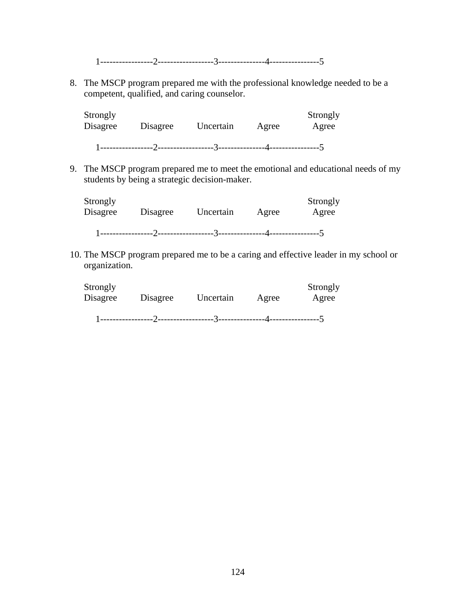1-----------------2------------------3---------------4----------------5

8. The MSCP program prepared me with the professional knowledge needed to be a competent, qualified, and caring counselor.

| Strongly<br>Disagree | Disagree | Uncertain | Agree | Strongly<br>Agree |
|----------------------|----------|-----------|-------|-------------------|
|                      |          |           |       |                   |

9. The MSCP program prepared me to meet the emotional and educational needs of my students by being a strategic decision-maker.

| Strongly<br>Disagree | Disagree | Uncertain | Agree | Strongly<br>Agree |
|----------------------|----------|-----------|-------|-------------------|
|                      |          |           |       |                   |

10. The MSCP program prepared me to be a caring and effective leader in my school or organization.

| Strongly<br>Disagree | Disagree | Uncertain | Agree | Strongly<br>Agree |
|----------------------|----------|-----------|-------|-------------------|
|                      |          |           |       |                   |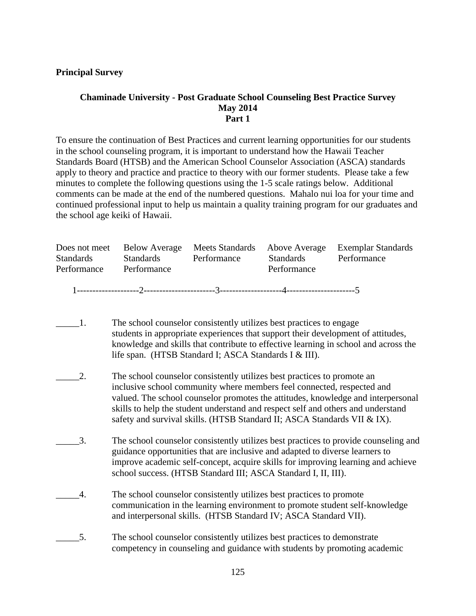## **Principal Survey**

## **Chaminade University - Post Graduate School Counseling Best Practice Survey May 2014 Part 1**

To ensure the continuation of Best Practices and current learning opportunities for our students in the school counseling program, it is important to understand how the Hawaii Teacher Standards Board (HTSB) and the American School Counselor Association (ASCA) standards apply to theory and practice and practice to theory with our former students. Please take a few minutes to complete the following questions using the 1-5 scale ratings below. Additional comments can be made at the end of the numbered questions. Mahalo nui loa for your time and continued professional input to help us maintain a quality training program for our graduates and the school age keiki of Hawaii.

|                  | Does not meet Below Average |             |                  | Meets Standards Above Average Exemplar Standards |
|------------------|-----------------------------|-------------|------------------|--------------------------------------------------|
| <b>Standards</b> | <b>Standards</b>            | Performance | <b>Standards</b> | Performance                                      |
| Performance      | Performance                 |             | Performance      |                                                  |
|                  |                             |             |                  |                                                  |
|                  |                             |             |                  |                                                  |

- \_\_\_\_\_1. The school counselor consistently utilizes best practices to engage students in appropriate experiences that support their development of attitudes, knowledge and skills that contribute to effective learning in school and across the life span. (HTSB Standard I; ASCA Standards I & III).
- \_\_\_\_\_2. The school counselor consistently utilizes best practices to promote an inclusive school community where members feel connected, respected and valued. The school counselor promotes the attitudes, knowledge and interpersonal skills to help the student understand and respect self and others and understand safety and survival skills. (HTSB Standard II; ASCA Standards VII & IX).
- \_\_\_\_\_3. The school counselor consistently utilizes best practices to provide counseling and guidance opportunities that are inclusive and adapted to diverse learners to improve academic self-concept, acquire skills for improving learning and achieve school success. (HTSB Standard III; ASCA Standard I, II, III).
- \_\_\_\_\_4. The school counselor consistently utilizes best practices to promote communication in the learning environment to promote student self-knowledge and interpersonal skills. (HTSB Standard IV; ASCA Standard VII).
- 5. The school counselor consistently utilizes best practices to demonstrate competency in counseling and guidance with students by promoting academic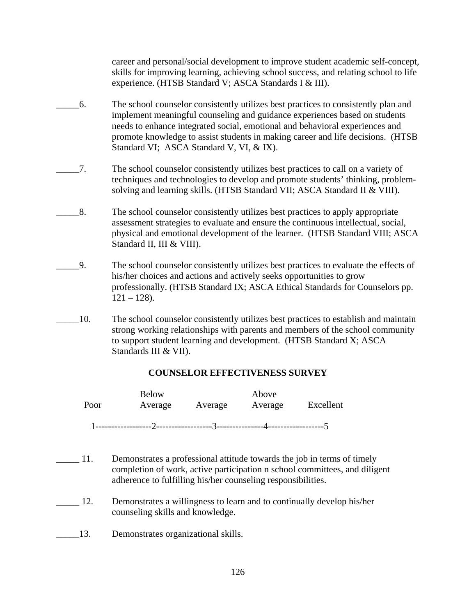career and personal/social development to improve student academic self-concept, skills for improving learning, achieving school success, and relating school to life experience. (HTSB Standard V; ASCA Standards I & III).

- \_\_\_\_\_6. The school counselor consistently utilizes best practices to consistently plan and implement meaningful counseling and guidance experiences based on students needs to enhance integrated social, emotional and behavioral experiences and promote knowledge to assist students in making career and life decisions. (HTSB Standard VI; ASCA Standard V, VI, & IX).
- \_\_\_\_\_7. The school counselor consistently utilizes best practices to call on a variety of techniques and technologies to develop and promote students' thinking, problemsolving and learning skills. (HTSB Standard VII; ASCA Standard II & VIII).
- \_\_\_\_\_8. The school counselor consistently utilizes best practices to apply appropriate assessment strategies to evaluate and ensure the continuous intellectual, social, physical and emotional development of the learner. (HTSB Standard VIII; ASCA Standard II, III & VIII).
- \_\_\_\_\_9. The school counselor consistently utilizes best practices to evaluate the effects of his/her choices and actions and actively seeks opportunities to grow professionally. (HTSB Standard IX; ASCA Ethical Standards for Counselors pp.  $121 - 128$ ).
- \_\_\_\_\_10. The school counselor consistently utilizes best practices to establish and maintain strong working relationships with parents and members of the school community to support student learning and development. (HTSB Standard X; ASCA Standards III & VII).

## **COUNSELOR EFFECTIVENESS SURVEY**

| Poor | <b>Below</b><br>Average | Average  | Above<br>Average | Excellent |
|------|-------------------------|----------|------------------|-----------|
|      |                         | $\gamma$ |                  |           |

- \_\_\_\_\_ 11. Demonstrates a professional attitude towards the job in terms of timely completion of work, active participation n school committees, and diligent adherence to fulfilling his/her counseling responsibilities.
- 12. Demonstrates a willingness to learn and to continually develop his/her counseling skills and knowledge.
- \_\_\_\_\_13. Demonstrates organizational skills.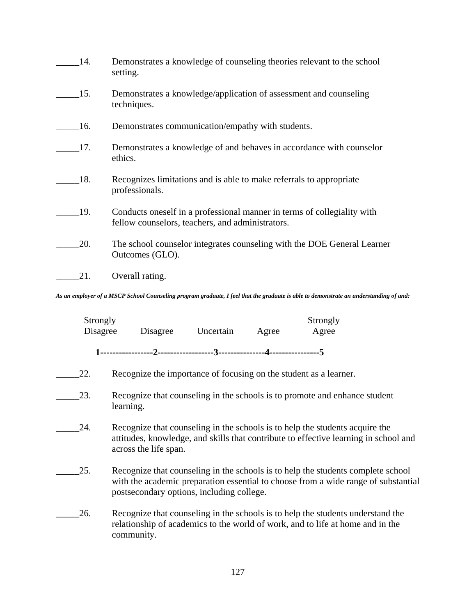| 14. | Demonstrates a knowledge of counseling theories relevant to the school<br>setting.                                          |
|-----|-----------------------------------------------------------------------------------------------------------------------------|
| 15. | Demonstrates a knowledge/application of assessment and counseling<br>techniques.                                            |
| 16. | Demonstrates communication/empathy with students.                                                                           |
| 17. | Demonstrates a knowledge of and behaves in accordance with counselor<br>ethics.                                             |
| 18. | Recognizes limitations and is able to make referrals to appropriate<br>professionals.                                       |
| 19. | Conducts oneself in a professional manner in terms of collegiality with<br>fellow counselors, teachers, and administrators. |
| 20. | The school counselor integrates counseling with the DOE General Learner<br>Outcomes (GLO).                                  |
| 21. | Overall rating.                                                                                                             |

*As an employer of a MSCP School Counseling program graduate, I feel that the graduate is able to demonstrate an understanding of and:* 

| Strongly<br>Disagree | Disagree              | Uncertain                                 | Agree | Strongly<br>Agree                                                                                                                                                      |  |
|----------------------|-----------------------|-------------------------------------------|-------|------------------------------------------------------------------------------------------------------------------------------------------------------------------------|--|
|                      |                       |                                           |       |                                                                                                                                                                        |  |
|                      |                       |                                           |       |                                                                                                                                                                        |  |
| 22.                  |                       |                                           |       | Recognize the importance of focusing on the student as a learner.                                                                                                      |  |
| 23.                  | learning.             |                                           |       | Recognize that counseling in the schools is to promote and enhance student                                                                                             |  |
| 24.                  | across the life span. |                                           |       | Recognize that counseling in the schools is to help the students acquire the<br>attitudes, knowledge, and skills that contribute to effective learning in school and   |  |
| 25.                  |                       | postsecondary options, including college. |       | Recognize that counseling in the schools is to help the students complete school<br>with the academic preparation essential to choose from a wide range of substantial |  |
| 26.                  | community.            |                                           |       | Recognize that counseling in the schools is to help the students understand the<br>relationship of academics to the world of work, and to life at home and in the      |  |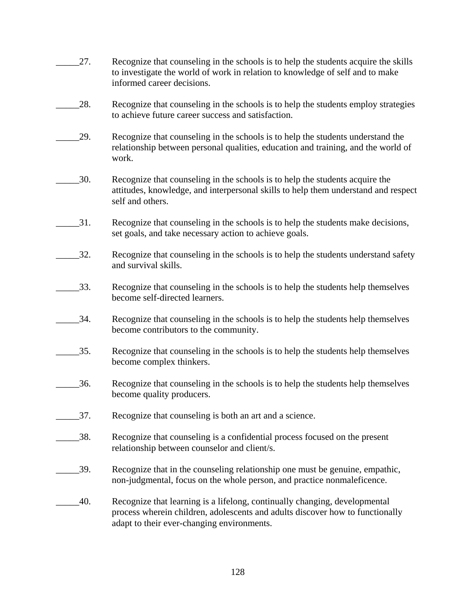| 27. | Recognize that counseling in the schools is to help the students acquire the skills<br>to investigate the world of work in relation to knowledge of self and to make<br>informed career decisions.        |
|-----|-----------------------------------------------------------------------------------------------------------------------------------------------------------------------------------------------------------|
| 28. | Recognize that counseling in the schools is to help the students employ strategies<br>to achieve future career success and satisfaction.                                                                  |
| 29. | Recognize that counseling in the schools is to help the students understand the<br>relationship between personal qualities, education and training, and the world of<br>work.                             |
| 30. | Recognize that counseling in the schools is to help the students acquire the<br>attitudes, knowledge, and interpersonal skills to help them understand and respect<br>self and others.                    |
| 31. | Recognize that counseling in the schools is to help the students make decisions,<br>set goals, and take necessary action to achieve goals.                                                                |
| 32. | Recognize that counseling in the schools is to help the students understand safety<br>and survival skills.                                                                                                |
| 33. | Recognize that counseling in the schools is to help the students help themselves<br>become self-directed learners.                                                                                        |
| 34. | Recognize that counseling in the schools is to help the students help themselves<br>become contributors to the community.                                                                                 |
| 35. | Recognize that counseling in the schools is to help the students help themselves<br>become complex thinkers.                                                                                              |
| 36. | Recognize that counseling in the schools is to help the students help themselves<br>become quality producers.                                                                                             |
| 37. | Recognize that counseling is both an art and a science.                                                                                                                                                   |
| 38. | Recognize that counseling is a confidential process focused on the present<br>relationship between counselor and client/s.                                                                                |
| 39. | Recognize that in the counseling relationship one must be genuine, empathic,<br>non-judgmental, focus on the whole person, and practice nonmaleficence.                                                   |
| 40. | Recognize that learning is a lifelong, continually changing, developmental<br>process wherein children, adolescents and adults discover how to functionally<br>adapt to their ever-changing environments. |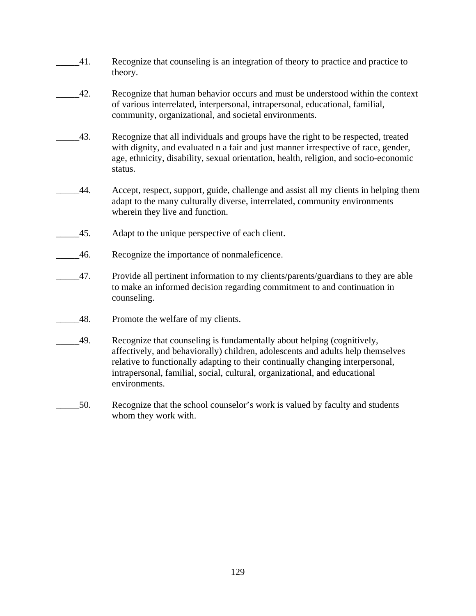- \_\_\_\_\_41. Recognize that counseling is an integration of theory to practice and practice to theory.
- \_\_\_\_\_42. Recognize that human behavior occurs and must be understood within the context of various interrelated, interpersonal, intrapersonal, educational, familial, community, organizational, and societal environments.
- \_\_\_\_\_43. Recognize that all individuals and groups have the right to be respected, treated with dignity, and evaluated n a fair and just manner irrespective of race, gender, age, ethnicity, disability, sexual orientation, health, religion, and socio-economic status.
- \_\_\_\_\_44. Accept, respect, support, guide, challenge and assist all my clients in helping them adapt to the many culturally diverse, interrelated, community environments wherein they live and function.
- 45. Adapt to the unique perspective of each client.
- \_\_\_\_\_46. Recognize the importance of nonmaleficence.
- \_\_\_\_\_47. Provide all pertinent information to my clients/parents/guardians to they are able to make an informed decision regarding commitment to and continuation in counseling.
- 48. Promote the welfare of my clients.
- \_\_\_\_\_49. Recognize that counseling is fundamentally about helping (cognitively, affectively, and behaviorally) children, adolescents and adults help themselves relative to functionally adapting to their continually changing interpersonal, intrapersonal, familial, social, cultural, organizational, and educational environments.
- \_\_\_\_\_50. Recognize that the school counselor's work is valued by faculty and students whom they work with.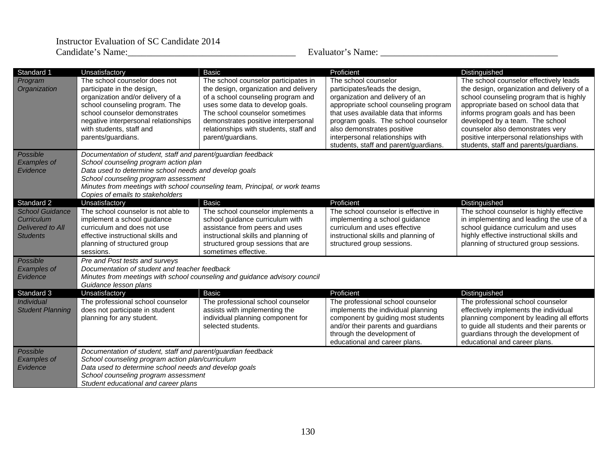| Standard 1                                                                  | Unsatisfactory                                                                                                                                                                                                                                                                                                            | <b>Basic</b>                                                                                                                                                                                                                                                                                    | Proficient                                                                                                                                                                                                                                                                                                                    | Distinguished                                                                                                                                                                                                                                                                                                                                                                 |  |
|-----------------------------------------------------------------------------|---------------------------------------------------------------------------------------------------------------------------------------------------------------------------------------------------------------------------------------------------------------------------------------------------------------------------|-------------------------------------------------------------------------------------------------------------------------------------------------------------------------------------------------------------------------------------------------------------------------------------------------|-------------------------------------------------------------------------------------------------------------------------------------------------------------------------------------------------------------------------------------------------------------------------------------------------------------------------------|-------------------------------------------------------------------------------------------------------------------------------------------------------------------------------------------------------------------------------------------------------------------------------------------------------------------------------------------------------------------------------|--|
| Program<br>Organization                                                     | The school counselor does not<br>participate in the design,<br>organization and/or delivery of a<br>school counseling program. The<br>school counselor demonstrates<br>negative interpersonal relationships<br>with students, staff and<br>parents/guardians.                                                             | The school counselor participates in<br>the design, organization and delivery<br>of a school counseling program and<br>uses some data to develop goals.<br>The school counselor sometimes<br>demonstrates positive interpersonal<br>relationships with students, staff and<br>parent/guardians. | The school counselor<br>participates/leads the design,<br>organization and delivery of an<br>appropriate school counseling program<br>that uses available data that informs<br>program goals. The school counselor<br>also demonstrates positive<br>interpersonal relationships with<br>students, staff and parent/guardians. | The school counselor effectively leads<br>the design, organization and delivery of a<br>school counseling program that is highly<br>appropriate based on school data that<br>informs program goals and has been<br>developed by a team. The school<br>counselor also demonstrates very<br>positive interpersonal relationships with<br>students, staff and parents/guardians. |  |
| Possible<br><b>Examples of</b><br>Evidence                                  | Documentation of student, staff and parent/guardian feedback<br>School counseling program action plan<br>Data used to determine school needs and develop goals<br>School counseling program assessment<br>Minutes from meetings with school counseling team, Principal, or work teams<br>Copies of emails to stakeholders |                                                                                                                                                                                                                                                                                                 |                                                                                                                                                                                                                                                                                                                               |                                                                                                                                                                                                                                                                                                                                                                               |  |
| Standard 2                                                                  | Unsatisfactory                                                                                                                                                                                                                                                                                                            | <b>Basic</b>                                                                                                                                                                                                                                                                                    | Proficient                                                                                                                                                                                                                                                                                                                    | Distinguished                                                                                                                                                                                                                                                                                                                                                                 |  |
| <b>School Guidance</b><br>Curriculum<br>Delivered to All<br><b>Students</b> | The school counselor is not able to<br>implement a school guidance<br>curriculum and does not use<br>effective instructional skills and<br>planning of structured group<br>sessions.                                                                                                                                      | The school counselor implements a<br>school guidance curriculum with<br>assistance from peers and uses<br>instructional skills and planning of<br>structured group sessions that are<br>sometimes effective.                                                                                    | The school counselor is effective in<br>implementing a school guidance<br>curriculum and uses effective<br>instructional skills and planning of<br>structured group sessions.                                                                                                                                                 | The school counselor is highly effective<br>in implementing and leading the use of a<br>school guidance curriculum and uses<br>highly effective instructional skills and<br>planning of structured group sessions.                                                                                                                                                            |  |
| Possible<br><b>Examples of</b><br>Evidence                                  | <b>Pre and Post tests and surveys</b><br>Documentation of student and teacher feedback<br>Minutes from meetings with school counseling and guidance advisory council<br>Guidance lesson plans                                                                                                                             |                                                                                                                                                                                                                                                                                                 |                                                                                                                                                                                                                                                                                                                               |                                                                                                                                                                                                                                                                                                                                                                               |  |
| Standard 3                                                                  | Unsatisfactory                                                                                                                                                                                                                                                                                                            | <b>Basic</b>                                                                                                                                                                                                                                                                                    | Proficient                                                                                                                                                                                                                                                                                                                    | Distinguished                                                                                                                                                                                                                                                                                                                                                                 |  |
| Individual<br><b>Student Planning</b>                                       | The professional school counselor<br>does not participate in student<br>planning for any student.                                                                                                                                                                                                                         | The professional school counselor<br>assists with implementing the<br>individual planning component for<br>selected students.                                                                                                                                                                   | The professional school counselor<br>implements the individual planning<br>component by guiding most students<br>and/or their parents and guardians<br>through the development of<br>educational and career plans.                                                                                                            | The professional school counselor<br>effectively implements the individual<br>planning component by leading all efforts<br>to guide all students and their parents or<br>guardians through the development of<br>educational and career plans.                                                                                                                                |  |
| Possible<br>Examples of<br>Evidence                                         | Documentation of student, staff and parent/guardian feedback<br>School counseling program action plan/curriculum<br>Data used to determine school needs and develop goals<br>School counseling program assessment<br>Student educational and career plans                                                                 |                                                                                                                                                                                                                                                                                                 |                                                                                                                                                                                                                                                                                                                               |                                                                                                                                                                                                                                                                                                                                                                               |  |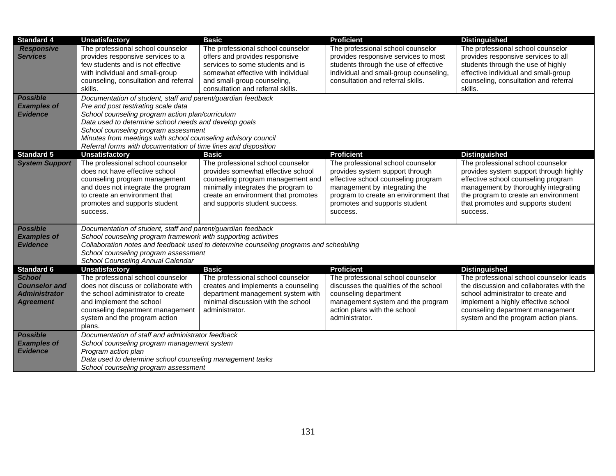| <b>Standard 4</b>                                                                 | <b>Unsatisfactory</b>                                                                                                                                                                                                                                                                                                                                                                        | <b>Basic</b>                                                                                                                                                                                                                | <b>Proficient</b>                                                                                                                                                                                                                  | <b>Distinguished</b>                                                                                                                                                                                                                                 |  |
|-----------------------------------------------------------------------------------|----------------------------------------------------------------------------------------------------------------------------------------------------------------------------------------------------------------------------------------------------------------------------------------------------------------------------------------------------------------------------------------------|-----------------------------------------------------------------------------------------------------------------------------------------------------------------------------------------------------------------------------|------------------------------------------------------------------------------------------------------------------------------------------------------------------------------------------------------------------------------------|------------------------------------------------------------------------------------------------------------------------------------------------------------------------------------------------------------------------------------------------------|--|
| <b>Responsive</b><br><b>Services</b>                                              | The professional school counselor<br>provides responsive services to a<br>few students and is not effective<br>with individual and small-group<br>counseling, consultation and referral<br>skills.                                                                                                                                                                                           | The professional school counselor<br>offers and provides responsive<br>services to some students and is<br>somewhat effective with individual<br>and small-group counseling,<br>consultation and referral skills.           | The professional school counselor<br>provides responsive services to most<br>students through the use of effective<br>individual and small-group counseling,<br>consultation and referral skills.                                  | The professional school counselor<br>provides responsive services to all<br>students through the use of highly<br>effective individual and small-group<br>counseling, consultation and referral<br>skills.                                           |  |
| <b>Possible</b><br><b>Examples of</b><br><b>Evidence</b>                          | Documentation of student, staff and parent/guardian feedback<br>Pre and post test/rating scale data<br>School counseling program action plan/curriculum<br>Data used to determine school needs and develop goals<br>School counseling program assessment<br>Minutes from meetings with school counseling advisory council<br>Referral forms with documentation of time lines and disposition |                                                                                                                                                                                                                             |                                                                                                                                                                                                                                    |                                                                                                                                                                                                                                                      |  |
| <b>Standard 5</b>                                                                 | <b>Unsatisfactory</b>                                                                                                                                                                                                                                                                                                                                                                        | <b>Basic</b>                                                                                                                                                                                                                | <b>Proficient</b>                                                                                                                                                                                                                  | <b>Distinguished</b>                                                                                                                                                                                                                                 |  |
| <b>System Support</b>                                                             | The professional school counselor<br>does not have effective school<br>counseling program management<br>and does not integrate the program<br>to create an environment that<br>promotes and supports student<br>success.                                                                                                                                                                     | The professional school counselor<br>provides somewhat effective school<br>counseling program management and<br>minimally integrates the program to<br>create an environment that promotes<br>and supports student success. | The professional school counselor<br>provides system support through<br>effective school counseling program<br>management by integrating the<br>program to create an environment that<br>promotes and supports student<br>success. | The professional school counselor<br>provides system support through highly<br>effective school counseling program<br>management by thoroughly integrating<br>the program to create an environment<br>that promotes and supports student<br>success. |  |
| <b>Possible</b>                                                                   | Documentation of student, staff and parent/guardian feedback                                                                                                                                                                                                                                                                                                                                 |                                                                                                                                                                                                                             |                                                                                                                                                                                                                                    |                                                                                                                                                                                                                                                      |  |
| <b>Examples of</b>                                                                | School counseling program framework with supporting activities                                                                                                                                                                                                                                                                                                                               |                                                                                                                                                                                                                             |                                                                                                                                                                                                                                    |                                                                                                                                                                                                                                                      |  |
| <b>Evidence</b>                                                                   | Collaboration notes and feedback used to determine counseling programs and scheduling                                                                                                                                                                                                                                                                                                        |                                                                                                                                                                                                                             |                                                                                                                                                                                                                                    |                                                                                                                                                                                                                                                      |  |
|                                                                                   | School counseling program assessment<br>School Counseling Annual Calendar                                                                                                                                                                                                                                                                                                                    |                                                                                                                                                                                                                             |                                                                                                                                                                                                                                    |                                                                                                                                                                                                                                                      |  |
| <b>Standard 6</b>                                                                 | <b>Unsatisfactory</b>                                                                                                                                                                                                                                                                                                                                                                        | <b>Basic</b>                                                                                                                                                                                                                | <b>Proficient</b>                                                                                                                                                                                                                  | <b>Distinguished</b>                                                                                                                                                                                                                                 |  |
| <b>School</b><br><b>Counselor and</b><br><b>Administrator</b><br><b>Agreement</b> | The professional school counselor<br>does not discuss or collaborate with<br>the school administrator to create<br>and implement the school<br>counseling department management<br>system and the program action<br>plans.                                                                                                                                                                   | The professional school counselor<br>creates and implements a counseling<br>department management system with<br>minimal discussion with the school<br>administrator.                                                       | The professional school counselor<br>discusses the qualities of the school<br>counseling department<br>management system and the program<br>action plans with the school<br>administrator.                                         | The professional school counselor leads<br>the discussion and collaborates with the<br>school administrator to create and<br>implement a highly effective school<br>counseling department management<br>system and the program action plans.         |  |
| <b>Possible</b><br><b>Examples of</b><br><b>Evidence</b>                          | Documentation of staff and administrator feedback<br>School counseling program management system<br>Program action plan<br>Data used to determine school counseling management tasks<br>School counseling program assessment                                                                                                                                                                 |                                                                                                                                                                                                                             |                                                                                                                                                                                                                                    |                                                                                                                                                                                                                                                      |  |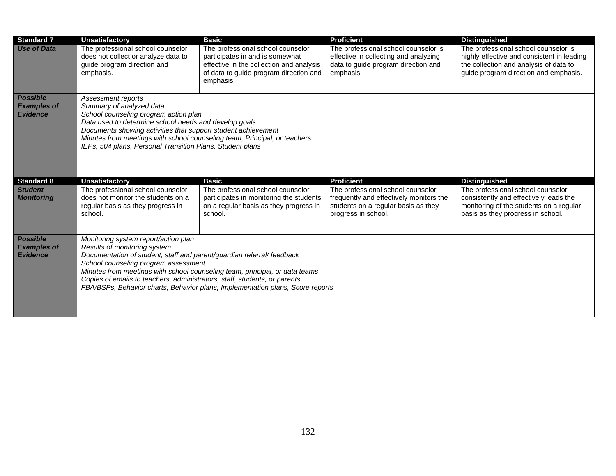| <b>Standard 7</b>                                        | <b>Unsatisfactory</b>                                                                                                                                                                                                                                                                                                                                       | <b>Basic</b>                                                                                                                                                            | <b>Proficient</b>                                                                                                                          | <b>Distinguished</b>                                                                                                                                                  |  |
|----------------------------------------------------------|-------------------------------------------------------------------------------------------------------------------------------------------------------------------------------------------------------------------------------------------------------------------------------------------------------------------------------------------------------------|-------------------------------------------------------------------------------------------------------------------------------------------------------------------------|--------------------------------------------------------------------------------------------------------------------------------------------|-----------------------------------------------------------------------------------------------------------------------------------------------------------------------|--|
| <b>Use of Data</b>                                       | The professional school counselor<br>does not collect or analyze data to<br>guide program direction and<br>emphasis.                                                                                                                                                                                                                                        | The professional school counselor<br>participates in and is somewhat<br>effective in the collection and analysis<br>of data to guide program direction and<br>emphasis. | The professional school counselor is<br>effective in collecting and analyzing<br>data to guide program direction and<br>emphasis.          | The professional school counselor is<br>highly effective and consistent in leading<br>the collection and analysis of data to<br>guide program direction and emphasis. |  |
| <b>Possible</b><br><b>Examples of</b><br><b>Evidence</b> | Assessment reports<br>Summary of analyzed data<br>School counseling program action plan<br>Data used to determine school needs and develop goals<br>Documents showing activities that support student achievement<br>Minutes from meetings with school counseling team, Principal, or teachers<br>IEPs, 504 plans, Personal Transition Plans, Student plans |                                                                                                                                                                         |                                                                                                                                            |                                                                                                                                                                       |  |
| <b>Standard 8</b>                                        | <b>Unsatisfactory</b>                                                                                                                                                                                                                                                                                                                                       | <b>Basic</b>                                                                                                                                                            | <b>Proficient</b>                                                                                                                          | <b>Distinguished</b>                                                                                                                                                  |  |
| <b>Student</b><br><b>Monitoring</b>                      | The professional school counselor<br>does not monitor the students on a<br>regular basis as they progress in<br>school.                                                                                                                                                                                                                                     | The professional school counselor<br>participates in monitoring the students<br>on a regular basis as they progress in<br>school.                                       | The professional school counselor<br>frequently and effectively monitors the<br>students on a regular basis as they<br>progress in school. | The professional school counselor<br>consistently and effectively leads the<br>monitoring of the students on a regular<br>basis as they progress in school.           |  |
| <b>Possible</b>                                          |                                                                                                                                                                                                                                                                                                                                                             |                                                                                                                                                                         |                                                                                                                                            |                                                                                                                                                                       |  |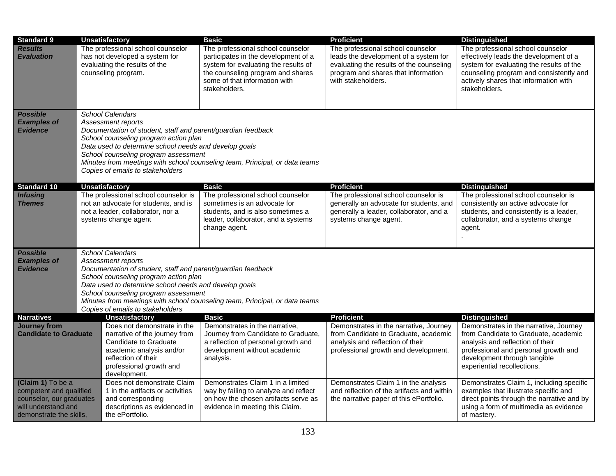| <b>Standard 9</b>                                        | <b>Unsatisfactory</b>                                                                                                                                                                                                                                                                                                                                                      | Basic                                                                                                                                                                                                    | <b>Proficient</b>                                                                                                                                                                   | <b>Distinguished</b>                                                                                                                                                                                                         |  |
|----------------------------------------------------------|----------------------------------------------------------------------------------------------------------------------------------------------------------------------------------------------------------------------------------------------------------------------------------------------------------------------------------------------------------------------------|----------------------------------------------------------------------------------------------------------------------------------------------------------------------------------------------------------|-------------------------------------------------------------------------------------------------------------------------------------------------------------------------------------|------------------------------------------------------------------------------------------------------------------------------------------------------------------------------------------------------------------------------|--|
| <b>Results</b><br><b>Evaluation</b>                      | The professional school counselor<br>has not developed a system for<br>evaluating the results of the<br>counseling program.                                                                                                                                                                                                                                                | The professional school counselor<br>participates in the development of a<br>system for evaluating the results of<br>the counseling program and shares<br>some of that information with<br>stakeholders. | The professional school counselor<br>leads the development of a system for<br>evaluating the results of the counseling<br>program and shares that information<br>with stakeholders. | The professional school counselor<br>effectively leads the development of a<br>system for evaluating the results of the<br>counseling program and consistently and<br>actively shares that information with<br>stakeholders. |  |
| <b>Possible</b><br><b>Examples of</b><br><b>Evidence</b> | <b>School Calendars</b><br>Assessment reports<br>Documentation of student, staff and parent/guardian feedback<br>School counseling program action plan<br>Data used to determine school needs and develop goals<br>School counseling program assessment<br>Minutes from meetings with school counseling team, Principal, or data teams<br>Copies of emails to stakeholders |                                                                                                                                                                                                          |                                                                                                                                                                                     |                                                                                                                                                                                                                              |  |
| Standard <sub>10</sub>                                   | <b>Unsatisfactory</b>                                                                                                                                                                                                                                                                                                                                                      | Basic                                                                                                                                                                                                    | <b>Proficient</b>                                                                                                                                                                   | <b>Distinguished</b>                                                                                                                                                                                                         |  |
| <b>Infusing</b><br><b>Themes</b>                         | The professional school counselor is<br>not an advocate for students, and is<br>not a leader, collaborator, nor a<br>systems change agent                                                                                                                                                                                                                                  | The professional school counselor<br>sometimes is an advocate for<br>students, and is also sometimes a<br>leader, collaborator, and a systems<br>change agent.                                           | The professional school counselor is<br>generally an advocate for students, and<br>generally a leader, collaborator, and a<br>systems change agent.                                 | The professional school counselor is<br>consistently an active advocate for<br>students, and consistently is a leader,<br>collaborator, and a systems change<br>agent.                                                       |  |
| <b>Possible</b>                                          | <b>School Calendars</b>                                                                                                                                                                                                                                                                                                                                                    |                                                                                                                                                                                                          |                                                                                                                                                                                     |                                                                                                                                                                                                                              |  |
| <b>Examples of</b>                                       | Assessment reports                                                                                                                                                                                                                                                                                                                                                         |                                                                                                                                                                                                          |                                                                                                                                                                                     |                                                                                                                                                                                                                              |  |
| <b>Evidence</b>                                          | Documentation of student, staff and parent/guardian feedback                                                                                                                                                                                                                                                                                                               |                                                                                                                                                                                                          |                                                                                                                                                                                     |                                                                                                                                                                                                                              |  |
|                                                          | School counseling program action plan<br>Data used to determine school needs and develop goals                                                                                                                                                                                                                                                                             |                                                                                                                                                                                                          |                                                                                                                                                                                     |                                                                                                                                                                                                                              |  |
|                                                          | School counseling program assessment                                                                                                                                                                                                                                                                                                                                       |                                                                                                                                                                                                          |                                                                                                                                                                                     |                                                                                                                                                                                                                              |  |
|                                                          |                                                                                                                                                                                                                                                                                                                                                                            | Minutes from meetings with school counseling team, Principal, or data teams                                                                                                                              |                                                                                                                                                                                     |                                                                                                                                                                                                                              |  |
|                                                          | Copies of emails to stakeholders                                                                                                                                                                                                                                                                                                                                           |                                                                                                                                                                                                          |                                                                                                                                                                                     |                                                                                                                                                                                                                              |  |
| <b>Narratives</b>                                        | <b>Unsatisfactory</b>                                                                                                                                                                                                                                                                                                                                                      | <b>Basic</b>                                                                                                                                                                                             | <b>Proficient</b>                                                                                                                                                                   | <b>Distinguished</b>                                                                                                                                                                                                         |  |
| <b>Journey from</b><br><b>Candidate to Graduate</b>      | Does not demonstrate in the<br>narrative of the journey from                                                                                                                                                                                                                                                                                                               | Demonstrates in the narrative,<br>Journey from Candidate to Graduate,                                                                                                                                    | Demonstrates in the narrative, Journey<br>from Candidate to Graduate, academic                                                                                                      | Demonstrates in the narrative, Journey<br>from Candidate to Graduate, academic                                                                                                                                               |  |
|                                                          | Candidate to Graduate                                                                                                                                                                                                                                                                                                                                                      | a reflection of personal growth and                                                                                                                                                                      | analysis and reflection of their                                                                                                                                                    | analysis and reflection of their                                                                                                                                                                                             |  |
|                                                          | academic analysis and/or                                                                                                                                                                                                                                                                                                                                                   | development without academic                                                                                                                                                                             | professional growth and development.                                                                                                                                                | professional and personal growth and                                                                                                                                                                                         |  |
|                                                          | reflection of their                                                                                                                                                                                                                                                                                                                                                        | analysis.                                                                                                                                                                                                |                                                                                                                                                                                     | development through tangible                                                                                                                                                                                                 |  |
|                                                          | professional growth and<br>development.                                                                                                                                                                                                                                                                                                                                    |                                                                                                                                                                                                          |                                                                                                                                                                                     | experiential recollections.                                                                                                                                                                                                  |  |
| (Claim 1) To be a                                        | Does not demonstrate Claim                                                                                                                                                                                                                                                                                                                                                 | Demonstrates Claim 1 in a limited                                                                                                                                                                        | Demonstrates Claim 1 in the analysis                                                                                                                                                | Demonstrates Claim 1, including specific                                                                                                                                                                                     |  |
| competent and qualified                                  | 1 in the artifacts or activities                                                                                                                                                                                                                                                                                                                                           | way by failing to analyze and reflect                                                                                                                                                                    | and reflection of the artifacts and within                                                                                                                                          | examples that illustrate specific and                                                                                                                                                                                        |  |
| counselor, our graduates<br>will understand and          | and corresponding<br>descriptions as evidenced in                                                                                                                                                                                                                                                                                                                          | on how the chosen artifacts serve as                                                                                                                                                                     | the narrative paper of this ePortfolio.                                                                                                                                             | direct points through the narrative and by<br>using a form of multimedia as evidence                                                                                                                                         |  |
| demonstrate the skills,                                  | the ePortfolio.                                                                                                                                                                                                                                                                                                                                                            | evidence in meeting this Claim.                                                                                                                                                                          |                                                                                                                                                                                     | of mastery.                                                                                                                                                                                                                  |  |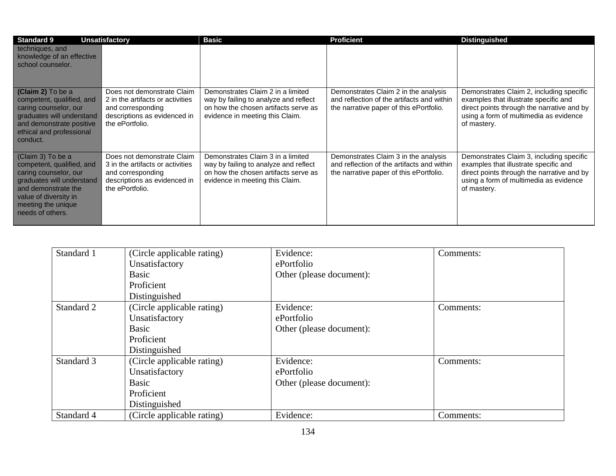| <b>Standard 9</b>                                                                                                                                                                              | <b>Unsatisfactory</b>                                                                                                                  | <b>Basic</b>                                                                                                                                          | <b>Proficient</b>                                                                                                             | <b>Distinguished</b>                                                                                                                                                                     |
|------------------------------------------------------------------------------------------------------------------------------------------------------------------------------------------------|----------------------------------------------------------------------------------------------------------------------------------------|-------------------------------------------------------------------------------------------------------------------------------------------------------|-------------------------------------------------------------------------------------------------------------------------------|------------------------------------------------------------------------------------------------------------------------------------------------------------------------------------------|
| techniques, and<br>knowledge of an effective<br>school counselor.                                                                                                                              |                                                                                                                                        |                                                                                                                                                       |                                                                                                                               |                                                                                                                                                                                          |
| (Claim 2) To be a<br>competent, qualified, and<br>caring counselor, our<br>graduates will understand<br>and demonstrate positive<br>ethical and professional<br>conduct.                       | Does not demonstrate Claim<br>2 in the artifacts or activities<br>and corresponding<br>descriptions as evidenced in<br>the ePortfolio. | Demonstrates Claim 2 in a limited<br>way by failing to analyze and reflect<br>on how the chosen artifacts serve as<br>evidence in meeting this Claim. | Demonstrates Claim 2 in the analysis<br>and reflection of the artifacts and within<br>the narrative paper of this ePortfolio. | Demonstrates Claim 2, including specific<br>examples that illustrate specific and<br>direct points through the narrative and by<br>using a form of multimedia as evidence<br>of mastery. |
| (Claim 3) To be a<br>competent, qualified, and<br>caring counselor, our<br>graduates will understand<br>and demonstrate the<br>value of diversity in<br>meeting the unique<br>needs of others. | Does not demonstrate Claim<br>3 in the artifacts or activities<br>and corresponding<br>descriptions as evidenced in<br>the ePortfolio. | Demonstrates Claim 3 in a limited<br>way by failing to analyze and reflect<br>on how the chosen artifacts serve as<br>evidence in meeting this Claim. | Demonstrates Claim 3 in the analysis<br>and reflection of the artifacts and within<br>the narrative paper of this ePortfolio. | Demonstrates Claim 3, including specific<br>examples that illustrate specific and<br>direct points through the narrative and by<br>using a form of multimedia as evidence<br>of mastery. |

| Standard 1 | (Circle applicable rating) | Evidence:                | Comments: |
|------------|----------------------------|--------------------------|-----------|
|            | Unsatisfactory             | ePortfolio               |           |
|            | Basic                      | Other (please document): |           |
|            | Proficient                 |                          |           |
|            | Distinguished              |                          |           |
| Standard 2 | (Circle applicable rating) | Evidence:                | Comments: |
|            | Unsatisfactory             | ePortfolio               |           |
|            | Basic                      | Other (please document): |           |
|            | Proficient                 |                          |           |
|            | Distinguished              |                          |           |
| Standard 3 | (Circle applicable rating) | Evidence:                | Comments: |
|            | Unsatisfactory             | ePortfolio               |           |
|            | <b>Basic</b>               | Other (please document): |           |
|            | Proficient                 |                          |           |
|            | Distinguished              |                          |           |
| Standard 4 | (Circle applicable rating) | Evidence:                | Comments: |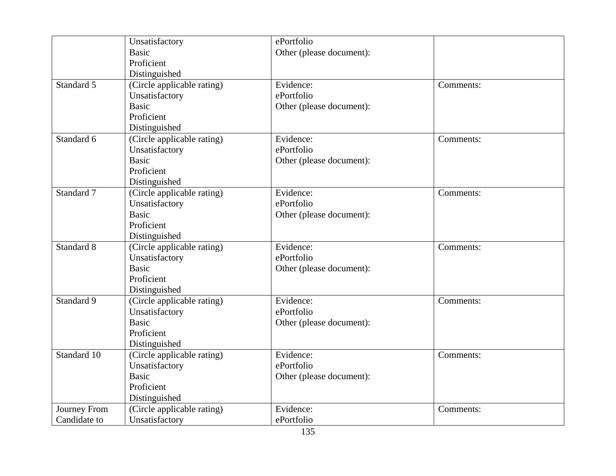| Unsatisfactory             | ePortfolio               |           |
|----------------------------|--------------------------|-----------|
| <b>Basic</b>               | Other (please document): |           |
| Proficient                 |                          |           |
| Distinguished              |                          |           |
| (Circle applicable rating) | Evidence:                | Comments: |
| Unsatisfactory             | ePortfolio               |           |
| <b>Basic</b>               | Other (please document): |           |
| Proficient                 |                          |           |
| Distinguished              |                          |           |
| (Circle applicable rating) | Evidence:                | Comments: |
| Unsatisfactory             | ePortfolio               |           |
| <b>Basic</b>               | Other (please document): |           |
| Proficient                 |                          |           |
| Distinguished              |                          |           |
| (Circle applicable rating) | Evidence:                | Comments: |
| Unsatisfactory             | ePortfolio               |           |
| <b>Basic</b>               | Other (please document): |           |
| Proficient                 |                          |           |
| Distinguished              |                          |           |
| (Circle applicable rating) | Evidence:                | Comments: |
| Unsatisfactory             | ePortfolio               |           |
| <b>Basic</b>               | Other (please document): |           |
| Proficient                 |                          |           |
| Distinguished              |                          |           |
| (Circle applicable rating) | Evidence:                | Comments: |
| Unsatisfactory             | ePortfolio               |           |
| <b>Basic</b>               | Other (please document): |           |
| Proficient                 |                          |           |
| Distinguished              |                          |           |
| (Circle applicable rating) | Evidence:                | Comments: |
| Unsatisfactory             | ePortfolio               |           |
| <b>Basic</b>               | Other (please document): |           |
| Proficient                 |                          |           |
| Distinguished              |                          |           |
| (Circle applicable rating) | Evidence:                | Comments: |
| Unsatisfactory             | ePortfolio               |           |
|                            |                          |           |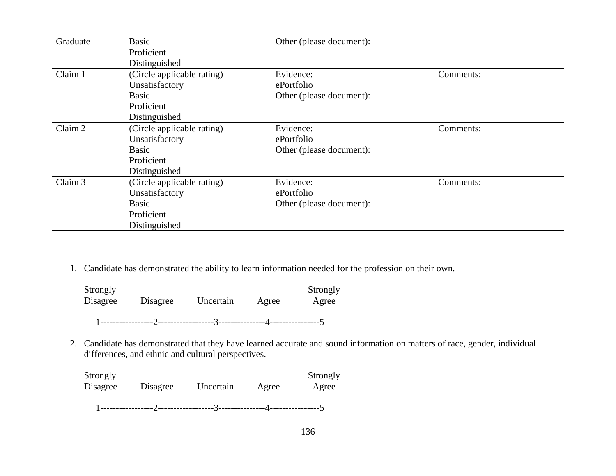| Graduate | Basic                      | Other (please document): |           |
|----------|----------------------------|--------------------------|-----------|
|          | Proficient                 |                          |           |
|          | Distinguished              |                          |           |
| Claim 1  | (Circle applicable rating) | Evidence:                | Comments: |
|          | Unsatisfactory             | ePortfolio               |           |
|          | <b>Basic</b>               | Other (please document): |           |
|          | Proficient                 |                          |           |
|          | Distinguished              |                          |           |
| Claim 2  | (Circle applicable rating) | Evidence:                | Comments: |
|          | Unsatisfactory             | ePortfolio               |           |
|          | <b>Basic</b>               | Other (please document): |           |
|          | Proficient                 |                          |           |
|          | Distinguished              |                          |           |
| Claim 3  | (Circle applicable rating) | Evidence:                | Comments: |
|          | Unsatisfactory             | ePortfolio               |           |
|          | <b>Basic</b>               | Other (please document): |           |
|          | Proficient                 |                          |           |
|          | Distinguished              |                          |           |

1. Candidate has demonstrated the ability to learn information needed for the profession on their own.

| Strongly |          |           |       | Strongly |
|----------|----------|-----------|-------|----------|
| Disagree | Disagree | Uncertain | Agree | Agree    |
|          |          |           |       |          |

2. Candidate has demonstrated that they have learned accurate and sound information on matters of race, gender, individual differences, and ethnic and cultural perspectives.

| Strongly<br>Disagree | Disagree | Uncertain | Agree | Strongly<br>Agree |
|----------------------|----------|-----------|-------|-------------------|
|                      |          |           |       |                   |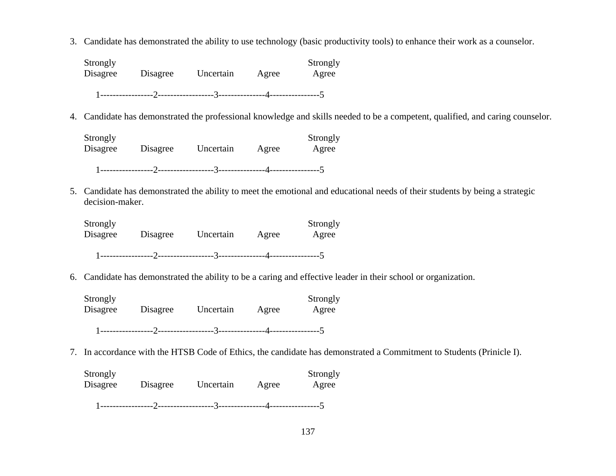3. Candidate has demonstrated the ability to use technology (basic productivity tools) to enhance their work as a counselor.

Strongly<br>
Disagree Disagree Uncertain Agree Agree Disagree Disagree Uncertain Agree Agree 1-----------------2------------------3---------------4----------------5

4. Candidate has demonstrated the professional knowledge and skills needed to be a competent, qualified, and caring counselor.

Strongly Strongly Strongly Disagree Disagree Uncertain Agree Agree 1-----------------2------------------3---------------4----------------5

5. Candidate has demonstrated the ability to meet the emotional and educational needs of their students by being a strategic decision-maker.

Strongly Strongly Strongly Disagree Disagree Uncertain Agree Agree 1-----------------2------------------3---------------4----------------5

6. Candidate has demonstrated the ability to be a caring and effective leader in their school or organization.

Strongly Strongly Strongly Disagree Disagree Uncertain Agree Agree 1-----------------2------------------3---------------4----------------5

7. In accordance with the HTSB Code of Ethics, the candidate has demonstrated a Commitment to Students (Prinicle I).

Strongly Strongly Strongly Disagree Disagree Uncertain Agree Agree 1-----------------2------------------3---------------4----------------5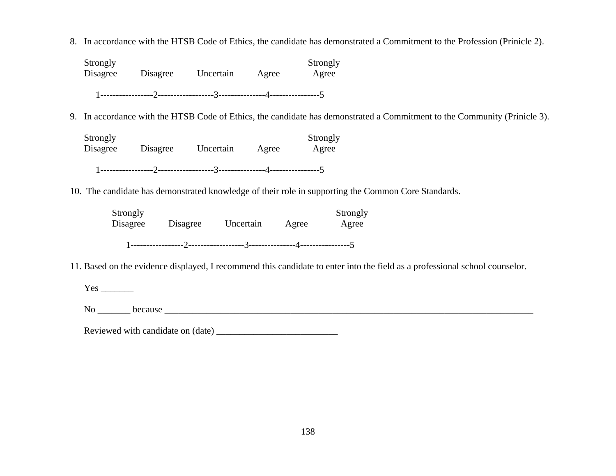8. In accordance with the HTSB Code of Ethics, the candidate has demonstrated a Commitment to the Profession (Prinicle 2).

| Strongly<br>Disagree | Disagree | Uncertain | Agree | Strongly<br>Agree |
|----------------------|----------|-----------|-------|-------------------|
|                      |          |           |       |                   |

9. In accordance with the HTSB Code of Ethics, the candidate has demonstrated a Commitment to the Community (Prinicle 3).

| Strongly<br>Disagree | Disagree | Uncertain | Agree | Strongly<br>Agree |
|----------------------|----------|-----------|-------|-------------------|
|                      |          |           |       |                   |

10. The candidate has demonstrated knowledge of their role in supporting the Common Core Standards.

| Strongly<br>Disagree | Disagree | Uncertain | Agree | Strongly<br>Agree |
|----------------------|----------|-----------|-------|-------------------|
|                      |          |           |       |                   |

11. Based on the evidence displayed, I recommend this candidate to enter into the field as a professional school counselor.

Yes \_\_\_\_\_\_\_

No \_\_\_\_\_\_\_ because \_\_\_\_\_\_\_\_\_\_\_\_\_\_\_\_\_\_\_\_\_\_\_\_\_\_\_\_\_\_\_\_\_\_\_\_\_\_\_\_\_\_\_\_\_\_\_\_\_\_\_\_\_\_\_\_\_\_\_\_\_\_\_\_\_\_\_\_\_\_\_\_\_\_\_\_\_\_\_

Reviewed with candidate on (date) \_\_\_\_\_\_\_\_\_\_\_\_\_\_\_\_\_\_\_\_\_\_\_\_\_\_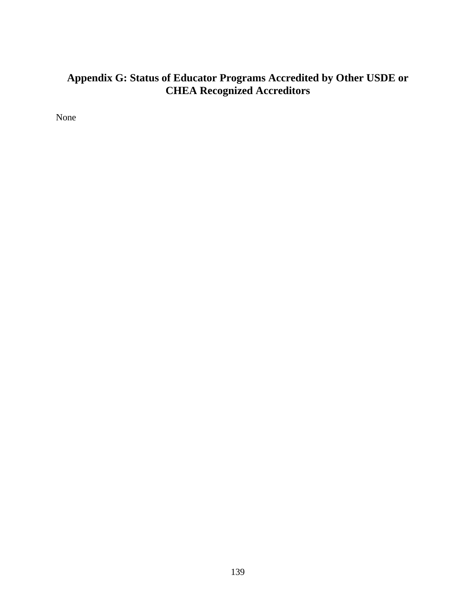# **Appendix G: Status of Educator Programs Accredited by Other USDE or CHEA Recognized Accreditors**

None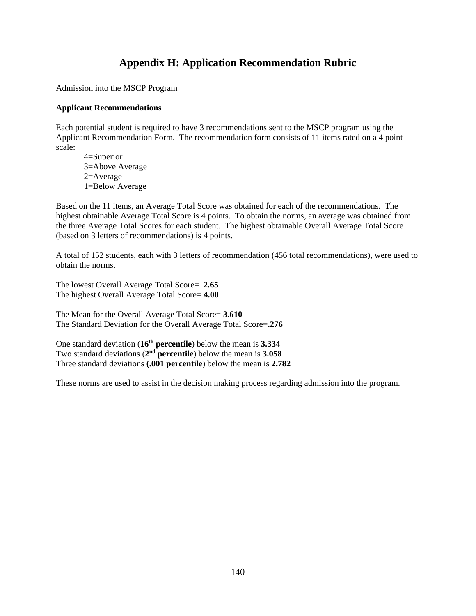## **Appendix H: Application Recommendation Rubric**

Admission into the MSCP Program

#### **Applicant Recommendations**

Each potential student is required to have 3 recommendations sent to the MSCP program using the Applicant Recommendation Form. The recommendation form consists of 11 items rated on a 4 point scale:

 4=Superior 3=Above Average 2=Average 1=Below Average

Based on the 11 items, an Average Total Score was obtained for each of the recommendations. The highest obtainable Average Total Score is 4 points. To obtain the norms, an average was obtained from the three Average Total Scores for each student. The highest obtainable Overall Average Total Score (based on 3 letters of recommendations) is 4 points.

A total of 152 students, each with 3 letters of recommendation (456 total recommendations), were used to obtain the norms.

The lowest Overall Average Total Score= **2.65**  The highest Overall Average Total Score= **4.00** 

The Mean for the Overall Average Total Score= **3.610**  The Standard Deviation for the Overall Average Total Score=**.276** 

One standard deviation (**16th percentile**) below the mean is **3.334**  Two standard deviations (**2nd percentile**) below the mean is **3.058** Three standard deviations **(.001 percentile**) below the mean is **2.782** 

These norms are used to assist in the decision making process regarding admission into the program.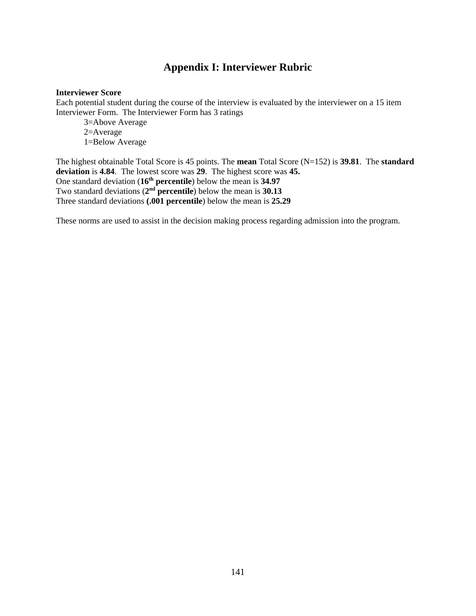## **Appendix I: Interviewer Rubric**

#### **Interviewer Score**

Each potential student during the course of the interview is evaluated by the interviewer on a 15 item Interviewer Form. The Interviewer Form has 3 ratings

 3=Above Average 2=Average 1=Below Average

The highest obtainable Total Score is 45 points. The **mean** Total Score (N=152) is **39.81**. The **standard deviation** is **4.84**. The lowest score was **29**. The highest score was **45.** One standard deviation (**16th percentile**) below the mean is **34.97**  Two standard deviations (**2nd percentile**) below the mean is **30.13**  Three standard deviations **(.001 percentile**) below the mean is **25.29** 

These norms are used to assist in the decision making process regarding admission into the program.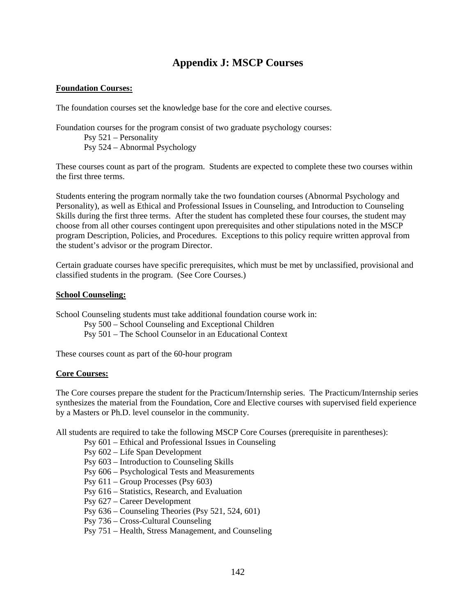## **Appendix J: MSCP Courses**

#### **Foundation Courses:**

The foundation courses set the knowledge base for the core and elective courses.

Foundation courses for the program consist of two graduate psychology courses: Psy 521 – Personality Psy 524 – Abnormal Psychology

These courses count as part of the program. Students are expected to complete these two courses within the first three terms.

Students entering the program normally take the two foundation courses (Abnormal Psychology and Personality), as well as Ethical and Professional Issues in Counseling, and Introduction to Counseling Skills during the first three terms. After the student has completed these four courses, the student may choose from all other courses contingent upon prerequisites and other stipulations noted in the MSCP program Description, Policies, and Procedures. Exceptions to this policy require written approval from the student's advisor or the program Director.

Certain graduate courses have specific prerequisites, which must be met by unclassified, provisional and classified students in the program. (See Core Courses.)

#### **School Counseling:**

School Counseling students must take additional foundation course work in:

 Psy 500 – School Counseling and Exceptional Children Psy 501 – The School Counselor in an Educational Context

These courses count as part of the 60-hour program

#### **Core Courses:**

The Core courses prepare the student for the Practicum/Internship series. The Practicum/Internship series synthesizes the material from the Foundation, Core and Elective courses with supervised field experience by a Masters or Ph.D. level counselor in the community.

All students are required to take the following MSCP Core Courses (prerequisite in parentheses):

- Psy 601 Ethical and Professional Issues in Counseling
- Psy 602 Life Span Development
- Psy 603 Introduction to Counseling Skills
- Psy 606 Psychological Tests and Measurements
- Psy 611 Group Processes (Psy 603)
- Psy 616 Statistics, Research, and Evaluation
- Psy 627 Career Development
- Psy 636 Counseling Theories (Psy 521, 524, 601)
- Psy 736 Cross-Cultural Counseling
- Psy 751 Health, Stress Management, and Counseling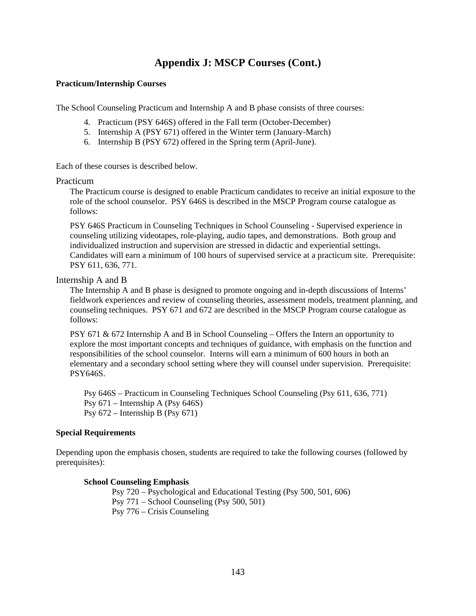# **Appendix J: MSCP Courses (Cont.)**

#### **Practicum/Internship Courses**

The School Counseling Practicum and Internship A and B phase consists of three courses:

- 4. Practicum (PSY 646S) offered in the Fall term (October-December)
- 5. Internship A (PSY 671) offered in the Winter term (January-March)
- 6. Internship B (PSY 672) offered in the Spring term (April-June).

Each of these courses is described below.

#### Practicum

The Practicum course is designed to enable Practicum candidates to receive an initial exposure to the role of the school counselor. PSY 646S is described in the MSCP Program course catalogue as follows:

PSY 646S Practicum in Counseling Techniques in School Counseling - Supervised experience in counseling utilizing videotapes, role-playing, audio tapes, and demonstrations. Both group and individualized instruction and supervision are stressed in didactic and experiential settings. Candidates will earn a minimum of 100 hours of supervised service at a practicum site. Prerequisite: PSY 611, 636, 771.

#### Internship A and B

The Internship A and B phase is designed to promote ongoing and in-depth discussions of Interns' fieldwork experiences and review of counseling theories, assessment models, treatment planning, and counseling techniques. PSY 671 and 672 are described in the MSCP Program course catalogue as follows:

PSY 671  $\&$  672 Internship A and B in School Counseling – Offers the Intern an opportunity to explore the most important concepts and techniques of guidance, with emphasis on the function and responsibilities of the school counselor. Interns will earn a minimum of 600 hours in both an elementary and a secondary school setting where they will counsel under supervision. Prerequisite: PSY646S.

Psy 646S – Practicum in Counseling Techniques School Counseling (Psy 611, 636, 771) Psy 671 – Internship A (Psy 646S) Psy 672 – Internship B (Psy 671)

#### **Special Requirements**

Depending upon the emphasis chosen, students are required to take the following courses (followed by prerequisites):

#### **School Counseling Emphasis**

 Psy 720 – Psychological and Educational Testing (Psy 500, 501, 606) Psy 771 – School Counseling (Psy 500, 501) Psy 776 – Crisis Counseling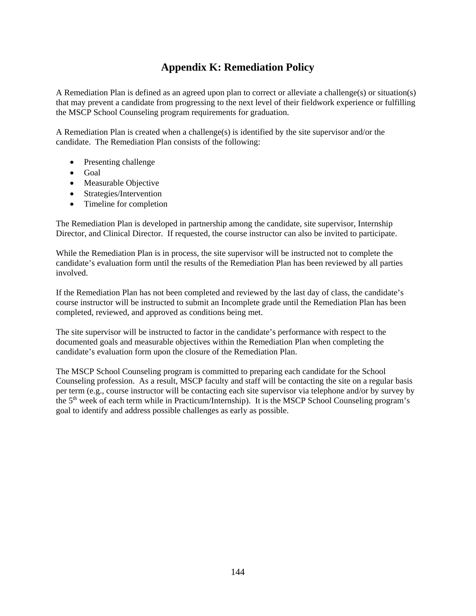# **Appendix K: Remediation Policy**

A Remediation Plan is defined as an agreed upon plan to correct or alleviate a challenge(s) or situation(s) that may prevent a candidate from progressing to the next level of their fieldwork experience or fulfilling the MSCP School Counseling program requirements for graduation.

A Remediation Plan is created when a challenge(s) is identified by the site supervisor and/or the candidate. The Remediation Plan consists of the following:

- Presenting challenge
- Goal
- Measurable Objective
- Strategies/Intervention
- Timeline for completion

The Remediation Plan is developed in partnership among the candidate, site supervisor, Internship Director, and Clinical Director. If requested, the course instructor can also be invited to participate.

While the Remediation Plan is in process, the site supervisor will be instructed not to complete the candidate's evaluation form until the results of the Remediation Plan has been reviewed by all parties involved.

If the Remediation Plan has not been completed and reviewed by the last day of class, the candidate's course instructor will be instructed to submit an Incomplete grade until the Remediation Plan has been completed, reviewed, and approved as conditions being met.

The site supervisor will be instructed to factor in the candidate's performance with respect to the documented goals and measurable objectives within the Remediation Plan when completing the candidate's evaluation form upon the closure of the Remediation Plan.

The MSCP School Counseling program is committed to preparing each candidate for the School Counseling profession. As a result, MSCP faculty and staff will be contacting the site on a regular basis per term (e.g., course instructor will be contacting each site supervisor via telephone and/or by survey by the 5th week of each term while in Practicum/Internship). It is the MSCP School Counseling program's goal to identify and address possible challenges as early as possible.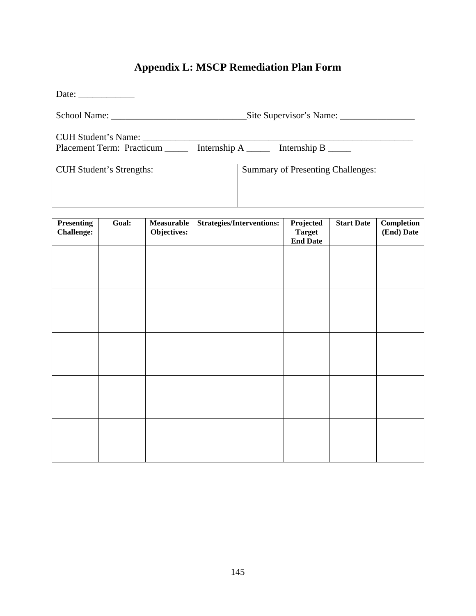# **Appendix L: MSCP Remediation Plan Form**

| Date: $\frac{1}{\sqrt{1-\frac{1}{2}} \cdot \frac{1}{\sqrt{1-\frac{1}{2}} \cdot \frac{1}{\sqrt{1-\frac{1}{2}} \cdot \frac{1}{\sqrt{1-\frac{1}{2}} \cdot \frac{1}{\sqrt{1-\frac{1}{2}} \cdot \frac{1}{\sqrt{1-\frac{1}{2}} \cdot \frac{1}{\sqrt{1-\frac{1}{2}} \cdot \frac{1}{\sqrt{1-\frac{1}{2}} \cdot \frac{1}{\sqrt{1-\frac{1}{2}} \cdot \frac{1}{\sqrt{1-\frac{1}{2}} \cdot \frac{1}{\sqrt{1-\frac{1}{2}} \cdot \frac{1}{\sqrt{1-\frac{1}{2}}$ |                                          |
|---------------------------------------------------------------------------------------------------------------------------------------------------------------------------------------------------------------------------------------------------------------------------------------------------------------------------------------------------------------------------------------------------------------------------------------------------|------------------------------------------|
|                                                                                                                                                                                                                                                                                                                                                                                                                                                   |                                          |
| CUH Student's Name: _______                                                                                                                                                                                                                                                                                                                                                                                                                       |                                          |
| Placement Term: Practicum _______ Internship A ______ Internship B _____                                                                                                                                                                                                                                                                                                                                                                          |                                          |
| <b>CUH Student's Strengths:</b>                                                                                                                                                                                                                                                                                                                                                                                                                   | <b>Summary of Presenting Challenges:</b> |
|                                                                                                                                                                                                                                                                                                                                                                                                                                                   |                                          |
|                                                                                                                                                                                                                                                                                                                                                                                                                                                   |                                          |

| <b>Presenting</b><br><b>Challenge:</b> | Goal: | Measurable<br>Objectives: | <b>Strategies/Interventions:</b> | Projected<br><b>Target</b><br><b>End Date</b> | <b>Start Date</b> | Completion<br>(End) Date |
|----------------------------------------|-------|---------------------------|----------------------------------|-----------------------------------------------|-------------------|--------------------------|
|                                        |       |                           |                                  |                                               |                   |                          |
|                                        |       |                           |                                  |                                               |                   |                          |
|                                        |       |                           |                                  |                                               |                   |                          |
|                                        |       |                           |                                  |                                               |                   |                          |
|                                        |       |                           |                                  |                                               |                   |                          |
|                                        |       |                           |                                  |                                               |                   |                          |
|                                        |       |                           |                                  |                                               |                   |                          |
|                                        |       |                           |                                  |                                               |                   |                          |
|                                        |       |                           |                                  |                                               |                   |                          |
|                                        |       |                           |                                  |                                               |                   |                          |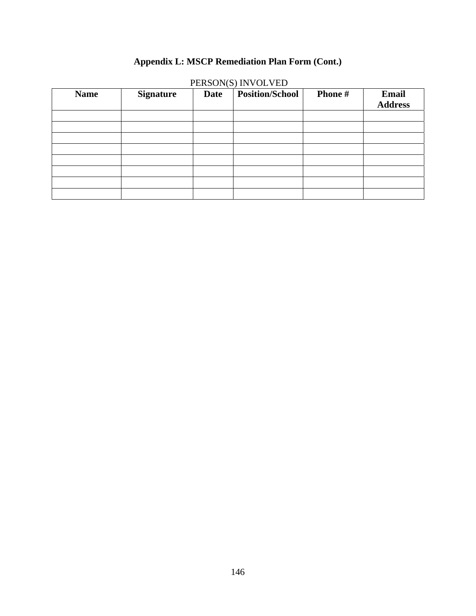# **Appendix L: MSCP Remediation Plan Form (Cont.)**

| <b>Name</b> | <b>Signature</b> | <b>Date</b> | <b>Position/School</b> | Phone # | Email<br><b>Address</b> |
|-------------|------------------|-------------|------------------------|---------|-------------------------|
|             |                  |             |                        |         |                         |
|             |                  |             |                        |         |                         |
|             |                  |             |                        |         |                         |
|             |                  |             |                        |         |                         |
|             |                  |             |                        |         |                         |
|             |                  |             |                        |         |                         |
|             |                  |             |                        |         |                         |
|             |                  |             |                        |         |                         |

PERSON(S) INVOLVED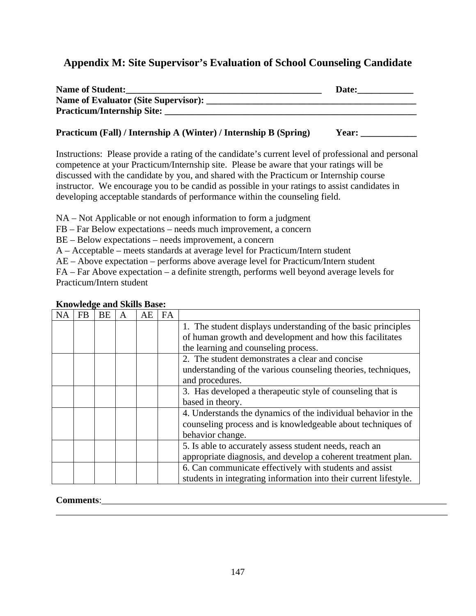# **Appendix M: Site Supervisor's Evaluation of School Counseling Candidate**

| <b>Name of Student:</b>                     | Date: |
|---------------------------------------------|-------|
| <b>Name of Evaluator (Site Supervisor):</b> |       |
| <b>Practicum/Internship Site:</b>           |       |
|                                             |       |

### **Practicum (Fall) / Internship A (Winter) / Internship B (Spring) Year:**

Instructions: Please provide a rating of the candidate's current level of professional and personal competence at your Practicum/Internship site. Please be aware that your ratings will be discussed with the candidate by you, and shared with the Practicum or Internship course instructor. We encourage you to be candid as possible in your ratings to assist candidates in developing acceptable standards of performance within the counseling field.

NA – Not Applicable or not enough information to form a judgment

FB – Far Below expectations – needs much improvement, a concern

BE – Below expectations – needs improvement, a concern

A – Acceptable – meets standards at average level for Practicum/Intern student

AE – Above expectation – performs above average level for Practicum/Intern student

FA – Far Above expectation – a definite strength, performs well beyond average levels for Practicum/Intern student

| NΑ | FB | <b>BE</b> | A | АE | <b>FA</b> |                                                                   |
|----|----|-----------|---|----|-----------|-------------------------------------------------------------------|
|    |    |           |   |    |           | 1. The student displays understanding of the basic principles     |
|    |    |           |   |    |           | of human growth and development and how this facilitates          |
|    |    |           |   |    |           | the learning and counseling process.                              |
|    |    |           |   |    |           | 2. The student demonstrates a clear and concise                   |
|    |    |           |   |    |           | understanding of the various counseling theories, techniques,     |
|    |    |           |   |    |           | and procedures.                                                   |
|    |    |           |   |    |           | 3. Has developed a therapeutic style of counseling that is        |
|    |    |           |   |    |           | based in theory.                                                  |
|    |    |           |   |    |           | 4. Understands the dynamics of the individual behavior in the     |
|    |    |           |   |    |           | counseling process and is knowledgeable about techniques of       |
|    |    |           |   |    |           | behavior change.                                                  |
|    |    |           |   |    |           | 5. Is able to accurately assess student needs, reach an           |
|    |    |           |   |    |           | appropriate diagnosis, and develop a coherent treatment plan.     |
|    |    |           |   |    |           | 6. Can communicate effectively with students and assist           |
|    |    |           |   |    |           | students in integrating information into their current lifestyle. |

### **Knowledge and Skills Base:**

### **Comments:**

\_\_\_\_\_\_\_\_\_\_\_\_\_\_\_\_\_\_\_\_\_\_\_\_\_\_\_\_\_\_\_\_\_\_\_\_\_\_\_\_\_\_\_\_\_\_\_\_\_\_\_\_\_\_\_\_\_\_\_\_\_\_\_\_\_\_\_\_\_\_\_\_\_\_\_\_\_\_\_\_\_\_\_\_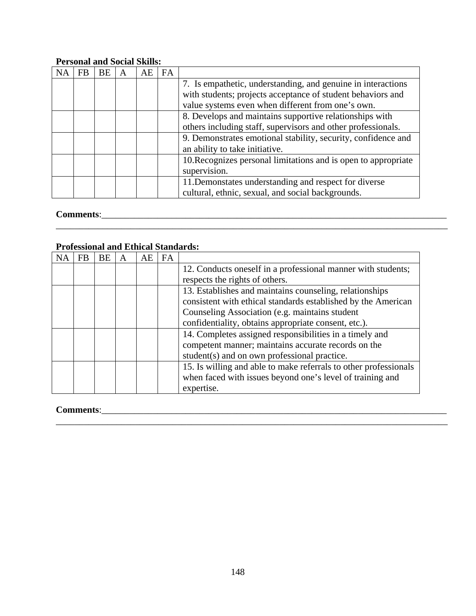### **Personal and Social Skills:**

| FB | BE | A | AE | <b>FA</b> |                                                                |
|----|----|---|----|-----------|----------------------------------------------------------------|
|    |    |   |    |           | 7. Is empathetic, understanding, and genuine in interactions   |
|    |    |   |    |           | with students; projects acceptance of student behaviors and    |
|    |    |   |    |           | value systems even when different from one's own.              |
|    |    |   |    |           | 8. Develops and maintains supportive relationships with        |
|    |    |   |    |           | others including staff, supervisors and other professionals.   |
|    |    |   |    |           | 9. Demonstrates emotional stability, security, confidence and  |
|    |    |   |    |           | an ability to take initiative.                                 |
|    |    |   |    |           | 10. Recognizes personal limitations and is open to appropriate |
|    |    |   |    |           | supervision.                                                   |
|    |    |   |    |           | 11. Demonstates understanding and respect for diverse          |
|    |    |   |    |           | cultural, ethnic, sexual, and social backgrounds.              |

# **Comments**:\_\_\_\_\_\_\_\_\_\_\_\_\_\_\_\_\_\_\_\_\_\_\_\_\_\_\_\_\_\_\_\_\_\_\_\_\_\_\_\_\_\_\_\_\_\_\_\_\_\_\_\_\_\_\_\_\_\_\_\_\_\_\_\_\_\_\_\_\_\_\_\_\_\_

### **Professional and Ethical Standards:**

| FB | BE | A | AE | <b>FA</b> |                                                                  |
|----|----|---|----|-----------|------------------------------------------------------------------|
|    |    |   |    |           | 12. Conducts oneself in a professional manner with students;     |
|    |    |   |    |           | respects the rights of others.                                   |
|    |    |   |    |           | 13. Establishes and maintains counseling, relationships          |
|    |    |   |    |           | consistent with ethical standards established by the American    |
|    |    |   |    |           | Counseling Association (e.g. maintains student                   |
|    |    |   |    |           | confidentiality, obtains appropriate consent, etc.).             |
|    |    |   |    |           | 14. Completes assigned responsibilities in a timely and          |
|    |    |   |    |           | competent manner; maintains accurate records on the              |
|    |    |   |    |           | student(s) and on own professional practice.                     |
|    |    |   |    |           | 15. Is willing and able to make referrals to other professionals |
|    |    |   |    |           | when faced with issues beyond one's level of training and        |
|    |    |   |    |           | expertise.                                                       |

### **Comments**:\_\_\_\_\_\_\_\_\_\_\_\_\_\_\_\_\_\_\_\_\_\_\_\_\_\_\_\_\_\_\_\_\_\_\_\_\_\_\_\_\_\_\_\_\_\_\_\_\_\_\_\_\_\_\_\_\_\_\_\_\_\_\_\_\_\_\_\_\_\_\_\_\_\_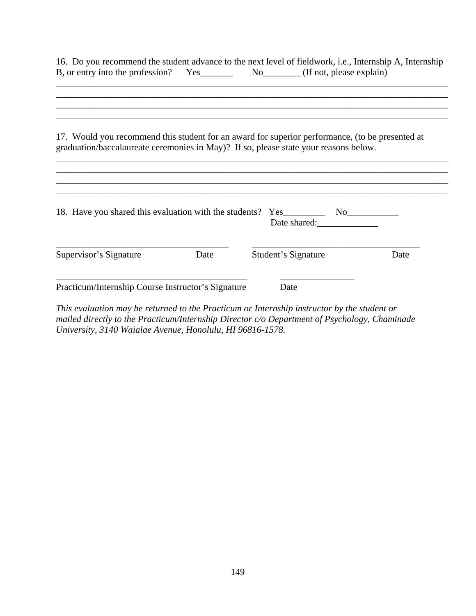|                                                    |      | 16. Do you recommend the student advance to the next level of fieldwork, i.e., Internship A, Internship                                                                                 |      |
|----------------------------------------------------|------|-----------------------------------------------------------------------------------------------------------------------------------------------------------------------------------------|------|
|                                                    |      | 17. Would you recommend this student for an award for superior performance, (to be presented at<br>graduation/baccalaureate ceremonies in May)? If so, please state your reasons below. |      |
|                                                    |      |                                                                                                                                                                                         |      |
| Supervisor's Signature                             | Date | Student's Signature                                                                                                                                                                     | Date |
| Practicum/Internship Course Instructor's Signature |      | Date<br>This evaluation may be returned to the Practicum or Internship instructor by the student or                                                                                     |      |

*mailed directly to the Practicum/Internship Director c/o Department of Psychology, Chaminade University, 3140 Waialae Avenue, Honolulu, HI 96816-1578.*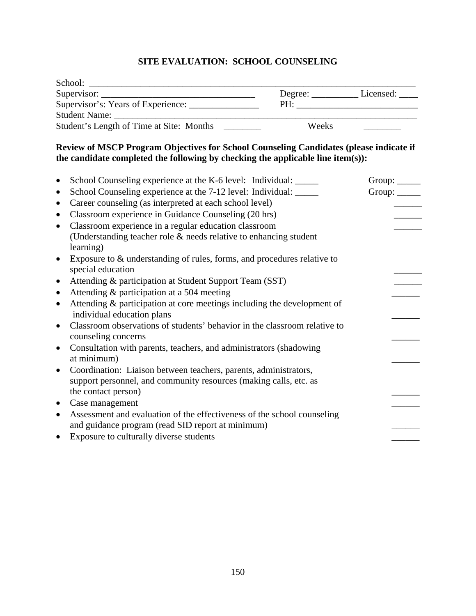## **SITE EVALUATION: SCHOOL COUNSELING**

| School:                                                                                                                                                                   |       |               |
|---------------------------------------------------------------------------------------------------------------------------------------------------------------------------|-------|---------------|
|                                                                                                                                                                           |       |               |
| Supervisor's: Years of Experience: ________________                                                                                                                       |       |               |
|                                                                                                                                                                           |       |               |
| Student's Length of Time at Site: Months                                                                                                                                  | Weeks |               |
| Review of MSCP Program Objectives for School Counseling Candidates (please indicate if<br>the candidate completed the following by checking the applicable line item(s)): |       |               |
| School Counseling experience at the K-6 level: Individual: ______<br>$\bullet$                                                                                            |       | Group: $\_\_$ |
| School Counseling experience at the 7-12 level: Individual: ______<br>$\bullet$                                                                                           |       | Group: $\_\_$ |
| Career counseling (as interpreted at each school level)<br>$\bullet$                                                                                                      |       | $\frac{1}{2}$ |
| Classroom experience in Guidance Counseling (20 hrs)<br>$\bullet$                                                                                                         |       |               |
| Classroom experience in a regular education classroom<br>$\bullet$                                                                                                        |       |               |
| (Understanding teacher role & needs relative to enhancing student<br>learning)                                                                                            |       |               |
| Exposure to $\&$ understanding of rules, forms, and procedures relative to<br>$\bullet$<br>special education                                                              |       |               |
| Attending & participation at Student Support Team (SST)<br>$\bullet$                                                                                                      |       |               |
| Attending & participation at a 504 meeting<br>$\bullet$                                                                                                                   |       |               |
| Attending & participation at core meetings including the development of<br>$\bullet$<br>individual education plans                                                        |       |               |
| Classroom observations of students' behavior in the classroom relative to<br>$\bullet$<br>counseling concerns                                                             |       |               |
| Consultation with parents, teachers, and administrators (shadowing<br>$\bullet$                                                                                           |       |               |
| at minimum)                                                                                                                                                               |       |               |
| Coordination: Liaison between teachers, parents, administrators,<br>$\bullet$                                                                                             |       |               |
| support personnel, and community resources (making calls, etc. as                                                                                                         |       |               |
| the contact person)                                                                                                                                                       |       |               |
| Case management<br>$\bullet$                                                                                                                                              |       |               |
| Assessment and evaluation of the effectiveness of the school counseling<br>$\bullet$<br>and guidance program (read SID report at minimum)                                 |       |               |
| Exposure to culturally diverse students<br>$\bullet$                                                                                                                      |       |               |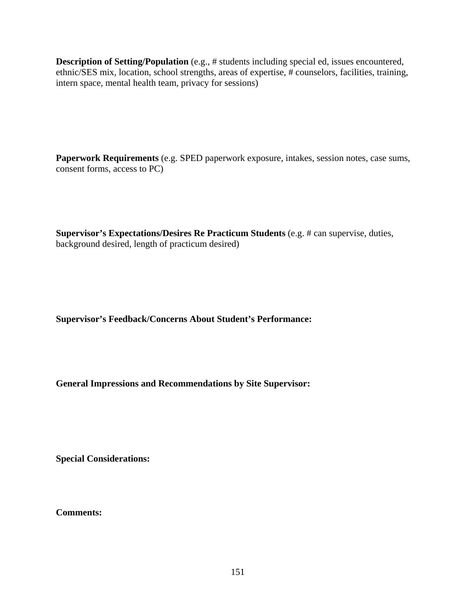**Description of Setting/Population** (e.g., # students including special ed, issues encountered, ethnic/SES mix, location, school strengths, areas of expertise, # counselors, facilities, training, intern space, mental health team, privacy for sessions)

**Paperwork Requirements** (e.g. SPED paperwork exposure, intakes, session notes, case sums, consent forms, access to PC)

**Supervisor's Expectations/Desires Re Practicum Students** (e.g. # can supervise, duties, background desired, length of practicum desired)

**Supervisor's Feedback/Concerns About Student's Performance:**

**General Impressions and Recommendations by Site Supervisor:** 

**Special Considerations:** 

**Comments:**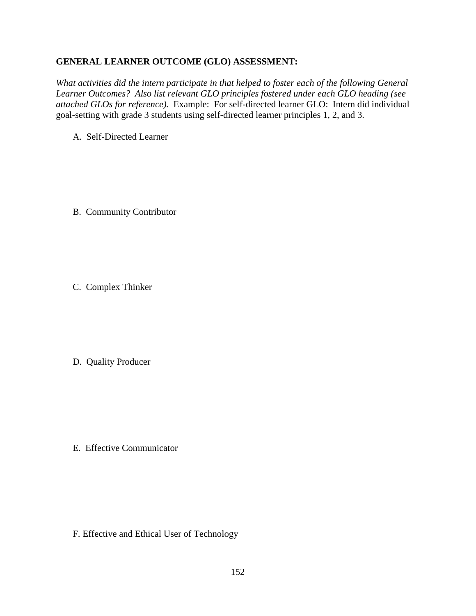### **GENERAL LEARNER OUTCOME (GLO) ASSESSMENT:**

*What activities did the intern participate in that helped to foster each of the following General Learner Outcomes? Also list relevant GLO principles fostered under each GLO heading (see attached GLOs for reference).* Example:For self-directed learner GLO: Intern did individual goal-setting with grade 3 students using self-directed learner principles 1, 2, and 3.

A. Self-Directed Learner

B. Community Contributor

C. Complex Thinker

D. Quality Producer

E. Effective Communicator

F. Effective and Ethical User of Technology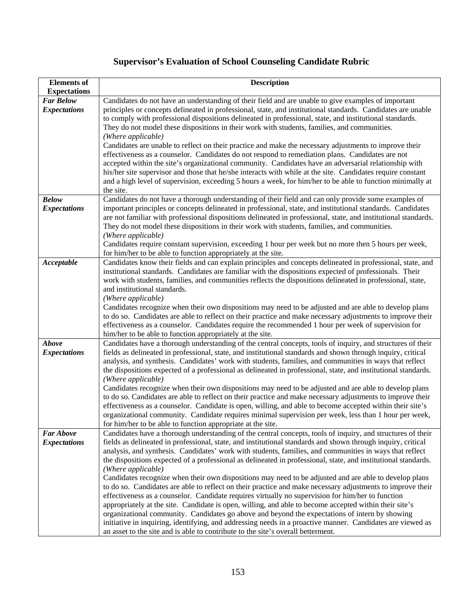# **Supervisor's Evaluation of School Counseling Candidate Rubric**

| <b>Elements</b> of<br><b>Expectations</b> | <b>Description</b>                                                                                                                                                                                                   |
|-------------------------------------------|----------------------------------------------------------------------------------------------------------------------------------------------------------------------------------------------------------------------|
| <b>Far Below</b>                          | Candidates do not have an understanding of their field and are unable to give examples of important                                                                                                                  |
| <b>Expectations</b>                       | principles or concepts delineated in professional, state, and institutional standards. Candidates are unable                                                                                                         |
|                                           | to comply with professional dispositions delineated in professional, state, and institutional standards.                                                                                                             |
|                                           | They do not model these dispositions in their work with students, families, and communities.                                                                                                                         |
|                                           | (Where applicable)                                                                                                                                                                                                   |
|                                           | Candidates are unable to reflect on their practice and make the necessary adjustments to improve their                                                                                                               |
|                                           | effectiveness as a counselor. Candidates do not respond to remediation plans. Candidates are not                                                                                                                     |
|                                           | accepted within the site's organizational community. Candidates have an adversarial relationship with                                                                                                                |
|                                           | his/her site supervisor and those that he/she interacts with while at the site. Candidates require constant                                                                                                          |
|                                           | and a high level of supervision, exceeding 5 hours a week, for him/her to be able to function minimally at                                                                                                           |
|                                           | the site.                                                                                                                                                                                                            |
| <b>Below</b>                              | Candidates do not have a thorough understanding of their field and can only provide some examples of                                                                                                                 |
| <b>Expectations</b>                       | important principles or concepts delineated in professional, state, and institutional standards. Candidates                                                                                                          |
|                                           | are not familiar with professional dispositions delineated in professional, state, and institutional standards.                                                                                                      |
|                                           | They do not model these dispositions in their work with students, families, and communities.                                                                                                                         |
|                                           | (Where applicable)                                                                                                                                                                                                   |
|                                           | Candidates require constant supervision, exceeding 1 hour per week but no more then 5 hours per week,                                                                                                                |
| Acceptable                                | for him/her to be able to function appropriately at the site.<br>Candidates know their fields and can explain principles and concepts delineated in professional, state, and                                         |
|                                           | institutional standards. Candidates are familiar with the dispositions expected of professionals. Their                                                                                                              |
|                                           | work with students, families, and communities reflects the dispositions delineated in professional, state,                                                                                                           |
|                                           | and institutional standards.                                                                                                                                                                                         |
|                                           | (Where applicable)                                                                                                                                                                                                   |
|                                           | Candidates recognize when their own dispositions may need to be adjusted and are able to develop plans                                                                                                               |
|                                           | to do so. Candidates are able to reflect on their practice and make necessary adjustments to improve their                                                                                                           |
|                                           | effectiveness as a counselor. Candidates require the recommended 1 hour per week of supervision for                                                                                                                  |
|                                           | him/her to be able to function appropriately at the site.                                                                                                                                                            |
| <b>Above</b>                              | Candidates have a thorough understanding of the central concepts, tools of inquiry, and structures of their                                                                                                          |
| <b>Expectations</b>                       | fields as delineated in professional, state, and institutional standards and shown through inquiry, critical                                                                                                         |
|                                           | analysis, and synthesis. Candidates' work with students, families, and communities in ways that reflect                                                                                                              |
|                                           | the dispositions expected of a professional as delineated in professional, state, and institutional standards.                                                                                                       |
|                                           | (Where applicable)                                                                                                                                                                                                   |
|                                           | Candidates recognize when their own dispositions may need to be adjusted and are able to develop plans<br>to do so. Candidates are able to reflect on their practice and make necessary adjustments to improve their |
|                                           | effectiveness as a counselor. Candidate is open, willing, and able to become accepted within their site's                                                                                                            |
|                                           | organizational community. Candidate requires minimal supervision per week, less than 1 hour per week,                                                                                                                |
|                                           | for him/her to be able to function appropriate at the site.                                                                                                                                                          |
| <b>Far Above</b>                          | Candidates have a thorough understanding of the central concepts, tools of inquiry, and structures of their                                                                                                          |
| <b>Expectations</b>                       | fields as delineated in professional, state, and institutional standards and shown through inquiry, critical                                                                                                         |
|                                           | analysis, and synthesis. Candidates' work with students, families, and communities in ways that reflect                                                                                                              |
|                                           | the dispositions expected of a professional as delineated in professional, state, and institutional standards.                                                                                                       |
|                                           | (Where applicable)                                                                                                                                                                                                   |
|                                           | Candidates recognize when their own dispositions may need to be adjusted and are able to develop plans                                                                                                               |
|                                           | to do so. Candidates are able to reflect on their practice and make necessary adjustments to improve their                                                                                                           |
|                                           | effectiveness as a counselor. Candidate requires virtually no supervision for him/her to function                                                                                                                    |
|                                           | appropriately at the site. Candidate is open, willing, and able to become accepted within their site's                                                                                                               |
|                                           | organizational community. Candidates go above and beyond the expectations of intern by showing                                                                                                                       |
|                                           | initiative in inquiring, identifying, and addressing needs in a proactive manner. Candidates are viewed as<br>an asset to the site and is able to contribute to the site's overall betterment.                       |
|                                           |                                                                                                                                                                                                                      |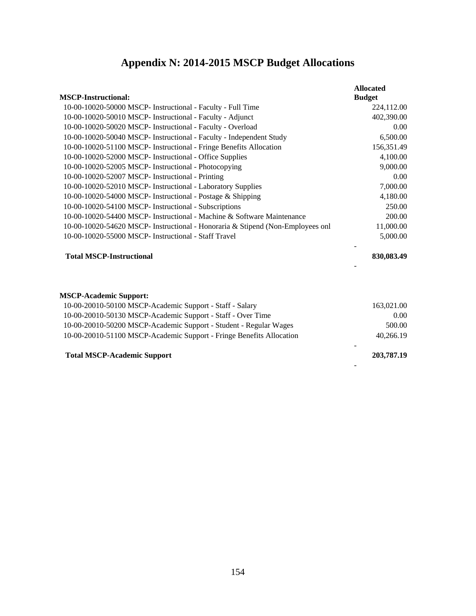# **Appendix N: 2014-2015 MSCP Budget Allocations**

| <b>MSCP-Instructional:</b>                                                     | <b>Allocated</b><br><b>Budget</b> |
|--------------------------------------------------------------------------------|-----------------------------------|
| 10-00-10020-50000 MSCP- Instructional - Faculty - Full Time                    | 224,112.00                        |
| 10-00-10020-50010 MSCP- Instructional - Faculty - Adjunct                      | 402,390.00                        |
| 10-00-10020-50020 MSCP- Instructional - Faculty - Overload                     | 0.00                              |
| 10-00-10020-50040 MSCP- Instructional - Faculty - Independent Study            | 6,500.00                          |
| 10-00-10020-51100 MSCP- Instructional - Fringe Benefits Allocation             | 156,351.49                        |
| 10-00-10020-52000 MSCP- Instructional - Office Supplies                        | 4,100.00                          |
| 10-00-10020-52005 MSCP- Instructional - Photocopying                           | 9,000.00                          |
| 10-00-10020-52007 MSCP- Instructional - Printing                               | 0.00                              |
| 10-00-10020-52010 MSCP- Instructional - Laboratory Supplies                    | 7,000.00                          |
| 10-00-10020-54000 MSCP- Instructional - Postage & Shipping                     | 4,180.00                          |
| 10-00-10020-54100 MSCP- Instructional - Subscriptions                          | 250.00                            |
| 10-00-10020-54400 MSCP- Instructional - Machine & Software Maintenance         | 200.00                            |
| 10-00-10020-54620 MSCP- Instructional - Honoraria & Stipend (Non-Employees onl | 11,000.00                         |
| 10-00-10020-55000 MSCP- Instructional - Staff Travel                           | 5,000.00                          |
| <b>Total MSCP-Instructional</b>                                                | 830,083.49                        |
| <b>MSCP-Academic Support:</b>                                                  |                                   |
| 10-00-20010-50100 MSCP-Academic Support - Staff - Salary                       | 163,021.00                        |
| 10-00-20010-50130 MSCP-Academic Support - Staff - Over Time                    | 0.00                              |
| 10-00-20010-50200 MSCP-Academic Support - Student - Regular Wages              | 500.00                            |
| 10-00-20010-51100 MSCP-Academic Support - Fringe Benefits Allocation           | 40,266.19                         |
| <b>Total MSCP-Academic Support</b>                                             | 203,787.19                        |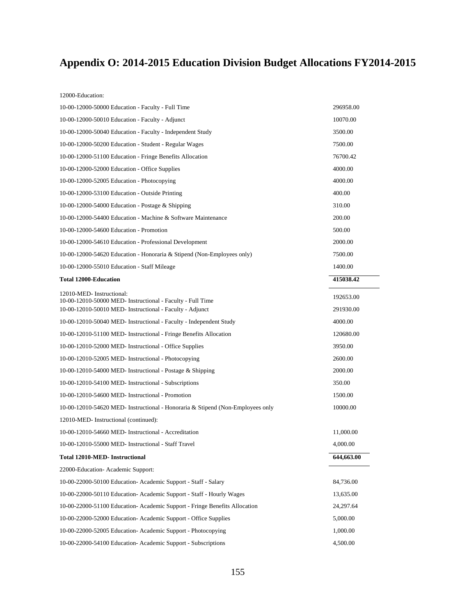# **Appendix O: 2014-2015 Education Division Budget Allocations FY2014-2015**

12000-Education:

| 10-00-12000-50000 Education - Faculty - Full Time                                      | 296958.00  |
|----------------------------------------------------------------------------------------|------------|
| 10-00-12000-50010 Education - Faculty - Adjunct                                        | 10070.00   |
| 10-00-12000-50040 Education - Faculty - Independent Study                              | 3500.00    |
| 10-00-12000-50200 Education - Student - Regular Wages                                  | 7500.00    |
| 10-00-12000-51100 Education - Fringe Benefits Allocation                               | 76700.42   |
| 10-00-12000-52000 Education - Office Supplies                                          | 4000.00    |
| 10-00-12000-52005 Education - Photocopying                                             | 4000.00    |
| 10-00-12000-53100 Education - Outside Printing                                         | 400.00     |
| 10-00-12000-54000 Education - Postage & Shipping                                       | 310.00     |
| 10-00-12000-54400 Education - Machine & Software Maintenance                           | 200.00     |
| 10-00-12000-54600 Education - Promotion                                                | 500.00     |
| 10-00-12000-54610 Education - Professional Development                                 | 2000.00    |
| 10-00-12000-54620 Education - Honoraria & Stipend (Non-Employees only)                 | 7500.00    |
| 10-00-12000-55010 Education - Staff Mileage                                            | 1400.00    |
| <b>Total 12000-Education</b>                                                           | 415038.42  |
| 12010-MED-Instructional:<br>10-00-12010-50000 MED- Instructional - Faculty - Full Time | 192653.00  |
| 10-00-12010-50010 MED- Instructional - Faculty - Adjunct                               | 291930.00  |
| 10-00-12010-50040 MED- Instructional - Faculty - Independent Study                     | 4000.00    |
| 10-00-12010-51100 MED- Instructional - Fringe Benefits Allocation                      | 120680.00  |
| 10-00-12010-52000 MED- Instructional - Office Supplies                                 | 3950.00    |
| 10-00-12010-52005 MED- Instructional - Photocopying                                    | 2600.00    |
| 10-00-12010-54000 MED- Instructional - Postage & Shipping                              | 2000.00    |
| 10-00-12010-54100 MED- Instructional - Subscriptions                                   | 350.00     |
| 10-00-12010-54600 MED- Instructional - Promotion                                       | 1500.00    |
| 10-00-12010-54620 MED- Instructional - Honoraria & Stipend (Non-Employees only         | 10000.00   |
| 12010-MED- Instructional (continued):                                                  |            |
| 10-00-12010-54660 MED- Instructional - Accreditation                                   | 11,000.00  |
| 10-00-12010-55000 MED- Instructional - Staff Travel                                    | 4,000.00   |
| Total 12010-MED- Instructional                                                         | 644,663.00 |
| 22000-Education-Academic Support:                                                      |            |
| 10-00-22000-50100 Education-Academic Support - Staff - Salary                          | 84,736.00  |
| 10-00-22000-50110 Education- Academic Support - Staff - Hourly Wages                   | 13,635.00  |
| 10-00-22000-51100 Education- Academic Support - Fringe Benefits Allocation             | 24,297.64  |
| 10-00-22000-52000 Education- Academic Support - Office Supplies                        | 5,000.00   |
| 10-00-22000-52005 Education-Academic Support - Photocopying                            | 1,000.00   |
| 10-00-22000-54100 Education-Academic Support - Subscriptions                           | 4,500.00   |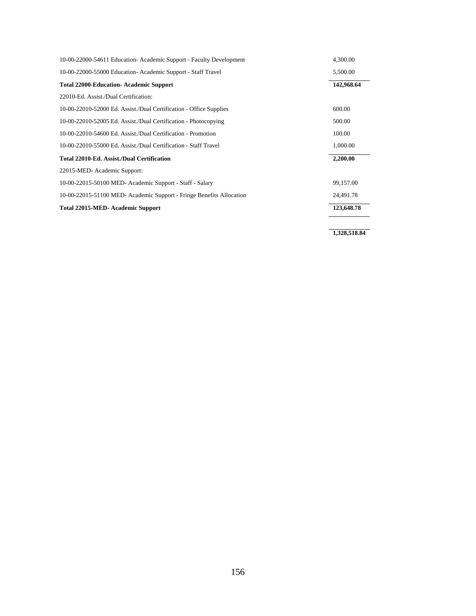| 10-00-22000-54611 Education- Academic Support - Faculty Development  | 4,300.00   |
|----------------------------------------------------------------------|------------|
| 10-00-22000-55000 Education- Academic Support - Staff Travel         | 5,500.00   |
| Total 22000-Education- Academic Support                              | 142,968.64 |
| 22010-Ed. Assist./Dual Certification:                                |            |
| 10-00-22010-52000 Ed. Assist./Dual Certification - Office Supplies   | 600.00     |
| 10-00-22010-52005 Ed. Assist./Dual Certification - Photocopying      | 500.00     |
| 10-00-22010-54600 Ed. Assist./Dual Certification - Promotion         | 100.00     |
| 10-00-22010-55000 Ed. Assist./Dual Certification - Staff Travel      | 1,000.00   |
| Total 22010-Ed. Assist./Dual Certification                           | 2,200.00   |
| 22015-MED- Academic Support:                                         |            |
| 10-00-22015-50100 MED- Academic Support - Staff - Salary             | 99,157.00  |
| 10-00-22015-51100 MED- Academic Support - Fringe Benefits Allocation | 24,491.78  |
| Total 22015-MED- Academic Support                                    | 123,648.78 |

**1,328,518.84**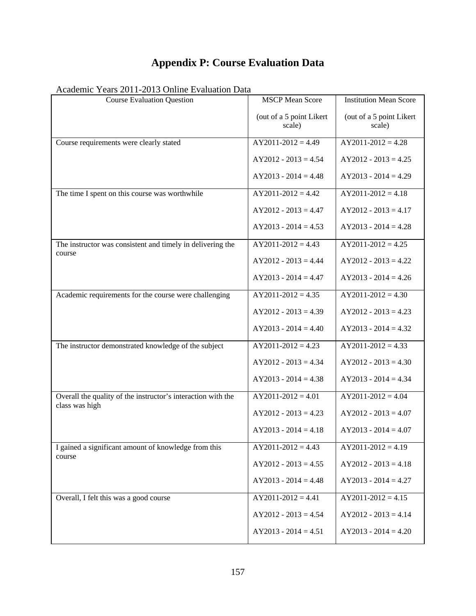# **Appendix P: Course Evaluation Data**

| <b>Course Evaluation Question</b>                            | <b>MSCP</b> Mean Score             | <b>Institution Mean Score</b>      |
|--------------------------------------------------------------|------------------------------------|------------------------------------|
|                                                              | (out of a 5 point Likert<br>scale) | (out of a 5 point Likert<br>scale) |
| Course requirements were clearly stated                      | $AY2011-2012 = 4.49$               | $AY2011-2012 = 4.28$               |
|                                                              | $AY2012 - 2013 = 4.54$             | $AY2012 - 2013 = 4.25$             |
|                                                              | $AY2013 - 2014 = 4.48$             | $AY2013 - 2014 = 4.29$             |
| The time I spent on this course was worthwhile               | $AY2011-2012=4.42$                 | $AY2011-2012 = 4.18$               |
|                                                              | $AY2012 - 2013 = 4.47$             | $AY2012 - 2013 = 4.17$             |
|                                                              | $AY2013 - 2014 = 4.53$             | $AY2013 - 2014 = 4.28$             |
| The instructor was consistent and timely in delivering the   | $AY2011-2012 = 4.43$               | $AY2011-2012 = 4.25$               |
| course                                                       | $AY2012 - 2013 = 4.44$             | $AY2012 - 2013 = 4.22$             |
|                                                              | $AY2013 - 2014 = 4.47$             | $AY2013 - 2014 = 4.26$             |
| Academic requirements for the course were challenging        | $AY2011-2012=4.35$                 | $AY2011-2012 = 4.30$               |
|                                                              | $AY2012 - 2013 = 4.39$             | $AY2012 - 2013 = 4.23$             |
|                                                              | $AY2013 - 2014 = 4.40$             | $AY2013 - 2014 = 4.32$             |
| The instructor demonstrated knowledge of the subject         | $AY2011-2012 = 4.23$               | $AY2011-2012 = 4.33$               |
|                                                              | $AY2012 - 2013 = 4.34$             | $AY2012 - 2013 = 4.30$             |
|                                                              | $AY2013 - 2014 = 4.38$             | $AY2013 - 2014 = 4.34$             |
| Overall the quality of the instructor's interaction with the | $AY2011-2012 = 4.01$               | $AY2011-2012 = 4.04$               |
| class was high                                               | $AY2012 - 2013 = 4.23$             | $AY2012 - 2013 = 4.07$             |
|                                                              | $AY2013 - 2014 = 4.18$             | $AY2013 - 2014 = 4.07$             |
| I gained a significant amount of knowledge from this         | $AY2011-2012 = 4.43$               | $AY2011-2012 = 4.19$               |
| course                                                       | $AY2012 - 2013 = 4.55$             | $AY2012 - 2013 = 4.18$             |
|                                                              | $AY2013 - 2014 = 4.48$             | $AY2013 - 2014 = 4.27$             |
| Overall, I felt this was a good course                       | $AY2011-2012 = 4.41$               | $AY2011-2012 = 4.15$               |
|                                                              | $AY2012 - 2013 = 4.54$             | $AY2012 - 2013 = 4.14$             |
|                                                              | $AY2013 - 2014 = 4.51$             | $AY2013 - 2014 = 4.20$             |

Academic Years 2011-2013 Online Evaluation Data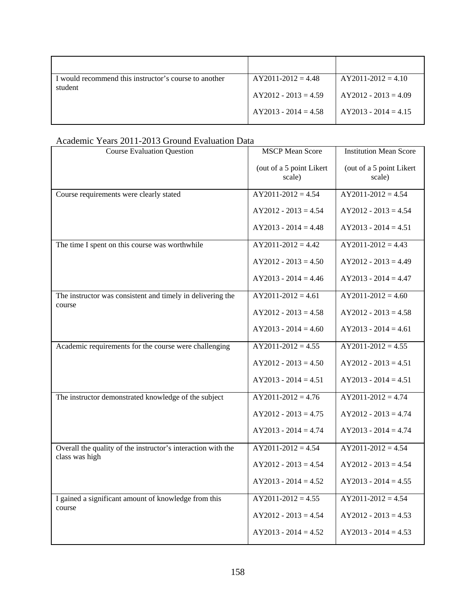| I would recommend this instructor's course to another<br>student | $AY2011-2012=4.48$     | $AY2011-2012 = 4.10$   |
|------------------------------------------------------------------|------------------------|------------------------|
|                                                                  | $AY2012 - 2013 = 4.59$ | $AY2012 - 2013 = 4.09$ |
|                                                                  | $AY2013 - 2014 = 4.58$ | $AY2013 - 2014 = 4.15$ |

| Academic Tears $2011$ - $2013$ Orbund Evaluation Data                          |                                    |                                    |
|--------------------------------------------------------------------------------|------------------------------------|------------------------------------|
| <b>Course Evaluation Question</b>                                              | <b>MSCP</b> Mean Score             | <b>Institution Mean Score</b>      |
|                                                                                | (out of a 5 point Likert<br>scale) | (out of a 5 point Likert<br>scale) |
| Course requirements were clearly stated                                        | $AY2011-2012 = 4.54$               | $AY2011-2012 = 4.54$               |
|                                                                                | $AY2012 - 2013 = 4.54$             | $AY2012 - 2013 = 4.54$             |
|                                                                                | $AY2013 - 2014 = 4.48$             | $AY2013 - 2014 = 4.51$             |
| The time I spent on this course was worthwhile                                 | $AY2011-2012 = 4.42$               | $AY2011-2012 = 4.43$               |
|                                                                                | $AY2012 - 2013 = 4.50$             | $AY2012 - 2013 = 4.49$             |
|                                                                                | $AY2013 - 2014 = 4.46$             | $AY2013 - 2014 = 4.47$             |
| The instructor was consistent and timely in delivering the                     | $AY2011-2012 = 4.61$               | $AY2011-2012 = 4.60$               |
| course                                                                         | $AY2012 - 2013 = 4.58$             | $AY2012 - 2013 = 4.58$             |
|                                                                                | $AY2013 - 2014 = 4.60$             | $AY2013 - 2014 = 4.61$             |
| Academic requirements for the course were challenging                          | $AY2011-2012 = 4.55$               | $AY2011-2012 = 4.55$               |
|                                                                                | $AY2012 - 2013 = 4.50$             | $AY2012 - 2013 = 4.51$             |
|                                                                                | $AY2013 - 2014 = 4.51$             | $AY2013 - 2014 = 4.51$             |
| The instructor demonstrated knowledge of the subject                           | $AY2011-2012 = 4.76$               | $AY2011-2012 = 4.74$               |
|                                                                                | $AY2012 - 2013 = 4.75$             | $AY2012 - 2013 = 4.74$             |
|                                                                                | $AY2013 - 2014 = 4.74$             | $AY2013 - 2014 = 4.74$             |
| Overall the quality of the instructor's interaction with the<br>class was high | $AY2011-2012 = 4.54$               | $AY2011-2012 = 4.54$               |
|                                                                                | $AY2012 - 2013 = 4.54$             | $AY2012 - 2013 = 4.54$             |
|                                                                                | $AY2013 - 2014 = 4.52$             | $AY2013 - 2014 = 4.55$             |
| I gained a significant amount of knowledge from this<br>course                 | $AY2011-2012 = 4.55$               | $AY2011-2012 = 4.54$               |
|                                                                                | $AY2012 - 2013 = 4.54$             | $AY2012 - 2013 = 4.53$             |
|                                                                                | $AY2013 - 2014 = 4.52$             | $AY2013 - 2014 = 4.53$             |
|                                                                                |                                    |                                    |

### Academic Years 2011-2013 Ground Evaluation Data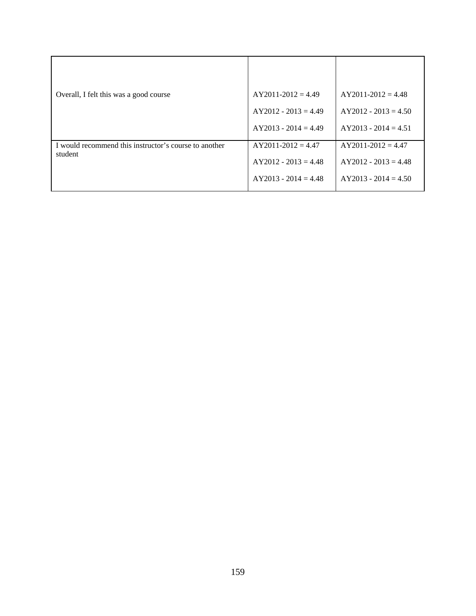| Overall, I felt this was a good course                | $AY2011-2012 = 4.49$   | $AY2011-2012 = 4.48$   |
|-------------------------------------------------------|------------------------|------------------------|
|                                                       | $AY2012 - 2013 = 4.49$ | $AY2012 - 2013 = 4.50$ |
|                                                       | $AY2013 - 2014 = 4.49$ | $AY2013 - 2014 = 4.51$ |
| I would recommend this instructor's course to another | $AY2011-2012 = 4.47$   | $AY2011-2012 = 4.47$   |
| student                                               | $AY2012 - 2013 = 4.48$ | $AY2012 - 2013 = 4.48$ |
|                                                       | $AY2013 - 2014 = 4.48$ | $AY2013 - 2014 = 4.50$ |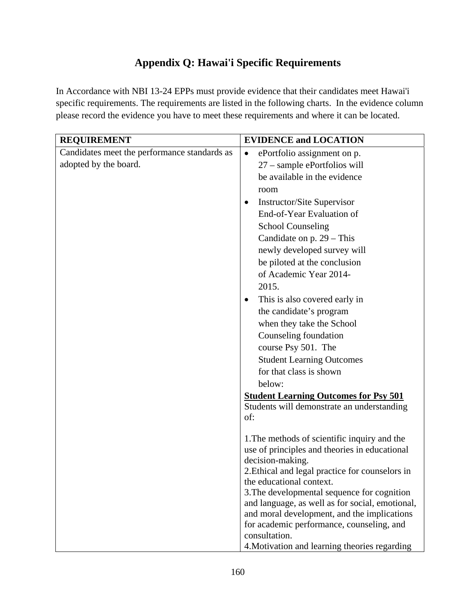# **Appendix Q: Hawai'i Specific Requirements**

In Accordance with NBI 13-24 EPPs must provide evidence that their candidates meet Hawai'i specific requirements. The requirements are listed in the following charts. In the evidence column please record the evidence you have to meet these requirements and where it can be located.

| <b>REQUIREMENT</b>                           | <b>EVIDENCE and LOCATION</b>                                                                   |
|----------------------------------------------|------------------------------------------------------------------------------------------------|
| Candidates meet the performance standards as | ePortfolio assignment on p.<br>$\bullet$                                                       |
| adopted by the board.                        | 27 - sample ePortfolios will                                                                   |
|                                              | be available in the evidence                                                                   |
|                                              | room                                                                                           |
|                                              | <b>Instructor/Site Supervisor</b><br>٠                                                         |
|                                              | End-of-Year Evaluation of                                                                      |
|                                              | <b>School Counseling</b>                                                                       |
|                                              | Candidate on $p. 29$ – This                                                                    |
|                                              | newly developed survey will                                                                    |
|                                              | be piloted at the conclusion                                                                   |
|                                              | of Academic Year 2014-                                                                         |
|                                              | 2015.                                                                                          |
|                                              | This is also covered early in<br>٠                                                             |
|                                              | the candidate's program                                                                        |
|                                              | when they take the School                                                                      |
|                                              | Counseling foundation                                                                          |
|                                              | course Psy 501. The                                                                            |
|                                              | <b>Student Learning Outcomes</b>                                                               |
|                                              | for that class is shown                                                                        |
|                                              | below:                                                                                         |
|                                              | <b>Student Learning Outcomes for Psy 501</b>                                                   |
|                                              | Students will demonstrate an understanding<br>of:                                              |
|                                              |                                                                                                |
|                                              | 1. The methods of scientific inquiry and the                                                   |
|                                              | use of principles and theories in educational                                                  |
|                                              | decision-making.                                                                               |
|                                              | 2. Ethical and legal practice for counselors in                                                |
|                                              | the educational context.                                                                       |
|                                              | 3. The developmental sequence for cognition<br>and language, as well as for social, emotional, |
|                                              | and moral development, and the implications                                                    |
|                                              | for academic performance, counseling, and                                                      |
|                                              | consultation.                                                                                  |
|                                              | 4. Motivation and learning theories regarding                                                  |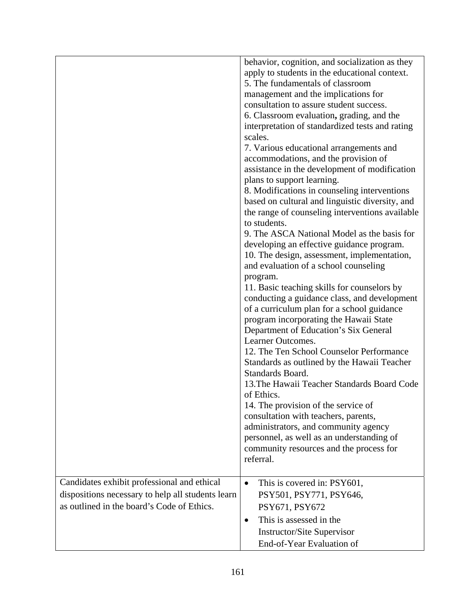|                                                                                                                                                | behavior, cognition, and socialization as they<br>apply to students in the educational context.<br>5. The fundamentals of classroom<br>management and the implications for<br>consultation to assure student success.<br>6. Classroom evaluation, grading, and the<br>interpretation of standardized tests and rating<br>scales.<br>7. Various educational arrangements and<br>accommodations, and the provision of<br>assistance in the development of modification<br>plans to support learning.<br>8. Modifications in counseling interventions<br>based on cultural and linguistic diversity, and<br>the range of counseling interventions available<br>to students.<br>9. The ASCA National Model as the basis for<br>developing an effective guidance program.<br>10. The design, assessment, implementation,<br>and evaluation of a school counseling<br>program.<br>11. Basic teaching skills for counselors by |
|------------------------------------------------------------------------------------------------------------------------------------------------|-------------------------------------------------------------------------------------------------------------------------------------------------------------------------------------------------------------------------------------------------------------------------------------------------------------------------------------------------------------------------------------------------------------------------------------------------------------------------------------------------------------------------------------------------------------------------------------------------------------------------------------------------------------------------------------------------------------------------------------------------------------------------------------------------------------------------------------------------------------------------------------------------------------------------|
|                                                                                                                                                | conducting a guidance class, and development<br>of a curriculum plan for a school guidance<br>program incorporating the Hawaii State<br>Department of Education's Six General<br>Learner Outcomes.<br>12. The Ten School Counselor Performance<br>Standards as outlined by the Hawaii Teacher<br>Standards Board.<br>13. The Hawaii Teacher Standards Board Code<br>of Ethics.<br>14. The provision of the service of<br>consultation with teachers, parents,<br>administrators, and community agency<br>personnel, as well as an understanding of<br>community resources and the process for<br>referral.                                                                                                                                                                                                                                                                                                              |
| Candidates exhibit professional and ethical<br>dispositions necessary to help all students learn<br>as outlined in the board's Code of Ethics. | This is covered in: PSY601,<br>$\bullet$<br>PSY501, PSY771, PSY646,<br>PSY671, PSY672<br>This is assessed in the<br>$\bullet$<br><b>Instructor/Site Supervisor</b><br>End-of-Year Evaluation of                                                                                                                                                                                                                                                                                                                                                                                                                                                                                                                                                                                                                                                                                                                         |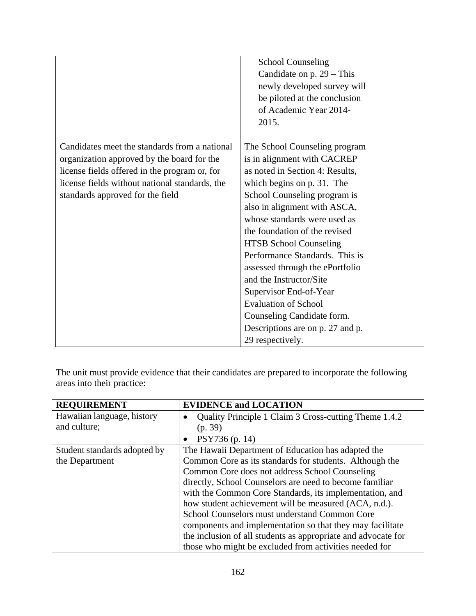|                                                                                                                                                                                                                                    | <b>School Counseling</b><br>Candidate on $p. 29$ – This<br>newly developed survey will<br>be piloted at the conclusion<br>of Academic Year 2014-<br>2015.                                                                                                                                                                                                                                                                                                                                                                                      |
|------------------------------------------------------------------------------------------------------------------------------------------------------------------------------------------------------------------------------------|------------------------------------------------------------------------------------------------------------------------------------------------------------------------------------------------------------------------------------------------------------------------------------------------------------------------------------------------------------------------------------------------------------------------------------------------------------------------------------------------------------------------------------------------|
| Candidates meet the standards from a national<br>organization approved by the board for the<br>license fields offered in the program or, for<br>license fields without national standards, the<br>standards approved for the field | The School Counseling program<br>is in alignment with CACREP<br>as noted in Section 4: Results,<br>which begins on p. 31. The<br>School Counseling program is<br>also in alignment with ASCA,<br>whose standards were used as<br>the foundation of the revised<br><b>HTSB School Counseling</b><br>Performance Standards. This is<br>assessed through the ePortfolio<br>and the Instructor/Site<br>Supervisor End-of-Year<br><b>Evaluation of School</b><br>Counseling Candidate form.<br>Descriptions are on p. 27 and p.<br>29 respectively. |

The unit must provide evidence that their candidates are prepared to incorporate the following areas into their practice:

| <b>REQUIREMENT</b>           | <b>EVIDENCE and LOCATION</b>                                  |
|------------------------------|---------------------------------------------------------------|
| Hawaiian language, history   | Quality Principle 1 Claim 3 Cross-cutting Theme 1.4.2         |
| and culture;                 | (p. 39)                                                       |
|                              | PSY736 (p. 14)                                                |
| Student standards adopted by | The Hawaii Department of Education has adapted the            |
| the Department               | Common Core as its standards for students. Although the       |
|                              | Common Core does not address School Counseling                |
|                              | directly, School Counselors are need to become familiar       |
|                              | with the Common Core Standards, its implementation, and       |
|                              | how student achievement will be measured (ACA, n.d.).         |
|                              | School Counselors must understand Common Core                 |
|                              | components and implementation so that they may facilitate     |
|                              | the inclusion of all students as appropriate and advocate for |
|                              | those who might be excluded from activities needed for        |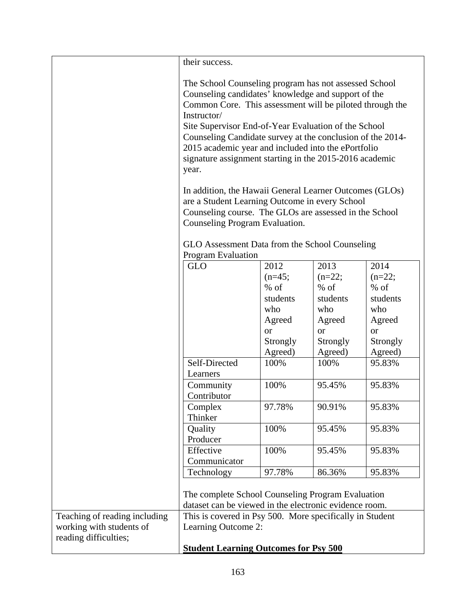|                               | their success.                                                                                                                                                                                                                                                                                                                                                                                                                           |                           |                           |                           |
|-------------------------------|------------------------------------------------------------------------------------------------------------------------------------------------------------------------------------------------------------------------------------------------------------------------------------------------------------------------------------------------------------------------------------------------------------------------------------------|---------------------------|---------------------------|---------------------------|
|                               | The School Counseling program has not assessed School<br>Counseling candidates' knowledge and support of the<br>Common Core. This assessment will be piloted through the<br>Instructor/<br>Site Supervisor End-of-Year Evaluation of the School<br>Counseling Candidate survey at the conclusion of the 2014-<br>2015 academic year and included into the ePortfolio<br>signature assignment starting in the 2015-2016 academic<br>year. |                           |                           |                           |
|                               | In addition, the Hawaii General Learner Outcomes (GLOs)<br>are a Student Learning Outcome in every School<br>Counseling course. The GLOs are assessed in the School<br>Counseling Program Evaluation.                                                                                                                                                                                                                                    |                           |                           |                           |
|                               | GLO Assessment Data from the School Counseling<br><b>Program Evaluation</b>                                                                                                                                                                                                                                                                                                                                                              |                           |                           |                           |
|                               | <b>GLO</b>                                                                                                                                                                                                                                                                                                                                                                                                                               | 2012<br>$(n=45;$          | 2013<br>$(n=22)$ ;        | 2014<br>$(n=22)$ ;        |
|                               |                                                                                                                                                                                                                                                                                                                                                                                                                                          | $%$ of<br>students<br>who | $%$ of<br>students<br>who | $%$ of<br>students<br>who |
|                               |                                                                                                                                                                                                                                                                                                                                                                                                                                          | Agreed<br><b>or</b>       | Agreed<br><sub>or</sub>   | Agreed<br><b>or</b>       |
|                               |                                                                                                                                                                                                                                                                                                                                                                                                                                          | Strongly<br>Agreed)       | Strongly<br>Agreed)       | Strongly<br>Agreed)       |
|                               | Self-Directed<br>Learners                                                                                                                                                                                                                                                                                                                                                                                                                | 100%                      | 100%                      | 95.83%                    |
|                               | Community<br>Contributor                                                                                                                                                                                                                                                                                                                                                                                                                 | 100%                      | 95.45%                    | 95.83%                    |
|                               | Complex<br>Thinker                                                                                                                                                                                                                                                                                                                                                                                                                       | 97.78%                    | 90.91%                    | 95.83%                    |
|                               | Quality<br>Producer                                                                                                                                                                                                                                                                                                                                                                                                                      | 100%                      | 95.45%                    | 95.83%                    |
|                               | Effective<br>Communicator                                                                                                                                                                                                                                                                                                                                                                                                                | 100%                      | 95.45%                    | 95.83%                    |
|                               | Technology                                                                                                                                                                                                                                                                                                                                                                                                                               | 97.78%                    | 86.36%                    | 95.83%                    |
|                               | The complete School Counseling Program Evaluation<br>dataset can be viewed in the electronic evidence room.                                                                                                                                                                                                                                                                                                                              |                           |                           |                           |
| Teaching of reading including | This is covered in Psy 500. More specifically in Student                                                                                                                                                                                                                                                                                                                                                                                 |                           |                           |                           |
| working with students of      | Learning Outcome 2:                                                                                                                                                                                                                                                                                                                                                                                                                      |                           |                           |                           |
| reading difficulties;         | <b>Student Learning Outcomes for Psy 500</b>                                                                                                                                                                                                                                                                                                                                                                                             |                           |                           |                           |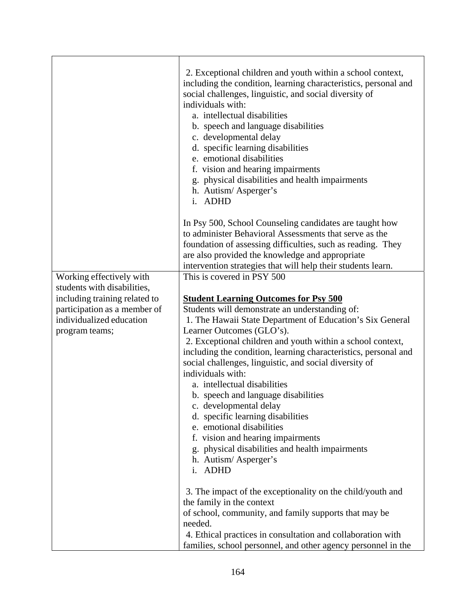|                                                               | 2. Exceptional children and youth within a school context,<br>including the condition, learning characteristics, personal and<br>social challenges, linguistic, and social diversity of<br>individuals with:<br>a. intellectual disabilities<br>b. speech and language disabilities<br>c. developmental delay<br>d. specific learning disabilities<br>e. emotional disabilities<br>f. vision and hearing impairments<br>physical disabilities and health impairments<br>g.<br>h. Autism/Asperger's<br>i. ADHD |
|---------------------------------------------------------------|---------------------------------------------------------------------------------------------------------------------------------------------------------------------------------------------------------------------------------------------------------------------------------------------------------------------------------------------------------------------------------------------------------------------------------------------------------------------------------------------------------------|
|                                                               | In Psy 500, School Counseling candidates are taught how<br>to administer Behavioral Assessments that serve as the<br>foundation of assessing difficulties, such as reading. They<br>are also provided the knowledge and appropriate<br>intervention strategies that will help their students learn.                                                                                                                                                                                                           |
| Working effectively with                                      | This is covered in PSY 500                                                                                                                                                                                                                                                                                                                                                                                                                                                                                    |
| students with disabilities,                                   |                                                                                                                                                                                                                                                                                                                                                                                                                                                                                                               |
| including training related to<br>participation as a member of | <b>Student Learning Outcomes for Psy 500</b><br>Students will demonstrate an understanding of:                                                                                                                                                                                                                                                                                                                                                                                                                |
| individualized education                                      | 1. The Hawaii State Department of Education's Six General                                                                                                                                                                                                                                                                                                                                                                                                                                                     |
| program teams;                                                | Learner Outcomes (GLO's).                                                                                                                                                                                                                                                                                                                                                                                                                                                                                     |
|                                                               | 2. Exceptional children and youth within a school context,                                                                                                                                                                                                                                                                                                                                                                                                                                                    |
|                                                               | including the condition, learning characteristics, personal and<br>social challenges, linguistic, and social diversity of<br>individuals with:                                                                                                                                                                                                                                                                                                                                                                |
|                                                               | a. intellectual disabilities                                                                                                                                                                                                                                                                                                                                                                                                                                                                                  |
|                                                               | b. speech and language disabilities                                                                                                                                                                                                                                                                                                                                                                                                                                                                           |
|                                                               | c. developmental delay                                                                                                                                                                                                                                                                                                                                                                                                                                                                                        |
|                                                               | d. specific learning disabilities                                                                                                                                                                                                                                                                                                                                                                                                                                                                             |
|                                                               | e. emotional disabilities                                                                                                                                                                                                                                                                                                                                                                                                                                                                                     |
|                                                               | f. vision and hearing impairments                                                                                                                                                                                                                                                                                                                                                                                                                                                                             |
|                                                               | g. physical disabilities and health impairments                                                                                                                                                                                                                                                                                                                                                                                                                                                               |
|                                                               | h. Autism/Asperger's<br>i. ADHD                                                                                                                                                                                                                                                                                                                                                                                                                                                                               |
|                                                               | 3. The impact of the exceptionality on the child/youth and                                                                                                                                                                                                                                                                                                                                                                                                                                                    |
|                                                               | the family in the context                                                                                                                                                                                                                                                                                                                                                                                                                                                                                     |
|                                                               | of school, community, and family supports that may be                                                                                                                                                                                                                                                                                                                                                                                                                                                         |
|                                                               | needed.                                                                                                                                                                                                                                                                                                                                                                                                                                                                                                       |
|                                                               | 4. Ethical practices in consultation and collaboration with                                                                                                                                                                                                                                                                                                                                                                                                                                                   |
|                                                               | families, school personnel, and other agency personnel in the                                                                                                                                                                                                                                                                                                                                                                                                                                                 |